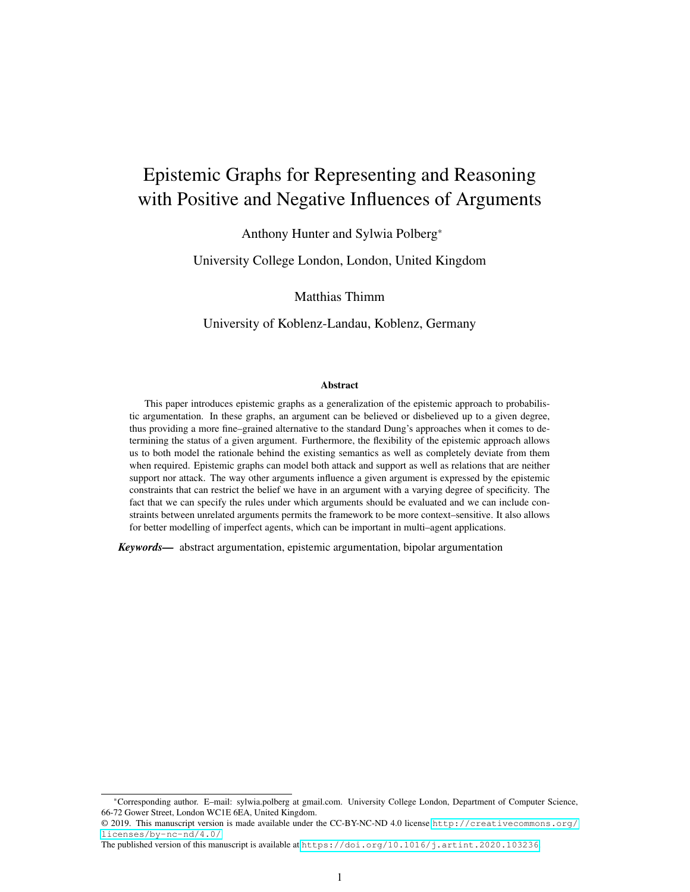# Epistemic Graphs for Representing and Reasoning with Positive and Negative Influences of Arguments

Anthony Hunter and Sylwia Polberg\*

University College London, London, United Kingdom

Matthias Thimm

University of Koblenz-Landau, Koblenz, Germany

#### Abstract

This paper introduces epistemic graphs as a generalization of the epistemic approach to probabilistic argumentation. In these graphs, an argument can be believed or disbelieved up to a given degree, thus providing a more fine–grained alternative to the standard Dung's approaches when it comes to determining the status of a given argument. Furthermore, the flexibility of the epistemic approach allows us to both model the rationale behind the existing semantics as well as completely deviate from them when required. Epistemic graphs can model both attack and support as well as relations that are neither support nor attack. The way other arguments influence a given argument is expressed by the epistemic constraints that can restrict the belief we have in an argument with a varying degree of specificity. The fact that we can specify the rules under which arguments should be evaluated and we can include constraints between unrelated arguments permits the framework to be more context–sensitive. It also allows for better modelling of imperfect agents, which can be important in multi–agent applications.

*Keywords—* abstract argumentation, epistemic argumentation, bipolar argumentation

<sup>\*</sup>Corresponding author. E–mail: sylwia.polberg at gmail.com. University College London, Department of Computer Science, 66-72 Gower Street, London WC1E 6EA, United Kingdom.

<sup>© 2019.</sup> This manuscript version is made available under the CC-BY-NC-ND 4.0 license [http://creativecommons.org/](http://creativecommons.org/licenses/by-nc-nd/4.0/) [licenses/by-nc-nd/4.0/](http://creativecommons.org/licenses/by-nc-nd/4.0/)

The published version of this manuscript is available at <https://doi.org/10.1016/j.artint.2020.103236>.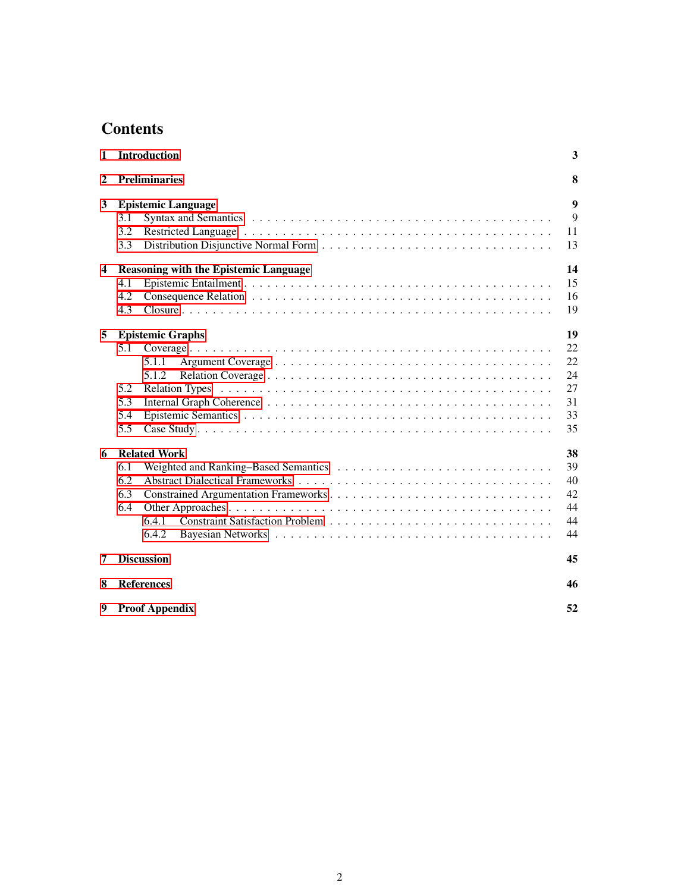# **Contents**

| 1                       | <b>Introduction</b>                                                          |                                              |  |  |  |  |  |  |  |  |  |
|-------------------------|------------------------------------------------------------------------------|----------------------------------------------|--|--|--|--|--|--|--|--|--|
| $\mathbf{2}$            | <b>Preliminaries</b>                                                         | 8                                            |  |  |  |  |  |  |  |  |  |
| 3                       | <b>Epistemic Language</b><br>3.1<br>3.2<br>3.3                               | 9<br>9<br>11<br>13                           |  |  |  |  |  |  |  |  |  |
| $\overline{\mathbf{4}}$ | <b>Reasoning with the Epistemic Language</b><br>4.1<br>4.2<br>4.3            | 14<br>15<br>16<br>19                         |  |  |  |  |  |  |  |  |  |
| 5                       | <b>Epistemic Graphs</b><br>5.1<br>5.1.1<br>5.1.2<br>5.2<br>5.3<br>5.4<br>5.5 | 19<br>22<br>22<br>24<br>27<br>31<br>33<br>35 |  |  |  |  |  |  |  |  |  |
| 6                       | <b>Related Work</b><br>6.1<br>6.2<br>6.3<br>6.4<br>6.4.1<br>6.4.2            | 38<br>39<br>40<br>42<br>44<br>44<br>44       |  |  |  |  |  |  |  |  |  |
| 7                       | <b>Discussion</b>                                                            | 45                                           |  |  |  |  |  |  |  |  |  |
| 8                       | <b>References</b>                                                            |                                              |  |  |  |  |  |  |  |  |  |
| 9                       | <b>Proof Appendix</b>                                                        |                                              |  |  |  |  |  |  |  |  |  |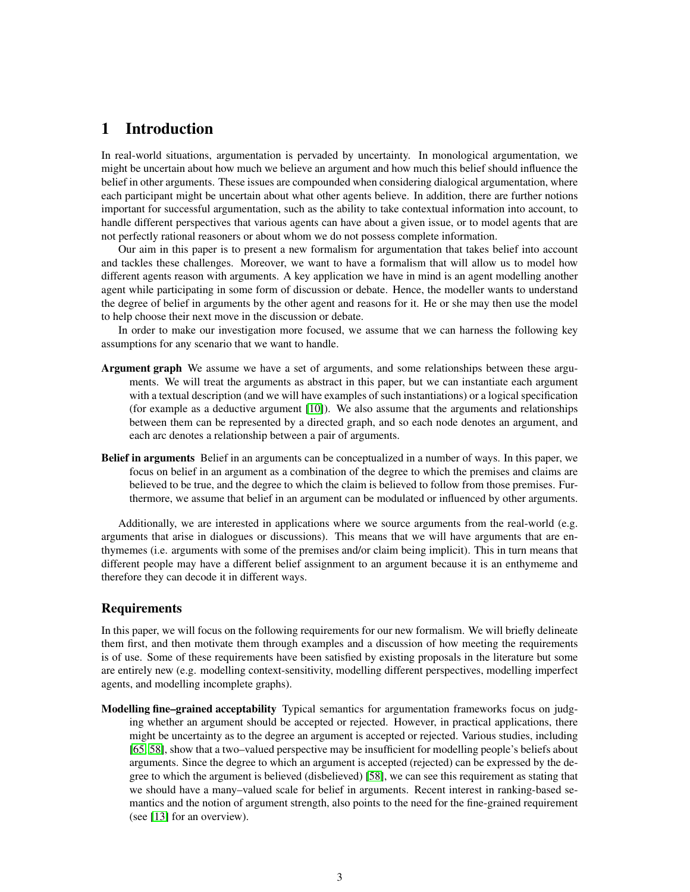# <span id="page-2-0"></span>1 Introduction

In real-world situations, argumentation is pervaded by uncertainty. In monological argumentation, we might be uncertain about how much we believe an argument and how much this belief should influence the belief in other arguments. These issues are compounded when considering dialogical argumentation, where each participant might be uncertain about what other agents believe. In addition, there are further notions important for successful argumentation, such as the ability to take contextual information into account, to handle different perspectives that various agents can have about a given issue, or to model agents that are not perfectly rational reasoners or about whom we do not possess complete information.

Our aim in this paper is to present a new formalism for argumentation that takes belief into account and tackles these challenges. Moreover, we want to have a formalism that will allow us to model how different agents reason with arguments. A key application we have in mind is an agent modelling another agent while participating in some form of discussion or debate. Hence, the modeller wants to understand the degree of belief in arguments by the other agent and reasons for it. He or she may then use the model to help choose their next move in the discussion or debate.

In order to make our investigation more focused, we assume that we can harness the following key assumptions for any scenario that we want to handle.

- Argument graph We assume we have a set of arguments, and some relationships between these arguments. We will treat the arguments as abstract in this paper, but we can instantiate each argument with a textual description (and we will have examples of such instantiations) or a logical specification (for example as a deductive argument [\[10\]](#page-46-0)). We also assume that the arguments and relationships between them can be represented by a directed graph, and so each node denotes an argument, and each arc denotes a relationship between a pair of arguments.
- Belief in arguments Belief in an arguments can be conceptualized in a number of ways. In this paper, we focus on belief in an argument as a combination of the degree to which the premises and claims are believed to be true, and the degree to which the claim is believed to follow from those premises. Furthermore, we assume that belief in an argument can be modulated or influenced by other arguments.

Additionally, we are interested in applications where we source arguments from the real-world (e.g. arguments that arise in dialogues or discussions). This means that we will have arguments that are enthymemes (i.e. arguments with some of the premises and/or claim being implicit). This in turn means that different people may have a different belief assignment to an argument because it is an enthymeme and therefore they can decode it in different ways.

### Requirements

In this paper, we will focus on the following requirements for our new formalism. We will briefly delineate them first, and then motivate them through examples and a discussion of how meeting the requirements is of use. Some of these requirements have been satisfied by existing proposals in the literature but some are entirely new (e.g. modelling context-sensitivity, modelling different perspectives, modelling imperfect agents, and modelling incomplete graphs).

Modelling fine–grained acceptability Typical semantics for argumentation frameworks focus on judging whether an argument should be accepted or rejected. However, in practical applications, there might be uncertainty as to the degree an argument is accepted or rejected. Various studies, including [\[65,](#page-49-0) [58\]](#page-49-1), show that a two–valued perspective may be insufficient for modelling people's beliefs about arguments. Since the degree to which an argument is accepted (rejected) can be expressed by the degree to which the argument is believed (disbelieved) [\[58\]](#page-49-1), we can see this requirement as stating that we should have a many–valued scale for belief in arguments. Recent interest in ranking-based semantics and the notion of argument strength, also points to the need for the fine-grained requirement (see [\[13\]](#page-46-1) for an overview).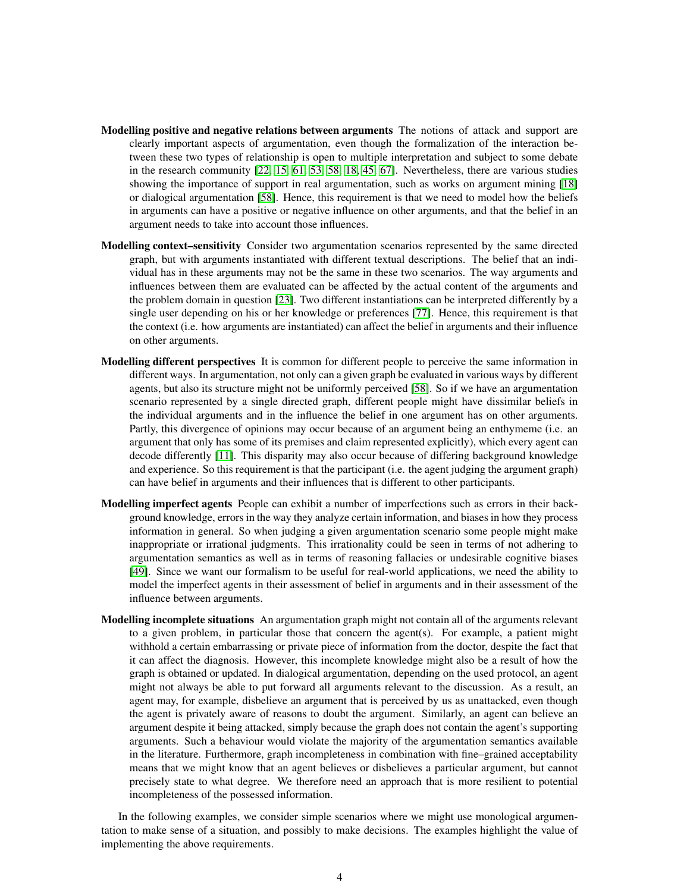- Modelling positive and negative relations between arguments The notions of attack and support are clearly important aspects of argumentation, even though the formalization of the interaction between these two types of relationship is open to multiple interpretation and subject to some debate in the research community [\[22,](#page-47-0) [15,](#page-46-2) [61,](#page-49-2) [53,](#page-48-0) [58,](#page-49-1) [18,](#page-46-3) [45,](#page-48-1) [67\]](#page-49-3). Nevertheless, there are various studies showing the importance of support in real argumentation, such as works on argument mining [\[18\]](#page-46-3) or dialogical argumentation [\[58\]](#page-49-1). Hence, this requirement is that we need to model how the beliefs in arguments can have a positive or negative influence on other arguments, and that the belief in an argument needs to take into account those influences.
- Modelling context–sensitivity Consider two argumentation scenarios represented by the same directed graph, but with arguments instantiated with different textual descriptions. The belief that an individual has in these arguments may not be the same in these two scenarios. The way arguments and influences between them are evaluated can be affected by the actual content of the arguments and the problem domain in question [\[23\]](#page-47-1). Two different instantiations can be interpreted differently by a single user depending on his or her knowledge or preferences [\[77\]](#page-50-0). Hence, this requirement is that the context (i.e. how arguments are instantiated) can affect the belief in arguments and their influence on other arguments.
- Modelling different perspectives It is common for different people to perceive the same information in different ways. In argumentation, not only can a given graph be evaluated in various ways by different agents, but also its structure might not be uniformly perceived [\[58\]](#page-49-1). So if we have an argumentation scenario represented by a single directed graph, different people might have dissimilar beliefs in the individual arguments and in the influence the belief in one argument has on other arguments. Partly, this divergence of opinions may occur because of an argument being an enthymeme (i.e. an argument that only has some of its premises and claim represented explicitly), which every agent can decode differently [\[11\]](#page-46-4). This disparity may also occur because of differing background knowledge and experience. So this requirement is that the participant (i.e. the agent judging the argument graph) can have belief in arguments and their influences that is different to other participants.
- Modelling imperfect agents People can exhibit a number of imperfections such as errors in their background knowledge, errors in the way they analyze certain information, and biases in how they process information in general. So when judging a given argumentation scenario some people might make inappropriate or irrational judgments. This irrationality could be seen in terms of not adhering to argumentation semantics as well as in terms of reasoning fallacies or undesirable cognitive biases [\[49\]](#page-48-2). Since we want our formalism to be useful for real-world applications, we need the ability to model the imperfect agents in their assessment of belief in arguments and in their assessment of the influence between arguments.
- Modelling incomplete situations An argumentation graph might not contain all of the arguments relevant to a given problem, in particular those that concern the agent(s). For example, a patient might withhold a certain embarrassing or private piece of information from the doctor, despite the fact that it can affect the diagnosis. However, this incomplete knowledge might also be a result of how the graph is obtained or updated. In dialogical argumentation, depending on the used protocol, an agent might not always be able to put forward all arguments relevant to the discussion. As a result, an agent may, for example, disbelieve an argument that is perceived by us as unattacked, even though the agent is privately aware of reasons to doubt the argument. Similarly, an agent can believe an argument despite it being attacked, simply because the graph does not contain the agent's supporting arguments. Such a behaviour would violate the majority of the argumentation semantics available in the literature. Furthermore, graph incompleteness in combination with fine–grained acceptability means that we might know that an agent believes or disbelieves a particular argument, but cannot precisely state to what degree. We therefore need an approach that is more resilient to potential incompleteness of the possessed information.

In the following examples, we consider simple scenarios where we might use monological argumentation to make sense of a situation, and possibly to make decisions. The examples highlight the value of implementing the above requirements.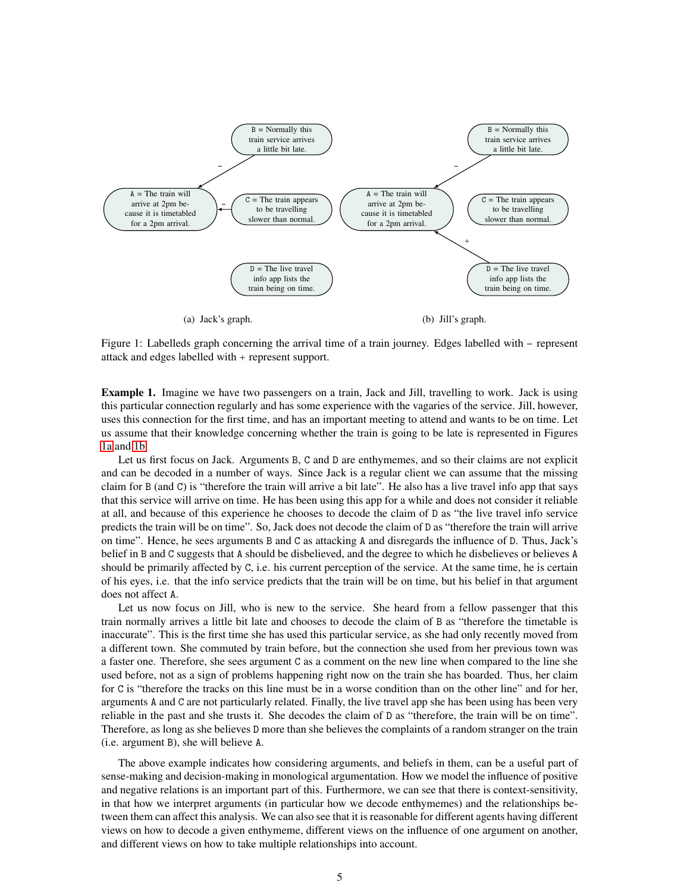<span id="page-4-0"></span>

Figure 1: Labelleds graph concerning the arrival time of a train journey. Edges labelled with – represent attack and edges labelled with represent support.

<span id="page-4-1"></span>Example 1. Imagine we have two passengers on a train, Jack and Jill, travelling to work. Jack is using this particular connection regularly and has some experience with the vagaries of the service. Jill, however, uses this connection for the first time, and has an important meeting to attend and wants to be on time. Let us assume that their knowledge concerning whether the train is going to be late is represented in Figures [1a](#page-4-0) and [1b.](#page-4-0)

Let us first focus on Jack. Arguments B, C and D are enthymemes, and so their claims are not explicit and can be decoded in a number of ways. Since Jack is a regular client we can assume that the missing claim for B (and C) is "therefore the train will arrive a bit late". He also has a live travel info app that says that this service will arrive on time. He has been using this app for a while and does not consider it reliable at all, and because of this experience he chooses to decode the claim of D as "the live travel info service predicts the train will be on time". So, Jack does not decode the claim of D as "therefore the train will arrive on time". Hence, he sees arguments B and C as attacking A and disregards the influence of D. Thus, Jack's belief in B and C suggests that A should be disbelieved, and the degree to which he disbelieves or believes A should be primarily affected by C, i.e. his current perception of the service. At the same time, he is certain of his eyes, i.e. that the info service predicts that the train will be on time, but his belief in that argument does not affect A.

Let us now focus on Jill, who is new to the service. She heard from a fellow passenger that this train normally arrives a little bit late and chooses to decode the claim of B as "therefore the timetable is inaccurate". This is the first time she has used this particular service, as she had only recently moved from a different town. She commuted by train before, but the connection she used from her previous town was a faster one. Therefore, she sees argument C as a comment on the new line when compared to the line she used before, not as a sign of problems happening right now on the train she has boarded. Thus, her claim for C is "therefore the tracks on this line must be in a worse condition than on the other line" and for her, arguments A and C are not particularly related. Finally, the live travel app she has been using has been very reliable in the past and she trusts it. She decodes the claim of D as "therefore, the train will be on time". Therefore, as long as she believes D more than she believes the complaints of a random stranger on the train (i.e. argument B), she will believe A.

The above example indicates how considering arguments, and beliefs in them, can be a useful part of sense-making and decision-making in monological argumentation. How we model the influence of positive and negative relations is an important part of this. Furthermore, we can see that there is context-sensitivity, in that how we interpret arguments (in particular how we decode enthymemes) and the relationships between them can affect this analysis. We can also see that it is reasonable for different agents having different views on how to decode a given enthymeme, different views on the influence of one argument on another, and different views on how to take multiple relationships into account.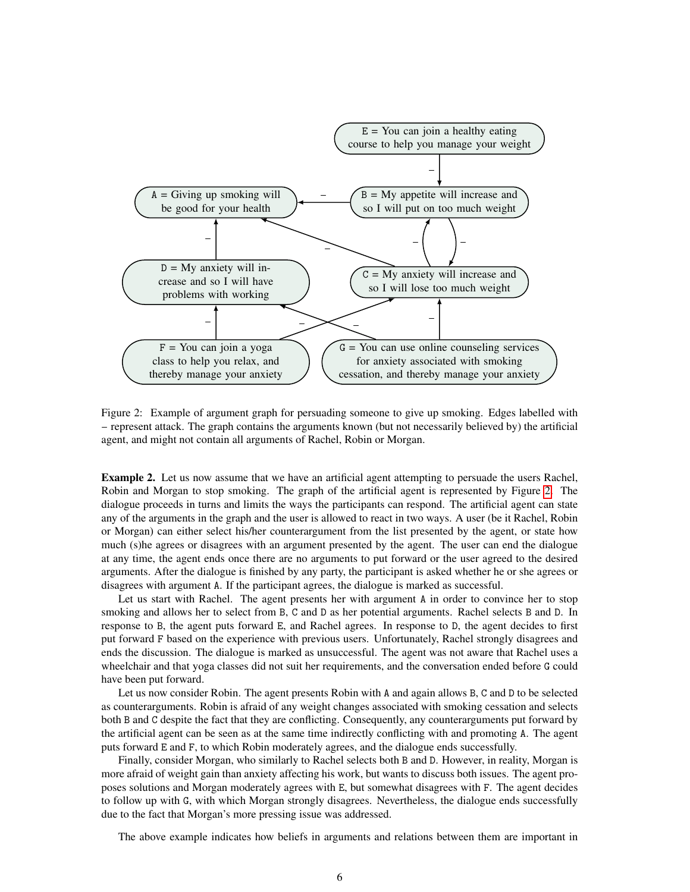<span id="page-5-0"></span>

Figure 2: Example of argument graph for persuading someone to give up smoking. Edges labelled with represent attack. The graph contains the arguments known (but not necessarily believed by) the artificial agent, and might not contain all arguments of Rachel, Robin or Morgan.

<span id="page-5-1"></span>Example 2. Let us now assume that we have an artificial agent attempting to persuade the users Rachel, Robin and Morgan to stop smoking. The graph of the artificial agent is represented by Figure [2.](#page-5-0) The dialogue proceeds in turns and limits the ways the participants can respond. The artificial agent can state any of the arguments in the graph and the user is allowed to react in two ways. A user (be it Rachel, Robin or Morgan) can either select his/her counterargument from the list presented by the agent, or state how much (s)he agrees or disagrees with an argument presented by the agent. The user can end the dialogue at any time, the agent ends once there are no arguments to put forward or the user agreed to the desired arguments. After the dialogue is finished by any party, the participant is asked whether he or she agrees or disagrees with argument A. If the participant agrees, the dialogue is marked as successful.

Let us start with Rachel. The agent presents her with argument A in order to convince her to stop smoking and allows her to select from B, C and D as her potential arguments. Rachel selects B and D. In response to B, the agent puts forward E, and Rachel agrees. In response to D, the agent decides to first put forward F based on the experience with previous users. Unfortunately, Rachel strongly disagrees and ends the discussion. The dialogue is marked as unsuccessful. The agent was not aware that Rachel uses a wheelchair and that yoga classes did not suit her requirements, and the conversation ended before G could have been put forward.

Let us now consider Robin. The agent presents Robin with A and again allows B, C and D to be selected as counterarguments. Robin is afraid of any weight changes associated with smoking cessation and selects both B and C despite the fact that they are conflicting. Consequently, any counterarguments put forward by the artificial agent can be seen as at the same time indirectly conflicting with and promoting A. The agent puts forward E and F, to which Robin moderately agrees, and the dialogue ends successfully.

Finally, consider Morgan, who similarly to Rachel selects both B and D. However, in reality, Morgan is more afraid of weight gain than anxiety affecting his work, but wants to discuss both issues. The agent proposes solutions and Morgan moderately agrees with E, but somewhat disagrees with F. The agent decides to follow up with G, with which Morgan strongly disagrees. Nevertheless, the dialogue ends successfully due to the fact that Morgan's more pressing issue was addressed.

The above example indicates how beliefs in arguments and relations between them are important in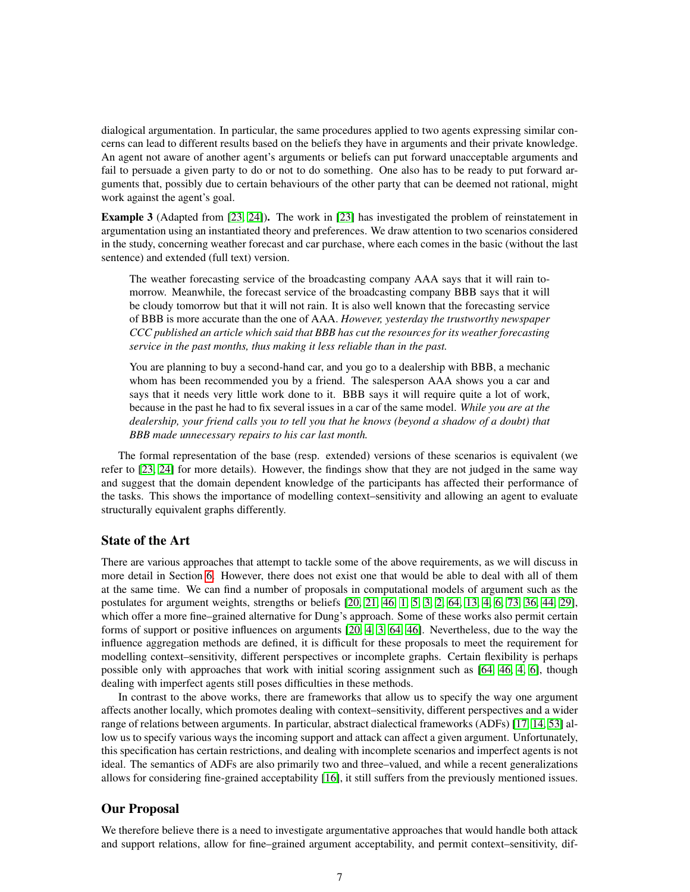dialogical argumentation. In particular, the same procedures applied to two agents expressing similar concerns can lead to different results based on the beliefs they have in arguments and their private knowledge. An agent not aware of another agent's arguments or beliefs can put forward unacceptable arguments and fail to persuade a given party to do or not to do something. One also has to be ready to put forward arguments that, possibly due to certain behaviours of the other party that can be deemed not rational, might work against the agent's goal.

<span id="page-6-0"></span>Example 3 (Adapted from [\[23,](#page-47-1) [24\]](#page-47-2)). The work in [\[23\]](#page-47-1) has investigated the problem of reinstatement in argumentation using an instantiated theory and preferences. We draw attention to two scenarios considered in the study, concerning weather forecast and car purchase, where each comes in the basic (without the last sentence) and extended (full text) version.

The weather forecasting service of the broadcasting company AAA says that it will rain tomorrow. Meanwhile, the forecast service of the broadcasting company BBB says that it will be cloudy tomorrow but that it will not rain. It is also well known that the forecasting service of BBB is more accurate than the one of AAA. *However, yesterday the trustworthy newspaper CCC published an article which said that BBB has cut the resources for its weather forecasting service in the past months, thus making it less reliable than in the past.*

You are planning to buy a second-hand car, and you go to a dealership with BBB, a mechanic whom has been recommended you by a friend. The salesperson AAA shows you a car and says that it needs very little work done to it. BBB says it will require quite a lot of work, because in the past he had to fix several issues in a car of the same model. *While you are at the dealership, your friend calls you to tell you that he knows (beyond a shadow of a doubt) that BBB made unnecessary repairs to his car last month.*

The formal representation of the base (resp. extended) versions of these scenarios is equivalent (we refer to [\[23,](#page-47-1) [24\]](#page-47-2) for more details). However, the findings show that they are not judged in the same way and suggest that the domain dependent knowledge of the participants has affected their performance of the tasks. This shows the importance of modelling context–sensitivity and allowing an agent to evaluate structurally equivalent graphs differently.

### State of the Art

There are various approaches that attempt to tackle some of the above requirements, as we will discuss in more detail in Section [6.](#page-37-0) However, there does not exist one that would be able to deal with all of them at the same time. We can find a number of proposals in computational models of argument such as the postulates for argument weights, strengths or beliefs [\[20,](#page-46-5) [21,](#page-47-3) [46,](#page-48-3) [1,](#page-45-1) [5,](#page-46-6) [3,](#page-46-7) [2,](#page-46-8) [64,](#page-49-4) [13,](#page-46-1) [4,](#page-46-9) [6,](#page-46-10) [73,](#page-50-1) [36,](#page-47-4) [44,](#page-48-4) [29\]](#page-47-5), which offer a more fine–grained alternative for Dung's approach. Some of these works also permit certain forms of support or positive influences on arguments [\[20,](#page-46-5) [4,](#page-46-9) [3,](#page-46-7) [64,](#page-49-4) [46\]](#page-48-3). Nevertheless, due to the way the influence aggregation methods are defined, it is difficult for these proposals to meet the requirement for modelling context–sensitivity, different perspectives or incomplete graphs. Certain flexibility is perhaps possible only with approaches that work with initial scoring assignment such as [\[64,](#page-49-4) [46,](#page-48-3) [4,](#page-46-9) [6\]](#page-46-10), though dealing with imperfect agents still poses difficulties in these methods.

In contrast to the above works, there are frameworks that allow us to specify the way one argument affects another locally, which promotes dealing with context–sensitivity, different perspectives and a wider range of relations between arguments. In particular, abstract dialectical frameworks (ADFs) [\[17,](#page-46-11) [14,](#page-46-12) [53\]](#page-48-0) allow us to specify various ways the incoming support and attack can affect a given argument. Unfortunately, this specification has certain restrictions, and dealing with incomplete scenarios and imperfect agents is not ideal. The semantics of ADFs are also primarily two and three–valued, and while a recent generalizations allows for considering fine-grained acceptability [\[16\]](#page-46-13), it still suffers from the previously mentioned issues.

## Our Proposal

We therefore believe there is a need to investigate argumentative approaches that would handle both attack and support relations, allow for fine–grained argument acceptability, and permit context–sensitivity, dif-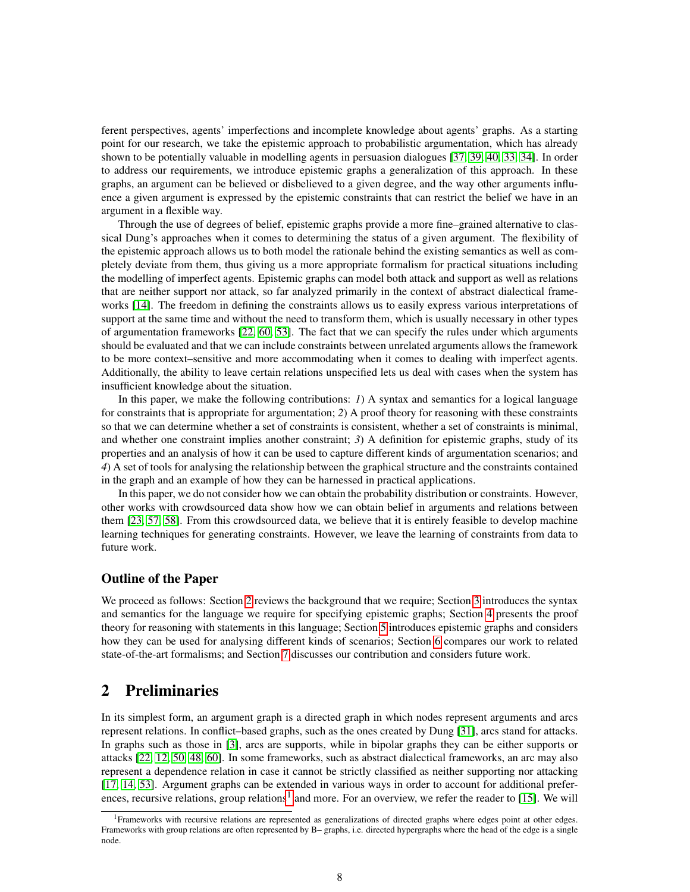ferent perspectives, agents' imperfections and incomplete knowledge about agents' graphs. As a starting point for our research, we take the epistemic approach to probabilistic argumentation, which has already shown to be potentially valuable in modelling agents in persuasion dialogues [\[37,](#page-47-6) [39,](#page-48-5) [40,](#page-48-6) [33,](#page-47-7) [34\]](#page-47-8). In order to address our requirements, we introduce epistemic graphs a generalization of this approach. In these graphs, an argument can be believed or disbelieved to a given degree, and the way other arguments influence a given argument is expressed by the epistemic constraints that can restrict the belief we have in an argument in a flexible way.

Through the use of degrees of belief, epistemic graphs provide a more fine–grained alternative to classical Dung's approaches when it comes to determining the status of a given argument. The flexibility of the epistemic approach allows us to both model the rationale behind the existing semantics as well as completely deviate from them, thus giving us a more appropriate formalism for practical situations including the modelling of imperfect agents. Epistemic graphs can model both attack and support as well as relations that are neither support nor attack, so far analyzed primarily in the context of abstract dialectical frameworks [\[14\]](#page-46-12). The freedom in defining the constraints allows us to easily express various interpretations of support at the same time and without the need to transform them, which is usually necessary in other types of argumentation frameworks [\[22,](#page-47-0) [60,](#page-49-5) [53\]](#page-48-0). The fact that we can specify the rules under which arguments should be evaluated and that we can include constraints between unrelated arguments allows the framework to be more context–sensitive and more accommodating when it comes to dealing with imperfect agents. Additionally, the ability to leave certain relations unspecified lets us deal with cases when the system has insufficient knowledge about the situation.

In this paper, we make the following contributions: *1*) A syntax and semantics for a logical language for constraints that is appropriate for argumentation; *2*) A proof theory for reasoning with these constraints so that we can determine whether a set of constraints is consistent, whether a set of constraints is minimal, and whether one constraint implies another constraint; *3*) A definition for epistemic graphs, study of its properties and an analysis of how it can be used to capture different kinds of argumentation scenarios; and *4*) A set of tools for analysing the relationship between the graphical structure and the constraints contained in the graph and an example of how they can be harnessed in practical applications.

In this paper, we do not consider how we can obtain the probability distribution or constraints. However, other works with crowdsourced data show how we can obtain belief in arguments and relations between them [\[23,](#page-47-1) [57,](#page-49-6) [58\]](#page-49-1). From this crowdsourced data, we believe that it is entirely feasible to develop machine learning techniques for generating constraints. However, we leave the learning of constraints from data to future work.

### Outline of the Paper

We proceed as follows: Section [2](#page-7-0) reviews the background that we require; Section [3](#page-8-0) introduces the syntax and semantics for the language we require for specifying epistemic graphs; Section [4](#page-13-0) presents the proof theory for reasoning with statements in this language; Section [5](#page-18-1) introduces epistemic graphs and considers how they can be used for analysing different kinds of scenarios; Section [6](#page-37-0) compares our work to related state-of-the-art formalisms; and Section [7](#page-44-0) discusses our contribution and considers future work.

# <span id="page-7-0"></span>2 Preliminaries

In its simplest form, an argument graph is a directed graph in which nodes represent arguments and arcs represent relations. In conflict–based graphs, such as the ones created by Dung [\[31\]](#page-47-9), arcs stand for attacks. In graphs such as those in [\[3\]](#page-46-7), arcs are supports, while in bipolar graphs they can be either supports or attacks [\[22,](#page-47-0) [12,](#page-46-14) [50,](#page-48-7) [48,](#page-48-8) [60\]](#page-49-5). In some frameworks, such as abstract dialectical frameworks, an arc may also represent a dependence relation in case it cannot be strictly classified as neither supporting nor attacking [\[17,](#page-46-11) [14,](#page-46-12) [53\]](#page-48-0). Argument graphs can be extended in various ways in order to account for additional prefer-ences, recursive relations, group relations<sup>[1](#page-7-1)</sup> and more. For an overview, we refer the reader to [\[15\]](#page-46-2). We will

<span id="page-7-1"></span><sup>1</sup>Frameworks with recursive relations are represented as generalizations of directed graphs where edges point at other edges. Frameworks with group relations are often represented by B– graphs, i.e. directed hypergraphs where the head of the edge is a single node.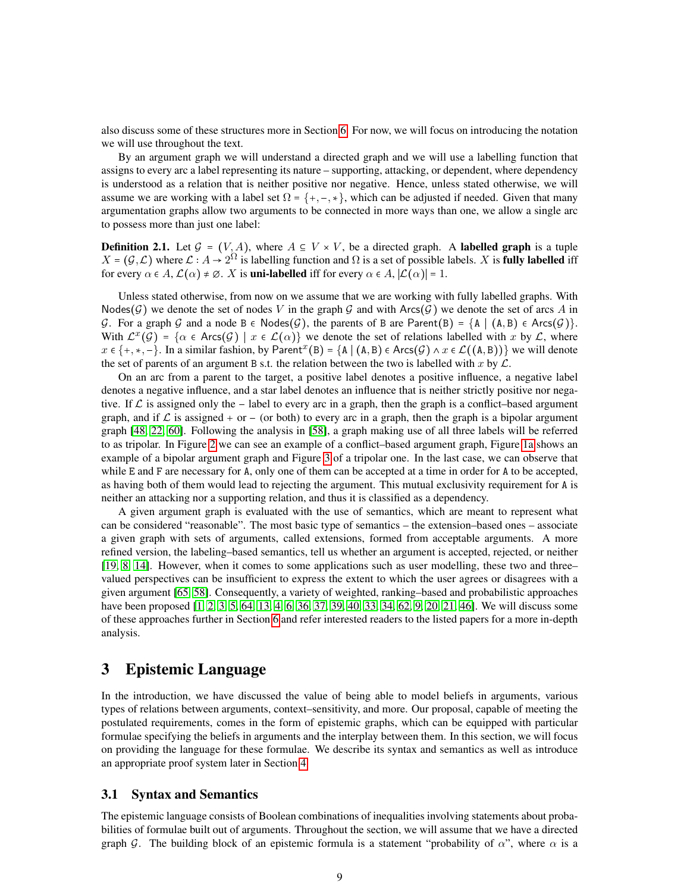also discuss some of these structures more in Section [6.](#page-37-0) For now, we will focus on introducing the notation we will use throughout the text.

By an argument graph we will understand a directed graph and we will use a labelling function that assigns to every arc a label representing its nature – supporting, attacking, or dependent, where dependency is understood as a relation that is neither positive nor negative. Hence, unless stated otherwise, we will assume we are working with a label set  $\Omega = \{+, -, *, \}$ , which can be adjusted if needed. Given that many argumentation graphs allow two arguments to be connected in more ways than one, we allow a single arc to possess more than just one label:

**Definition 2.1.** Let  $\mathcal{G} = (V, A)$ , where  $A \subseteq V \times V$ , be a directed graph. A labelled graph is a tuple  $X = (G, \mathcal{L})$  where  $\mathcal{L} : A \to 2^{\Omega}$  is labelling function and  $\Omega$  is a set of possible labels. X is **fully labelled** iff for every  $\alpha \in A$ ,  $\mathcal{L}(\alpha) \neq \emptyset$ . X is **uni-labelled** iff for every  $\alpha \in A$ ,  $|\mathcal{L}(\alpha)| = 1$ .

Unless stated otherwise, from now on we assume that we are working with fully labelled graphs. With Nodes $(\mathcal{G})$  we denote the set of nodes V in the graph  $\mathcal{G}$  and with Arcs $(\mathcal{G})$  we denote the set of arcs A in G. For a graph G and a node B  $\in$  Nodes $(\mathcal{G})$ , the parents of B are Parent $(B) = \{A \mid (A, B) \in Arcs(\mathcal{G})\}$ . With  $\mathcal{L}^x(\mathcal{G}) = \{ \alpha \in \text{Arcs}(\mathcal{G}) \mid x \in \mathcal{L}(\alpha) \}$  we denote the set of relations labelled with x by  $\mathcal{L}$ , where  $x \in \{+, *,-\}.$  In a similar fashion, by Parent<sup> $x$ </sup>(B) = {A | (A, B)  $\in$  Arcs( $\mathcal{G}$ )  $\wedge$   $x \in \mathcal{L}((A, B))\}$  we will denote the set of parents of an argument B s.t. the relation between the two is labelled with x by  $\mathcal{L}$ .

On an arc from a parent to the target, a positive label denotes a positive influence, a negative label denotes a negative influence, and a star label denotes an influence that is neither strictly positive nor negative. If  $\mathcal L$  is assigned only the  $-$  label to every arc in a graph, then the graph is a conflict–based argument graph, and if  $\mathcal L$  is assigned  $+$  or  $-$  (or both) to every arc in a graph, then the graph is a bipolar argument graph [\[48,](#page-48-8) [22,](#page-47-0) [60\]](#page-49-5). Following the analysis in [\[58\]](#page-49-1), a graph making use of all three labels will be referred to as tripolar. In Figure [2](#page-5-0) we can see an example of a conflict–based argument graph, Figure [1a](#page-4-0) shows an example of a bipolar argument graph and Figure [3](#page-9-0) of a tripolar one. In the last case, we can observe that while E and F are necessary for A, only one of them can be accepted at a time in order for A to be accepted, as having both of them would lead to rejecting the argument. This mutual exclusivity requirement for A is neither an attacking nor a supporting relation, and thus it is classified as a dependency.

A given argument graph is evaluated with the use of semantics, which are meant to represent what can be considered "reasonable". The most basic type of semantics – the extension–based ones – associate a given graph with sets of arguments, called extensions, formed from acceptable arguments. A more refined version, the labeling–based semantics, tell us whether an argument is accepted, rejected, or neither [\[19,](#page-46-15) [8,](#page-46-16) [14\]](#page-46-12). However, when it comes to some applications such as user modelling, these two and three– valued perspectives can be insufficient to express the extent to which the user agrees or disagrees with a given argument [\[65,](#page-49-0) [58\]](#page-49-1). Consequently, a variety of weighted, ranking–based and probabilistic approaches have been proposed [\[1,](#page-45-1) [2,](#page-46-8) [3,](#page-46-7) [5,](#page-46-6) [64,](#page-49-4) [13,](#page-46-1) [4,](#page-46-9) [6,](#page-46-10) [36,](#page-47-4) [37,](#page-47-6) [39,](#page-48-5) [40,](#page-48-6) [33,](#page-47-7) [34,](#page-47-8) [62,](#page-49-7) [9,](#page-46-17) [20,](#page-46-5) [21,](#page-47-3) [46\]](#page-48-3). We will discuss some of these approaches further in Section [6](#page-37-0) and refer interested readers to the listed papers for a more in-depth analysis.

# <span id="page-8-0"></span>3 Epistemic Language

In the introduction, we have discussed the value of being able to model beliefs in arguments, various types of relations between arguments, context–sensitivity, and more. Our proposal, capable of meeting the postulated requirements, comes in the form of epistemic graphs, which can be equipped with particular formulae specifying the beliefs in arguments and the interplay between them. In this section, we will focus on providing the language for these formulae. We describe its syntax and semantics as well as introduce an appropriate proof system later in Section [4.](#page-13-0)

### <span id="page-8-1"></span>3.1 Syntax and Semantics

The epistemic language consists of Boolean combinations of inequalities involving statements about probabilities of formulae built out of arguments. Throughout the section, we will assume that we have a directed graph G. The building block of an epistemic formula is a statement "probability of  $\alpha$ ", where  $\alpha$  is a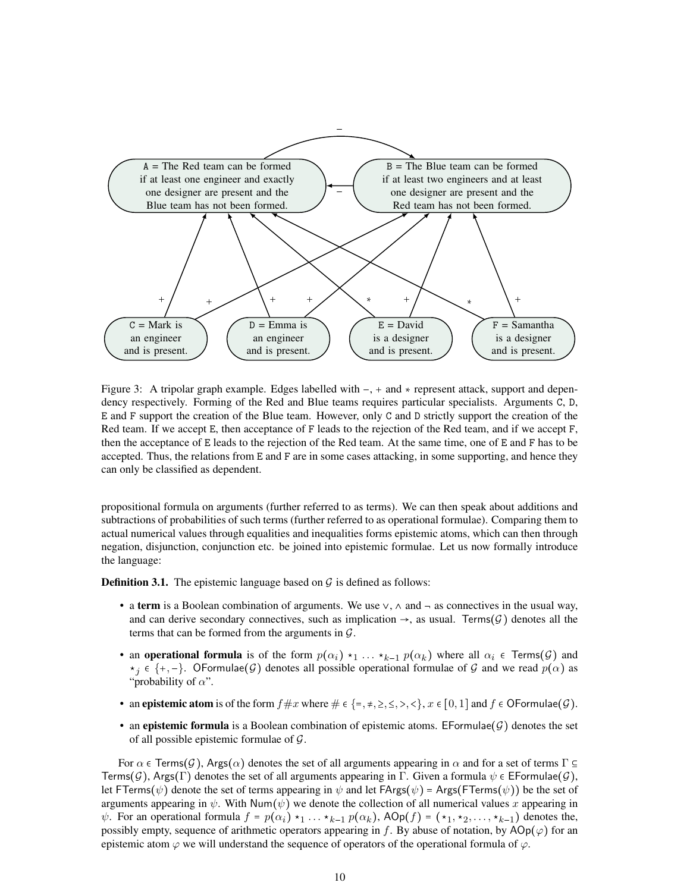<span id="page-9-0"></span>

Figure 3: A tripolar graph example. Edges labelled with  $-, +$  and  $*$  represent attack, support and dependency respectively. Forming of the Red and Blue teams requires particular specialists. Arguments C, D, E and F support the creation of the Blue team. However, only C and D strictly support the creation of the Red team. If we accept E, then acceptance of F leads to the rejection of the Red team, and if we accept F, then the acceptance of E leads to the rejection of the Red team. At the same time, one of E and F has to be accepted. Thus, the relations from E and F are in some cases attacking, in some supporting, and hence they can only be classified as dependent.

propositional formula on arguments (further referred to as terms). We can then speak about additions and subtractions of probabilities of such terms (further referred to as operational formulae). Comparing them to actual numerical values through equalities and inequalities forms epistemic atoms, which can then through negation, disjunction, conjunction etc. be joined into epistemic formulae. Let us now formally introduce the language:

**Definition 3.1.** The epistemic language based on  $\mathcal{G}$  is defined as follows:

- a term is a Boolean combination of arguments. We use  $\vee$ ,  $\wedge$  and  $\neg$  as connectives in the usual way, and can derive secondary connectives, such as implication  $\rightarrow$ , as usual. Terms( $\mathcal{G}$ ) denotes all the terms that can be formed from the arguments in  $\mathcal{G}$ .
- an operational formula is of the form  $p(\alpha_i) \star_1 \ldots \star_{k-1} p(\alpha_k)$  where all  $\alpha_i \in \text{Terms}(\mathcal{G})$  and  $*_i \in \{+, -\}.$  OFormulae(G) denotes all possible operational formulae of G and we read  $p(\alpha)$  as "probability of  $\alpha$ ".
- an epistemic atom is of the form  $f \# x$  where  $\# \in \{ \} , \#, \geq, \leq, \leq, \leq \}$ ,  $x \in [0, 1]$  and  $f \in \mathsf{OFormulae}(\mathcal{G})$ .
- an epistemic formula is a Boolean combination of epistemic atoms. EFormulae $(G)$  denotes the set of all possible epistemic formulae of  $\mathcal{G}$ .

For  $\alpha \in \text{Terms}(G)$ , Args $(\alpha)$  denotes the set of all arguments appearing in  $\alpha$  and for a set of terms  $\Gamma \subseteq$ Terms( $\mathcal{G}$ ), Args(Γ) denotes the set of all arguments appearing in Γ. Given a formula  $\psi \in \mathsf{EFormula}(\mathcal{G})$ , let FTerms( $\psi$ ) denote the set of terms appearing in  $\psi$  and let FArgs( $\psi$ ) = Args(FTerms( $\psi$ )) be the set of arguments appearing in  $\psi$ . With Num( $\psi$ ) we denote the collection of all numerical values x appearing in  $\psi$ . For an operational formula  $f = p(\alpha_i) \star_1 ... \star_{k-1} p(\alpha_k)$ , AOp $(f) = (\star_1, \star_2, ..., \star_{k-1})$  denotes the, possibly empty, sequence of arithmetic operators appearing in f. By abuse of notation, by  $AOp(\varphi)$  for an epistemic atom  $\varphi$  we will understand the sequence of operators of the operational formula of  $\varphi$ .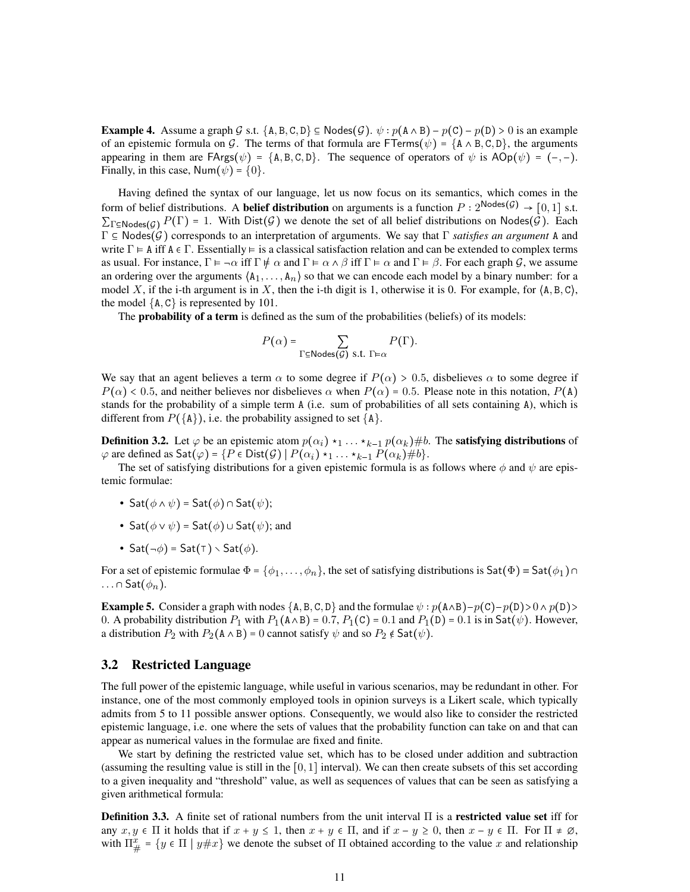**Example 4.** Assume a graph G s.t.  $\{A, B, C, D\} \subseteq \mathsf{Nodes}(\mathcal{G})$ .  $\psi : p(A \land B) - p(C) - p(D) > 0$  is an example of an epistemic formula on G. The terms of that formula are FTerms( $\psi$ ) = {A  $\wedge$  B, C, D}, the arguments appearing in them are  $FArg(\psi) = \{A, B, C, D\}$ . The sequence of operators of  $\psi$  is  $AOp(\psi) = (-,-)$ . Finally, in this case, Num $(\psi) = \{0\}.$ 

Having defined the syntax of our language, let us now focus on its semantics, which comes in the form of belief distributions. A **belief distribution** on arguments is a function  $P: 2^{\text{Nodes}(\mathcal{G})} \rightarrow [0, 1]$  s.t.  $\sum_{\Gamma \in \mathsf{Nodes}(G)} P(\Gamma) = 1$ . With  $\text{Dist}(\mathcal{G})$  we denote the set of all belief distributions on Nodes $(\mathcal{G})$ . Each  $\Gamma \subseteq \text{Nodes}(\mathcal{G})$  corresponds to an interpretation of arguments. We say that  $\Gamma$  *satisfies an argument* A and write  $\Gamma \models A$  iff  $A \in \Gamma$ . Essentially  $\models$  is a classical satisfaction relation and can be extended to complex terms as usual. For instance,  $\Gamma \models \neg \alpha$  iff  $\Gamma \not\models \alpha$  and  $\Gamma \models \alpha \land \beta$  iff  $\Gamma \models \alpha$  and  $\Gamma \models \beta$ . For each graph G, we assume an ordering over the arguments  $\langle A_1, \ldots, A_n \rangle$  so that we can encode each model by a binary number: for a model X, if the i-th argument is in X, then the i-th digit is 1, otherwise it is 0. For example, for  $\langle A, B, C \rangle$ , the model  ${A, C}$  is represented by 101.

The **probability of a term** is defined as the sum of the probabilities (beliefs) of its models:

$$
P(\alpha) = \sum_{\Gamma \subseteq \text{Nodes}(\mathcal{G}) \text{ s.t. } \Gamma \models \alpha} P(\Gamma).
$$

We say that an agent believes a term  $\alpha$  to some degree if  $P(\alpha) > 0.5$ , disbelieves  $\alpha$  to some degree if  $P(\alpha)$  < 0.5, and neither believes nor disbelieves  $\alpha$  when  $P(\alpha)$  = 0.5. Please note in this notation,  $P(A)$ stands for the probability of a simple term A (i.e. sum of probabilities of all sets containing A), which is different from  $P({\{A\}})$ , i.e. the probability assigned to set  ${\{A\}}$ .

**Definition 3.2.** Let  $\varphi$  be an epistemic atom  $p(\alpha_i) \star_1 \ldots \star_{k-1} p(\alpha_k) \neq b$ . The **satisfying distributions** of  $\varphi$  are defined as  $\mathsf{Sat}(\varphi) = \{P \in \mathsf{Dist}(\mathcal{G}) \mid P(\alpha_i) \star_1 \ldots \star_{k-1} P(\alpha_k) \# b\}.$ 

The set of satisfying distributions for a given epistemic formula is as follows where  $\phi$  and  $\psi$  are epistemic formulae:

- Sat $(\phi \land \psi)$  = Sat $(\phi)$   $\cap$  Sat $(\psi)$ ;
- Sat $(\phi \vee \psi)$  = Sat $(\phi)$   $\cup$  Sat $(\psi)$ ; and
- Sat $(\neg \phi)$  = Sat $(\top)$   $\setminus$  Sat $(\phi)$ .

For a set of epistemic formulae  $\Phi = {\phi_1, \ldots, \phi_n}$ , the set of satisfying distributions is  $\text{Sat}(\Phi) = \text{Sat}(\phi_1) \cap$  $\ldots \cap$  Sat $(\phi_n)$ .

**Example 5.** Consider a graph with nodes  $\{A, B, C, D\}$  and the formulae  $\psi : p(A \wedge B) - p(C) - p(D) > 0 \wedge p(D) > 0$ 0. A probability distribution  $P_1$  with  $P_1(A \wedge B) = 0.7$ ,  $P_1(C) = 0.1$  and  $P_1(D) = 0.1$  is in Sat $(\psi)$ . However, a distribution  $P_2$  with  $P_2(A \wedge B) = 0$  cannot satisfy  $\psi$  and so  $P_2 \notin \mathsf{Sat}(\psi)$ .

#### <span id="page-10-0"></span>3.2 Restricted Language

The full power of the epistemic language, while useful in various scenarios, may be redundant in other. For instance, one of the most commonly employed tools in opinion surveys is a Likert scale, which typically admits from 5 to 11 possible answer options. Consequently, we would also like to consider the restricted epistemic language, i.e. one where the sets of values that the probability function can take on and that can appear as numerical values in the formulae are fixed and finite.

We start by defining the restricted value set, which has to be closed under addition and subtraction (assuming the resulting value is still in the  $[0, 1]$  interval). We can then create subsets of this set according to a given inequality and "threshold" value, as well as sequences of values that can be seen as satisfying a given arithmetical formula:

**Definition 3.3.** A finite set of rational numbers from the unit interval  $\Pi$  is a restricted value set iff for any  $x, y \in \Pi$  it holds that if  $x + y \le 1$ , then  $x + y \in \Pi$ , and if  $x - y \ge 0$ , then  $x - y \in \Pi$ . For  $\Pi \ne \emptyset$ , with  $\Pi_{\#}^x = \{ y \in \Pi \mid y \# x \}$  we denote the subset of  $\Pi$  obtained according to the value x and relationship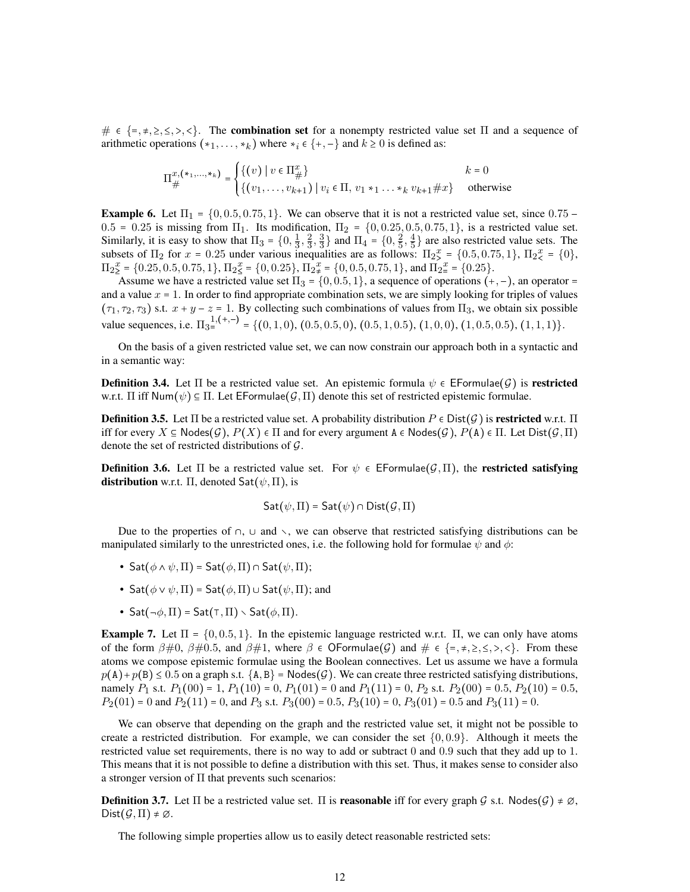$\# \in \{=\, \neq, \geq, \leq, \ltimes, \ltimes\}$ . The **combination set** for a nonempty restricted value set  $\Pi$  and a sequence of arithmetic operations  $(*_1, \ldots, *_{k})$  where  $*_i \in \{+, -\}$  and  $k \geq 0$  is defined as:

$$
\Pi_{\#}^{x,(*_1,...,*_k)} = \begin{cases} \{(v) \mid v \in \Pi_{\#}^x\} & k = 0\\ \{(v_1,...,v_{k+1}) \mid v_i \in \Pi, v_1 *_1 ... *_k v_{k+1} \# x\} & \text{otherwise} \end{cases}
$$

**Example 6.** Let  $\Pi_1 = \{0, 0.5, 0.75, 1\}$ . We can observe that it is not a restricted value set, since  $0.75$  –  $0.5 = 0.25$  is missing from  $\Pi_1$ . Its modification,  $\Pi_2 = \{0, 0.25, 0.5, 0.75, 1\}$ , is a restricted value set. Similarly, it is easy to show that  $\Pi_3 = \{0, \frac{1}{3}, \frac{2}{3}, \frac{3}{3}\}$  and  $\Pi_4 = \{0, \frac{2}{5}, \frac{4}{5}\}$  are also restricted value sets. The subsets of  $\Pi_2$  for  $x = 0.25$  under various inequalities are as follows:  $\Pi_2^x = \{0.5, 0.75, 1\}$ ,  $\Pi_2^x = \{0\}$ ,  $\Pi_{2}^x = \{0.25, 0.5, 0.75, 1\}, \Pi_{2}^x = \{0, 0.25\}, \Pi_{2}^x = \{0, 0.5, 0.75, 1\}, \text{ and } \Pi_{2}^x = \{0.25\}.$ 

Assume we have a restricted value set  $\Pi_3 = \{0, 0.5, 1\}$ , a sequence of operations  $(+, -)$ , an operator and a value  $x = 1$ . In order to find appropriate combination sets, we are simply looking for triples of values  $(\tau_1, \tau_2, \tau_3)$  s.t.  $x + y - z = 1$ . By collecting such combinations of values from  $\Pi_3$ , we obtain six possible value sequences, i.e.  $\Pi_{3}^{1,(+,-)} = \{(0,1,0), (0.5,0.5,0), (0.5,1,0.5), (1,0,0), (1,0.5,0.5), (1,1,1)\}.$ 

On the basis of a given restricted value set, we can now constrain our approach both in a syntactic and in a semantic way:

**Definition 3.4.** Let  $\Pi$  be a restricted value set. An epistemic formula  $\psi \in \mathsf{EFormula}(\mathcal{G})$  is **restricted** w.r.t.  $\Pi$  iff Num $(\psi) \subseteq \Pi$ . Let EFormulae $(G,\Pi)$  denote this set of restricted epistemic formulae.

**Definition 3.5.** Let  $\Pi$  be a restricted value set. A probability distribution  $P \in \text{Dist}(\mathcal{G})$  is restricted w.r.t.  $\Pi$ iff for every  $X \subseteq \text{Nodes}(\mathcal{G}), P(X) \in \Pi$  and for every argument  $A \in \text{Nodes}(\mathcal{G}), P(A) \in \Pi$ . Let  $Dist(\mathcal{G}, \Pi)$ denote the set of restricted distributions of  $\mathcal{G}$ .

<span id="page-11-0"></span>**Definition 3.6.** Let  $\Pi$  be a restricted value set. For  $\psi \in \mathsf{EFormulae}(\mathcal{G}, \Pi)$ , the **restricted satisfying distribution** w.r.t.  $\Pi$ , denoted  $\mathsf{Sat}(\psi,\Pi)$ , is

$$
\mathsf{Sat}(\psi,\Pi)=\mathsf{Sat}(\psi)\cap\mathsf{Dist}(\mathcal{G},\Pi)
$$

Due to the properties of  $\cap$ ,  $\cup$  and  $\vee$ , we can observe that restricted satisfying distributions can be manipulated similarly to the unrestricted ones, i.e. the following hold for formulae  $\psi$  and  $\phi$ :

- Sat $(\phi \land \psi, \Pi)$  = Sat $(\phi, \Pi)$   $\cap$  Sat $(\psi, \Pi)$ ;
- Sat $(\phi \lor \psi, \Pi)$  = Sat $(\phi, \Pi)$   $\cup$  Sat $(\psi, \Pi)$ ; and
- Sat( $\neg \phi$ ,  $\Pi$ ) = Sat( $\tau$ ,  $\Pi$ )  $\searrow$  Sat( $\phi$ ,  $\Pi$ ).

**Example 7.** Let  $\Pi = \{0, 0.5, 1\}$ . In the epistemic language restricted w.r.t.  $\Pi$ , we can only have atoms of the form  $\beta \neq 0$ ,  $\beta \neq 0.5$ , and  $\beta \neq 1$ , where  $\beta \in \mathsf{OFormulae}(\mathcal{G})$  and  $\neq \beta \in \{-, \neq, \geq, \leq, \geq, \leq\}$ . From these atoms we compose epistemic formulae using the Boolean connectives. Let us assume we have a formula  $p(A) + p(B) \le 0.5$  on a graph s.t.  $\{A, B\}$  = Nodes(G). We can create three restricted satisfying distributions, namely  $P_1$  s.t.  $P_1(00) = 1$ ,  $P_1(10) = 0$ ,  $P_1(01) = 0$  and  $P_1(11) = 0$ ,  $P_2$  s.t.  $P_2(00) = 0.5$ ,  $P_2(10) = 0.5$ ,  $P_2(01) = 0$  and  $P_2(11) = 0$ , and  $P_3$  s.t.  $P_3(00) = 0.5$ ,  $P_3(10) = 0$ ,  $P_3(01) = 0.5$  and  $P_3(11) = 0$ .

We can observe that depending on the graph and the restricted value set, it might not be possible to create a restricted distribution. For example, we can consider the set  $\{0, 0.9\}$ . Although it meets the restricted value set requirements, there is no way to add or subtract 0 and 0.9 such that they add up to 1. This means that it is not possible to define a distribution with this set. Thus, it makes sense to consider also a stronger version of Π that prevents such scenarios:

**Definition 3.7.** Let  $\Pi$  be a restricted value set.  $\Pi$  is **reasonable** iff for every graph G s.t. Nodes $(G) \neq \emptyset$ ,  $Dist(G,\Pi) \neq \emptyset$ .

The following simple properties allow us to easily detect reasonable restricted sets: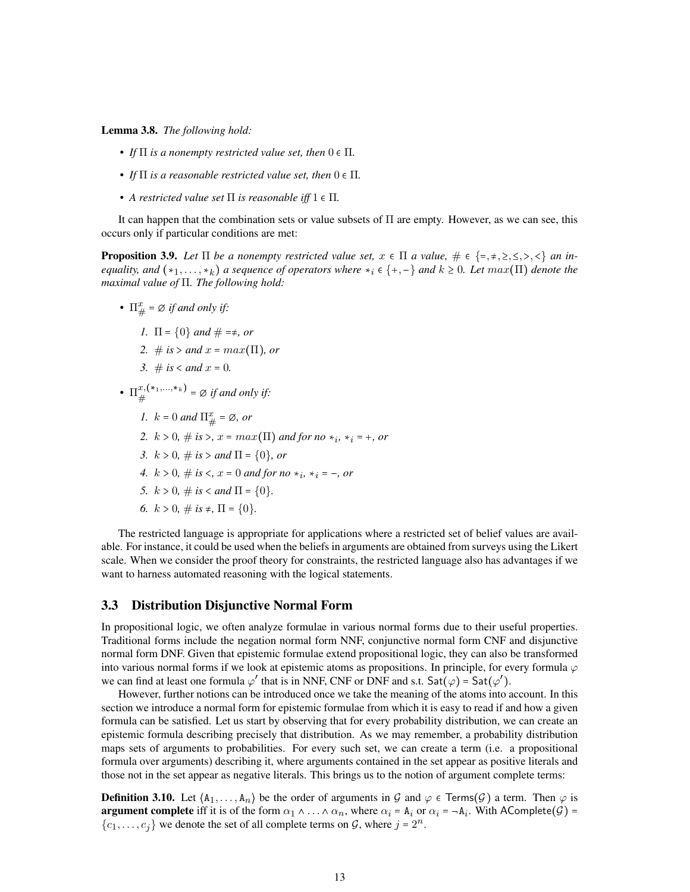<span id="page-12-2"></span>Lemma 3.8. *The following hold:*

- *If*  $\Pi$  *is a nonempty restricted value set, then*  $0 \in \Pi$ *.*
- If  $\Pi$  *is a reasonable restricted value set, then*  $0 \in \Pi$ *.*
- *A restricted value set*  $\Pi$  *is reasonable iff*  $1 \in \Pi$ *.*

It can happen that the combination sets or value subsets of Π are empty. However, as we can see, this occurs only if particular conditions are met:

<span id="page-12-1"></span>**Proposition 3.9.** Let  $\Pi$  be a nonempty restricted value set,  $x \in \Pi$  a value,  $\# \in \{=\, \neq, \geq, \leq, \lt,\}$  an in*equality, and*  $(*_1, \ldots, *_k)$  *a sequence of operators where*  $*_i \in \{+, -\}$  *and*  $k \geq 0$ *. Let*  $max(\Pi)$  *denote the maximal value of* Π*. The following hold:*

- $\Pi^x_{\#} = \emptyset$  *if and only if:* 
	- *1.*  $\Pi = \{0\}$  *and*  $\# = \neq$ , *or*
	- *2.* # *is*  $>$  *and*  $x = max(\Pi)$ , *or*
	- *3.* # *is* < *and*  $x = 0$ *.*

•  $\Pi^{x,(*_1,...,*_k)}_{\#}$  $x,$ (\*1,...,\* $\kappa$ ) =  $\varnothing$  *if and only if:* 

- *1.*  $k = 0$  and  $\Pi^x_{\#} = \emptyset$ , or
- *2.*  $k > 0, \#$  *is* >,  $x = max(\Pi)$  and for no  $*_i$ ,  $*_i = +$ , or
- *3.*  $k > 0$ ,  $\#$  *is*  $>$  *and*  $\Pi = \{0\}$ , *or*
- *4.*  $k > 0$ ,  $\#$  *is*  $\lt$ ,  $x = 0$  *and for no*  $*_i$ ,  $*_i = -$ , *or*
- *5.*  $k > 0$ ,  $\#$  *is* < *and*  $\Pi = \{0\}$ .
- *6.*  $k > 0$ ,  $\#$  *is*  $\neq$ ,  $\Pi = \{0\}$ .

The restricted language is appropriate for applications where a restricted set of belief values are available. For instance, it could be used when the beliefs in arguments are obtained from surveys using the Likert scale. When we consider the proof theory for constraints, the restricted language also has advantages if we want to harness automated reasoning with the logical statements.

### <span id="page-12-0"></span>3.3 Distribution Disjunctive Normal Form

In propositional logic, we often analyze formulae in various normal forms due to their useful properties. Traditional forms include the negation normal form NNF, conjunctive normal form CNF and disjunctive normal form DNF. Given that epistemic formulae extend propositional logic, they can also be transformed into various normal forms if we look at epistemic atoms as propositions. In principle, for every formula  $\varphi$ we can find at least one formula  $\varphi'$  that is in NNF, CNF or DNF and s.t.  $Sat(\varphi) = Sat(\varphi')$ .

However, further notions can be introduced once we take the meaning of the atoms into account. In this section we introduce a normal form for epistemic formulae from which it is easy to read if and how a given formula can be satisfied. Let us start by observing that for every probability distribution, we can create an epistemic formula describing precisely that distribution. As we may remember, a probability distribution maps sets of arguments to probabilities. For every such set, we can create a term (i.e. a propositional formula over arguments) describing it, where arguments contained in the set appear as positive literals and those not in the set appear as negative literals. This brings us to the notion of argument complete terms:

**Definition 3.10.** Let  $\langle A_1, \ldots, A_n \rangle$  be the order of arguments in G and  $\varphi \in \text{Terms}(G)$  a term. Then  $\varphi$  is **argument complete** iff it is of the form  $\alpha_1 \wedge \ldots \wedge \alpha_n$ , where  $\alpha_i = A_i$  or  $\alpha_i = -A_i$ . With AComplete $(G)$  =  $\{c_1, \ldots, c_j\}$  we denote the set of all complete terms on  $\mathcal{G}$ , where  $j = 2^n$ .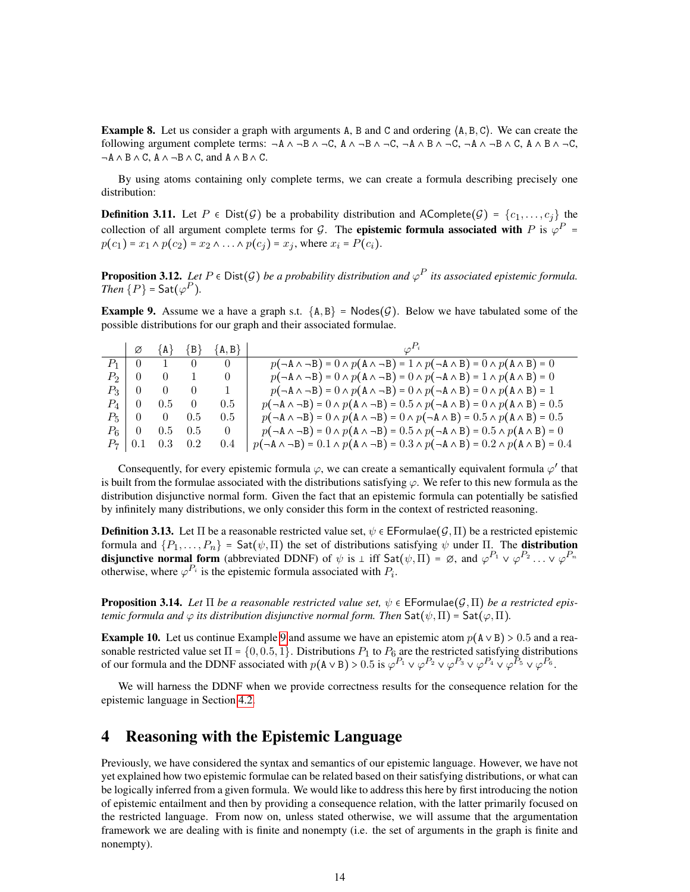**Example 8.** Let us consider a graph with arguments A, B and C and ordering  $\{A, B, C\}$ . We can create the following argument complete terms:  $-A \land B \land C$ ,  $A \land B \land C$ ,  $-A \land B \land C$ ,  $-A \land B \land C$ ,  $A \land B \land C$ ,  $A \land B \land C$ ,  $\neg A \land B \land C$ ,  $A \land \neg B \land C$ , and  $A \land B \land C$ .

By using atoms containing only complete terms, we can create a formula describing precisely one distribution:

**Definition 3.11.** Let  $P \in Dist(\mathcal{G})$  be a probability distribution and AComplete $(\mathcal{G}) = \{c_1, \ldots, c_i\}$  the collection of all argument complete terms for G. The **epistemic formula associated with** P is  $\varphi^P$  =  $p(c_1) = x_1 \wedge p(c_2) = x_2 \wedge ... \wedge p(c_j) = x_j$ , where  $x_i = P(c_i)$ .

<span id="page-13-2"></span>**Proposition 3.12.** Let  $P \in \text{Dist}(\mathcal{G})$  be a probability distribution and  $\varphi^P$  its associated epistemic formula. *Then*  $\{P\}$  = Sat $(\varphi^P)$ *.* 

<span id="page-13-1"></span>**Example 9.** Assume we a have a graph s.t.  $\{A, B\}$  = Nodes $(\mathcal{G})$ . Below we have tabulated some of the possible distributions for our graph and their associated formulae.

|           |               |                     | $\emptyset$ $\emptyset$ $\{A\}$ $\{B\}$ $\{A,B\}$ | $\varphi^{P_i}$                                                                                                     |
|-----------|---------------|---------------------|---------------------------------------------------|---------------------------------------------------------------------------------------------------------------------|
|           |               |                     |                                                   | $p(\neg A \land \neg B) = 0 \land p(A \land \neg B) = 1 \land p(\neg A \land B) = 0 \land p(A \land B) = 0$         |
|           |               | $P_2$   0   0   1   | $\overline{0}$                                    | $p(\neg A \land \neg B) = 0 \land p(A \land \neg B) = 0 \land p(\neg A \land B) = 1 \land p(A \land B) = 0$         |
|           | $P_3 \perp 0$ |                     | $0 \t 0 \t 1$                                     | $p(\neg A \land \neg B) = 0 \land p(A \land \neg B) = 0 \land p(\neg A \land B) = 0 \land p(A \land B) = 1$         |
| $P_4$   0 |               | $0.5\qquad 0$       | 0.5                                               | $p(\neg A \land \neg B) = 0 \land p(A \land \neg B) = 0.5 \land p(\neg A \land B) = 0 \land p(A \land B) = 0.5$     |
|           |               | $P_5$   0   0 0.5   | 0.5                                               | $p(\neg A \land \neg B) = 0 \land p(A \land \neg B) = 0 \land p(\neg A \land B) = 0.5 \land p(A \land B) = 0.5$     |
|           |               | $P_6$   0 0.5 0.5   | $\overline{0}$                                    | $p(\neg A \land \neg B) = 0 \land p(A \land \neg B) = 0.5 \land p(\neg A \land B) = 0.5 \land p(A \land B) = 0$     |
|           |               | $P_7$   0.1 0.3 0.2 | 0.4                                               | $p(\neg A \land \neg B) = 0.1 \land p(A \land \neg B) = 0.3 \land p(\neg A \land B) = 0.2 \land p(A \land B) = 0.4$ |

Consequently, for every epistemic formula  $\varphi$ , we can create a semantically equivalent formula  $\varphi'$  that is built from the formulae associated with the distributions satisfying  $\varphi$ . We refer to this new formula as the distribution disjunctive normal form. Given the fact that an epistemic formula can potentially be satisfied by infinitely many distributions, we only consider this form in the context of restricted reasoning.

**Definition 3.13.** Let  $\Pi$  be a reasonable restricted value set,  $\psi \in \mathsf{EFormulae}(\mathcal{G},\Pi)$  be a restricted epistemic formula and  $\{P_1, \ldots, P_n\}$  = Sat $(\psi, \Pi)$  the set of distributions satisfying  $\psi$  under  $\Pi$ . The **distribution disjunctive normal form** (abbreviated DDNF) of  $\psi$  is  $\bot$  iff Sat $(\psi, \Pi) = \emptyset$ , and  $\varphi^{P_1} \vee \varphi^{P_2} \dots \vee \varphi^{P_n}$ otherwise, where  $\varphi^{P_i}$  is the epistemic formula associated with  $P_i$ .

<span id="page-13-3"></span>**Proposition 3.14.** Let  $\Pi$  be a reasonable restricted value set,  $\psi \in \mathsf{EFormulae}(\mathcal{G}, \Pi)$  be a restricted epis*temic formula and*  $\varphi$  *its distribution disjunctive normal form. Then*  $\mathsf{Sat}(\psi,\Pi) = \mathsf{Sat}(\varphi,\Pi)$ .

**Example 10.** Let us continue Example [9](#page-13-1) and assume we have an epistemic atom  $p(A \vee B) > 0.5$  and a reasonable restricted value set  $\Pi = \{0, 0.5, 1\}$ . Distributions  $P_1$  to  $P_6$  are the restricted satisfying distributions of our formula and the DDNF associated with  $p(A \vee B) > 0.5$  is  $\varphi^{P_1} \vee \varphi^{P_2} \vee \varphi^{P_3} \vee \varphi^{P_4} \vee \varphi^{P_5} \vee \varphi^{P_6}$ .

We will harness the DDNF when we provide correctness results for the consequence relation for the epistemic language in Section [4.2.](#page-15-0)

# <span id="page-13-0"></span>4 Reasoning with the Epistemic Language

Previously, we have considered the syntax and semantics of our epistemic language. However, we have not yet explained how two epistemic formulae can be related based on their satisfying distributions, or what can be logically inferred from a given formula. We would like to address this here by first introducing the notion of epistemic entailment and then by providing a consequence relation, with the latter primarily focused on the restricted language. From now on, unless stated otherwise, we will assume that the argumentation framework we are dealing with is finite and nonempty (i.e. the set of arguments in the graph is finite and nonempty).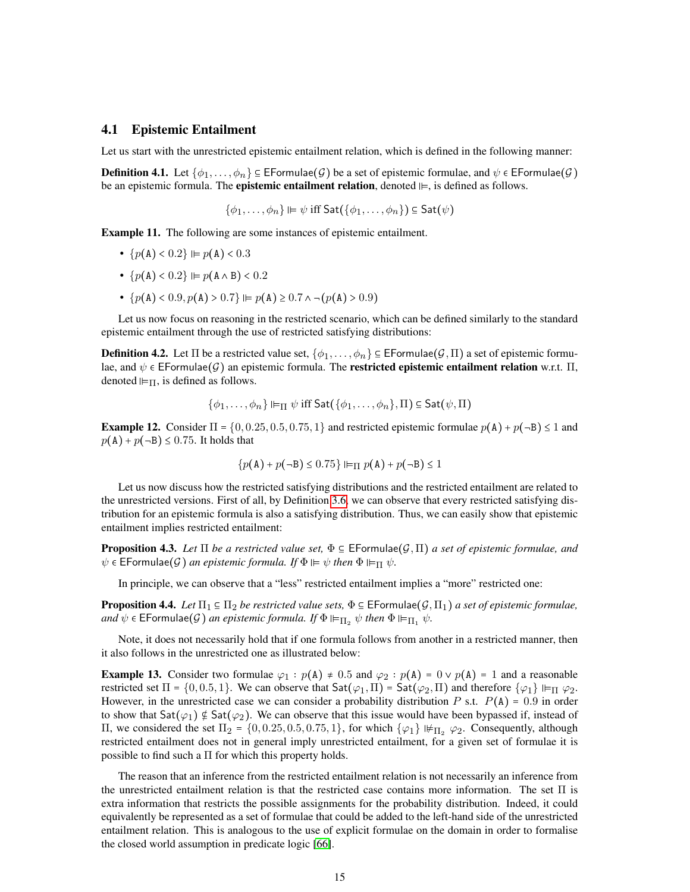### <span id="page-14-0"></span>4.1 Epistemic Entailment

Let us start with the unrestricted epistemic entailment relation, which is defined in the following manner:

**Definition 4.1.** Let  $\{\phi_1, \ldots, \phi_n\} \subseteq \mathsf{EFormulae}(\mathcal{G})$  be a set of epistemic formulae, and  $\psi \in \mathsf{EFormulae}(\mathcal{G})$ be an epistemic formula. The **epistemic entailment relation**, denoted  $\models$ , is defined as follows.

$$
\{\phi_1,\ldots,\phi_n\}\Vdash\psi\ \text{iff}\ \mathsf{Sat}(\{\phi_1,\ldots,\phi_n\})\subseteq \mathsf{Sat}(\psi)
$$

Example 11. The following are some instances of epistemic entailment.

- ${p(A) < 0.2} \vDash p(A) < 0.3$
- ${p(A) < 0.2} \vDash p(A \wedge B) < 0.2$
- ${p(A) < 0.9, p(A) > 0.7} \vDash p(A) \ge 0.7 \land \neg (p(A) > 0.9)$

Let us now focus on reasoning in the restricted scenario, which can be defined similarly to the standard epistemic entailment through the use of restricted satisfying distributions:

**Definition 4.2.** Let  $\Pi$  be a restricted value set,  $\{\phi_1, \ldots, \phi_n\} \subseteq \text{EFormula}(G, \Pi)$  a set of epistemic formulae, and  $\psi \in \mathsf{EFormulae}(\mathcal{G})$  an epistemic formula. The **restricted epistemic entailment relation** w.r.t.  $\Pi$ , denoted  $\Vdash_{\Pi}$ , is defined as follows.

$$
\{\phi_1,\ldots,\phi_n\}\Vdash_{\Pi}\psi\ \text{iff}\ \text{\sf Sat}(\{\phi_1,\ldots,\phi_n\},\Pi)\subseteq\text{\sf Sat}(\psi,\Pi)
$$

**Example 12.** Consider  $\Pi = \{0, 0.25, 0.5, 0.75, 1\}$  and restricted epistemic formulae  $p(A) + p(\neg B) \le 1$  and  $p(A) + p(\neg B) \le 0.75$ . It holds that

$$
\{p(\mathbf{A}) + p(\neg \mathbf{B}) \le 0.75\} \Vdash_{\Pi} p(\mathbf{A}) + p(\neg \mathbf{B}) \le 1
$$

Let us now discuss how the restricted satisfying distributions and the restricted entailment are related to the unrestricted versions. First of all, by Definition [3.6,](#page-11-0) we can observe that every restricted satisfying distribution for an epistemic formula is also a satisfying distribution. Thus, we can easily show that epistemic entailment implies restricted entailment:

**Proposition 4.3.** *Let*  $\Pi$  *be a restricted value set,*  $\Phi \in \mathsf{EFormulae}(\mathcal{G},\Pi)$  *a set of epistemic formulae, and*  $\psi \in \mathsf{EFormulae}(\mathcal{G})$  *an epistemic formula. If*  $\Phi \vDash \psi$  *then*  $\Phi \vDash_{\Pi} \psi$ *.* 

In principle, we can observe that a "less" restricted entailment implies a "more" restricted one:

**Proposition 4.4.** *Let*  $\Pi_1 \subseteq \Pi_2$  *be restricted value sets*,  $\Phi \subseteq \text{EFormulae}(\mathcal{G}, \Pi_1)$  *a set of epistemic formulae*, *and*  $\psi \in \mathsf{EFormulae}(\mathcal{G})$  *an epistemic formula. If*  $\Phi \vDash_{\Pi_2} \psi$  *then*  $\Phi \vDash_{\Pi_1} \psi$ *.* 

Note, it does not necessarily hold that if one formula follows from another in a restricted manner, then it also follows in the unrestricted one as illustrated below:

**Example 13.** Consider two formulae  $\varphi_1$ :  $p(A) \neq 0.5$  and  $\varphi_2$ :  $p(A) = 0 \vee p(A) = 1$  and a reasonable restricted set  $\Pi = \{0, 0.5, 1\}$ . We can observe that  $Sat(\varphi_1, \Pi) = Sat(\varphi_2, \Pi)$  and therefore  $\{\varphi_1\} \Vdash_{\Pi} \varphi_2$ . However, in the unrestricted case we can consider a probability distribution P s.t.  $P(A) = 0.9$  in order to show that  $\text{Sat}(\varphi_1) \notin \text{Sat}(\varphi_2)$ . We can observe that this issue would have been bypassed if, instead of Π, we considered the set  $\Pi_2 = \{0, 0.25, 0.5, 0.75, 1\}$ , for which  $\{\varphi_1\} \nvDash_{\Pi_2} \varphi_2$ . Consequently, although restricted entailment does not in general imply unrestricted entailment, for a given set of formulae it is possible to find such a Π for which this property holds.

The reason that an inference from the restricted entailment relation is not necessarily an inference from the unrestricted entailment relation is that the restricted case contains more information. The set Π is extra information that restricts the possible assignments for the probability distribution. Indeed, it could equivalently be represented as a set of formulae that could be added to the left-hand side of the unrestricted entailment relation. This is analogous to the use of explicit formulae on the domain in order to formalise the closed world assumption in predicate logic [\[66\]](#page-49-8).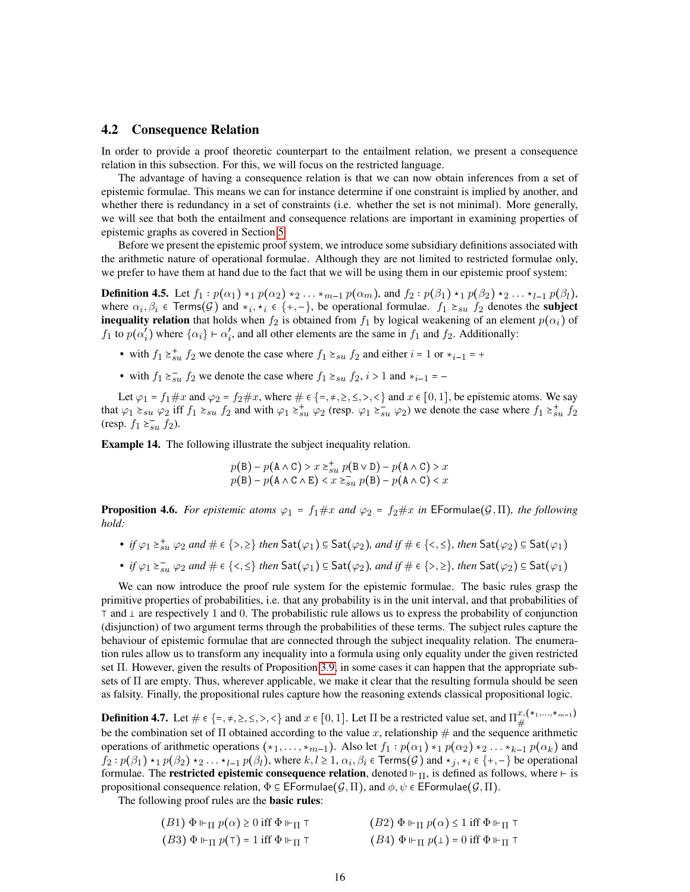### <span id="page-15-0"></span>4.2 Consequence Relation

In order to provide a proof theoretic counterpart to the entailment relation, we present a consequence relation in this subsection. For this, we will focus on the restricted language.

The advantage of having a consequence relation is that we can now obtain inferences from a set of epistemic formulae. This means we can for instance determine if one constraint is implied by another, and whether there is redundancy in a set of constraints (i.e. whether the set is not minimal). More generally, we will see that both the entailment and consequence relations are important in examining properties of epistemic graphs as covered in Section [5.](#page-18-1)

Before we present the epistemic proof system, we introduce some subsidiary definitions associated with the arithmetic nature of operational formulae. Although they are not limited to restricted formulae only, we prefer to have them at hand due to the fact that we will be using them in our epistemic proof system:

**Definition 4.5.** Let  $f_1: p(\alpha_1) *_{1} p(\alpha_2) *_{2} \ldots *_{m-1} p(\alpha_m)$ , and  $f_2: p(\beta_1) *_{1} p(\beta_2) *_{2} \ldots *_{l-1} p(\beta_l)$ , where  $\alpha_i, \beta_i \in \text{Terms}(G)$  and  $*_i, *_i \in \{+, -\}$ , be operational formulae.  $f_1 \geq_{su} f_2$  denotes the **subject inequality relation** that holds when  $f_2$  is obtained from  $f_1$  by logical weakening of an element  $p(\alpha_i)$  of  $f_1$  to  $p(\alpha_i^{\prime})$  $\binom{i}{i}$  where  $\{\alpha_i\} \vdash \alpha'_i$  $i'$ , and all other elements are the same in  $f_1$  and  $f_2$ . Additionally:

- with  $f_1 \geq_{su}^+ f_2$  we denote the case where  $f_1 \geq_{su} f_2$  and either  $i = 1$  or  $*_{i-1} = +$
- with  $f_1 \ge_{su}^{\infty} f_2$  we denote the case where  $f_1 \ge_{su} f_2$ ,  $i > 1$  and  $*_{i-1} = -$

Let  $\varphi_1 = f_1 \# x$  and  $\varphi_2 = f_2 \# x$ , where  $\# \in \{ =, \neq, \geq, \leq, \leq, \leq \}$  and  $x \in [0, 1]$ , be epistemic atoms. We say that  $\varphi_1 \geq_{su} \varphi_2$  iff  $f_1 \geq_{su} f_2$  and with  $\varphi_1 \geq_{su}^+ \varphi_2$  (resp.  $\varphi_1 \geq_{su}^- \varphi_2$ ) we denote the case where  $f_1 \geq_{su}^+ f_2$ (resp.  $f_1 \geq_{su}^{-1} f_2$ ).

Example 14. The following illustrate the subject inequality relation.

$$
p(\mathbf{B}) - p(\mathbf{A} \wedge \mathbf{C}) > x \geq_{su}^{+} p(\mathbf{B} \vee \mathbf{D}) - p(\mathbf{A} \wedge \mathbf{C}) > x
$$
  

$$
p(\mathbf{B}) - p(\mathbf{A} \wedge \mathbf{C} \wedge \mathbf{E}) < x \geq_{su}^{=} p(\mathbf{B}) - p(\mathbf{A} \wedge \mathbf{C}) < x
$$

<span id="page-15-1"></span>**Proposition 4.6.** *For epistemic atoms*  $\varphi_1 = f_1 \# x$  *and*  $\varphi_2 = f_2 \# x$  *in* EFormulae( $\mathcal{G}, \Pi$ )*, the following hold:*

- *if*  $\varphi_1 \geq^*_{su} \varphi_2$  and  $\# \in \{>, \geq\}$  then  $\mathsf{Sat}(\varphi_1) \subseteq \mathsf{Sat}(\varphi_2)$ , and if  $\# \in \{<, \leq\}$ , then  $\mathsf{Sat}(\varphi_2) \subseteq \mathsf{Sat}(\varphi_1)$
- *if*  $\varphi_1 \geq_{su} \varphi_2$  and  $\# \in \{<, \leq\}$  then  $\mathsf{Sat}(\varphi_1) \subseteq \mathsf{Sat}(\varphi_2)$ , and if  $\# \in \{>, \geq\}$ , then  $\mathsf{Sat}(\varphi_2) \subseteq \mathsf{Sat}(\varphi_1)$

We can now introduce the proof rule system for the epistemic formulae. The basic rules grasp the primitive properties of probabilities, i.e. that any probability is in the unit interval, and that probabilities of  $\top$  and  $\bot$  are respectively 1 and 0. The probabilistic rule allows us to express the probability of conjunction (disjunction) of two argument terms through the probabilities of these terms. The subject rules capture the behaviour of epistemic formulae that are connected through the subject inequality relation. The enumeration rules allow us to transform any inequality into a formula using only equality under the given restricted set Π. However, given the results of Proposition [3.9,](#page-12-1) in some cases it can happen that the appropriate subsets of Π are empty. Thus, wherever applicable, we make it clear that the resulting formula should be seen as falsity. Finally, the propositional rules capture how the reasoning extends classical propositional logic.

**Definition 4.7.** Let  $\# \in \{\text{=},\text{+},\text{=},\text{<},\text{<},\text{>} \}$  and  $x \in [0,1]$ . Let  $\Pi$  be a restricted value set, and  $\Pi_{\#}^{x,(*_1,...,*_{m-1})}$ # be the combination set of  $\Pi$  obtained according to the value x, relationship  $\#$  and the sequence arithmetic operations of arithmetic operations  $(*_1, \ldots, *_{m-1})$ . Also let  $f_1 : p(\alpha_1) *_{1} p(\alpha_2) *_{2} \ldots *_{k-1} p(\alpha_k)$  and  $f_2: p(\beta_1) \star_1 p(\beta_2) \star_2 \ldots \star_{l-1} p(\beta_l)$ , where  $k, l \ge 1, \alpha_i, \beta_i \in \text{Terms}(\mathcal{G})$  and  $\star_j, \star_i \in \{+, -\}$  be operational formulae. The **restricted epistemic consequence relation**, denoted  $\Vdash_{\Pi}$ , is defined as follows, where  $\vdash$  is propositional consequence relation,  $\Phi \subseteq \mathsf{EFormulae}(\mathcal{G},\Pi)$ , and  $\phi, \psi \in \mathsf{EFormulae}(\mathcal{G},\Pi)$ .

The following proof rules are the **basic rules**:

| $(B1) \Phi \Vdash_{\Pi} p(\alpha) \geq 0$ iff $\Phi \Vdash_{\Pi} \top$ | $(B2) \Phi \Vdash_{\Pi} p(\alpha) \leq 1$ iff $\Phi \Vdash_{\Pi} \top$ |
|------------------------------------------------------------------------|------------------------------------------------------------------------|
| $(B3) \Phi \Vdash_{\Pi} p(\top) = 1$ iff $\Phi \Vdash_{\Pi} \top$      | $(B4) \Phi \Vdash_{\Pi} p(\bot) = 0$ iff $\Phi \Vdash_{\Pi} \top$      |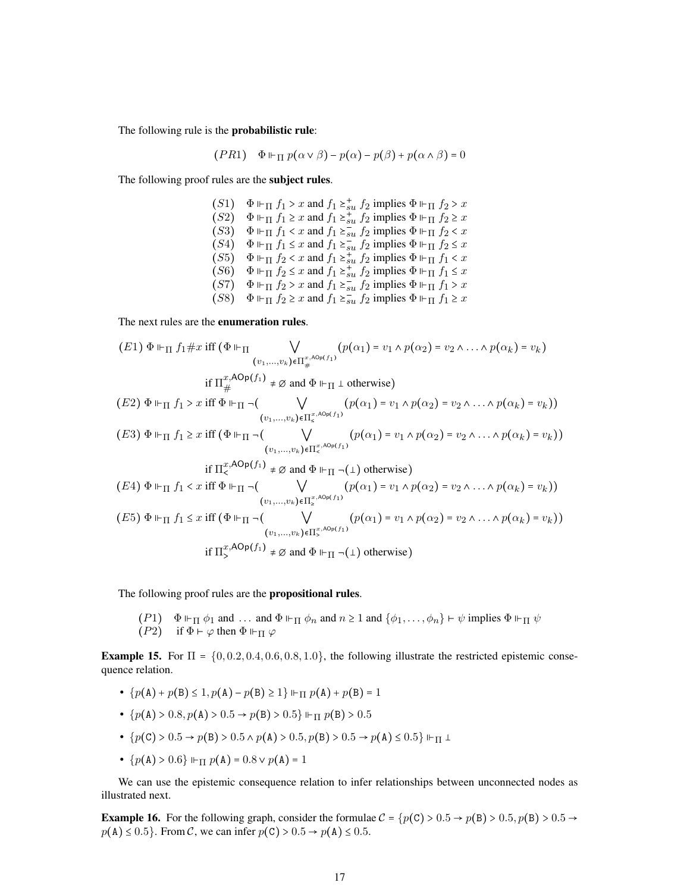The following rule is the probabilistic rule:

$$
(PR1) \quad \Phi \Vdash_{\Pi} p(\alpha \vee \beta) - p(\alpha) - p(\beta) + p(\alpha \wedge \beta) = 0
$$

The following proof rules are the subject rules.

(S1)  $\Phi \Vdash_{\Pi} f_1 > x$  and  $f_1 \succeq_{su}^{\dagger} f_2$  implies  $\Phi \Vdash_{\Pi} f_2 > x$  $(S2)$   $\Phi \Vdash_{\Pi} f_1 \geq x$  and  $f_1 \geq \frac{1}{2}$   $\mathbb{E} \Big\{ \sum_{s=1}^{n} f_2 \Big\}$  implies  $\Phi \Vdash_{\Pi} f_2 \geq x$  $(S3)$   $\Phi \Vdash_{\Pi} f_1 < x$  and  $f_1 \geq_{su}^x f_2$  implies  $\Phi \Vdash_{\Pi} f_2 < x$  $(S4)$   $\Phi \Vdash_{\Pi} f_1 \leq x$  and  $f_1 \geq_{\text{S}u} f_2$  implies  $\Phi \Vdash_{\Pi} f_2 \leq x$  $(S5)$   $\Phi \Vdash_{\Pi} f_2 < x$  and  $f_1 \geq_{su}^{u} f_2$  implies  $\Phi \Vdash_{\Pi} f_1 < x$  $(S6)$   $\Phi \Vdash_{\Pi} f_2 \leq x$  and  $f_1 \geq_{su}^* f_2$  implies  $\Phi \Vdash_{\Pi} f_1 \leq x$  $(S7)$   $\Phi \Vdash_{\Pi} f_2 > x$  and  $f_1 \geq_{su} f_2$  implies  $\Phi \Vdash_{\Pi} f_1 > x$  $(S8)$   $\Phi \Vdash_{\Pi} f_2 \geq x$  and  $f_1 \geq \frac{3a}{su} f_2$  implies  $\Phi \Vdash_{\Pi} f_1 \geq x$ 

The next rules are the enumeration rules.

$$
(E1) \Phi \Vdash_{\Pi} f_1 \# x \text{ iff } (\Phi \Vdash_{\Pi} \bigvee_{(v_1, \ldots, v_k) \in \Pi_{\#}^{x, \text{AOp}(f_1)}} (p(\alpha_1) = v_1 \land p(\alpha_2) = v_2 \land \ldots \land p(\alpha_k) = v_k)
$$
\n
$$
\text{if } \Pi_{\#}^{x, \text{AOp}(f_1)} \neq \emptyset \text{ and } \Phi \Vdash_{\Pi} \bot \text{ otherwise})
$$
\n
$$
(E2) \Phi \Vdash_{\Pi} f_1 > x \text{ iff } \Phi \Vdash_{\Pi} \neg (\bigvee_{(v_1, \ldots, v_k) \in \Pi_{\leq}^{x, \text{AOp}(f_1)}} (p(\alpha_1) = v_1 \land p(\alpha_2) = v_2 \land \ldots \land p(\alpha_k) = v_k))
$$
\n
$$
\qquad \qquad (v_1, \ldots, v_k) \in \Pi_{\leq}^{x, \text{AOp}(f_1)}} (p(\alpha_1) = v_1 \land p(\alpha_2) = v_2 \land \ldots \land p(\alpha_k) = v_k))
$$
\n
$$
\qquad \qquad (v_1, \ldots, v_k) \in \Pi_{\leq}^{x, \text{AOp}(f_1)}} (p(\alpha_1) = v_1 \land p(\alpha_2) = v_2 \land \ldots \land p(\alpha_k) = v_k))
$$
\n
$$
(E4) \Phi \Vdash_{\Pi} f_1 < x \text{ iff } \Phi \Vdash_{\Pi} \neg (\bigvee_{(v_1, \ldots, v_k) \in \Pi_{\geq}^{x, \text{AOp}(f_1)}} (p(\alpha_1) = v_1 \land p(\alpha_2) = v_2 \land \ldots \land p(\alpha_k) = v_k))
$$
\n
$$
\qquad \qquad (v_1, \ldots, v_k) \in \Pi_{\leq}^{x, \text{AOp}(f_1)} (p(\alpha_1) = v_1 \land p(\alpha_2) = v_2 \land \ldots \land p(\alpha_k) = v_k))
$$
\n
$$
\qquad \qquad (v_1, \ldots, v_k) \in \Pi_{\leq}^{x, \text{AOp}(f_1)} (p(\alpha_1) = v_1 \land p(\alpha_2) = v_2 \land \ldots \land p(\
$$

The following proof rules are the propositional rules.

 $(P1)$   $\Phi \Vdash_{\Pi} \phi_1$  and ... and  $\Phi \Vdash_{\Pi} \phi_n$  and  $n \geq 1$  and  $\{\phi_1, \ldots, \phi_n\} \vdash \psi$  implies  $\Phi \Vdash_{\Pi} \psi$  $(P2)$  if  $\Phi \vdash \varphi$  then  $\Phi \Vdash_{\Pi} \varphi$ 

**Example 15.** For  $\Pi = \{0, 0.2, 0.4, 0.6, 0.8, 1.0\}$ , the following illustrate the restricted epistemic consequence relation.

- ${p(A) + p(B) \le 1, p(A) p(B) \ge 1}$   $\Vdash_{\Pi} p(A) + p(B) = 1$
- ${p(A) > 0.8, p(A) > 0.5 \rightarrow p(B) > 0.5}$   $\Vdash_{\Pi} p(B) > 0.5$
- ${p(C) > 0.5 \rightarrow p(B) > 0.5 \land p(A) > 0.5, p(B) > 0.5 \rightarrow p(A) \le 0.5}$   $\vdash_{\Pi}$  1
- ${p(A) > 0.6} \mathrel{\Vdash}_{\Pi} p(A) = 0.8 \vee p(A) = 1$

We can use the epistemic consequence relation to infer relationships between unconnected nodes as illustrated next.

**Example 16.** For the following graph, consider the formulae  $C = \{p(C) > 0.5 \rightarrow p(B) > 0.5, p(B) > 0.5 \rightarrow$  $p(A) \le 0.5$ . From C, we can infer  $p(C) > 0.5 \rightarrow p(A) \le 0.5$ .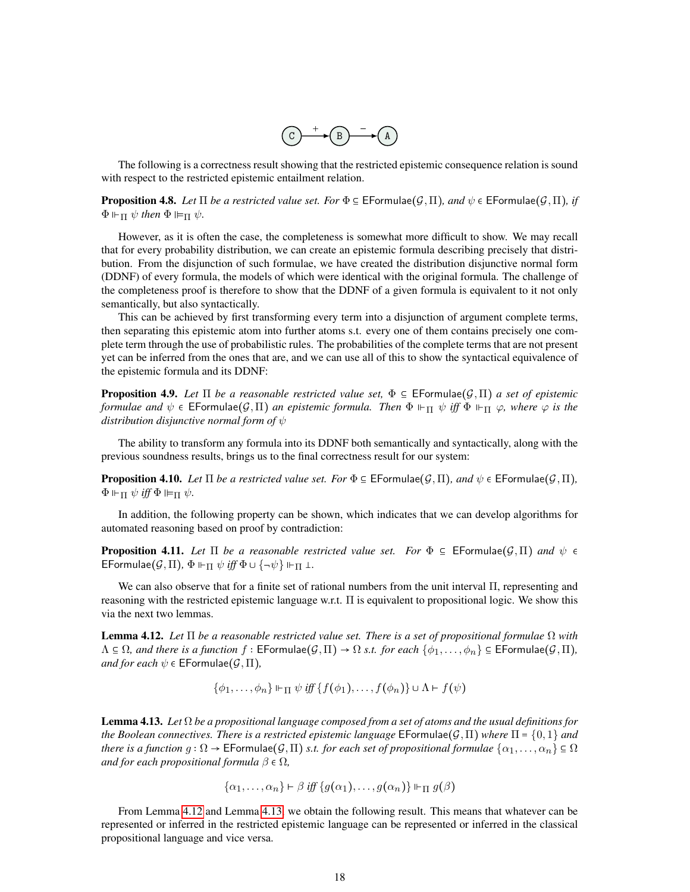

The following is a correctness result showing that the restricted epistemic consequence relation is sound with respect to the restricted epistemic entailment relation.

<span id="page-17-3"></span>**Proposition 4.8.** *Let*  $\Pi$  *be a restricted value set. For*  $\Phi \in \mathsf{E}$  EFormulae $(\mathcal{G},\Pi)$ *, and*  $\psi \in \mathsf{E}$  EFormulae $(\mathcal{G},\Pi)$ *, if*  $\Phi \Vdash_{\Pi} \psi$  then  $\Phi \Vdash_{\Pi} \psi$ .

However, as it is often the case, the completeness is somewhat more difficult to show. We may recall that for every probability distribution, we can create an epistemic formula describing precisely that distribution. From the disjunction of such formulae, we have created the distribution disjunctive normal form (DDNF) of every formula, the models of which were identical with the original formula. The challenge of the completeness proof is therefore to show that the DDNF of a given formula is equivalent to it not only semantically, but also syntactically.

This can be achieved by first transforming every term into a disjunction of argument complete terms, then separating this epistemic atom into further atoms s.t. every one of them contains precisely one complete term through the use of probabilistic rules. The probabilities of the complete terms that are not present yet can be inferred from the ones that are, and we can use all of this to show the syntactical equivalence of the epistemic formula and its DDNF:

<span id="page-17-2"></span>**Proposition 4.9.** *Let*  $\Pi$  *be a reasonable restricted value set*,  $\Phi \subseteq$  EFormulae( $\mathcal{G}, \Pi$ ) *a set of epistemic formulae and*  $\psi \in \mathsf{EFormulae}(\mathcal{G}, \Pi)$  *an epistemic formula. Then*  $\Phi \Vdash_{\Pi} \psi$  *iff*  $\Phi \Vdash_{\Pi} \varphi$ *, where*  $\varphi$  *is the distribution disjunctive normal form of* ψ

The ability to transform any formula into its DDNF both semantically and syntactically, along with the previous soundness results, brings us to the final correctness result for our system:

**Proposition 4.10.** *Let*  $\Pi$  *be a restricted value set. For*  $\Phi \in \mathsf{EFormulae}(\mathcal{G},\Pi)$ *, and*  $\psi \in \mathsf{EFormulae}(\mathcal{G},\Pi)$ *,*  $\Phi \Vdash_{\Pi} \psi$  *iff*  $\Phi \Vdash_{\Pi} \psi$ *.* 

In addition, the following property can be shown, which indicates that we can develop algorithms for automated reasoning based on proof by contradiction:

**Proposition 4.11.** Let  $\Pi$  be a reasonable restricted value set. For  $\Phi \subseteq \mathsf{EFormulae}(\mathcal{G},\Pi)$  and  $\psi \in \mathcal{G}$ EFormulae $(G,\Pi)$ ,  $\Phi \Vdash_{\Pi} \psi$  *iff*  $\Phi \cup {\neg \psi} \Vdash_{\Pi} \bot$ .

We can also observe that for a finite set of rational numbers from the unit interval Π, representing and reasoning with the restricted epistemic language w.r.t. Π is equivalent to propositional logic. We show this via the next two lemmas.

<span id="page-17-0"></span>Lemma 4.12. *Let* Π *be a reasonable restricted value set. There is a set of propositional formulae* Ω *with*  $\Lambda \subseteq \Omega$ *, and there is a function f* : EFormulae $(G,\Pi) \to \Omega$  *s.t. for each*  $\{\phi_1,\ldots,\phi_n\} \subseteq \mathsf{EFormulae}(\mathcal{G},\Pi)$ *, and for each*  $\psi \in \mathsf{EFormulae}(\mathcal{G}, \Pi)$ ,

$$
\{\phi_1,\ldots,\phi_n\}\Vdash_{\Pi}\psi\ iff\ \{f(\phi_1),\ldots,f(\phi_n)\}\cup\Lambda\vdash f(\psi)
$$

<span id="page-17-1"></span>Lemma 4.13. *Let* Ω *be a propositional language composed from a set of atoms and the usual definitions for the Boolean connectives. There is a restricted epistemic language* EFormulae $(\mathcal{G}, \Pi)$  *where*  $\Pi = \{0, 1\}$  *and there is a function*  $g:\Omega\to\mathsf{EFormulae}(\mathcal{G},\Pi)$  *s.t. for each set of propositional formulae*  $\{\alpha_1,\ldots,\alpha_n\}\subseteq\Omega$ *and for each propositional formula*  $\beta \in \Omega$ ,

$$
\{\alpha_1,\ldots,\alpha_n\}\vdash\beta\mathit{iff}\{g(\alpha_1),\ldots,g(\alpha_n)\}\Vdash_\Pi g(\beta)
$$

From Lemma [4.12](#page-17-0) and Lemma [4.13,](#page-17-1) we obtain the following result. This means that whatever can be represented or inferred in the restricted epistemic language can be represented or inferred in the classical propositional language and vice versa.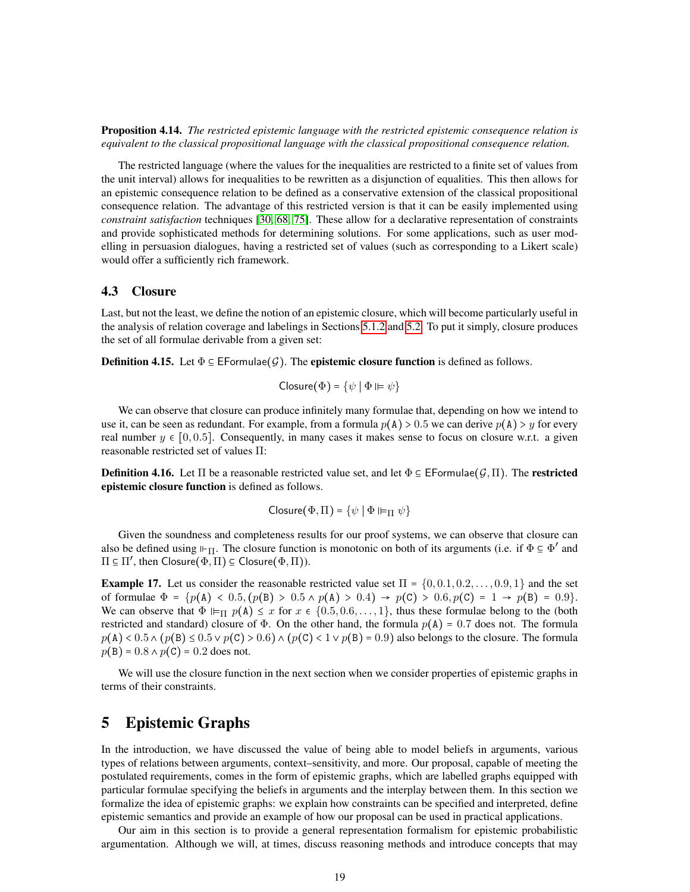Proposition 4.14. *The restricted epistemic language with the restricted epistemic consequence relation is equivalent to the classical propositional language with the classical propositional consequence relation.*

The restricted language (where the values for the inequalities are restricted to a finite set of values from the unit interval) allows for inequalities to be rewritten as a disjunction of equalities. This then allows for an epistemic consequence relation to be defined as a conservative extension of the classical propositional consequence relation. The advantage of this restricted version is that it can be easily implemented using *constraint satisfaction* techniques [\[30,](#page-47-10) [68,](#page-49-9) [75\]](#page-50-2). These allow for a declarative representation of constraints and provide sophisticated methods for determining solutions. For some applications, such as user modelling in persuasion dialogues, having a restricted set of values (such as corresponding to a Likert scale) would offer a sufficiently rich framework.

#### <span id="page-18-0"></span>4.3 Closure

Last, but not the least, we define the notion of an epistemic closure, which will become particularly useful in the analysis of relation coverage and labelings in Sections [5.1.2](#page-23-0) and [5.2.](#page-26-0) To put it simply, closure produces the set of all formulae derivable from a given set:

**Definition 4.15.** Let  $\Phi \subseteq \mathsf{Fformulae}(\mathcal{G})$ . The **epistemic closure function** is defined as follows.

$$
Closure(\Phi) = \{ \psi \mid \Phi \vDash \psi \}
$$

We can observe that closure can produce infinitely many formulae that, depending on how we intend to use it, can be seen as redundant. For example, from a formula  $p(A) > 0.5$  we can derive  $p(A) > y$  for every real number  $y \in [0, 0.5]$ . Consequently, in many cases it makes sense to focus on closure w.r.t. a given reasonable restricted set of values Π:

**Definition 4.16.** Let  $\Pi$  be a reasonable restricted value set, and let  $\Phi \subseteq \mathsf{EFormulae}(\mathcal{G},\Pi)$ . The **restricted** epistemic closure function is defined as follows.

$$
\mathsf{Closure}(\Phi,\Pi) = \{\psi \mid \Phi \vDash_{\Pi} \psi\}
$$

Given the soundness and completeness results for our proof systems, we can observe that closure can also be defined using  $\vdash_{\Pi}$ . The closure function is monotonic on both of its arguments (i.e. if  $\Phi \subseteq \Phi'$  and  $\Pi \subseteq \Pi'$ , then  $\text{Closure}(\Phi,\Pi) \subseteq \text{Closure}(\Phi,\Pi)$ ).

**Example 17.** Let us consider the reasonable restricted value set  $\Pi = \{0, 0.1, 0.2, \ldots, 0.9, 1\}$  and the set of formulae  $\Phi = \{p(A) < 0.5, (p(B) > 0.5 \land p(A) > 0.4) \rightarrow p(C) > 0.6, p(C) = 1 \rightarrow p(B) = 0.9\}.$ We can observe that  $\Phi \vDash_{\Pi} p(A) \leq x$  for  $x \in \{0.5, 0.6, \ldots, 1\}$ , thus these formulae belong to the (both restricted and standard) closure of  $\Phi$ . On the other hand, the formula  $p(A) = 0.7$  does not. The formula  $p(A) < 0.5 \wedge (p(B) \le 0.5 \vee p(C) > 0.6) \wedge (p(C) < 1 \vee p(B) = 0.9)$  also belongs to the closure. The formula  $p(B) = 0.8 \wedge p(C) = 0.2$  does not.

We will use the closure function in the next section when we consider properties of epistemic graphs in terms of their constraints.

# <span id="page-18-1"></span>5 Epistemic Graphs

In the introduction, we have discussed the value of being able to model beliefs in arguments, various types of relations between arguments, context–sensitivity, and more. Our proposal, capable of meeting the postulated requirements, comes in the form of epistemic graphs, which are labelled graphs equipped with particular formulae specifying the beliefs in arguments and the interplay between them. In this section we formalize the idea of epistemic graphs: we explain how constraints can be specified and interpreted, define epistemic semantics and provide an example of how our proposal can be used in practical applications.

Our aim in this section is to provide a general representation formalism for epistemic probabilistic argumentation. Although we will, at times, discuss reasoning methods and introduce concepts that may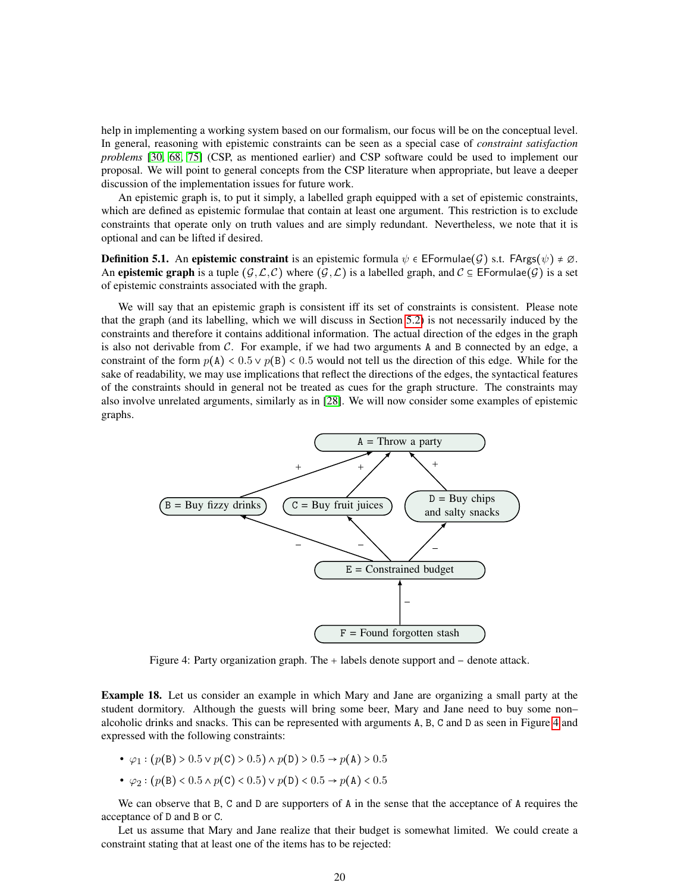help in implementing a working system based on our formalism, our focus will be on the conceptual level. In general, reasoning with epistemic constraints can be seen as a special case of *constraint satisfaction problems* [\[30,](#page-47-10) [68,](#page-49-9) [75\]](#page-50-2) (CSP, as mentioned earlier) and CSP software could be used to implement our proposal. We will point to general concepts from the CSP literature when appropriate, but leave a deeper discussion of the implementation issues for future work.

An epistemic graph is, to put it simply, a labelled graph equipped with a set of epistemic constraints, which are defined as epistemic formulae that contain at least one argument. This restriction is to exclude constraints that operate only on truth values and are simply redundant. Nevertheless, we note that it is optional and can be lifted if desired.

**Definition 5.1.** An **epistemic constraint** is an epistemic formula  $\psi \in \mathsf{EFormula}(\mathcal{G})$  s.t.  $\mathsf{FArgs}(\psi) \neq \emptyset$ . An **epistemic graph** is a tuple  $(G, \mathcal{L}, C)$  where  $(\mathcal{G}, \mathcal{L})$  is a labelled graph, and  $C \subseteq \mathsf{EFormula}(G)$  is a set of epistemic constraints associated with the graph.

We will say that an epistemic graph is consistent iff its set of constraints is consistent. Please note that the graph (and its labelling, which we will discuss in Section [5.2\)](#page-26-0) is not necessarily induced by the constraints and therefore it contains additional information. The actual direction of the edges in the graph is also not derivable from  $C$ . For example, if we had two arguments A and B connected by an edge, a constraint of the form  $p(A) < 0.5 \vee p(B) < 0.5$  would not tell us the direction of this edge. While for the sake of readability, we may use implications that reflect the directions of the edges, the syntactical features of the constraints should in general not be treated as cues for the graph structure. The constraints may also involve unrelated arguments, similarly as in [\[28\]](#page-47-11). We will now consider some examples of epistemic graphs.

<span id="page-19-0"></span>

Figure 4: Party organization graph. The  $+$  labels denote support and  $-$  denote attack.

Example 18. Let us consider an example in which Mary and Jane are organizing a small party at the student dormitory. Although the guests will bring some beer, Mary and Jane need to buy some non– alcoholic drinks and snacks. This can be represented with arguments A, B, C and D as seen in Figure [4](#page-19-0) and expressed with the following constraints:

- $\varphi_1 : (p(B) > 0.5 \vee p(C) > 0.5) \wedge p(D) > 0.5 \rightarrow p(A) > 0.5$
- $\varphi_2 : (p(B) < 0.5 \land p(C) < 0.5) \lor p(D) < 0.5 \rightarrow p(A) < 0.5$

We can observe that B, C and D are supporters of A in the sense that the acceptance of A requires the acceptance of D and B or C.

Let us assume that Mary and Jane realize that their budget is somewhat limited. We could create a constraint stating that at least one of the items has to be rejected: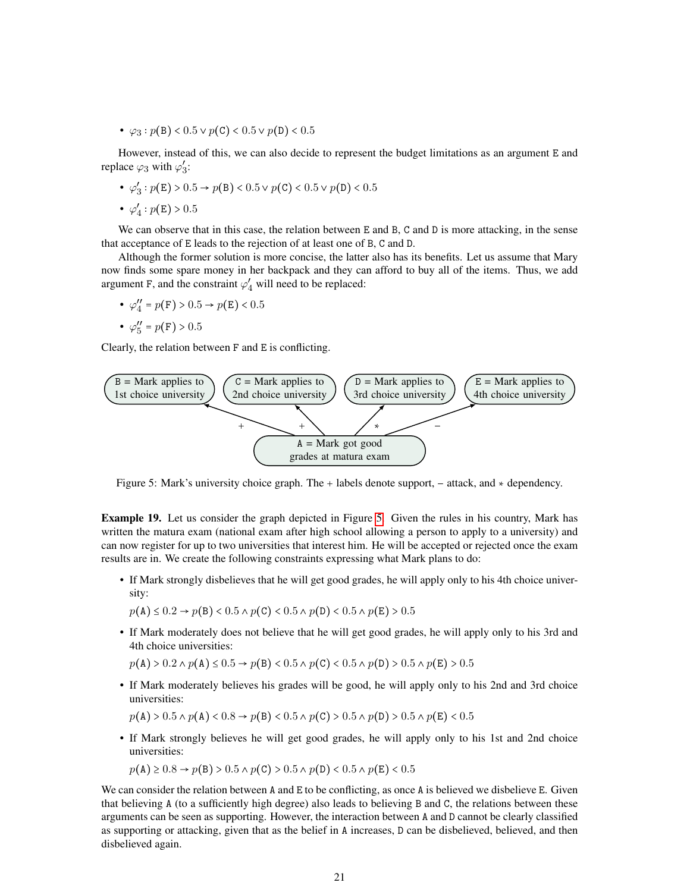•  $\varphi_3$ :  $p(B) < 0.5 \vee p(C) < 0.5 \vee p(D) < 0.5$ 

However, instead of this, we can also decide to represent the budget limitations as an argument E and replace  $\varphi_3$  with  $\varphi'_3$ ,<br>3:

- $\bullet$   $\varphi'$  $S_3$ :  $p(E) > 0.5 \rightarrow p(B) < 0.5 \vee p(C) < 0.5 \vee p(D) < 0.5$
- $\bullet$   $\varphi'_{4}$  $p(E) > 0.5$

We can observe that in this case, the relation between E and B, C and D is more attacking, in the sense that acceptance of E leads to the rejection of at least one of B, C and D.

Although the former solution is more concise, the latter also has its benefits. Let us assume that Mary now finds some spare money in her backpack and they can afford to buy all of the items. Thus, we add argument F, and the constraint  $\varphi'_4$  will need to be replaced:

•  $\varphi_4''$  $q'' = p(F) > 0.5 \rightarrow p(E) < 0.5$ 

$$
\bullet \ \varphi''_5 = p(\mathrm{F}) > 0.5
$$

Clearly, the relation between F and E is conflicting.

<span id="page-20-0"></span>

Figure 5: Mark's university choice graph. The  $+$  labels denote support,  $-$  attack, and  $*$  dependency.

Example 19. Let us consider the graph depicted in Figure [5.](#page-20-0) Given the rules in his country, Mark has written the matura exam (national exam after high school allowing a person to apply to a university) and can now register for up to two universities that interest him. He will be accepted or rejected once the exam results are in. We create the following constraints expressing what Mark plans to do:

- If Mark strongly disbelieves that he will get good grades, he will apply only to his 4th choice university:
	- $p(A) \le 0.2 \rightarrow p(B) < 0.5 \land p(C) < 0.5 \land p(D) < 0.5 \land p(E) > 0.5$
- If Mark moderately does not believe that he will get good grades, he will apply only to his 3rd and 4th choice universities:

 $p(A) > 0.2 \land p(A) \leq 0.5 \rightarrow p(B) < 0.5 \land p(C) < 0.5 \land p(D) > 0.5 \land p(E) > 0.5$ 

• If Mark moderately believes his grades will be good, he will apply only to his 2nd and 3rd choice universities:

 $p(A) > 0.5 \land p(A) < 0.8 \rightarrow p(B) < 0.5 \land p(C) > 0.5 \land p(D) > 0.5 \land p(E) < 0.5$ 

• If Mark strongly believes he will get good grades, he will apply only to his 1st and 2nd choice universities:

 $p(A) \ge 0.8 \rightarrow p(B) > 0.5 \land p(C) > 0.5 \land p(D) < 0.5 \land p(E) < 0.5$ 

We can consider the relation between A and E to be conflicting, as once A is believed we disbelieve E. Given that believing A (to a sufficiently high degree) also leads to believing B and C, the relations between these arguments can be seen as supporting. However, the interaction between A and D cannot be clearly classified as supporting or attacking, given that as the belief in A increases, D can be disbelieved, believed, and then disbelieved again.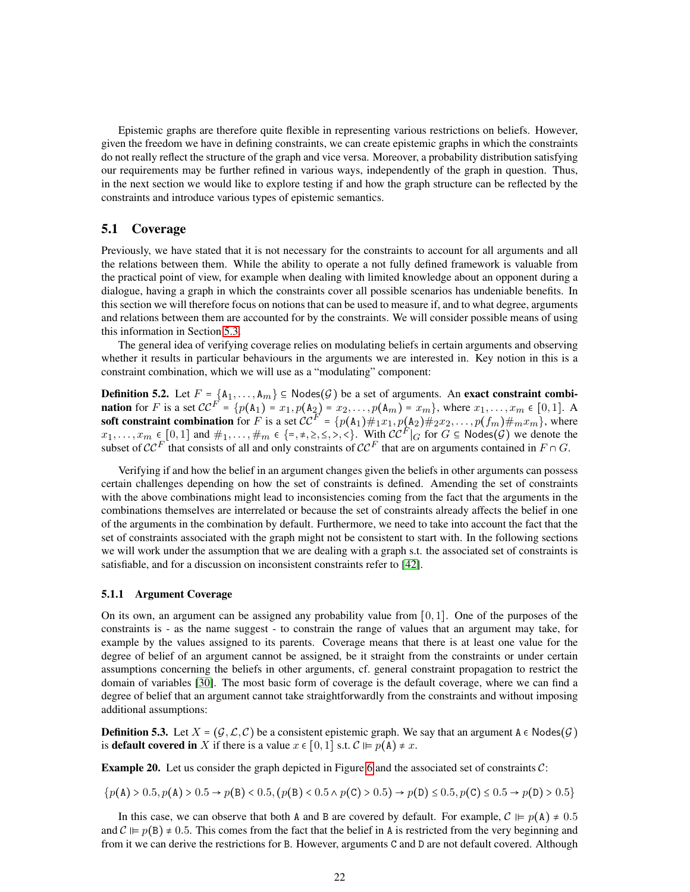Epistemic graphs are therefore quite flexible in representing various restrictions on beliefs. However, given the freedom we have in defining constraints, we can create epistemic graphs in which the constraints do not really reflect the structure of the graph and vice versa. Moreover, a probability distribution satisfying our requirements may be further refined in various ways, independently of the graph in question. Thus, in the next section we would like to explore testing if and how the graph structure can be reflected by the constraints and introduce various types of epistemic semantics.

## <span id="page-21-0"></span>5.1 Coverage

Previously, we have stated that it is not necessary for the constraints to account for all arguments and all the relations between them. While the ability to operate a not fully defined framework is valuable from the practical point of view, for example when dealing with limited knowledge about an opponent during a dialogue, having a graph in which the constraints cover all possible scenarios has undeniable benefits. In this section we will therefore focus on notions that can be used to measure if, and to what degree, arguments and relations between them are accounted for by the constraints. We will consider possible means of using this information in Section [5.3.](#page-30-0)

The general idea of verifying coverage relies on modulating beliefs in certain arguments and observing whether it results in particular behaviours in the arguments we are interested in. Key notion in this is a constraint combination, which we will use as a "modulating" component:

<span id="page-21-2"></span>**Definition 5.2.** Let  $F = \{A_1, \ldots, A_m\} \subseteq \text{Nodes}(\mathcal{G})$  be a set of arguments. An **exact constraint combination** for F is a set  $CC^F = \{p(A_1) = x_1, p(A_2) = x_2, ..., p(A_m) = x_m\}$ , where  $x_1, ..., x_m \in [0, 1]$ . A soft constraint combination for F is a set  $\mathcal{CC}^F = \{p(A_1) \#_1x_1, p(A_2) \#_2x_2, \ldots, p(f_m) \#_mx_m\}$ , where  $x_1, \ldots, x_m \in [0,1]$  and  $\#_1, \ldots, \#_m \in \{\text{=}, \text{=}, \text{=}, \text{=}, \text{=}\}$ . With  $\mathcal{CC}^F|_G$  for  $G \subseteq \text{Nodes}(\mathcal{G})$  we denote the subset of  $\mathcal{CC}^F$  that consists of all and only constraints of  $\mathcal{CC}^F$  that are on arguments contained in  $F \cap G$ .

Verifying if and how the belief in an argument changes given the beliefs in other arguments can possess certain challenges depending on how the set of constraints is defined. Amending the set of constraints with the above combinations might lead to inconsistencies coming from the fact that the arguments in the combinations themselves are interrelated or because the set of constraints already affects the belief in one of the arguments in the combination by default. Furthermore, we need to take into account the fact that the set of constraints associated with the graph might not be consistent to start with. In the following sections we will work under the assumption that we are dealing with a graph s.t. the associated set of constraints is satisfiable, and for a discussion on inconsistent constraints refer to [\[42\]](#page-48-9).

#### <span id="page-21-1"></span>5.1.1 Argument Coverage

On its own, an argument can be assigned any probability value from  $[0, 1]$ . One of the purposes of the constraints is - as the name suggest - to constrain the range of values that an argument may take, for example by the values assigned to its parents. Coverage means that there is at least one value for the degree of belief of an argument cannot be assigned, be it straight from the constraints or under certain assumptions concerning the beliefs in other arguments, cf. general constraint propagation to restrict the domain of variables [\[30\]](#page-47-10). The most basic form of coverage is the default coverage, where we can find a degree of belief that an argument cannot take straightforwardly from the constraints and without imposing additional assumptions:

**Definition 5.3.** Let  $X = (G, \mathcal{L}, \mathcal{C})$  be a consistent epistemic graph. We say that an argument  $A \in \text{Nodes}(G)$ is **default covered in** X if there is a value  $x \in [0, 1]$  s.t.  $\mathcal{C} \models p(\mathbf{A}) \neq x$ .

<span id="page-21-3"></span>**Example 20.** Let us consider the graph depicted in Figure [6](#page-22-0) and the associated set of constraints  $C$ :

 $p(A) > 0.5, p(A) > 0.5 \rightarrow p(B) < 0.5, (p(B) < 0.5 \land p(C) > 0.5) \rightarrow p(D) \le 0.5, p(C) \le 0.5 \rightarrow p(D) > 0.5$ 

In this case, we can observe that both A and B are covered by default. For example,  $\mathcal{C} \vDash p(A) \neq 0.5$ and  $\mathcal{C} \models p(B) \neq 0.5$ . This comes from the fact that the belief in A is restricted from the very beginning and from it we can derive the restrictions for B. However, arguments C and D are not default covered. Although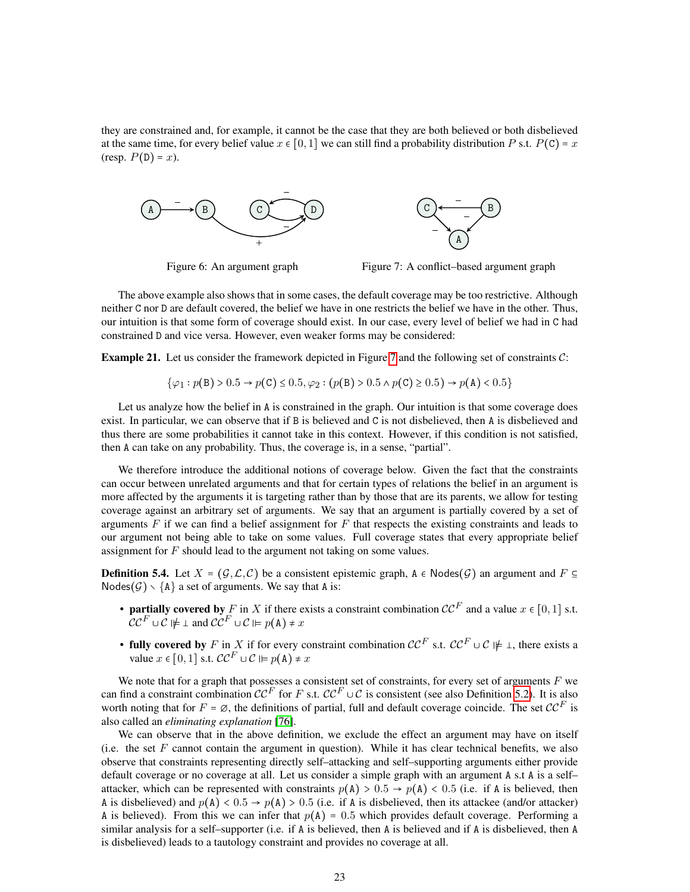they are constrained and, for example, it cannot be the case that they are both believed or both disbelieved at the same time, for every belief value  $x \in [0, 1]$  we can still find a probability distribution P s.t.  $P(C) = x$ (resp.  $P(D) = x$ ).

<span id="page-22-0"></span>

Figure 6: An argument graph



The above example also shows that in some cases, the default coverage may be too restrictive. Although neither C nor D are default covered, the belief we have in one restricts the belief we have in the other. Thus, our intuition is that some form of coverage should exist. In our case, every level of belief we had in C had constrained D and vice versa. However, even weaker forms may be considered:

<span id="page-22-1"></span>**Example 21.** Let us consider the framework depicted in Figure [7](#page-22-0) and the following set of constraints  $C$ :

$$
\{\varphi_1: p(\mathtt{B}) > 0.5 \to p(\mathtt{C}) \le 0.5, \varphi_2: (p(\mathtt{B}) > 0.5 \land p(\mathtt{C}) \ge 0.5) \to p(\mathtt{A}) < 0.5\}
$$

Let us analyze how the belief in A is constrained in the graph. Our intuition is that some coverage does exist. In particular, we can observe that if B is believed and C is not disbelieved, then A is disbelieved and thus there are some probabilities it cannot take in this context. However, if this condition is not satisfied, then A can take on any probability. Thus, the coverage is, in a sense, "partial".

We therefore introduce the additional notions of coverage below. Given the fact that the constraints can occur between unrelated arguments and that for certain types of relations the belief in an argument is more affected by the arguments it is targeting rather than by those that are its parents, we allow for testing coverage against an arbitrary set of arguments. We say that an argument is partially covered by a set of arguments  $F$  if we can find a belief assignment for  $F$  that respects the existing constraints and leads to our argument not being able to take on some values. Full coverage states that every appropriate belief assignment for  $F$  should lead to the argument not taking on some values.

<span id="page-22-2"></span>**Definition 5.4.** Let  $X = (G, \mathcal{L}, \mathcal{C})$  be a consistent epistemic graph,  $A \in \mathsf{Nodes}(G)$  an argument and  $F \subseteq$ Nodes $(G) \setminus \{A\}$  a set of arguments. We say that A is:

- partially covered by F in X if there exists a constraint combination  $\mathcal{CC}^F$  and a value  $x \in [0, 1]$  s.t.  $CC^F \cup C \not\models \bot$  and  $CC^F \cup C \not\models p(A) \neq x$
- fully covered by F in X if for every constraint combination  $\mathcal{CC}^F$  s.t.  $\mathcal{CC}^F \cup \mathcal{CC} \not\models \bot$ , there exists a value  $x \in [0, 1]$  s.t.  $\mathcal{CC}^F \cup \mathcal{C} \vDash p(A) \neq x$

We note that for a graph that possesses a consistent set of constraints, for every set of arguments  $F$  we can find a constraint combination  $\mathcal{CC}^F$  for F s.t.  $\mathcal{CC}^F \cup \mathcal{C}$  is consistent (see also Definition [5.2\)](#page-21-2). It is also worth noting that for  $F = \emptyset$ , the definitions of partial, full and default coverage coincide. The set  $\mathcal{CC}^F$  is also called an *eliminating explanation* [\[76\]](#page-50-3).

We can observe that in the above definition, we exclude the effect an argument may have on itself (i.e. the set  $F$  cannot contain the argument in question). While it has clear technical benefits, we also observe that constraints representing directly self–attacking and self–supporting arguments either provide default coverage or no coverage at all. Let us consider a simple graph with an argument A s.t A is a self– attacker, which can be represented with constraints  $p(A) > 0.5 \rightarrow p(A) < 0.5$  (i.e. if A is believed, then A is disbelieved) and  $p(A) < 0.5 \rightarrow p(A) > 0.5$  (i.e. if A is disbelieved, then its attackee (and/or attacker) A is believed). From this we can infer that  $p(A) = 0.5$  which provides default coverage. Performing a similar analysis for a self–supporter (i.e. if A is believed, then A is believed and if A is disbelieved, then A is disbelieved) leads to a tautology constraint and provides no coverage at all.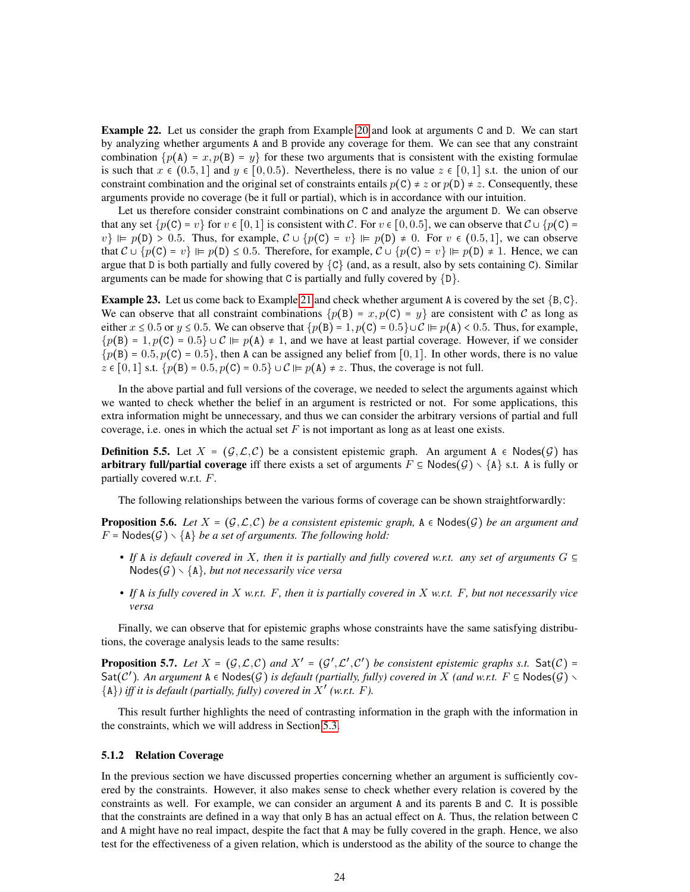<span id="page-23-1"></span>Example 22. Let us consider the graph from Example [20](#page-21-3) and look at arguments C and D. We can start by analyzing whether arguments A and B provide any coverage for them. We can see that any constraint combination  $\{p(A) = x, p(B) = y\}$  for these two arguments that is consistent with the existing formulae is such that  $x \in (0.5, 1]$  and  $y \in [0, 0.5]$ . Nevertheless, there is no value  $z \in [0, 1]$  s.t. the union of our constraint combination and the original set of constraints entails  $p(C) \neq z$  or  $p(D) \neq z$ . Consequently, these arguments provide no coverage (be it full or partial), which is in accordance with our intuition.

Let us therefore consider constraint combinations on C and analyze the argument D. We can observe that any set  $\{p(C) = v\}$  for  $v \in [0, 1]$  is consistent with C. For  $v \in [0, 0.5]$ , we can observe that  $C \cup \{p(C) = 0\}$  $v \nvert \equiv p(D) > 0.5$ . Thus, for example,  $C \cup \{p(C) = v\} \models p(D) \neq 0$ . For  $v \in (0.5, 1]$ , we can observe that  $C \cup \{p(C) = v\} \vDash p(D) \le 0.5$ . Therefore, for example,  $C \cup \{p(C) = v\} \vDash p(D) \ne 1$ . Hence, we can argue that D is both partially and fully covered by  $\{C\}$  (and, as a result, also by sets containing C). Similar arguments can be made for showing that C is partially and fully covered by  $\{D\}$ .

<span id="page-23-2"></span>**Example 23.** Let us come back to Example [21](#page-22-1) and check whether argument A is covered by the set  $\{B, C\}$ . We can observe that all constraint combinations  $\{p(B) = x, p(C) = y\}$  are consistent with C as long as either  $x \le 0.5$  or  $y \le 0.5$ . We can observe that  $\{p(B) = 1, p(C) = 0.5\} \cup C \Vdash p(A) < 0.5$ . Thus, for example,  $p(B) = 1, p(C) = 0.5$   $\cup$   $C \vDash p(A) \neq 1$ , and we have at least partial coverage. However, if we consider  $p(B) = 0.5$ ,  $p(C) = 0.5$ , then A can be assigned any belief from [0, 1]. In other words, there is no value  $z \in [0, 1]$  s.t.  $\{p(B) = 0.5, p(C) = 0.5\} \cup C \Vdash p(A) \neq z$ . Thus, the coverage is not full.

In the above partial and full versions of the coverage, we needed to select the arguments against which we wanted to check whether the belief in an argument is restricted or not. For some applications, this extra information might be unnecessary, and thus we can consider the arbitrary versions of partial and full coverage, i.e. ones in which the actual set  $F$  is not important as long as at least one exists.

**Definition 5.5.** Let  $X = (G, \mathcal{L}, \mathcal{C})$  be a consistent epistemic graph. An argument  $A \in \mathsf{Nodes}(\mathcal{G})$  has **arbitrary full/partial coverage** iff there exists a set of arguments  $F \subseteq \text{Nodes}(\mathcal{G}) \setminus \{A\}$  s.t. A is fully or partially covered w.r.t. F.

The following relationships between the various forms of coverage can be shown straightforwardly:

**Proposition 5.6.** Let  $X = (G, \mathcal{L}, \mathcal{C})$  be a consistent epistemic graph,  $A \in \text{Nodes}(G)$  be an argument and  $F = \text{Nodes}(G) \setminus \{A\}$  be a set of arguments. The following hold:

- If A is default covered in X, then it is partially and fully covered w.r.t. any set of arguments  $G \subseteq$  $Nodes(\mathcal{G}) \setminus \{A\}$ , but not necessarily vice versa
- *• If* A *is fully covered in* X *w.r.t.* F*, then it is partially covered in* X *w.r.t.* F*, but not necessarily vice versa*

Finally, we can observe that for epistemic graphs whose constraints have the same satisfying distributions, the coverage analysis leads to the same results:

**Proposition 5.7.** Let  $X = (G, \mathcal{L}, \mathcal{C})$  and  $X' = (G', \mathcal{L}', \mathcal{C}')$  be consistent epistemic graphs s.t.  $Sat(\mathcal{C}) =$  $\textsf{Sat}(\mathcal{C}')$ . An argument  $A \in \textsf{Nodes}(\mathcal{G}')$  is default (partially, fully) covered in X *(and w.r.t.*  $F \subseteq \textsf{Nodes}(\mathcal{G}') \setminus$  ${A}$ ) iff it is default (partially, fully) covered in  $\overline{X}'$  (w.r.t. *F*).

This result further highlights the need of contrasting information in the graph with the information in the constraints, which we will address in Section [5.3.](#page-30-0)

#### <span id="page-23-0"></span>5.1.2 Relation Coverage

In the previous section we have discussed properties concerning whether an argument is sufficiently covered by the constraints. However, it also makes sense to check whether every relation is covered by the constraints as well. For example, we can consider an argument A and its parents B and C. It is possible that the constraints are defined in a way that only B has an actual effect on A. Thus, the relation between C and A might have no real impact, despite the fact that A may be fully covered in the graph. Hence, we also test for the effectiveness of a given relation, which is understood as the ability of the source to change the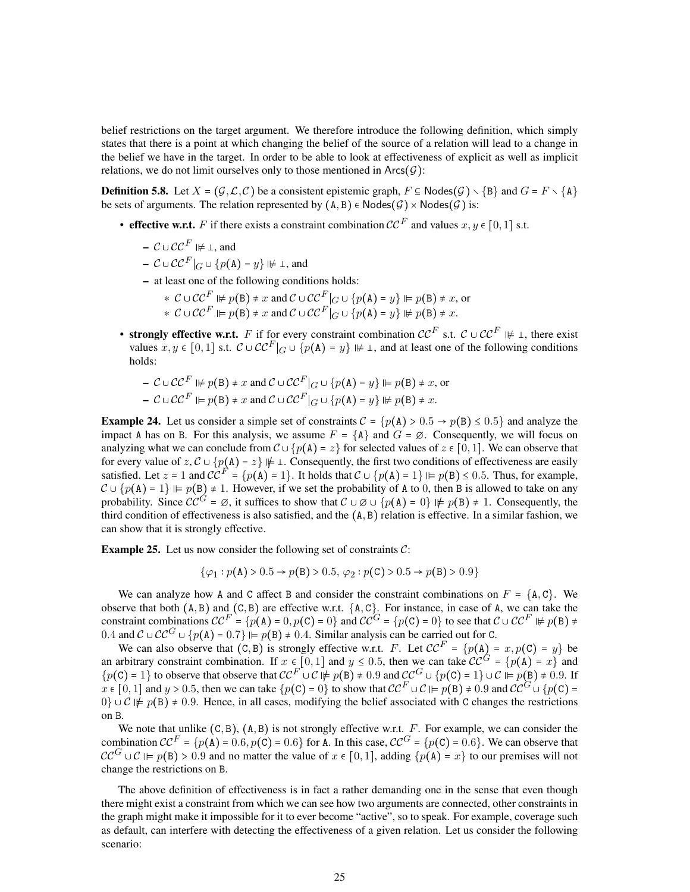belief restrictions on the target argument. We therefore introduce the following definition, which simply states that there is a point at which changing the belief of the source of a relation will lead to a change in the belief we have in the target. In order to be able to look at effectiveness of explicit as well as implicit relations, we do not limit ourselves only to those mentioned in  $\text{Arcs}(\mathcal{G})$ :

**Definition 5.8.** Let  $X = (G, \mathcal{L}, \mathcal{C})$  be a consistent epistemic graph,  $F \subseteq \mathsf{Nodes}(G) \setminus \{B\}$  and  $G = F \setminus \{A\}$ be sets of arguments. The relation represented by  $(A, B) \in \text{Nodes}(\mathcal{G}) \times \text{Nodes}(\mathcal{G})$  is:

- effective w.r.t. F if there exists a constraint combination  $\mathcal{CC}^F$  and values  $x, y \in [0, 1]$  s.t.
	- $C \cup C C^F \not\models \bot$  and
	- $C \cup CC^{F} \vert_{C} \cup \{p(A) = y\} \vert \not\models \bot$ , and
	- at least one of the following conditions holds:
		- \*  $C \cup CC \subseteq E$   $\nvdash p(B) \neq x$  and  $C \cup CC \subseteq G$   $\cup \{p(A) = y\} \models p(B) \neq x$ , or \*  $C \cup CC^F \Vdash p(B) \neq x$  and  $C \cup CC^F|_G \cup \{p(A) = y\} \nvDash p(B) \neq x$ .
- strongly effective w.r.t. F if for every constraint combination  $\mathcal{CC}^F$  s.t.  $\mathcal{C} \cup \mathcal{CC}^F \nvDash \bot$ , there exist values  $x, y \in [0, 1]$  s.t.  $C \cup CC^F|_G \cup \{p(A) = y\} \nvDash 1$ , and at least one of the following conditions holds:
	- $C \cup CC^F \nvDash p(B) \neq x$  and  $C \cup CC^F|_{C} \cup \{p(A) = y\} \nvDash p(B) \neq x$ , or  $- C \cup CC^F \models p(B) \neq x$  and  $C \cup CC^F|_{C} \cup \{p(A) = y\} \not\models p(B) \neq x$ .

**Example 24.** Let us consider a simple set of constraints  $C = \{p(A) > 0.5 \rightarrow p(B) \le 0.5\}$  and analyze the impact A has on B. For this analysis, we assume  $F = \{A\}$  and  $G = \emptyset$ . Consequently, we will focus on analyzing what we can conclude from  $\mathcal{C} \cup \{p(A) = z\}$  for selected values of  $z \in [0, 1]$ . We can observe that for every value of z,  $C \cup \{p(A) = z\} \not\models \bot$ . Consequently, the first two conditions of effectiveness are easily satisfied. Let  $z = 1$  and  $CC^F = \{p(A) = 1\}$ . It holds that  $C \cup \{p(A) = 1\} \vDash p(B) \le 0.5$ . Thus, for example,  $C \cup \{p(A) = 1\}$   $\models$   $p(B) \neq 1$ . However, if we set the probability of A to 0, then B is allowed to take on any probability. Since  $\mathcal{CC}^G = \emptyset$ , it suffices to show that  $\mathcal{C} \cup \emptyset \cup \{p(A) = 0\} \nvDash p(B) \neq 1$ . Consequently, the third condition of effectiveness is also satisfied, and the  $(A, B)$  relation is effective. In a similar fashion, we can show that it is strongly effective.

<span id="page-24-0"></span>**Example 25.** Let us now consider the following set of constraints  $C$ :

$$
\{\varphi_1: p(\mathbf{A}) > 0.5 \to p(\mathbf{B}) > 0.5, \varphi_2: p(\mathbf{C}) > 0.5 \to p(\mathbf{B}) > 0.9\}
$$

We can analyze how A and C affect B and consider the constraint combinations on  $F = \{A, C\}$ . We observe that both  $(A, B)$  and  $(C, B)$  are effective w.r.t.  $\{A, C\}$ . For instance, in case of A, we can take the constraint combinations  $CC^F = \{p(A) = 0, p(C) = 0\}$  and  $CC^G = \{p(C) = 0\}$  to see that  $C \cup CC^F \nvDash p(B) \neq$ 0.4 and  $C \cup CC^G \cup \{p(A) = 0.7\}$   $\models p(B) \neq 0.4$ . Similar analysis can be carried out for C.

We can also observe that  $(C, B)$  is strongly effective w.r.t. F. Let  $CC^F = \{p(A) = x, p(C) = y\}$  be an arbitrary constraint combination. If  $x \in [0,1]$  and  $y \le 0.5$ , then we can take  $CC^G = \{p(A) = x\}$  and  ${p(C) = 1}$  to observe that observe that  $CC^F \cup C \not\models p(B) \neq 0.9$  and  $CC^G \cup {p(C) = 1} \cup C \not\models p(B) \neq 0.9$ . If  $x \in [0, 1]$  and  $y > 0.5$ , then we can take  $\{p(C) = 0\}$  to show that  $CC^F \cup C \models p(B) \neq 0.9$  and  $CC^G \cup \{p(C) = 0\}$  $0 \} \cup C \not\models p(B) \neq 0.9$ . Hence, in all cases, modifying the belief associated with C changes the restrictions on B.

We note that unlike  $(C, B)$ ,  $(A, B)$  is not strongly effective w.r.t.  $F$ . For example, we can consider the combination  $CC^F = \{p(A) = 0.6, p(C) = 0.6\}$  for A. In this case,  $CC^F = \{p(C) = 0.6\}$ . We can observe that  $CC^G \cup C \models p(B) > 0.9$  and no matter the value of  $x \in [0,1]$ , adding  $\{p(A) = x\}$  to our premises will not change the restrictions on B.

The above definition of effectiveness is in fact a rather demanding one in the sense that even though there might exist a constraint from which we can see how two arguments are connected, other constraints in the graph might make it impossible for it to ever become "active", so to speak. For example, coverage such as default, can interfere with detecting the effectiveness of a given relation. Let us consider the following scenario: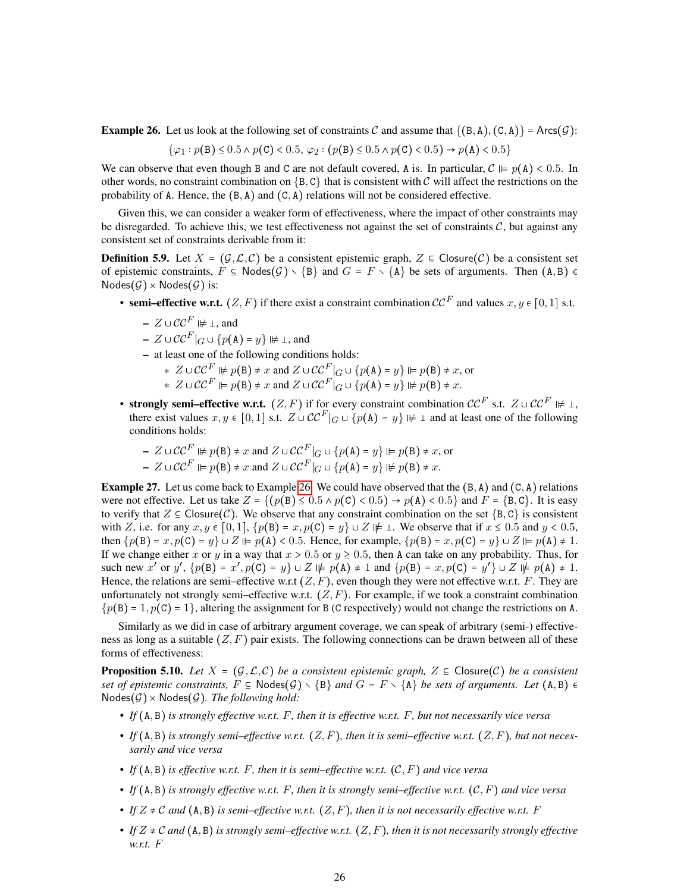<span id="page-25-0"></span>**Example 26.** Let us look at the following set of constraints C and assume that  $\{(B, A), (C, A)\}$  = Arcs $(G)$ :

$$
\{\varphi_1: p(\mathtt{B}) \le 0.5 \land p(\mathtt{C}) < 0.5, \varphi_2: (p(\mathtt{B}) \le 0.5 \land p(\mathtt{C}) < 0.5) \to p(\mathtt{A}) < 0.5\}
$$

We can observe that even though B and C are not default covered, A is. In particular,  $C \vDash p(A) < 0.5$ . In other words, no constraint combination on  $\{B, C\}$  that is consistent with C will affect the restrictions on the probability of A. Hence, the  $(B, A)$  and  $(C, A)$  relations will not be considered effective.

Given this, we can consider a weaker form of effectiveness, where the impact of other constraints may be disregarded. To achieve this, we test effectiveness not against the set of constraints  $\mathcal{C}$ , but against any consistent set of constraints derivable from it:

<span id="page-25-1"></span>**Definition 5.9.** Let  $X = (\mathcal{G}, \mathcal{L}, \mathcal{C})$  be a consistent epistemic graph,  $Z \subseteq \text{Closure}(\mathcal{C})$  be a consistent set of epistemic constraints,  $F \subseteq \text{Nodes}(\mathcal{G}) \setminus \{B\}$  and  $G = F \setminus \{A\}$  be sets of arguments. Then  $(A, B) \in$  $\mathsf{Nodes}(\mathcal{G}) \times \mathsf{Nodes}(\mathcal{G})$  is:

- semi–effective w.r.t.  $(Z, F)$  if there exist a constraint combination  $\mathcal{CC}^F$  and values  $x, y \in [0, 1]$  s.t.
	- $Z \cup \mathcal{CC}^F \not \Vdash \bot$ , and

$$
- Z \cup \mathcal{CC}^F|_G \cup \{p(\mathbf{A}) = y\} \not\models \bot, \text{ and}
$$

– at least one of the following conditions holds:

- \*  $Z \cup CC \subseteq F \nvDash p(B) \neq x$  and  $Z \cup CC \subseteq G$   $\cup \{p(A) = y\} \nvDash p(B) \neq x$ , or \*  $Z \cup \mathcal{CC}^F \vDash p(B) \neq x$  and  $Z \cup \mathcal{CC}^F|_G \cup \{p(A) = y\} \nvDash p(B) \neq x$ .
- strongly semi–effective w.r.t.  $(Z, F)$  if for every constraint combination  $\mathcal{CC}^F$  s.t.  $Z \cup \mathcal{CC}^F \Vdash \bot$ , there exist values  $x, y \in [0, 1]$  s.t.  $Z \cup \mathcal{CC}^F|_G \cup \{p(A) = y\} \not\models \bot$  and at least one of the following conditions holds:

- 
$$
Z \cup CC^F \nvDash p(B) \neq x
$$
 and  $Z \cup CC^F|_G \cup \{p(A) = y\} \nvDash p(B) \neq x$ , or  
\n-  $Z \cup CC^F \nvDash p(B) \neq x$  and  $Z \cup CC^F|_G \cup \{p(A) = y\} \nvDash p(B) \neq x$ .

<span id="page-25-2"></span>**Example 27.** Let us come back to Example [26.](#page-25-0) We could have observed that the  $(B, A)$  and  $(C, A)$  relations were not effective. Let us take  $Z = \{(p(B) \le 0.5 \land p(C) < 0.5) \rightarrow p(A) < 0.5\}$  and  $F = \{B, C\}$ . It is easy to verify that  $Z \subseteq \text{Closure}(\mathcal{C})$ . We observe that any constraint combination on the set  $\{B, C\}$  is consistent with Z, i.e. for any  $x, y \in [0, 1]$ ,  $\{p(B) = x, p(C) = y\} \cup Z \not\models \bot$ . We observe that if  $x \le 0.5$  and  $y < 0.5$ , then  $\{p(B) = x, p(C) = y\} \cup Z \vDash p(A) < 0.5$ . Hence, for example,  $\{p(B) = x, p(C) = y\} \cup Z \vDash p(A) \neq 1$ . If we change either x or y in a way that  $x > 0.5$  or  $y \ge 0.5$ , then A can take on any probability. Thus, for such new x' or y',  $\{p(B) = x', p(C) = y\} \cup Z \not\models p(A) \neq 1$  and  $\{p(B) = x, p(C) = y'\} \cup Z \not\models p(A) \neq 1$ . Hence, the relations are semi–effective w.r.t  $(Z, F)$ , even though they were not effective w.r.t. F. They are unfortunately not strongly semi–effective w.r.t.  $(Z, F)$ . For example, if we took a constraint combination  $p(B) = 1, p(C) = 1$ , altering the assignment for B (C respectively) would not change the restrictions on A.

Similarly as we did in case of arbitrary argument coverage, we can speak of arbitrary (semi-) effectiveness as long as a suitable  $(Z, F)$  pair exists. The following connections can be drawn between all of these forms of effectiveness:

**Proposition 5.10.** Let  $X = (G, \mathcal{L}, \mathcal{C})$  be a consistent epistemic graph,  $Z \subseteq \mathsf{Closure}(\mathcal{C})$  be a consistent *set of epistemic constraints,*  $F \subseteq \text{Nodes}(\mathcal{G}) \setminus \{B\}$  *and*  $G = F \setminus \{A\}$  *be sets of arguments. Let*  $(A, B) \in$  $Nodes(\mathcal{G}) \times Nodes(\mathcal{G})$ . The following hold:

- *• If* A, B *is strongly effective w.r.t.* F*, then it is effective w.r.t.* F*, but not necessarily vice versa*
- If  $(A, B)$  is strongly semi–effective w.r.t.  $(Z, F)$ , then it is semi–effective w.r.t.  $(Z, F)$ , but not neces*sarily and vice versa*
- If  $(A, B)$  *is effective w.r.t.* F, then it is semi–effective w.r.t.  $(C, F)$  and vice versa
- If  $(A, B)$  *is strongly effective w.r.t.* F, then *it is strongly semi–effective w.r.t.*  $(C, F)$  *and vice versa*
- If  $Z \neq C$  and  $(A, B)$  is semi–effective w.r.t.  $(Z, F)$ , then it is not necessarily effective w.r.t. F
- If  $Z \neq C$  and  $(A, B)$  *is strongly semi–effective w.r.t.*  $(Z, F)$ *, then it is not necessarily strongly effective w.r.t.* F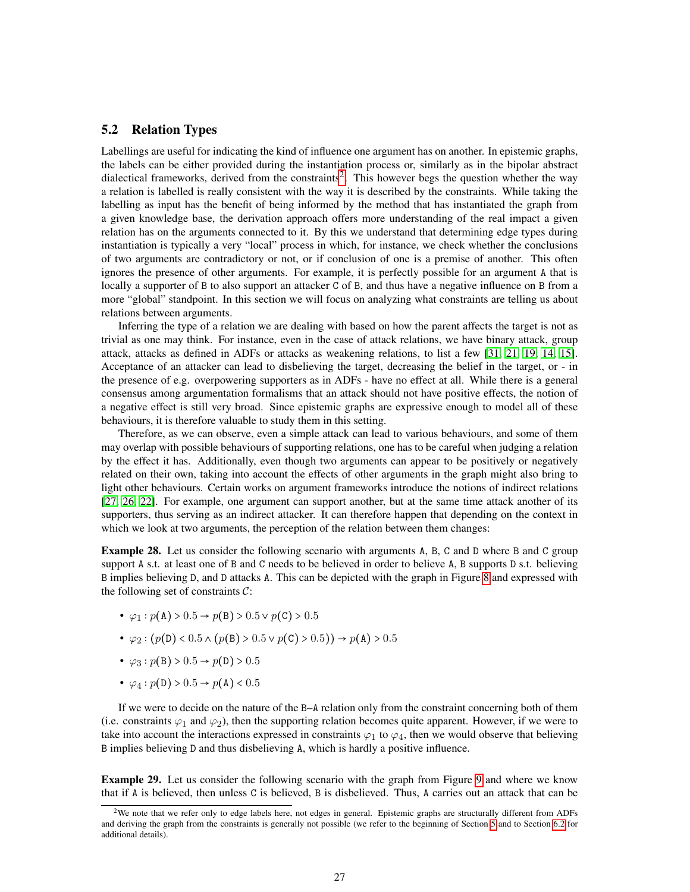### <span id="page-26-0"></span>5.2 Relation Types

Labellings are useful for indicating the kind of influence one argument has on another. In epistemic graphs, the labels can be either provided during the instantiation process or, similarly as in the bipolar abstract dialectical frameworks, derived from the constraints<sup>[2](#page-26-1)</sup>. This however begs the question whether the way a relation is labelled is really consistent with the way it is described by the constraints. While taking the labelling as input has the benefit of being informed by the method that has instantiated the graph from a given knowledge base, the derivation approach offers more understanding of the real impact a given relation has on the arguments connected to it. By this we understand that determining edge types during instantiation is typically a very "local" process in which, for instance, we check whether the conclusions of two arguments are contradictory or not, or if conclusion of one is a premise of another. This often ignores the presence of other arguments. For example, it is perfectly possible for an argument A that is locally a supporter of B to also support an attacker C of B, and thus have a negative influence on B from a more "global" standpoint. In this section we will focus on analyzing what constraints are telling us about relations between arguments.

Inferring the type of a relation we are dealing with based on how the parent affects the target is not as trivial as one may think. For instance, even in the case of attack relations, we have binary attack, group attack, attacks as defined in ADFs or attacks as weakening relations, to list a few [\[31,](#page-47-9) [21,](#page-47-3) [19,](#page-46-15) [14,](#page-46-12) [15\]](#page-46-2). Acceptance of an attacker can lead to disbelieving the target, decreasing the belief in the target, or - in the presence of e.g. overpowering supporters as in ADFs - have no effect at all. While there is a general consensus among argumentation formalisms that an attack should not have positive effects, the notion of a negative effect is still very broad. Since epistemic graphs are expressive enough to model all of these behaviours, it is therefore valuable to study them in this setting.

Therefore, as we can observe, even a simple attack can lead to various behaviours, and some of them may overlap with possible behaviours of supporting relations, one has to be careful when judging a relation by the effect it has. Additionally, even though two arguments can appear to be positively or negatively related on their own, taking into account the effects of other arguments in the graph might also bring to light other behaviours. Certain works on argument frameworks introduce the notions of indirect relations [\[27,](#page-47-12) [26,](#page-47-13) [22\]](#page-47-0). For example, one argument can support another, but at the same time attack another of its supporters, thus serving as an indirect attacker. It can therefore happen that depending on the context in which we look at two arguments, the perception of the relation between them changes:

<span id="page-26-2"></span>Example 28. Let us consider the following scenario with arguments A, B, C and D where B and C group support A s.t. at least one of B and C needs to be believed in order to believe A, B supports D s.t. believing B implies believing D, and D attacks A. This can be depicted with the graph in Figure [8](#page-27-0) and expressed with the following set of constraints  $C$ :

- $\varphi_1 : p(\mathbf{A}) > 0.5 \rightarrow p(\mathbf{B}) > 0.5 \vee p(\mathbf{C}) > 0.5$
- $\varphi_2 : (p(\texttt{D}) < 0.5 \land (p(\texttt{B}) > 0.5 \lor p(\texttt{C}) > 0.5)) \rightarrow p(\texttt{A}) > 0.5$
- $\varphi_3$  :  $p(B) > 0.5 \to p(D) > 0.5$
- $\varphi_4$  :  $p(\texttt{D}) > 0.5 \rightarrow p(\texttt{A}) < 0.5$

If we were to decide on the nature of the B–A relation only from the constraint concerning both of them (i.e. constraints  $\varphi_1$  and  $\varphi_2$ ), then the supporting relation becomes quite apparent. However, if we were to take into account the interactions expressed in constraints  $\varphi_1$  to  $\varphi_4$ , then we would observe that believing B implies believing D and thus disbelieving A, which is hardly a positive influence.

<span id="page-26-3"></span>Example 29. Let us consider the following scenario with the graph from Figure [9](#page-27-0) and where we know that if A is believed, then unless C is believed, B is disbelieved. Thus, A carries out an attack that can be

<span id="page-26-1"></span><sup>&</sup>lt;sup>2</sup>We note that we refer only to edge labels here, not edges in general. Epistemic graphs are structurally different from ADFs and deriving the graph from the constraints is generally not possible (we refer to the beginning of Section [5](#page-18-1) and to Section [6.2](#page-39-0) for additional details).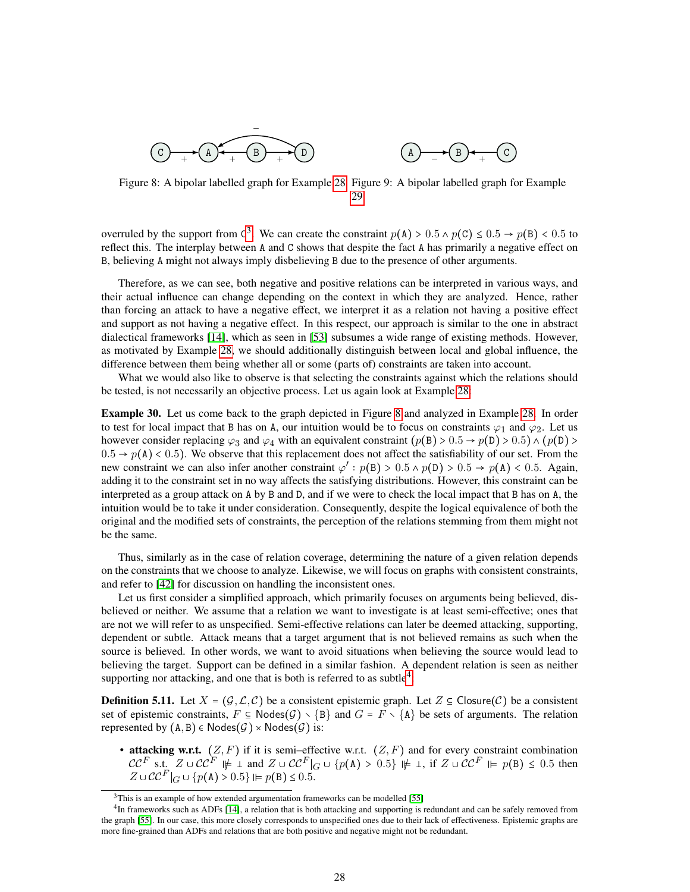<span id="page-27-0"></span>



Figure 8: A bipolar labelled graph for Example [28](#page-26-2) Figure 9: A bipolar labelled graph for Example [29](#page-26-3)

overruled by the support from C<sup>[3](#page-27-1)</sup>. We can create the constraint  $p(A) > 0.5 \land p(C) \le 0.5 \rightarrow p(B) < 0.5$  to reflect this. The interplay between A and C shows that despite the fact A has primarily a negative effect on B, believing A might not always imply disbelieving B due to the presence of other arguments.

Therefore, as we can see, both negative and positive relations can be interpreted in various ways, and their actual influence can change depending on the context in which they are analyzed. Hence, rather than forcing an attack to have a negative effect, we interpret it as a relation not having a positive effect and support as not having a negative effect. In this respect, our approach is similar to the one in abstract dialectical frameworks [\[14\]](#page-46-12), which as seen in [\[53\]](#page-48-0) subsumes a wide range of existing methods. However, as motivated by Example [28,](#page-26-2) we should additionally distinguish between local and global influence, the difference between them being whether all or some (parts of) constraints are taken into account.

What we would also like to observe is that selecting the constraints against which the relations should be tested, is not necessarily an objective process. Let us again look at Example [28:](#page-26-2)

Example 30. Let us come back to the graph depicted in Figure [8](#page-27-0) and analyzed in Example [28.](#page-26-2) In order to test for local impact that B has on A, our intuition would be to focus on constraints  $\varphi_1$  and  $\varphi_2$ . Let us however consider replacing  $\varphi_3$  and  $\varphi_4$  with an equivalent constraint  $(p(B) > 0.5 \rightarrow p(D) > 0.5) \land (p(D) > 0.5 \rightarrow p(D))$  $0.5 \rightarrow p(A) < 0.5$ . We observe that this replacement does not affect the satisfiability of our set. From the new constraint we can also infer another constraint  $\varphi' : p(B) > 0.5 \land p(D) > 0.5 \rightarrow p(A) < 0.5$ . Again, adding it to the constraint set in no way affects the satisfying distributions. However, this constraint can be interpreted as a group attack on A by B and D, and if we were to check the local impact that B has on A, the intuition would be to take it under consideration. Consequently, despite the logical equivalence of both the original and the modified sets of constraints, the perception of the relations stemming from them might not be the same.

Thus, similarly as in the case of relation coverage, determining the nature of a given relation depends on the constraints that we choose to analyze. Likewise, we will focus on graphs with consistent constraints, and refer to [\[42\]](#page-48-9) for discussion on handling the inconsistent ones.

Let us first consider a simplified approach, which primarily focuses on arguments being believed, disbelieved or neither. We assume that a relation we want to investigate is at least semi-effective; ones that are not we will refer to as unspecified. Semi-effective relations can later be deemed attacking, supporting, dependent or subtle. Attack means that a target argument that is not believed remains as such when the source is believed. In other words, we want to avoid situations when believing the source would lead to believing the target. Support can be defined in a similar fashion. A dependent relation is seen as neither supporting nor attacking, and one that is both is referred to as subtle<sup>[4](#page-27-2)</sup>:

<span id="page-27-3"></span>**Definition 5.11.** Let  $X = (G, \mathcal{L}, \mathcal{C})$  be a consistent epistemic graph. Let  $Z \subseteq \text{Closure}(\mathcal{C})$  be a consistent set of epistemic constraints,  $F \subseteq \text{Nodes}(\mathcal{G}) \setminus \{B\}$  and  $G = F \setminus \{A\}$  be sets of arguments. The relation represented by  $(A, B) \in \text{Nodes}(\mathcal{G}) \times \text{Nodes}(\mathcal{G})$  is:

• attacking w.r.t.  $(Z, F)$  if it is semi–effective w.r.t.  $(Z, F)$  and for every constraint combination  $CC^F$  s.t.  $Z \cup CC^F \not\models \bot$  and  $Z \cup CC^F|_G \cup \{p(A) > 0.5\} \not\models \bot$ , if  $Z \cup CC^F \not\models p(B) \le 0.5$  then  $Z \cup \mathcal{CC}^F|_G \cup \{p(\mathbf{A}) > 0.5\} \vDash p(\mathbf{B}) \leq 0.5.$ 

<span id="page-27-2"></span><span id="page-27-1"></span> $3$ This is an example of how extended argumentation frameworks can be modelled [\[55\]](#page-48-10)

<sup>&</sup>lt;sup>4</sup>In frameworks such as ADFs [\[14\]](#page-46-12), a relation that is both attacking and supporting is redundant and can be safely removed from the graph [\[55\]](#page-48-10). In our case, this more closely corresponds to unspecified ones due to their lack of effectiveness. Epistemic graphs are more fine-grained than ADFs and relations that are both positive and negative might not be redundant.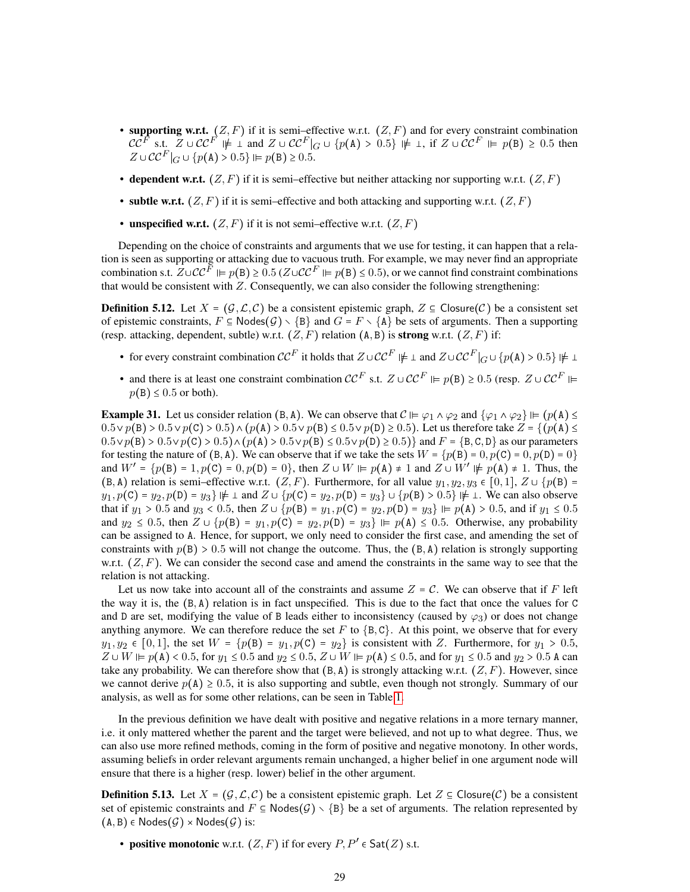- supporting w.r.t.  $(Z, F)$  if it is semi–effective w.r.t.  $(Z, F)$  and for every constraint combination  $\mathcal{CC}^{\overline{F}}$  s.t.  $\overline{Z} \cup \mathcal{CC}^{\overline{F}} \not\models \bot$  and  $Z \cup \mathcal{CC}^{\overline{F}}|_G \cup \{p(A) > 0.5\} \not\models \bot$ , if  $Z \cup \mathcal{CC}^{\overline{F}} \models p(B) \ge 0.5$  then  $Z \cup \mathcal{CC}^{F}|_G \cup \{p(\mathbf{A}) > 0.5\} \Vdash p(\mathbf{B}) \ge 0.5.$
- dependent w.r.t.  $(Z, F)$  if it is semi–effective but neither attacking nor supporting w.r.t.  $(Z, F)$
- subtle w.r.t.  $(Z, F)$  if it is semi–effective and both attacking and supporting w.r.t.  $(Z, F)$
- unspecified w.r.t.  $(Z, F)$  if it is not semi–effective w.r.t.  $(Z, F)$

Depending on the choice of constraints and arguments that we use for testing, it can happen that a relation is seen as supporting or attacking due to vacuous truth. For example, we may never find an appropriate combination s.t.  $Z\cup CC^F \models p(B) \ge 0.5$  ( $Z\cup CC^F \models p(B) \le 0.5$ ), or we cannot find constraint combinations that would be consistent with  $Z$ . Consequently, we can also consider the following strengthening:

**Definition 5.12.** Let  $X = (G, \mathcal{L}, \mathcal{C})$  be a consistent epistemic graph,  $Z \subseteq \text{Closure}(\mathcal{C})$  be a consistent set of epistemic constraints,  $F \subseteq \text{Nodes}(\mathcal{G}) \setminus \{B\}$  and  $G = F \setminus \{A\}$  be sets of arguments. Then a supporting (resp. attacking, dependent, subtle) w.r.t.  $(Z, F)$  relation  $(A, B)$  is strong w.r.t.  $(Z, F)$  if:

- for every constraint combination  $\mathcal{CC}^F$  it holds that  $Z \cup \mathcal{CC}^F \not\models \bot$  and  $Z \cup \mathcal{CC}^F|_G \cup \{p(A) > 0.5\} \not\models \bot$
- and there is at least one constraint combination  $CC^F$  s.t.  $Z \cup CC^F \models p(B) \ge 0.5$  (resp.  $Z \cup CC^F \models$  $p(B) \le 0.5$  or both).

<span id="page-28-0"></span>**Example 31.** Let us consider relation  $(B, A)$ . We can observe that  $C \vDash \varphi_1 \wedge \varphi_2$  and  $\{\varphi_1 \wedge \varphi_2\} \vDash (p(A) \leq$  $0.5 \vee p(B) > 0.5 \vee p(C) > 0.5 \wedge (p(A) > 0.5 \vee p(B) \le 0.5 \vee p(D) \ge 0.5)$ . Let us therefore take  $Z = \{(p(A) \le 0.5 \vee p(B) \le 0.5 \vee p(B) \le 0.5\})$  $0.5 \vee p(B) > 0.5 \vee p(C) > 0.5 \wedge (p(A) > 0.5 \vee p(B) \le 0.5 \vee p(D) \ge 0.5)$  and  $F = \{B, C, D\}$  as our parameters for testing the nature of  $(B, A)$ . We can observe that if we take the sets  $W = \{p(B) = 0, p(C) = 0, p(D) = 0\}$ and  $W' = \{p(B) = 1, p(C) = 0, p(D) = 0\}$ , then  $Z \cup W \vDash p(A) \neq 1$  and  $Z \cup W' \nvDash p(A) \neq 1$ . Thus, the  $(B, A)$  relation is semi–effective w.r.t.  $(Z, F)$ . Furthermore, for all value  $y_1, y_2, y_3 \in [0, 1], Z \cup \{p(B) = 0\}$  $y_1, p(C) = y_2, p(D) = y_3 \} \not\models \bot$  and  $Z \cup \{p(C) = y_2, p(D) = y_3\} \cup \{p(B) > 0.5\} \not\models \bot$ . We can also observe that if  $y_1 > 0.5$  and  $y_3 < 0.5$ , then  $Z \cup \{p(B) = y_1, p(C) = y_2, p(D) = y_3\} \vDash p(A) > 0.5$ , and if  $y_1 \le 0.5$ and  $y_2 \le 0.5$ , then  $Z \cup \{p(B) = y_1, p(C) = y_2, p(D) = y_3\}$   $\Vdash p(A) \le 0.5$ . Otherwise, any probability can be assigned to A. Hence, for support, we only need to consider the first case, and amending the set of constraints with  $p(B) > 0.5$  will not change the outcome. Thus, the  $(B, A)$  relation is strongly supporting w.r.t.  $(Z, F)$ . We can consider the second case and amend the constraints in the same way to see that the relation is not attacking.

Let us now take into account all of the constraints and assume  $Z = C$ . We can observe that if F left the way it is, the  $(B, A)$  relation is in fact unspecified. This is due to the fact that once the values for C and D are set, modifying the value of B leads either to inconsistency (caused by  $\varphi_3$ ) or does not change anything anymore. We can therefore reduce the set F to  ${B, C}$ . At this point, we observe that for every  $y_1, y_2 \in [0, 1]$ , the set  $W = \{p(\texttt{B}) = y_1, p(\texttt{C}) = y_2\}$  is consistent with Z. Furthermore, for  $y_1 > 0.5$ ,  $Z \cup W \models p(A) < 0.5$ , for  $y_1 \le 0.5$  and  $y_2 \le 0.5$ ,  $Z \cup W \models p(A) \le 0.5$ , and for  $y_1 \le 0.5$  and  $y_2 > 0.5$  A can take any probability. We can therefore show that  $(B, A)$  is strongly attacking w.r.t.  $(Z, F)$ . However, since we cannot derive  $p(A) \ge 0.5$ , it is also supporting and subtle, even though not strongly. Summary of our analysis, as well as for some other relations, can be seen in Table [1.](#page-29-0)

In the previous definition we have dealt with positive and negative relations in a more ternary manner, i.e. it only mattered whether the parent and the target were believed, and not up to what degree. Thus, we can also use more refined methods, coming in the form of positive and negative monotony. In other words, assuming beliefs in order relevant arguments remain unchanged, a higher belief in one argument node will ensure that there is a higher (resp. lower) belief in the other argument.

**Definition 5.13.** Let  $X = (G, \mathcal{L}, \mathcal{C})$  be a consistent epistemic graph. Let  $Z \subseteq \text{Closure}(\mathcal{C})$  be a consistent set of epistemic constraints and  $F \subseteq \text{Nodes}(G) \setminus \{B\}$  be a set of arguments. The relation represented by  $(A, B) \in \text{Nodes}(\mathcal{G}) \times \text{Nodes}(\mathcal{G})$  is:

• positive monotonic w.r.t.  $(Z, F)$  if for every  $P, P' \in \mathsf{Sat}(Z)$  s.t.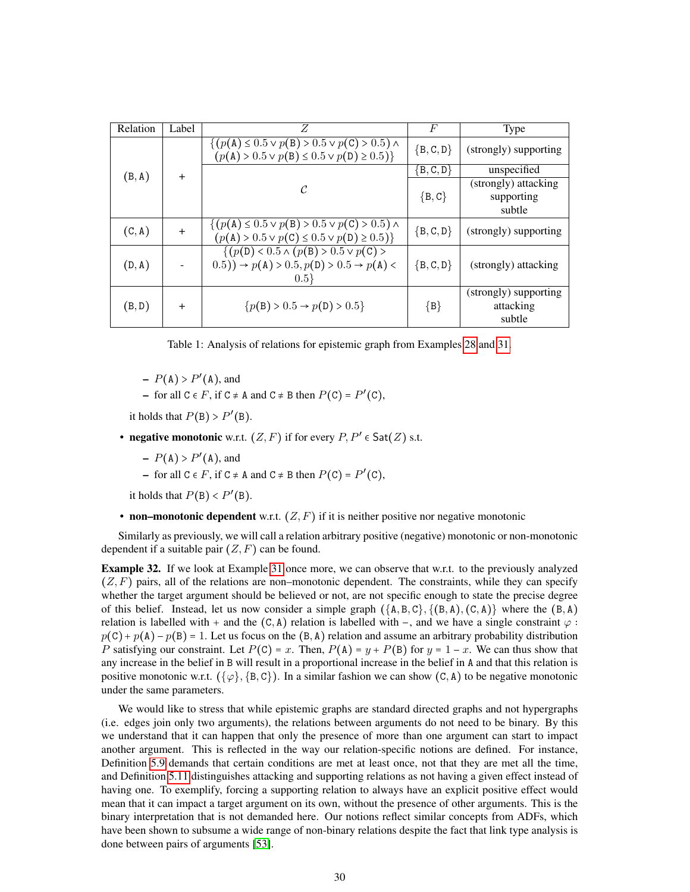<span id="page-29-0"></span>

| Relation | Label | Z                                                                                                               | F             | <b>Type</b>                                                                                          |  |  |
|----------|-------|-----------------------------------------------------------------------------------------------------------------|---------------|------------------------------------------------------------------------------------------------------|--|--|
|          |       | $\{(p(A) \le 0.5 \vee p(B) > 0.5 \vee p(C) > 0.5) \wedge$<br>$(p(A) > 0.5 \vee p(B) \le 0.5 \vee p(D) \ge 0.5)$ | ${B, C, D}$   | (strongly) supporting                                                                                |  |  |
| (B, A)   | $+$   |                                                                                                                 | $\{B, C, D\}$ | unspecified                                                                                          |  |  |
|          |       | C                                                                                                               |               | (strongly) attacking                                                                                 |  |  |
|          |       |                                                                                                                 | $\{B, C\}$    | supporting                                                                                           |  |  |
|          |       |                                                                                                                 |               | subtle                                                                                               |  |  |
| (C, A)   | $+$   | $\{(p(A) \leq 0.5 \vee p(B) > 0.5 \vee p(C) > 0.5) \wedge$                                                      | ${B, C, D}$   | (strongly) supporting                                                                                |  |  |
|          |       | $(p(A) > 0.5 \vee p(C) \le 0.5 \vee p(D) \ge 0.5)$                                                              |               |                                                                                                      |  |  |
|          |       |                                                                                                                 |               | $\{(p(\texttt{D}) < 0.5 \land (p(\texttt{B}) > 0.5 \lor p(\texttt{C}) > 0.5 \land (p(\texttt{A}))\}$ |  |  |
| (D, A)   |       | $(0.5)) \rightarrow p(A) > 0.5, p(D) > 0.5 \rightarrow p(A)$                                                    | ${B, C, D}$   | (strongly) attacking                                                                                 |  |  |
|          |       | $0.5\}$                                                                                                         |               |                                                                                                      |  |  |
|          |       |                                                                                                                 |               | (strongly) supporting                                                                                |  |  |
| (B,D)    | $+$   | ${p(B) > 0.5 \rightarrow p(D) > 0.5}$                                                                           | ${B}$         | attacking                                                                                            |  |  |
|          |       |                                                                                                                 |               | subtle                                                                                               |  |  |

Table 1: Analysis of relations for epistemic graph from Examples [28](#page-26-2) and [31.](#page-28-0)

 $-P(A) > P'(A)$ , and

- for all  $C \in F$ , if  $C \neq A$  and  $C \neq B$  then  $P(C) = P'(C)$ ,

it holds that  $P(B) > P'(B)$ .

- negative monotonic w.r.t.  $(Z, F)$  if for every  $P, P' \in \mathsf{Sat}(Z)$  s.t.
	- $-P(A) > P'(A)$ , and

- for all  $C \in F$ , if  $C \neq A$  and  $C \neq B$  then  $P(C) = P'(C)$ ,

it holds that  $P(B) < P'(B)$ .

• non–monotonic dependent w.r.t.  $(Z, F)$  if it is neither positive nor negative monotonic

Similarly as previously, we will call a relation arbitrary positive (negative) monotonic or non-monotonic dependent if a suitable pair  $(Z, F)$  can be found.

<span id="page-29-1"></span>Example 32. If we look at Example [31](#page-28-0) once more, we can observe that w.r.t. to the previously analyzed  $(Z, F)$  pairs, all of the relations are non–monotonic dependent. The constraints, while they can specify whether the target argument should be believed or not, are not specific enough to state the precise degree of this belief. Instead, let us now consider a simple graph  $({A, B, C}, ({B, A}), (C, A)$  where the  $(B, A)$ relation is labelled with + and the  $(C, A)$  relation is labelled with -, and we have a single constraint  $\varphi$ :  $p(C) + p(A) - p(B) = 1$ . Let us focus on the  $(B, A)$  relation and assume an arbitrary probability distribution P satisfying our constraint. Let  $P(C) = x$ . Then,  $P(A) = y + P(B)$  for  $y = 1 - x$ . We can thus show that any increase in the belief in B will result in a proportional increase in the belief in A and that this relation is positive monotonic w.r.t.  $({\varphi}, {\{B, C\}})$ . In a similar fashion we can show  $(C, A)$  to be negative monotonic under the same parameters.

We would like to stress that while epistemic graphs are standard directed graphs and not hypergraphs (i.e. edges join only two arguments), the relations between arguments do not need to be binary. By this we understand that it can happen that only the presence of more than one argument can start to impact another argument. This is reflected in the way our relation-specific notions are defined. For instance, Definition [5.9](#page-25-1) demands that certain conditions are met at least once, not that they are met all the time, and Definition [5.11](#page-27-3) distinguishes attacking and supporting relations as not having a given effect instead of having one. To exemplify, forcing a supporting relation to always have an explicit positive effect would mean that it can impact a target argument on its own, without the presence of other arguments. This is the binary interpretation that is not demanded here. Our notions reflect similar concepts from ADFs, which have been shown to subsume a wide range of non-binary relations despite the fact that link type analysis is done between pairs of arguments [\[53\]](#page-48-0).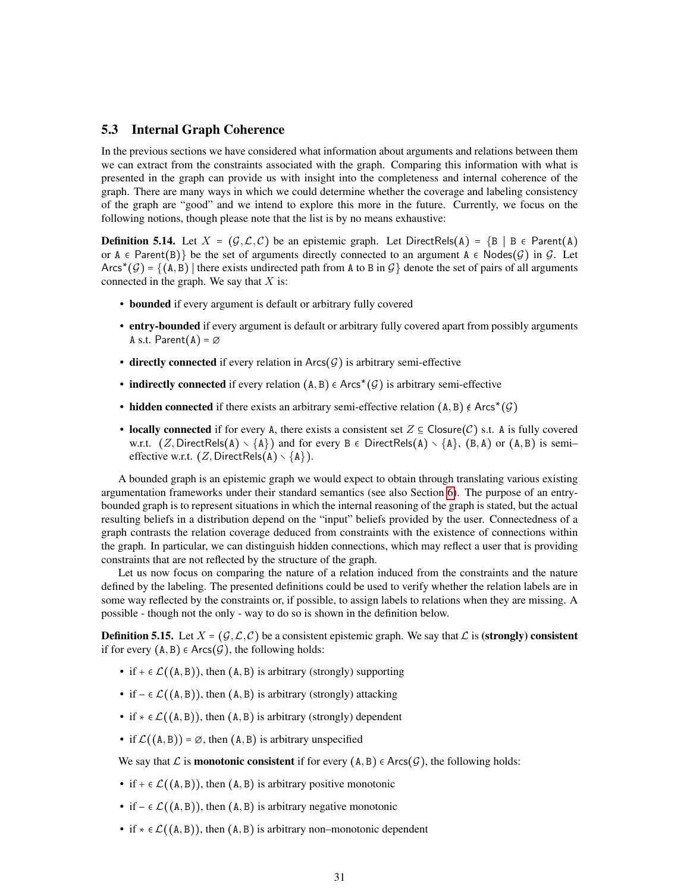# <span id="page-30-0"></span>5.3 Internal Graph Coherence

In the previous sections we have considered what information about arguments and relations between them we can extract from the constraints associated with the graph. Comparing this information with what is presented in the graph can provide us with insight into the completeness and internal coherence of the graph. There are many ways in which we could determine whether the coverage and labeling consistency of the graph are "good" and we intend to explore this more in the future. Currently, we focus on the following notions, though please note that the list is by no means exhaustive:

**Definition 5.14.** Let  $X = (\mathcal{G}, \mathcal{L}, \mathcal{C})$  be an epistemic graph. Let DirectRels(A) =  $\{B \mid B \in \text{Parent}(A)\}\$ or  $A \in Parent(B)$  be the set of arguments directly connected to an argument  $A \in Nodes(G)$  in G. Let Arcs<sup>\*</sup> (G) = {(A, B) | there exists undirected path from A to B in G} denote the set of pairs of all arguments connected in the graph. We say that  $X$  is:

- bounded if every argument is default or arbitrary fully covered
- entry-bounded if every argument is default or arbitrary fully covered apart from possibly arguments A s.t. Parent $(A) = \emptyset$
- directly connected if every relation in  $\text{Arcs}(\mathcal{G})$  is arbitrary semi-effective
- indirectly connected if every relation  $(A, B) \in Arcs^*(\mathcal{G})$  is arbitrary semi-effective
- hidden connected if there exists an arbitrary semi-effective relation  $(A, B) \notin Arcs^*(G)$
- locally connected if for every A, there exists a consistent set  $Z \subseteq \mathsf{Closure}(\mathcal{C})$  s.t. A is fully covered w.r.t.  $(Z, \text{DirectRels}(A) \setminus \{A\})$  and for every  $B \in \text{DirectRels}(A) \setminus \{A\}$ ,  $(B, A)$  or  $(A, B)$  is semi– effective w.r.t.  $(Z, DirectRels(A) \setminus \{A\})$ .

A bounded graph is an epistemic graph we would expect to obtain through translating various existing argumentation frameworks under their standard semantics (see also Section [6\)](#page-37-0). The purpose of an entrybounded graph is to represent situations in which the internal reasoning of the graph is stated, but the actual resulting beliefs in a distribution depend on the "input" beliefs provided by the user. Connectedness of a graph contrasts the relation coverage deduced from constraints with the existence of connections within the graph. In particular, we can distinguish hidden connections, which may reflect a user that is providing constraints that are not reflected by the structure of the graph.

Let us now focus on comparing the nature of a relation induced from the constraints and the nature defined by the labeling. The presented definitions could be used to verify whether the relation labels are in some way reflected by the constraints or, if possible, to assign labels to relations when they are missing. A possible - though not the only - way to do so is shown in the definition below.

**Definition 5.15.** Let  $X = (G, \mathcal{L}, \mathcal{C})$  be a consistent epistemic graph. We say that  $\mathcal{L}$  is (strongly) consistent if for every  $(A, B) \in Arcs(\mathcal{G})$ , the following holds:

- if  $+ \in \mathcal{L}((A, B))$ , then  $(A, B)$  is arbitrary (strongly) supporting
- if  $\in \mathcal{L}((A, B))$ , then  $(A, B)$  is arbitrary (strongly) attacking
- if  $* \in \mathcal{L}((A, B))$ , then  $(A, B)$  is arbitrary (strongly) dependent
- if  $\mathcal{L}((A, B)) = \emptyset$ , then  $(A, B)$  is arbitrary unspecified

We say that  $\mathcal L$  is **monotonic consistent** if for every  $(A, B) \in Arcs(\mathcal G)$ , the following holds:

- if  $+ \in \mathcal{L}((A, B))$ , then  $(A, B)$  is arbitrary positive monotonic
- if  $\in \mathcal{L}((A, B))$ , then  $(A, B)$  is arbitrary negative monotonic
- if  $* \in \mathcal{L}((A, B))$ , then  $(A, B)$  is arbitrary non–monotonic dependent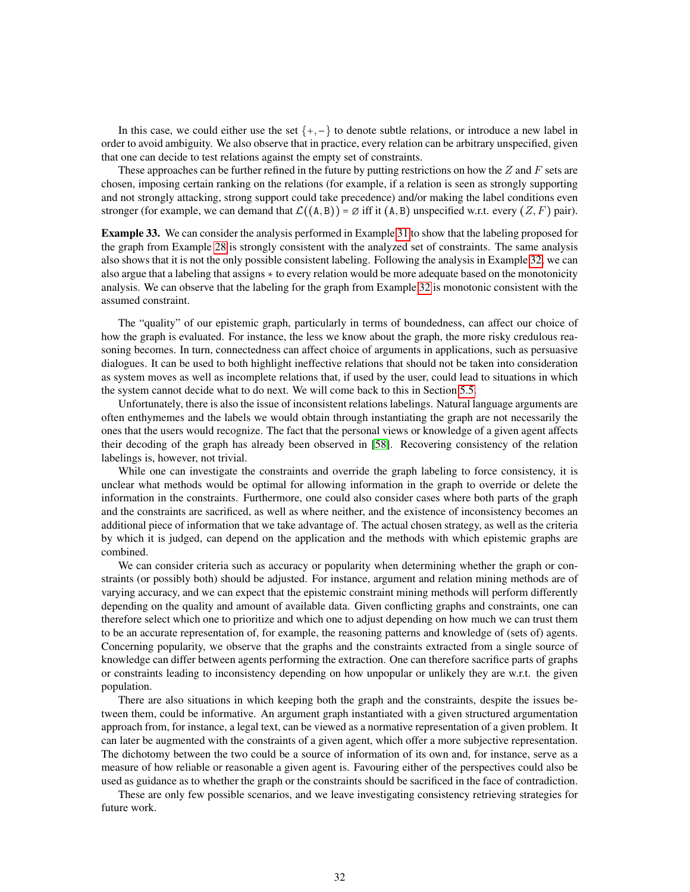In this case, we could either use the set  $\{+, -\}$  to denote subtle relations, or introduce a new label in order to avoid ambiguity. We also observe that in practice, every relation can be arbitrary unspecified, given that one can decide to test relations against the empty set of constraints.

These approaches can be further refined in the future by putting restrictions on how the  $Z$  and  $F$  sets are chosen, imposing certain ranking on the relations (for example, if a relation is seen as strongly supporting and not strongly attacking, strong support could take precedence) and/or making the label conditions even stronger (for example, we can demand that  $\mathcal{L}((A, B)) = \emptyset$  iff it  $(A, B)$  unspecified w.r.t. every  $(Z, F)$  pair).

Example 33. We can consider the analysis performed in Example [31](#page-28-0) to show that the labeling proposed for the graph from Example [28](#page-26-2) is strongly consistent with the analyzed set of constraints. The same analysis also shows that it is not the only possible consistent labeling. Following the analysis in Example [32,](#page-29-1) we can also argue that a labeling that assigns  $*$  to every relation would be more adequate based on the monotonicity analysis. We can observe that the labeling for the graph from Example [32](#page-29-1) is monotonic consistent with the assumed constraint.

The "quality" of our epistemic graph, particularly in terms of boundedness, can affect our choice of how the graph is evaluated. For instance, the less we know about the graph, the more risky credulous reasoning becomes. In turn, connectedness can affect choice of arguments in applications, such as persuasive dialogues. It can be used to both highlight ineffective relations that should not be taken into consideration as system moves as well as incomplete relations that, if used by the user, could lead to situations in which the system cannot decide what to do next. We will come back to this in Section [5.5.](#page-34-0)

Unfortunately, there is also the issue of inconsistent relations labelings. Natural language arguments are often enthymemes and the labels we would obtain through instantiating the graph are not necessarily the ones that the users would recognize. The fact that the personal views or knowledge of a given agent affects their decoding of the graph has already been observed in [\[58\]](#page-49-1). Recovering consistency of the relation labelings is, however, not trivial.

While one can investigate the constraints and override the graph labeling to force consistency, it is unclear what methods would be optimal for allowing information in the graph to override or delete the information in the constraints. Furthermore, one could also consider cases where both parts of the graph and the constraints are sacrificed, as well as where neither, and the existence of inconsistency becomes an additional piece of information that we take advantage of. The actual chosen strategy, as well as the criteria by which it is judged, can depend on the application and the methods with which epistemic graphs are combined.

We can consider criteria such as accuracy or popularity when determining whether the graph or constraints (or possibly both) should be adjusted. For instance, argument and relation mining methods are of varying accuracy, and we can expect that the epistemic constraint mining methods will perform differently depending on the quality and amount of available data. Given conflicting graphs and constraints, one can therefore select which one to prioritize and which one to adjust depending on how much we can trust them to be an accurate representation of, for example, the reasoning patterns and knowledge of (sets of) agents. Concerning popularity, we observe that the graphs and the constraints extracted from a single source of knowledge can differ between agents performing the extraction. One can therefore sacrifice parts of graphs or constraints leading to inconsistency depending on how unpopular or unlikely they are w.r.t. the given population.

There are also situations in which keeping both the graph and the constraints, despite the issues between them, could be informative. An argument graph instantiated with a given structured argumentation approach from, for instance, a legal text, can be viewed as a normative representation of a given problem. It can later be augmented with the constraints of a given agent, which offer a more subjective representation. The dichotomy between the two could be a source of information of its own and, for instance, serve as a measure of how reliable or reasonable a given agent is. Favouring either of the perspectives could also be used as guidance as to whether the graph or the constraints should be sacrificed in the face of contradiction.

These are only few possible scenarios, and we leave investigating consistency retrieving strategies for future work.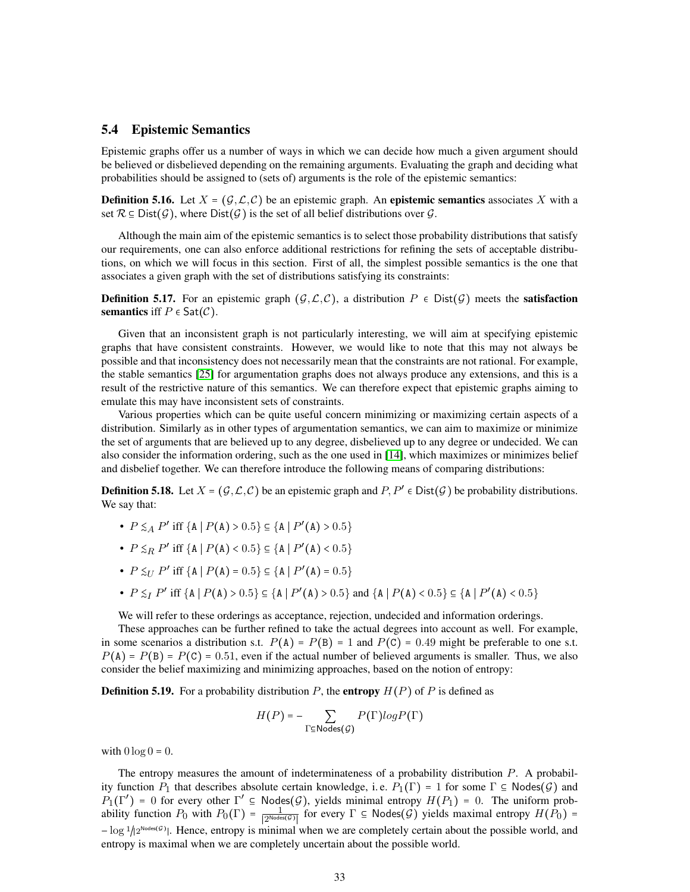# <span id="page-32-0"></span>5.4 Epistemic Semantics

Epistemic graphs offer us a number of ways in which we can decide how much a given argument should be believed or disbelieved depending on the remaining arguments. Evaluating the graph and deciding what probabilities should be assigned to (sets of) arguments is the role of the epistemic semantics:

**Definition 5.16.** Let  $X = (G, \mathcal{L}, \mathcal{C})$  be an epistemic graph. An **epistemic semantics** associates X with a set  $\mathcal{R} \subseteq \text{Dist}(\mathcal{G})$ , where  $\text{Dist}(\mathcal{G})$  is the set of all belief distributions over  $\mathcal{G}$ .

Although the main aim of the epistemic semantics is to select those probability distributions that satisfy our requirements, one can also enforce additional restrictions for refining the sets of acceptable distributions, on which we will focus in this section. First of all, the simplest possible semantics is the one that associates a given graph with the set of distributions satisfying its constraints:

**Definition 5.17.** For an epistemic graph  $(\mathcal{G}, \mathcal{L}, \mathcal{C})$ , a distribution  $P \in \text{Dist}(\mathcal{G})$  meets the **satisfaction** semantics iff  $P \in \mathsf{Sat}(\mathcal{C})$ .

Given that an inconsistent graph is not particularly interesting, we will aim at specifying epistemic graphs that have consistent constraints. However, we would like to note that this may not always be possible and that inconsistency does not necessarily mean that the constraints are not rational. For example, the stable semantics [\[25\]](#page-47-14) for argumentation graphs does not always produce any extensions, and this is a result of the restrictive nature of this semantics. We can therefore expect that epistemic graphs aiming to emulate this may have inconsistent sets of constraints.

Various properties which can be quite useful concern minimizing or maximizing certain aspects of a distribution. Similarly as in other types of argumentation semantics, we can aim to maximize or minimize the set of arguments that are believed up to any degree, disbelieved up to any degree or undecided. We can also consider the information ordering, such as the one used in [\[14\]](#page-46-12), which maximizes or minimizes belief and disbelief together. We can therefore introduce the following means of comparing distributions:

**Definition 5.18.** Let  $X = (G, \mathcal{L}, C)$  be an epistemic graph and  $P, P' \in Dist(G)$  be probability distributions. We say that:

- $P \leq_A P'$  iff  $\{A \mid P(A) > 0.5\} \subseteq \{A \mid P'(A) > 0.5\}$
- $P \leq_R P'$  iff  $\{A \mid P(A) < 0.5\} \subseteq \{A \mid P'(A) < 0.5\}$
- $P \leq_{U} P'$  iff  $\{A \mid P(A) = 0.5\} \subseteq \{A \mid P'(A) = 0.5\}$
- $P \leq_I P'$  iff  $\{A \mid P(A) > 0.5\} \subseteq \{A \mid P'(A) > 0.5\}$  and  $\{A \mid P(A) < 0.5\} \subseteq \{A \mid P'(A) < 0.5\}$

We will refer to these orderings as acceptance, rejection, undecided and information orderings.

These approaches can be further refined to take the actual degrees into account as well. For example, in some scenarios a distribution s.t.  $P(A) = P(B) = 1$  and  $P(C) = 0.49$  might be preferable to one s.t.  $P(A) = P(B) = P(C) = 0.51$ , even if the actual number of believed arguments is smaller. Thus, we also consider the belief maximizing and minimizing approaches, based on the notion of entropy:

**Definition 5.19.** For a probability distribution P, the **entropy**  $H(P)$  of P is defined as

$$
H(P) = -\sum_{\Gamma \subseteq \text{Nodes}(\mathcal{G})} P(\Gamma) log P(\Gamma)
$$

with  $0 \log 0 = 0$ .

The entropy measures the amount of indeterminateness of a probability distribution P. A probability function  $P_1$  that describes absolute certain knowledge, i.e.  $P_1(\Gamma) = 1$  for some  $\Gamma \subseteq \text{Nodes}(\mathcal{G})$  and  $P_1(\Gamma') = 0$  for every other  $\Gamma' \subseteq \text{Nodes}(\mathcal{G})$ , yields minimal entropy  $H(P_1) = 0$ . The uniform probability function  $P_0$  with  $P_0(\Gamma) = \frac{1}{|\mathcal{D}^{Node}|}$  $\frac{1}{\sqrt{2^{\text{Nodes}(\mathcal{G})}}\sqrt{2^{\text{Nodes}(\mathcal{G})}}\sqrt{2}}$  for every  $\Gamma \subseteq \text{Nodes}(\mathcal{G})$  yields maximal entropy  $H(P_0) =$  $-\log 1/2^{\text{Nodes}(\mathcal{G})}$ . Hence, entropy is minimal when we are completely certain about the possible world, and entropy is maximal when we are completely uncertain about the possible world.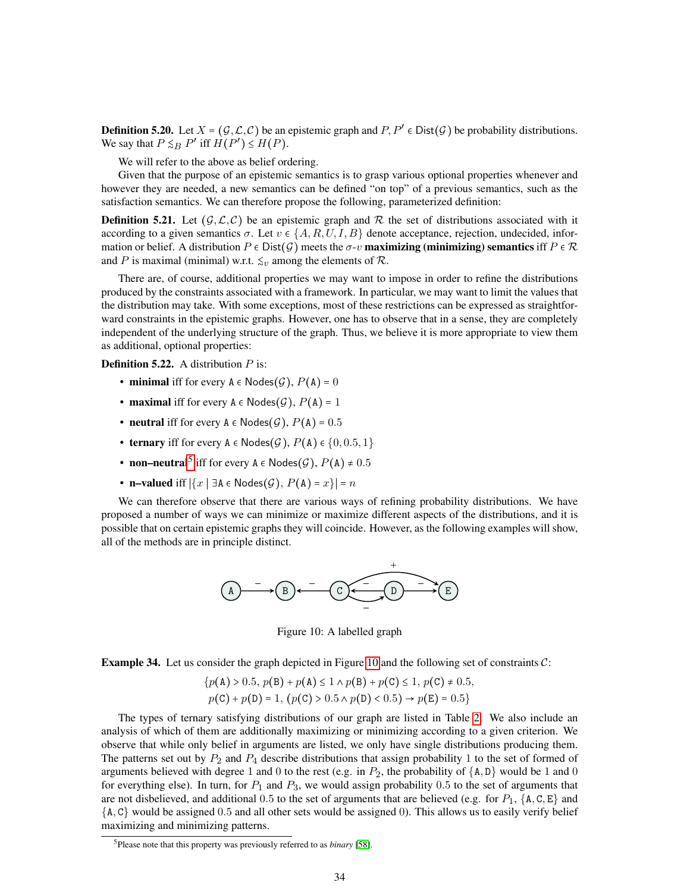**Definition 5.20.** Let  $X = (G, \mathcal{L}, C)$  be an epistemic graph and  $P, P' \in Dist(G)$  be probability distributions. We say that  $P \leq_B P'$  iff  $H(P') \leq H(P)$ .

We will refer to the above as belief ordering.

Given that the purpose of an epistemic semantics is to grasp various optional properties whenever and however they are needed, a new semantics can be defined "on top" of a previous semantics, such as the satisfaction semantics. We can therefore propose the following, parameterized definition:

**Definition 5.21.** Let  $(G, \mathcal{L}, C)$  be an epistemic graph and R the set of distributions associated with it according to a given semantics  $\sigma$ . Let  $v \in \{A, R, U, I, B\}$  denote acceptance, rejection, undecided, information or belief. A distribution  $P \in \text{Dist}(\mathcal{G})$  meets the  $\sigma$ -v **maximizing (minimizing) semantics** iff  $P \in \mathcal{R}$ and P is maximal (minimal) w.r.t.  $\leq_v$  among the elements of R.

There are, of course, additional properties we may want to impose in order to refine the distributions produced by the constraints associated with a framework. In particular, we may want to limit the values that the distribution may take. With some exceptions, most of these restrictions can be expressed as straightforward constraints in the epistemic graphs. However, one has to observe that in a sense, they are completely independent of the underlying structure of the graph. Thus, we believe it is more appropriate to view them as additional, optional properties:

**Definition 5.22.** A distribution  $P$  is:

- minimal iff for every  $A \in \text{Nodes}(\mathcal{G}), P(A) = 0$
- maximal iff for every  $A \in \text{Nodes}(\mathcal{G}), P(A) = 1$
- neutral iff for every  $A \in \text{Nodes}(\mathcal{G})$ ,  $P(A) = 0.5$
- ternary iff for every  $A \in \text{Nodes}(\mathcal{G}), P(A) \in \{0, 0.5, 1\}$
- non–neutral<sup>[5](#page-33-0)</sup> iff for every  $A \in \text{Nodes}(\mathcal{G}), P(A) \neq 0.5$
- n–valued iff  $|\{x \mid \exists A \in \mathsf{Nodes}(\mathcal{G}), P(A) = x\}| = n$

<span id="page-33-1"></span>We can therefore observe that there are various ways of refining probability distributions. We have proposed a number of ways we can minimize or maximize different aspects of the distributions, and it is possible that on certain epistemic graphs they will coincide. However, as the following examples will show, all of the methods are in principle distinct.



Figure 10: A labelled graph

<span id="page-33-2"></span>**Example 34.** Let us consider the graph depicted in Figure [10](#page-33-1) and the following set of constraints  $C$ :

$$
\{p(\mathbf{A}) > 0.5, p(\mathbf{B}) + p(\mathbf{A}) \le 1 \land p(\mathbf{B}) + p(\mathbf{C}) \le 1, p(\mathbf{C}) \ne 0.5, \newline p(\mathbf{C}) + p(\mathbf{D}) = 1, (p(\mathbf{C}) > 0.5 \land p(\mathbf{D}) < 0.5) \rightarrow p(\mathbf{E}) = 0.5\}
$$

The types of ternary satisfying distributions of our graph are listed in Table [2.](#page-34-1) We also include an analysis of which of them are additionally maximizing or minimizing according to a given criterion. We observe that while only belief in arguments are listed, we only have single distributions producing them. The patterns set out by  $P_2$  and  $P_4$  describe distributions that assign probability 1 to the set of formed of arguments believed with degree 1 and 0 to the rest (e.g. in  $P_2$ , the probability of  $\{A, D\}$  would be 1 and 0 for everything else). In turn, for  $P_1$  and  $P_3$ , we would assign probability 0.5 to the set of arguments that are not disbelieved, and additional 0.5 to the set of arguments that are believed (e.g. for  $P_1$ , {A, C, E} and  ${A, C}$  would be assigned 0.5 and all other sets would be assigned 0). This allows us to easily verify belief maximizing and minimizing patterns.

<span id="page-33-0"></span><sup>5</sup>Please note that this property was previously referred to as *binary* [\[58\]](#page-49-1).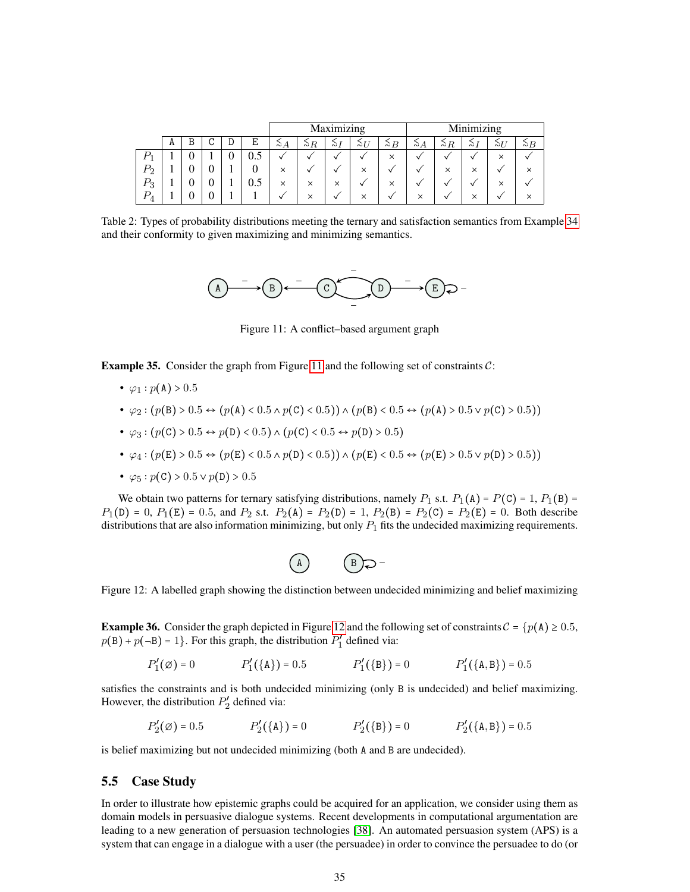<span id="page-34-1"></span>

|                    |   |   |     | Maximizing |             |          |             |             |          | Minimizing  |          |          |                |
|--------------------|---|---|-----|------------|-------------|----------|-------------|-------------|----------|-------------|----------|----------|----------------|
|                    | A | U | Ε   | $\sim_A$   | $\gtrsim_R$ | $\sim$ 1 | $\gtrsim_L$ | $\gtrsim_B$ | $\sim A$ | $\gtrsim$ R | $\sim$ 1 | $\sim$ U | $\sim$ $\beta$ |
|                    |   |   | U.J |            |             |          |             | $\times$    |          |             |          | $\times$ | v              |
| $\scriptstyle P_2$ |   | υ | υ   | $\times$   |             |          | $\times$    |             |          | $\times$    | ×        |          | $\times$       |
| $P_3$              |   | υ | 0.5 | $\times$   | $\times$    | $\times$ |             | $\times$    |          |             |          | ×        |                |
| D                  |   |   |     |            | $\times$    | v        | $\times$    |             | $\times$ |             | $\times$ |          | $\times$       |

<span id="page-34-2"></span>Table 2: Types of probability distributions meeting the ternary and satisfaction semantics from Example [34](#page-33-2) and their conformity to given maximizing and minimizing semantics.



Figure 11: A conflict–based argument graph

**Example 35.** Consider the graph from Figure [11](#page-34-2) and the following set of constraints  $C$ :

- $\varphi_1 : p(A) > 0.5$
- $\varphi_2 : (p(B) > 0.5 \leftrightarrow (p(A) < 0.5 \land p(C) < 0.5)) \land (p(B) < 0.5 \leftrightarrow (p(A) > 0.5 \lor p(C) > 0.5))$
- $\varphi_3 : (p(\mathbb{C}) > 0.5 \leftrightarrow p(\mathbb{D}) < 0.5) \land (p(\mathbb{C}) < 0.5 \leftrightarrow p(\mathbb{D}) > 0.5)$
- $\varphi_4 : (p(E) > 0.5 \leftrightarrow (p(E) < 0.5 \land p(D) < 0.5)) \land (p(E) < 0.5 \leftrightarrow (p(E) > 0.5 \lor p(D) > 0.5))$
- $\varphi_5 : p(\mathsf{C}) > 0.5 \vee p(\mathsf{D}) > 0.5$

We obtain two patterns for ternary satisfying distributions, namely  $P_1$  s.t.  $P_1(A) = P(C) = 1$ ,  $P_1(B) =$  $P_1(D) = 0$ ,  $P_1(E) = 0.5$ , and  $P_2$  s.t.  $P_2(A) = P_2(D) = 1$ ,  $P_2(B) = P_2(C) = P_2(E) = 0$ . Both describe distributions that are also information minimizing, but only  $P_1$  fits the undecided maximizing requirements.



<span id="page-34-3"></span>Figure 12: A labelled graph showing the distinction between undecided minimizing and belief maximizing

**Example 36.** Consider the graph depicted in Figure [12](#page-34-3) and the following set of constraints  $C = {p(A) \ge 0.5}$ ,  $p(B) + p(-B) = 1$ . For this graph, the distribution  $P'_1$  $n'_1$  defined via:

$$
P'_1(\emptyset) = 0
$$
  $P'_1(\{A\}) = 0.5$   $P'_1(\{B\}) = 0$   $P'_1(\{A, B\}) = 0.5$ 

satisfies the constraints and is both undecided minimizing (only B is undecided) and belief maximizing. However, the distribution  $P_2'$  $n'_2$  defined via:

$$
P'_2(\emptyset) = 0.5
$$
  $P'_2(\{\mathbf{A}\}) = 0$   $P'_2(\{\mathbf{B}\}) = 0$   $P'_2(\{\mathbf{A}, \mathbf{B}\}) = 0.5$ 

is belief maximizing but not undecided minimizing (both A and B are undecided).

#### <span id="page-34-0"></span>5.5 Case Study

In order to illustrate how epistemic graphs could be acquired for an application, we consider using them as domain models in persuasive dialogue systems. Recent developments in computational argumentation are leading to a new generation of persuasion technologies [\[38\]](#page-47-15). An automated persuasion system (APS) is a system that can engage in a dialogue with a user (the persuadee) in order to convince the persuadee to do (or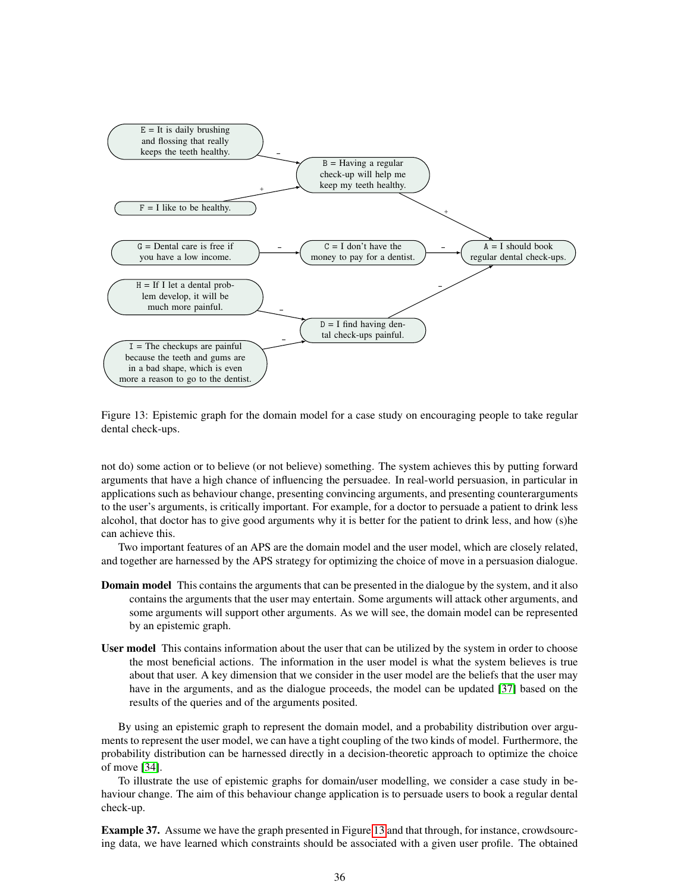<span id="page-35-0"></span>

Figure 13: Epistemic graph for the domain model for a case study on encouraging people to take regular dental check-ups.

not do) some action or to believe (or not believe) something. The system achieves this by putting forward arguments that have a high chance of influencing the persuadee. In real-world persuasion, in particular in applications such as behaviour change, presenting convincing arguments, and presenting counterarguments to the user's arguments, is critically important. For example, for a doctor to persuade a patient to drink less alcohol, that doctor has to give good arguments why it is better for the patient to drink less, and how (s)he can achieve this.

Two important features of an APS are the domain model and the user model, which are closely related, and together are harnessed by the APS strategy for optimizing the choice of move in a persuasion dialogue.

- **Domain model** This contains the arguments that can be presented in the dialogue by the system, and it also contains the arguments that the user may entertain. Some arguments will attack other arguments, and some arguments will support other arguments. As we will see, the domain model can be represented by an epistemic graph.
- User model This contains information about the user that can be utilized by the system in order to choose the most beneficial actions. The information in the user model is what the system believes is true about that user. A key dimension that we consider in the user model are the beliefs that the user may have in the arguments, and as the dialogue proceeds, the model can be updated [\[37\]](#page-47-6) based on the results of the queries and of the arguments posited.

By using an epistemic graph to represent the domain model, and a probability distribution over arguments to represent the user model, we can have a tight coupling of the two kinds of model. Furthermore, the probability distribution can be harnessed directly in a decision-theoretic approach to optimize the choice of move [\[34\]](#page-47-8).

To illustrate the use of epistemic graphs for domain/user modelling, we consider a case study in behaviour change. The aim of this behaviour change application is to persuade users to book a regular dental check-up.

Example 37. Assume we have the graph presented in Figure [13](#page-35-0) and that through, for instance, crowdsourcing data, we have learned which constraints should be associated with a given user profile. The obtained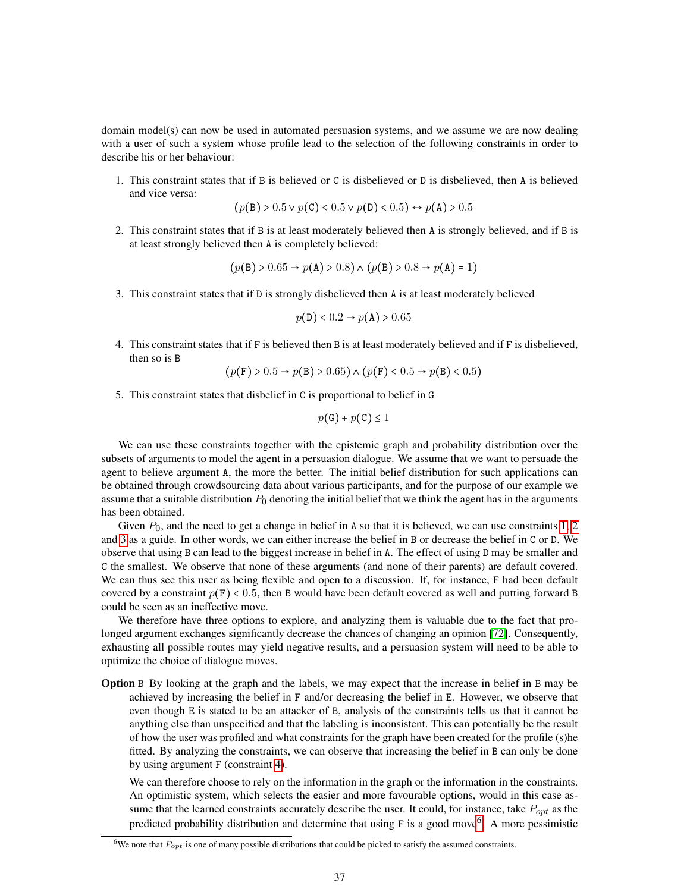domain model(s) can now be used in automated persuasion systems, and we assume we are now dealing with a user of such a system whose profile lead to the selection of the following constraints in order to describe his or her behaviour:

<span id="page-36-0"></span>1. This constraint states that if B is believed or C is disbelieved or D is disbelieved, then A is believed and vice versa:

$$
(p(B) > 0.5 \lor p(C) < 0.5 \lor p(D) < 0.5) \leftrightarrow p(A) > 0.5
$$

<span id="page-36-1"></span>2. This constraint states that if B is at least moderately believed then A is strongly believed, and if B is at least strongly believed then A is completely believed:

$$
(p(B) > 0.65 \rightarrow p(A) > 0.8) \land (p(B) > 0.8 \rightarrow p(A) = 1)
$$

<span id="page-36-2"></span>3. This constraint states that if D is strongly disbelieved then A is at least moderately believed

$$
p(\mathsf{D}) < 0.2 \rightarrow p(\mathsf{A}) > 0.65
$$

<span id="page-36-3"></span>4. This constraint states that if F is believed then B is at least moderately believed and if F is disbelieved, then so is B

$$
(p(F) > 0.5 \rightarrow p(B) > 0.65) \land (p(F) < 0.5 \rightarrow p(B) < 0.5)
$$

5. This constraint states that disbelief in C is proportional to belief in G

$$
p(\mathsf{G}) + p(\mathsf{C}) \le 1
$$

We can use these constraints together with the epistemic graph and probability distribution over the subsets of arguments to model the agent in a persuasion dialogue. We assume that we want to persuade the agent to believe argument A, the more the better. The initial belief distribution for such applications can be obtained through crowdsourcing data about various participants, and for the purpose of our example we assume that a suitable distribution  $P_0$  denoting the initial belief that we think the agent has in the arguments has been obtained.

Given  $P_0$ , and the need to get a change in belief in A so that it is believed, we can use constraints [1,](#page-36-0) [2](#page-36-1) and [3](#page-36-2) as a guide. In other words, we can either increase the belief in B or decrease the belief in C or D. We observe that using B can lead to the biggest increase in belief in A. The effect of using D may be smaller and C the smallest. We observe that none of these arguments (and none of their parents) are default covered. We can thus see this user as being flexible and open to a discussion. If, for instance, F had been default covered by a constraint  $p(F) < 0.5$ , then B would have been default covered as well and putting forward B could be seen as an ineffective move.

We therefore have three options to explore, and analyzing them is valuable due to the fact that prolonged argument exchanges significantly decrease the chances of changing an opinion [\[72\]](#page-49-10). Consequently, exhausting all possible routes may yield negative results, and a persuasion system will need to be able to optimize the choice of dialogue moves.

Option B By looking at the graph and the labels, we may expect that the increase in belief in B may be achieved by increasing the belief in F and/or decreasing the belief in E. However, we observe that even though E is stated to be an attacker of B, analysis of the constraints tells us that it cannot be anything else than unspecified and that the labeling is inconsistent. This can potentially be the result of how the user was profiled and what constraints for the graph have been created for the profile (s)he fitted. By analyzing the constraints, we can observe that increasing the belief in B can only be done by using argument F (constraint [4\)](#page-36-3).

We can therefore choose to rely on the information in the graph or the information in the constraints. An optimistic system, which selects the easier and more favourable options, would in this case assume that the learned constraints accurately describe the user. It could, for instance, take  $P_{opt}$  as the predicted probability distribution and determine that using F is a good move<sup>[6](#page-36-4)</sup>. A more pessimistic

<span id="page-36-4"></span><sup>&</sup>lt;sup>6</sup>We note that  $P_{opt}$  is one of many possible distributions that could be picked to satisfy the assumed constraints.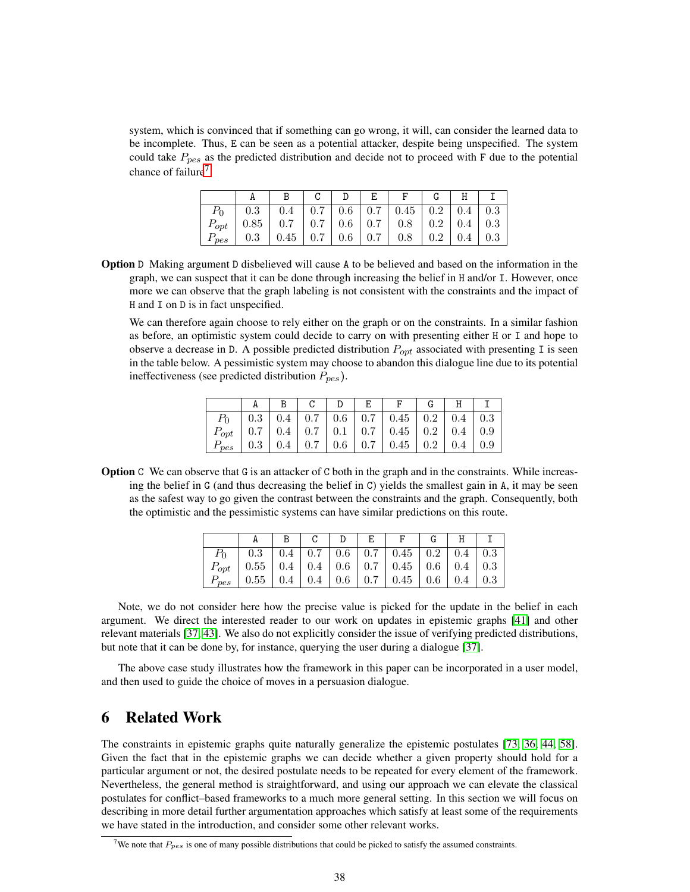system, which is convinced that if something can go wrong, it will, can consider the learned data to be incomplete. Thus, E can be seen as a potential attacker, despite being unspecified. The system could take  $P_{\text{nes}}$  as the predicted distribution and decide not to proceed with F due to the potential chance of failure<sup>[7](#page-37-1)</sup>.

|                  | 0.4                                                              |  | $0.7 \mid 0.6 \mid 0.7 \mid 0.45 \mid 0.2 \mid 0.4 \mid 0.3$ |     |               |  |
|------------------|------------------------------------------------------------------|--|--------------------------------------------------------------|-----|---------------|--|
|                  | $P_{opt}$   0.85   0.7   0.7   0.6   0.7   0.8   0.2   0.4   0.3 |  |                                                              |     |               |  |
| $r_{\text{pes}}$ | $0.45$   $0.7$   $0.6$   $0.7$                                   |  | 0.8                                                          | 0.2 | $0.4 \pm 0.3$ |  |

Option D Making argument D disbelieved will cause A to be believed and based on the information in the graph, we can suspect that it can be done through increasing the belief in H and/or I. However, once more we can observe that the graph labeling is not consistent with the constraints and the impact of H and I on D is in fact unspecified.

We can therefore again choose to rely either on the graph or on the constraints. In a similar fashion as before, an optimistic system could decide to carry on with presenting either H or I and hope to observe a decrease in D. A possible predicted distribution  $P_{opt}$  associated with presenting I is seen in the table below. A pessimistic system may choose to abandon this dialogue line due to its potential ineffectiveness (see predicted distribution  $P_{pes}$ ).

|           |     |  |  | $0.3$   0.4   0.7   0.6   0.7   0.45   0.2   0.4   0.3           |                 |  |
|-----------|-----|--|--|------------------------------------------------------------------|-----------------|--|
|           |     |  |  | $P_{opt}$   0.7   0.4   0.7   0.1   0.7   0.45   0.2   0.4   0.9 |                 |  |
| $P_{pes}$ | 0.3 |  |  | $0.4$   0.7   0.6   0.7   0.45   0.2                             | $0.4 \, \, 0.9$ |  |

Option C We can observe that G is an attacker of C both in the graph and in the constraints. While increasing the belief in G (and thus decreasing the belief in C) yields the smallest gain in A, it may be seen as the safest way to go given the contrast between the constraints and the graph. Consequently, both the optimistic and the pessimistic systems can have similar predictions on this route.

|           |                                                                   |  |  | $0.3$   $0.4$   $0.7$   $0.6$   $0.7$   $0.45$   $0.2$   $0.4$   $0.3$ |  |  |
|-----------|-------------------------------------------------------------------|--|--|------------------------------------------------------------------------|--|--|
|           | $P_{opt}$   0.55   0.4   0.4   0.6   0.7   0.45   0.6   0.4   0.3 |  |  |                                                                        |  |  |
| $P_{pes}$ | $0.55$                                                            |  |  | $0.4$   $0.4$   $0.6$   $0.7$   $0.45$   $0.6$   $0.4$   $0.3$         |  |  |

Note, we do not consider here how the precise value is picked for the update in the belief in each argument. We direct the interested reader to our work on updates in epistemic graphs [\[41\]](#page-48-11) and other relevant materials [\[37,](#page-47-6) [43\]](#page-48-12). We also do not explicitly consider the issue of verifying predicted distributions, but note that it can be done by, for instance, querying the user during a dialogue [\[37\]](#page-47-6).

The above case study illustrates how the framework in this paper can be incorporated in a user model, and then used to guide the choice of moves in a persuasion dialogue.

# <span id="page-37-0"></span>6 Related Work

The constraints in epistemic graphs quite naturally generalize the epistemic postulates [\[73,](#page-50-1) [36,](#page-47-4) [44,](#page-48-4) [58\]](#page-49-1). Given the fact that in the epistemic graphs we can decide whether a given property should hold for a particular argument or not, the desired postulate needs to be repeated for every element of the framework. Nevertheless, the general method is straightforward, and using our approach we can elevate the classical postulates for conflict–based frameworks to a much more general setting. In this section we will focus on describing in more detail further argumentation approaches which satisfy at least some of the requirements we have stated in the introduction, and consider some other relevant works.

<span id="page-37-1"></span><sup>&</sup>lt;sup>7</sup>We note that  $P_{pes}$  is one of many possible distributions that could be picked to satisfy the assumed constraints.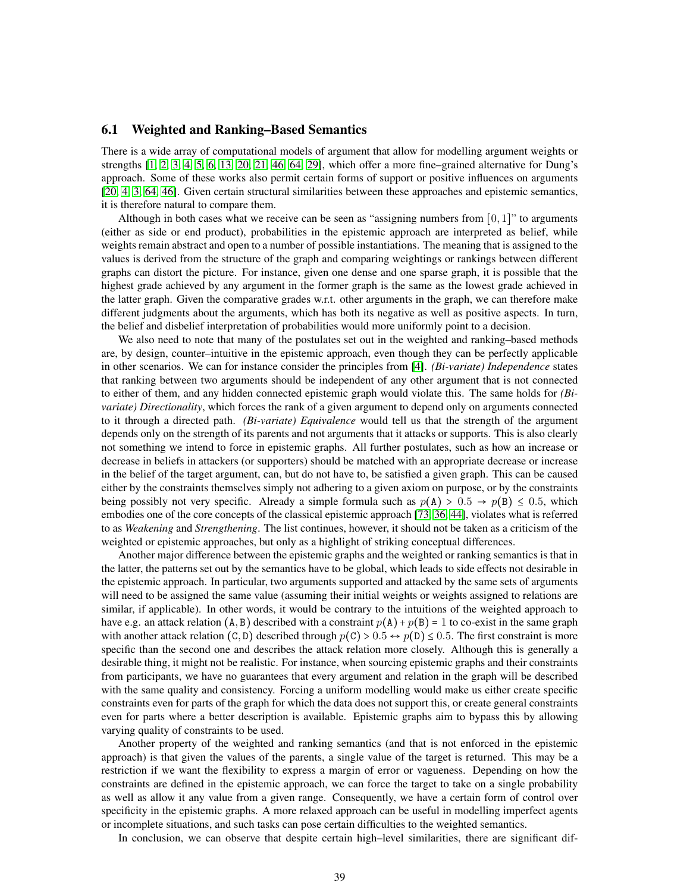# <span id="page-38-0"></span>6.1 Weighted and Ranking–Based Semantics

There is a wide array of computational models of argument that allow for modelling argument weights or strengths [\[1,](#page-45-1) [2,](#page-46-8) [3,](#page-46-7) [4,](#page-46-9) [5,](#page-46-6) [6,](#page-46-10) [13,](#page-46-1) [20,](#page-46-5) [21,](#page-47-3) [46,](#page-48-3) [64,](#page-49-4) [29\]](#page-47-5), which offer a more fine–grained alternative for Dung's approach. Some of these works also permit certain forms of support or positive influences on arguments [\[20,](#page-46-5) [4,](#page-46-9) [3,](#page-46-7) [64,](#page-49-4) [46\]](#page-48-3). Given certain structural similarities between these approaches and epistemic semantics, it is therefore natural to compare them.

Although in both cases what we receive can be seen as "assigning numbers from  $[0, 1]$ " to arguments (either as side or end product), probabilities in the epistemic approach are interpreted as belief, while weights remain abstract and open to a number of possible instantiations. The meaning that is assigned to the values is derived from the structure of the graph and comparing weightings or rankings between different graphs can distort the picture. For instance, given one dense and one sparse graph, it is possible that the highest grade achieved by any argument in the former graph is the same as the lowest grade achieved in the latter graph. Given the comparative grades w.r.t. other arguments in the graph, we can therefore make different judgments about the arguments, which has both its negative as well as positive aspects. In turn, the belief and disbelief interpretation of probabilities would more uniformly point to a decision.

We also need to note that many of the postulates set out in the weighted and ranking–based methods are, by design, counter–intuitive in the epistemic approach, even though they can be perfectly applicable in other scenarios. We can for instance consider the principles from [\[4\]](#page-46-9). *(Bi-variate) Independence* states that ranking between two arguments should be independent of any other argument that is not connected to either of them, and any hidden connected epistemic graph would violate this. The same holds for *(Bivariate) Directionality*, which forces the rank of a given argument to depend only on arguments connected to it through a directed path. *(Bi-variate) Equivalence* would tell us that the strength of the argument depends only on the strength of its parents and not arguments that it attacks or supports. This is also clearly not something we intend to force in epistemic graphs. All further postulates, such as how an increase or decrease in beliefs in attackers (or supporters) should be matched with an appropriate decrease or increase in the belief of the target argument, can, but do not have to, be satisfied a given graph. This can be caused either by the constraints themselves simply not adhering to a given axiom on purpose, or by the constraints being possibly not very specific. Already a simple formula such as  $p(A) > 0.5 \rightarrow p(B) \le 0.5$ , which embodies one of the core concepts of the classical epistemic approach [\[73,](#page-50-1) [36,](#page-47-4) [44\]](#page-48-4), violates what is referred to as *Weakening* and *Strengthening*. The list continues, however, it should not be taken as a criticism of the weighted or epistemic approaches, but only as a highlight of striking conceptual differences.

Another major difference between the epistemic graphs and the weighted or ranking semantics is that in the latter, the patterns set out by the semantics have to be global, which leads to side effects not desirable in the epistemic approach. In particular, two arguments supported and attacked by the same sets of arguments will need to be assigned the same value (assuming their initial weights or weights assigned to relations are similar, if applicable). In other words, it would be contrary to the intuitions of the weighted approach to have e.g. an attack relation  $(A, B)$  described with a constraint  $p(A) + p(B) = 1$  to co-exist in the same graph with another attack relation (C, D) described through  $p(C) > 0.5 \leftrightarrow p(D) \le 0.5$ . The first constraint is more specific than the second one and describes the attack relation more closely. Although this is generally a desirable thing, it might not be realistic. For instance, when sourcing epistemic graphs and their constraints from participants, we have no guarantees that every argument and relation in the graph will be described with the same quality and consistency. Forcing a uniform modelling would make us either create specific constraints even for parts of the graph for which the data does not support this, or create general constraints even for parts where a better description is available. Epistemic graphs aim to bypass this by allowing varying quality of constraints to be used.

Another property of the weighted and ranking semantics (and that is not enforced in the epistemic approach) is that given the values of the parents, a single value of the target is returned. This may be a restriction if we want the flexibility to express a margin of error or vagueness. Depending on how the constraints are defined in the epistemic approach, we can force the target to take on a single probability as well as allow it any value from a given range. Consequently, we have a certain form of control over specificity in the epistemic graphs. A more relaxed approach can be useful in modelling imperfect agents or incomplete situations, and such tasks can pose certain difficulties to the weighted semantics.

In conclusion, we can observe that despite certain high–level similarities, there are significant dif-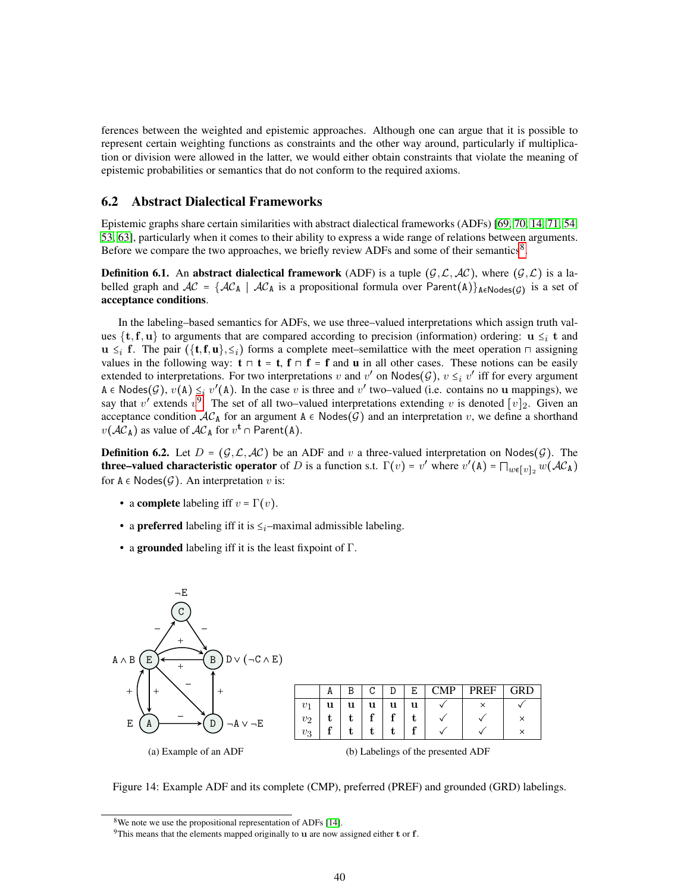ferences between the weighted and epistemic approaches. Although one can argue that it is possible to represent certain weighting functions as constraints and the other way around, particularly if multiplication or division were allowed in the latter, we would either obtain constraints that violate the meaning of epistemic probabilities or semantics that do not conform to the required axioms.

### <span id="page-39-0"></span>6.2 Abstract Dialectical Frameworks

Epistemic graphs share certain similarities with abstract dialectical frameworks (ADFs) [\[69,](#page-49-11) [70,](#page-49-12) [14,](#page-46-12) [71,](#page-49-13) [54,](#page-48-13) [53,](#page-48-0) [63\]](#page-49-14), particularly when it comes to their ability to express a wide range of relations between arguments. Before we compare the two approaches, we briefly review ADFs and some of their semantics<sup>[8](#page-39-1)</sup>.

**Definition 6.1.** An abstract dialectical framework (ADF) is a tuple  $(G, \mathcal{L}, \mathcal{AC})$ , where  $(G, \mathcal{L})$  is a labelled graph and  $AC = \{AC_A \mid AC_A$  is a propositional formula over  $Parent(A)\}_{A \in Nodes(\mathcal{G})}$  is a set of acceptance conditions.

In the labeling–based semantics for ADFs, we use three–valued interpretations which assign truth values  $\{t,f,u\}$  to arguments that are compared according to precision (information) ordering:  $u \leq i$  t and  $u \leq_i f$ . The pair  $(\{t, f, u\}, \leq_i)$  forms a complete meet–semilattice with the meet operation  $\sqcap$  assigning values in the following way:  $\mathbf{t} \cap \mathbf{t} = \mathbf{t}$ ,  $\mathbf{f} \cap \mathbf{f} = \mathbf{f}$  and u in all other cases. These notions can be easily extended to interpretations. For two interpretations v and v' on Nodes( $\mathcal{G}$ ),  $v \leq_i v'$  iff for every argument A  $\in$  Nodes(G),  $v(A) \leq i v'(A)$ . In the case v is three and v' two–valued (i.e. contains no u mappings), we say that v' extends  $v^9$  $v^9$ . The set of all two–valued interpretations extending v is denoted  $[v]_2$ . Given an acceptance condition  $AC_A$  for an argument A  $\epsilon$  Nodes(G) and an interpretation v, we define a shorthand  $v(\mathcal{AC}_A)$  as value of  $\mathcal{AC}_A$  for  $v^{\mathbf{t}} \cap \mathsf{Parent}(A)$ .

**Definition 6.2.** Let  $D = (G, \mathcal{L}, \mathcal{AC})$  be an ADF and v a three-valued interpretation on Nodes(G). The **three–valued characteristic operator** of D is a function s.t.  $\Gamma(v) = v'$  where  $v'(\mathbf{A}) = \prod_{w \in [v]_2} w(\mathcal{AC}_\mathbf{A})$ for  $A \in \text{Nodes}(\mathcal{G})$ . An interpretation v is:

- a complete labeling iff  $v = \Gamma(v)$ .
- a preferred labeling iff it is  $\leq_i$ –maximal admissible labeling.
- a grounded labeling iff it is the least fixpoint of  $\Gamma$ .

<span id="page-39-3"></span>

Figure 14: Example ADF and its complete (CMP), preferred (PREF) and grounded (GRD) labelings.

<span id="page-39-1"></span><sup>&</sup>lt;sup>8</sup>We note we use the propositional representation of ADFs [\[14\]](#page-46-12).

<span id="page-39-2"></span><sup>&</sup>lt;sup>9</sup>This means that the elements mapped originally to  $\bf{u}$  are now assigned either  $\bf{t}$  or  $\bf{f}$ .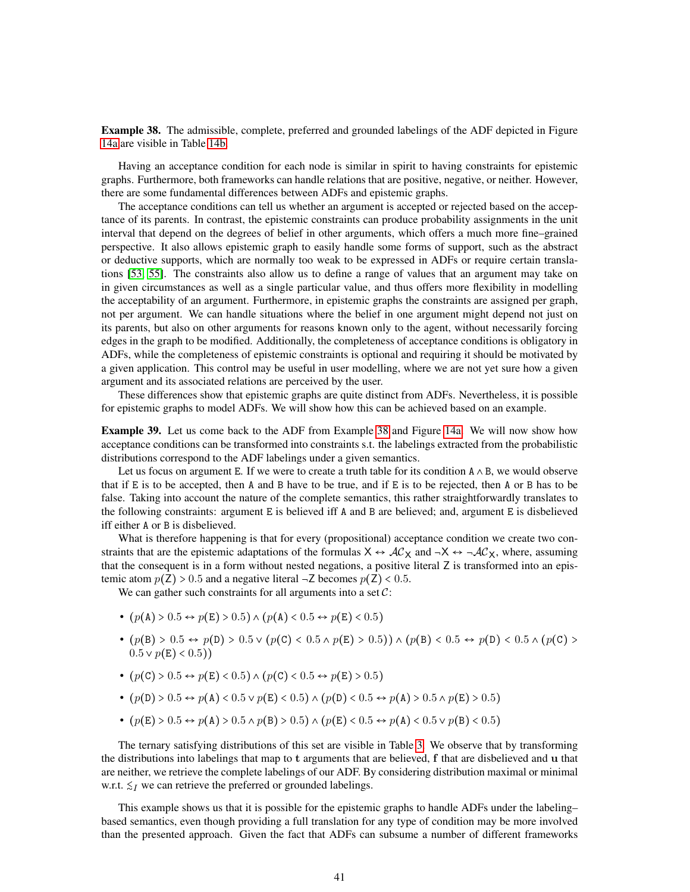<span id="page-40-0"></span>Example 38. The admissible, complete, preferred and grounded labelings of the ADF depicted in Figure [14a](#page-39-3) are visible in Table [14b.](#page-39-3)

Having an acceptance condition for each node is similar in spirit to having constraints for epistemic graphs. Furthermore, both frameworks can handle relations that are positive, negative, or neither. However, there are some fundamental differences between ADFs and epistemic graphs.

The acceptance conditions can tell us whether an argument is accepted or rejected based on the acceptance of its parents. In contrast, the epistemic constraints can produce probability assignments in the unit interval that depend on the degrees of belief in other arguments, which offers a much more fine–grained perspective. It also allows epistemic graph to easily handle some forms of support, such as the abstract or deductive supports, which are normally too weak to be expressed in ADFs or require certain translations [\[53,](#page-48-0) [55\]](#page-48-10). The constraints also allow us to define a range of values that an argument may take on in given circumstances as well as a single particular value, and thus offers more flexibility in modelling the acceptability of an argument. Furthermore, in epistemic graphs the constraints are assigned per graph, not per argument. We can handle situations where the belief in one argument might depend not just on its parents, but also on other arguments for reasons known only to the agent, without necessarily forcing edges in the graph to be modified. Additionally, the completeness of acceptance conditions is obligatory in ADFs, while the completeness of epistemic constraints is optional and requiring it should be motivated by a given application. This control may be useful in user modelling, where we are not yet sure how a given argument and its associated relations are perceived by the user.

These differences show that epistemic graphs are quite distinct from ADFs. Nevertheless, it is possible for epistemic graphs to model ADFs. We will show how this can be achieved based on an example.

<span id="page-40-1"></span>Example 39. Let us come back to the ADF from Example [38](#page-40-0) and Figure [14a.](#page-39-3) We will now show how acceptance conditions can be transformed into constraints s.t. the labelings extracted from the probabilistic distributions correspond to the ADF labelings under a given semantics.

Let us focus on argument E. If we were to create a truth table for its condition  $A \wedge B$ , we would observe that if E is to be accepted, then A and B have to be true, and if E is to be rejected, then A or B has to be false. Taking into account the nature of the complete semantics, this rather straightforwardly translates to the following constraints: argument E is believed iff A and B are believed; and, argument E is disbelieved iff either A or B is disbelieved.

What is therefore happening is that for every (propositional) acceptance condition we create two constraints that are the epistemic adaptations of the formulas  $X \leftrightarrow \mathcal{AC}_X$  and  $\neg X \leftrightarrow \neg \mathcal{AC}_X$ , where, assuming that the consequent is in a form without nested negations, a positive literal Z is transformed into an epistemic atom  $p(\mathbf{Z}) > 0.5$  and a negative literal  $-\mathbf{Z}$  becomes  $p(\mathbf{Z}) < 0.5$ .

We can gather such constraints for all arguments into a set  $C$ :

- $(p(A) > 0.5 \leftrightarrow p(E) > 0.5) \land (p(A) < 0.5 \leftrightarrow p(E) < 0.5)$
- $(p(B) > 0.5 \leftrightarrow p(D) > 0.5 \vee (p(C) < 0.5 \wedge p(E) > 0.5)) \wedge (p(B) < 0.5 \leftrightarrow p(D) < 0.5 \wedge (p(C) > 0.5))$  $0.5 \vee p(E) < 0.5$ )
- $\bullet$   $(p(\texttt{C}) > 0.5 \leftrightarrow p(\texttt{E}) < 0.5) \land (p(\texttt{C}) < 0.5 \leftrightarrow p(\texttt{E}) > 0.5)$
- $(p(D) > 0.5 \leftrightarrow p(A) < 0.5 \lor p(E) < 0.5) \land (p(D) < 0.5 \leftrightarrow p(A) > 0.5 \land p(E) > 0.5)$
- $(p(E) > 0.5 \leftrightarrow p(A) > 0.5 \land p(B) > 0.5) \land (p(E) < 0.5 \leftrightarrow p(A) < 0.5 \lor p(B) < 0.5)$

The ternary satisfying distributions of this set are visible in Table [3.](#page-41-1) We observe that by transforming the distributions into labelings that map to t arguments that are believed, f that are disbelieved and u that are neither, we retrieve the complete labelings of our ADF. By considering distribution maximal or minimal w.r.t.  $\leq I$  we can retrieve the preferred or grounded labelings.

This example shows us that it is possible for the epistemic graphs to handle ADFs under the labeling– based semantics, even though providing a full translation for any type of condition may be more involved than the presented approach. Given the fact that ADFs can subsume a number of different frameworks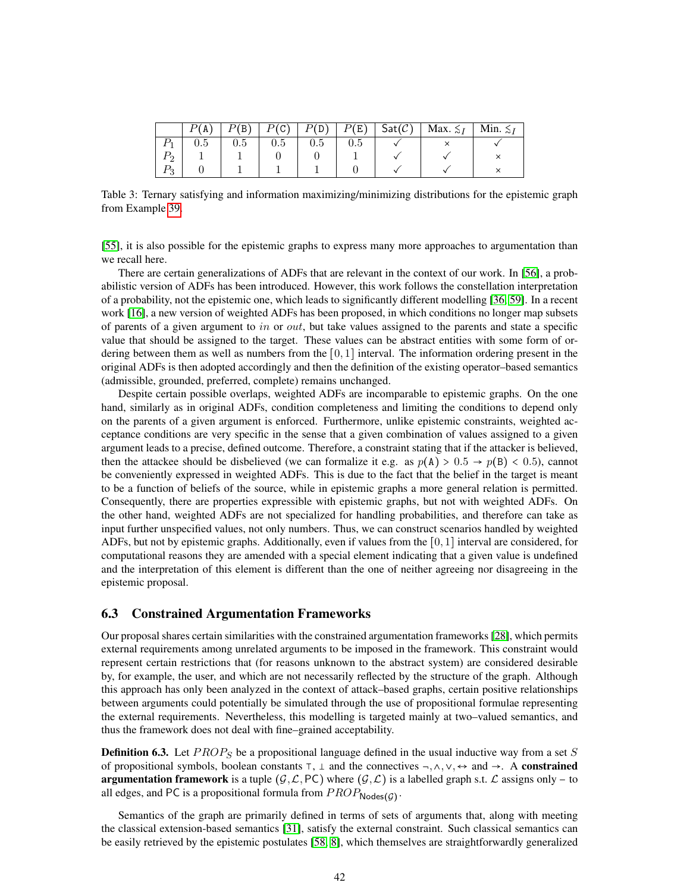<span id="page-41-1"></span>

| (A  | B         | P(C) | , D ) | P(E) | $Sat(\mathcal{C})$ | Max. $\leq_I$ | Min. $\leq I$ |
|-----|-----------|------|-------|------|--------------------|---------------|---------------|
| U.5 | $\rm 0.5$ | 0.5  | U.5   | U.Ə  |                    |               |               |
|     |           |      |       |      |                    |               |               |
|     |           |      |       |      |                    |               |               |

Table 3: Ternary satisfying and information maximizing/minimizing distributions for the epistemic graph from Example [39.](#page-40-1)

[\[55\]](#page-48-10), it is also possible for the epistemic graphs to express many more approaches to argumentation than we recall here.

There are certain generalizations of ADFs that are relevant in the context of our work. In [\[56\]](#page-48-14), a probabilistic version of ADFs has been introduced. However, this work follows the constellation interpretation of a probability, not the epistemic one, which leads to significantly different modelling [\[36,](#page-47-4) [59\]](#page-49-15). In a recent work [\[16\]](#page-46-13), a new version of weighted ADFs has been proposed, in which conditions no longer map subsets of parents of a given argument to in or *out*, but take values assigned to the parents and state a specific value that should be assigned to the target. These values can be abstract entities with some form of ordering between them as well as numbers from the  $[0, 1]$  interval. The information ordering present in the original ADFs is then adopted accordingly and then the definition of the existing operator–based semantics (admissible, grounded, preferred, complete) remains unchanged.

Despite certain possible overlaps, weighted ADFs are incomparable to epistemic graphs. On the one hand, similarly as in original ADFs, condition completeness and limiting the conditions to depend only on the parents of a given argument is enforced. Furthermore, unlike epistemic constraints, weighted acceptance conditions are very specific in the sense that a given combination of values assigned to a given argument leads to a precise, defined outcome. Therefore, a constraint stating that if the attacker is believed, then the attackee should be disbelieved (we can formalize it e.g. as  $p(A) > 0.5 \rightarrow p(B) < 0.5$ ), cannot be conveniently expressed in weighted ADFs. This is due to the fact that the belief in the target is meant to be a function of beliefs of the source, while in epistemic graphs a more general relation is permitted. Consequently, there are properties expressible with epistemic graphs, but not with weighted ADFs. On the other hand, weighted ADFs are not specialized for handling probabilities, and therefore can take as input further unspecified values, not only numbers. Thus, we can construct scenarios handled by weighted ADFs, but not by epistemic graphs. Additionally, even if values from the  $[0, 1]$  interval are considered, for computational reasons they are amended with a special element indicating that a given value is undefined and the interpretation of this element is different than the one of neither agreeing nor disagreeing in the epistemic proposal.

### <span id="page-41-0"></span>6.3 Constrained Argumentation Frameworks

Our proposal shares certain similarities with the constrained argumentation frameworks [\[28\]](#page-47-11), which permits external requirements among unrelated arguments to be imposed in the framework. This constraint would represent certain restrictions that (for reasons unknown to the abstract system) are considered desirable by, for example, the user, and which are not necessarily reflected by the structure of the graph. Although this approach has only been analyzed in the context of attack–based graphs, certain positive relationships between arguments could potentially be simulated through the use of propositional formulae representing the external requirements. Nevertheless, this modelling is targeted mainly at two–valued semantics, and thus the framework does not deal with fine–grained acceptability.

**Definition 6.3.** Let  $PROP<sub>S</sub>$  be a propositional language defined in the usual inductive way from a set S of propositional symbols, boolean constants  $\top$ ,  $\bot$  and the connectives  $\neg$ ,  $\wedge$ ,  $\vee$ ,  $\leftrightarrow$  and  $\rightarrow$ . A **constrained argumentation framework** is a tuple  $(G, \mathcal{L}, PC)$  where  $(G, \mathcal{L})$  is a labelled graph s.t.  $\mathcal{L}$  assigns only – to all edges, and PC is a propositional formula from  $PROP_{\mathsf{Nodes}(\mathcal{G})}.$ 

Semantics of the graph are primarily defined in terms of sets of arguments that, along with meeting the classical extension-based semantics [\[31\]](#page-47-9), satisfy the external constraint. Such classical semantics can be easily retrieved by the epistemic postulates [\[58,](#page-49-1) [8\]](#page-46-16), which themselves are straightforwardly generalized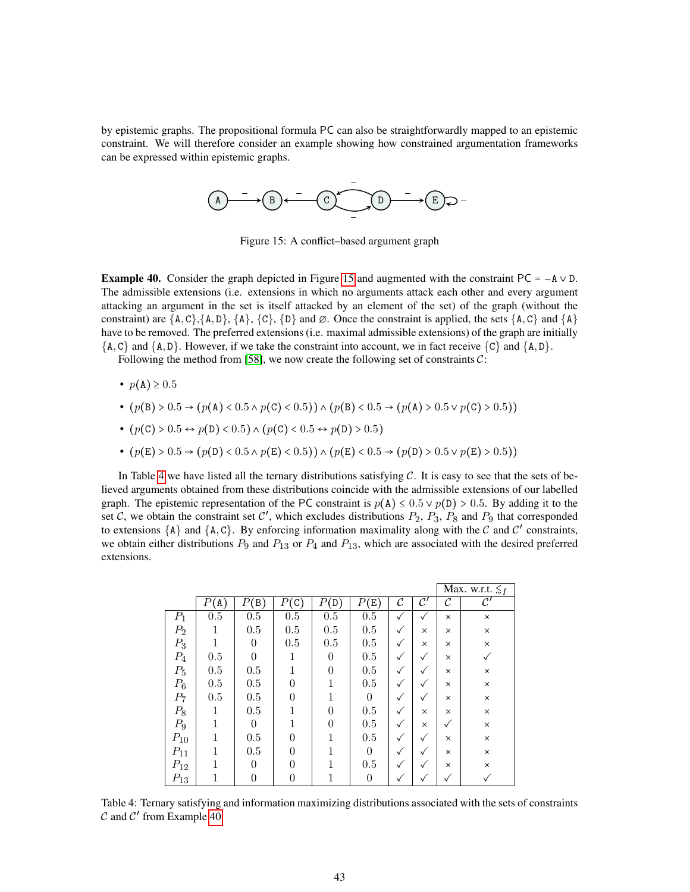<span id="page-42-0"></span>by epistemic graphs. The propositional formula PC can also be straightforwardly mapped to an epistemic constraint. We will therefore consider an example showing how constrained argumentation frameworks can be expressed within epistemic graphs.



Figure 15: A conflict–based argument graph

<span id="page-42-2"></span>**Example 40.** Consider the graph depicted in Figure [15](#page-42-0) and augmented with the constraint PC =  $\neg$ A  $\vee$  D. The admissible extensions (i.e. extensions in which no arguments attack each other and every argument attacking an argument in the set is itself attacked by an element of the set) of the graph (without the constraint) are  $\{A, C\}, \{A, D\}, \{A\}, \{C\}, \{D\}$  and  $\emptyset$ . Once the constraint is applied, the sets  $\{A, C\}$  and  $\{A\}$ have to be removed. The preferred extensions (i.e. maximal admissible extensions) of the graph are initially  $\{A, C\}$  and  $\{A, D\}$ . However, if we take the constraint into account, we in fact receive  $\{C\}$  and  $\{A, D\}$ .

Following the method from [\[58\]](#page-49-1), we now create the following set of constraints  $\mathcal{C}$ :

- $p(A) \ge 0.5$
- $(p(B) > 0.5 \rightarrow (p(A) < 0.5 \land p(C) < 0.5)) \land (p(B) < 0.5 \rightarrow (p(A) > 0.5 \lor p(C) > 0.5))$
- $(p(C) > 0.5 \leftrightarrow p(D) < 0.5) \land (p(C) < 0.5 \leftrightarrow p(D) > 0.5)$
- $(p(E) > 0.5 \rightarrow (p(D) < 0.5 \land p(E) < 0.5)) \land (p(E) < 0.5 \rightarrow (p(D) > 0.5 \lor p(E) > 0.5))$

In Table [4](#page-42-1) we have listed all the ternary distributions satisfying  $C$ . It is easy to see that the sets of believed arguments obtained from these distributions coincide with the admissible extensions of our labelled graph. The epistemic representation of the PC constraint is  $p(A) \le 0.5 \vee p(D) > 0.5$ . By adding it to the set C, we obtain the constraint set C', which excludes distributions  $P_2$ ,  $P_3$ ,  $P_8$  and  $P_9$  that corresponded to extensions  $\{A\}$  and  $\{A, C\}$ . By enforcing information maximality along with the C and C' constraints, we obtain either distributions  $P_9$  and  $P_{13}$  or  $P_4$  and  $P_{13}$ , which are associated with the desired preferred extensions.

<span id="page-42-1"></span>

|          |         |                                 |                     |                 |                          |              |                |          | Max. w.r.t. $\leq_I$ |
|----------|---------|---------------------------------|---------------------|-----------------|--------------------------|--------------|----------------|----------|----------------------|
|          | (A)     | $\left( \mathrm{B}\right)$<br>Ρ | $(\mathtt{C})$<br>Р | $P(\mathtt{D})$ | $(\mathtt{E})$<br>$_{P}$ | C            | $\mathcal{C}'$ | C        | $\mathcal{C}'$       |
| $P_1$    | 0.5     | $0.5\,$                         | 0.5                 | 0.5             | 0.5                      | ✓            | $\checkmark$   | $\times$ | $\times$             |
| $P_2$    | 1       | 0.5                             | 0.5                 | $0.5\,$         | 0.5                      | ✓            | $\times$       | $\times$ | $\times$             |
| $P_3$    |         | $\Omega$                        | 0.5                 | 0.5             | 0.5                      | $\checkmark$ | $\times$       | $\times$ | $\times$             |
| $P_4$    | 0.5     | 0                               |                     | $\theta$        | 0.5                      | ✓            | $\checkmark$   | $\times$ | ✓                    |
| $P_5$    | 0.5     | 0.5                             |                     | $\theta$        | 0.5                      | ✓            | $\checkmark$   | $\times$ | ×                    |
| $P_6$    | $0.5\,$ | 0.5                             | 0                   | 1               | 0.5                      | ✓            | $\checkmark$   | $\times$ | $\times$             |
| $P_7$    | 0.5     | $0.5\,$                         | 0                   |                 | $\theta$                 | ✓            | $\checkmark$   | $\times$ | $\times$             |
| $P_8$    | 1       | $0.5\,$                         |                     | 0               | 0.5                      | ✓            | $\times$       | $\times$ | $\times$             |
| $P_9$    |         | 0                               |                     | $\theta$        | 0.5                      | ✓            | $\times$       | ✓        | $\times$             |
| $P_{10}$ |         | $0.5\,$                         | 0                   | 1               | 0.5                      | ✓            | $\checkmark$   | $\times$ | $\times$             |
| $P_{11}$ |         | $0.5\,$                         | 0                   | 1               | $\theta$                 | ✓            | $\checkmark$   | $\times$ | $\times$             |
| $P_{12}$ |         | 0                               | 0                   |                 | 0.5                      | ✓            |                | $\times$ | $\times$             |
| $P_{13}$ |         | 0                               | 0                   |                 | $\overline{0}$           |              |                |          |                      |

Table 4: Ternary satisfying and information maximizing distributions associated with the sets of constraints  $\mathcal C$  and  $\mathcal C'$  from Example [40.](#page-42-2)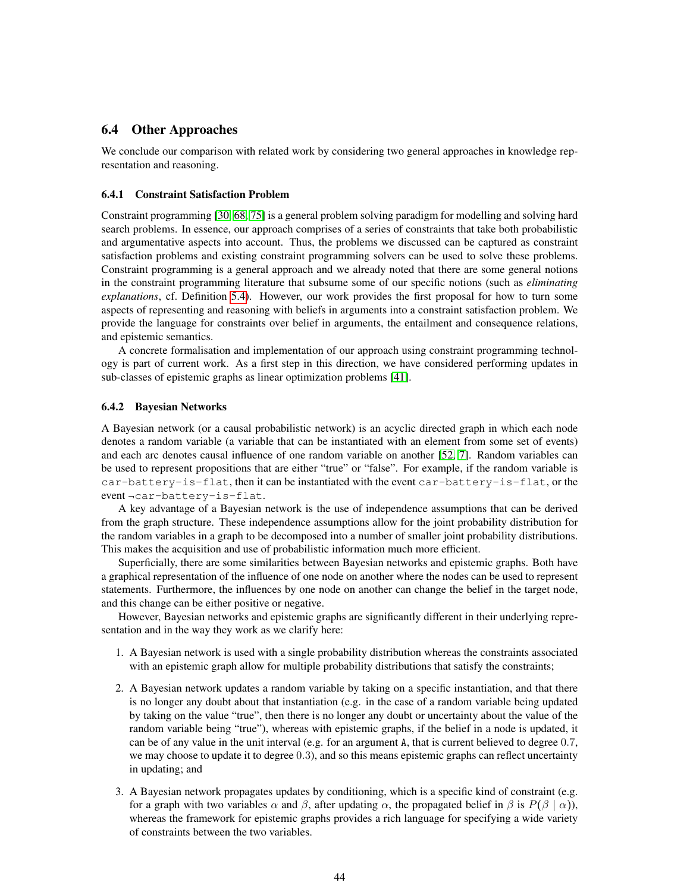# <span id="page-43-0"></span>6.4 Other Approaches

We conclude our comparison with related work by considering two general approaches in knowledge representation and reasoning.

#### <span id="page-43-1"></span>6.4.1 Constraint Satisfaction Problem

Constraint programming [\[30,](#page-47-10) [68,](#page-49-9) [75\]](#page-50-2) is a general problem solving paradigm for modelling and solving hard search problems. In essence, our approach comprises of a series of constraints that take both probabilistic and argumentative aspects into account. Thus, the problems we discussed can be captured as constraint satisfaction problems and existing constraint programming solvers can be used to solve these problems. Constraint programming is a general approach and we already noted that there are some general notions in the constraint programming literature that subsume some of our specific notions (such as *eliminating explanations*, cf. Definition [5.4\)](#page-22-2). However, our work provides the first proposal for how to turn some aspects of representing and reasoning with beliefs in arguments into a constraint satisfaction problem. We provide the language for constraints over belief in arguments, the entailment and consequence relations, and epistemic semantics.

A concrete formalisation and implementation of our approach using constraint programming technology is part of current work. As a first step in this direction, we have considered performing updates in sub-classes of epistemic graphs as linear optimization problems [\[41\]](#page-48-11).

#### <span id="page-43-2"></span>6.4.2 Bayesian Networks

A Bayesian network (or a causal probabilistic network) is an acyclic directed graph in which each node denotes a random variable (a variable that can be instantiated with an element from some set of events) and each arc denotes causal influence of one random variable on another [\[52,](#page-48-15) [7\]](#page-46-18). Random variables can be used to represent propositions that are either "true" or "false". For example, if the random variable is car-battery-is-flat, then it can be instantiated with the event car-battery-is-flat, or the event-car-battery-is-flat.

A key advantage of a Bayesian network is the use of independence assumptions that can be derived from the graph structure. These independence assumptions allow for the joint probability distribution for the random variables in a graph to be decomposed into a number of smaller joint probability distributions. This makes the acquisition and use of probabilistic information much more efficient.

Superficially, there are some similarities between Bayesian networks and epistemic graphs. Both have a graphical representation of the influence of one node on another where the nodes can be used to represent statements. Furthermore, the influences by one node on another can change the belief in the target node, and this change can be either positive or negative.

However, Bayesian networks and epistemic graphs are significantly different in their underlying representation and in the way they work as we clarify here:

- 1. A Bayesian network is used with a single probability distribution whereas the constraints associated with an epistemic graph allow for multiple probability distributions that satisfy the constraints;
- 2. A Bayesian network updates a random variable by taking on a specific instantiation, and that there is no longer any doubt about that instantiation (e.g. in the case of a random variable being updated by taking on the value "true", then there is no longer any doubt or uncertainty about the value of the random variable being "true"), whereas with epistemic graphs, if the belief in a node is updated, it can be of any value in the unit interval (e.g. for an argument A, that is current believed to degree 0.7, we may choose to update it to degree 0.3), and so this means epistemic graphs can reflect uncertainty in updating; and
- 3. A Bayesian network propagates updates by conditioning, which is a specific kind of constraint (e.g. for a graph with two variables  $\alpha$  and  $\beta$ , after updating  $\alpha$ , the propagated belief in  $\beta$  is  $P(\beta | \alpha)$ ), whereas the framework for epistemic graphs provides a rich language for specifying a wide variety of constraints between the two variables.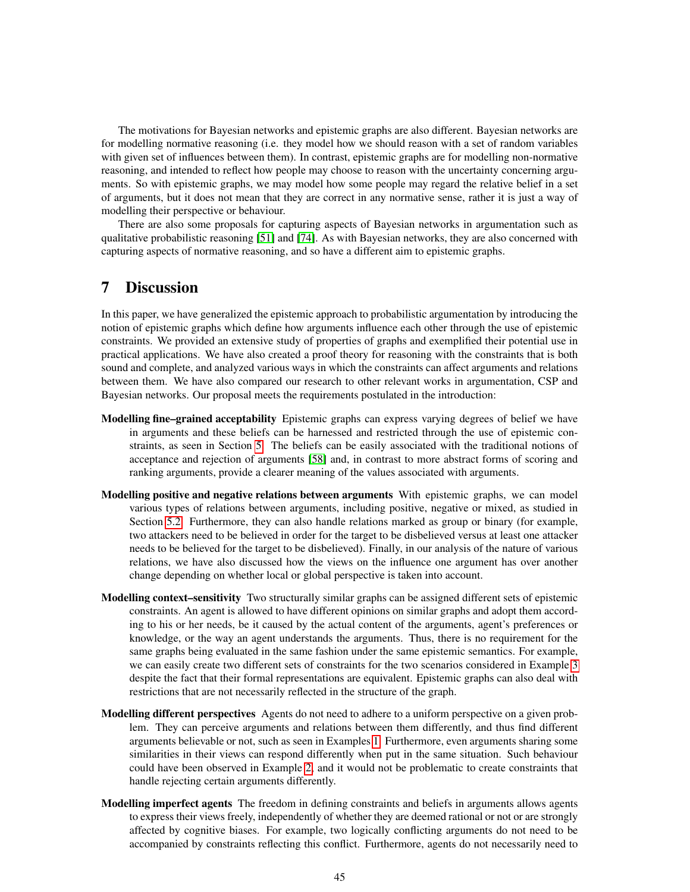The motivations for Bayesian networks and epistemic graphs are also different. Bayesian networks are for modelling normative reasoning (i.e. they model how we should reason with a set of random variables with given set of influences between them). In contrast, epistemic graphs are for modelling non-normative reasoning, and intended to reflect how people may choose to reason with the uncertainty concerning arguments. So with epistemic graphs, we may model how some people may regard the relative belief in a set of arguments, but it does not mean that they are correct in any normative sense, rather it is just a way of modelling their perspective or behaviour.

There are also some proposals for capturing aspects of Bayesian networks in argumentation such as qualitative probabilistic reasoning [\[51\]](#page-48-16) and [\[74\]](#page-50-4). As with Bayesian networks, they are also concerned with capturing aspects of normative reasoning, and so have a different aim to epistemic graphs.

# <span id="page-44-0"></span>7 Discussion

In this paper, we have generalized the epistemic approach to probabilistic argumentation by introducing the notion of epistemic graphs which define how arguments influence each other through the use of epistemic constraints. We provided an extensive study of properties of graphs and exemplified their potential use in practical applications. We have also created a proof theory for reasoning with the constraints that is both sound and complete, and analyzed various ways in which the constraints can affect arguments and relations between them. We have also compared our research to other relevant works in argumentation, CSP and Bayesian networks. Our proposal meets the requirements postulated in the introduction:

- Modelling fine–grained acceptability Epistemic graphs can express varying degrees of belief we have in arguments and these beliefs can be harnessed and restricted through the use of epistemic constraints, as seen in Section [5.](#page-18-1) The beliefs can be easily associated with the traditional notions of acceptance and rejection of arguments [\[58\]](#page-49-1) and, in contrast to more abstract forms of scoring and ranking arguments, provide a clearer meaning of the values associated with arguments.
- Modelling positive and negative relations between arguments With epistemic graphs, we can model various types of relations between arguments, including positive, negative or mixed, as studied in Section [5.2.](#page-26-0) Furthermore, they can also handle relations marked as group or binary (for example, two attackers need to be believed in order for the target to be disbelieved versus at least one attacker needs to be believed for the target to be disbelieved). Finally, in our analysis of the nature of various relations, we have also discussed how the views on the influence one argument has over another change depending on whether local or global perspective is taken into account.
- **Modelling context–sensitivity** Two structurally similar graphs can be assigned different sets of epistemic constraints. An agent is allowed to have different opinions on similar graphs and adopt them according to his or her needs, be it caused by the actual content of the arguments, agent's preferences or knowledge, or the way an agent understands the arguments. Thus, there is no requirement for the same graphs being evaluated in the same fashion under the same epistemic semantics. For example, we can easily create two different sets of constraints for the two scenarios considered in Example [3](#page-6-0) despite the fact that their formal representations are equivalent. Epistemic graphs can also deal with restrictions that are not necessarily reflected in the structure of the graph.
- Modelling different perspectives Agents do not need to adhere to a uniform perspective on a given problem. They can perceive arguments and relations between them differently, and thus find different arguments believable or not, such as seen in Examples [1.](#page-4-1) Furthermore, even arguments sharing some similarities in their views can respond differently when put in the same situation. Such behaviour could have been observed in Example [2,](#page-5-1) and it would not be problematic to create constraints that handle rejecting certain arguments differently.
- Modelling imperfect agents The freedom in defining constraints and beliefs in arguments allows agents to express their views freely, independently of whether they are deemed rational or not or are strongly affected by cognitive biases. For example, two logically conflicting arguments do not need to be accompanied by constraints reflecting this conflict. Furthermore, agents do not necessarily need to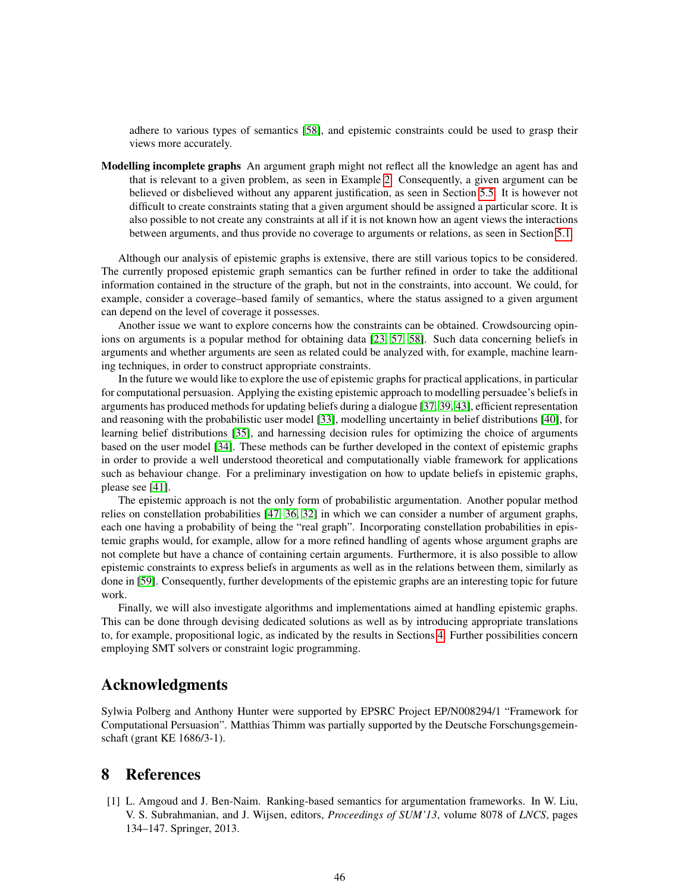adhere to various types of semantics [\[58\]](#page-49-1), and epistemic constraints could be used to grasp their views more accurately.

Modelling incomplete graphs An argument graph might not reflect all the knowledge an agent has and that is relevant to a given problem, as seen in Example [2.](#page-5-1) Consequently, a given argument can be believed or disbelieved without any apparent justification, as seen in Section [5.5.](#page-34-0) It is however not difficult to create constraints stating that a given argument should be assigned a particular score. It is also possible to not create any constraints at all if it is not known how an agent views the interactions between arguments, and thus provide no coverage to arguments or relations, as seen in Section [5.1.](#page-21-0)

Although our analysis of epistemic graphs is extensive, there are still various topics to be considered. The currently proposed epistemic graph semantics can be further refined in order to take the additional information contained in the structure of the graph, but not in the constraints, into account. We could, for example, consider a coverage–based family of semantics, where the status assigned to a given argument can depend on the level of coverage it possesses.

Another issue we want to explore concerns how the constraints can be obtained. Crowdsourcing opin-ions on arguments is a popular method for obtaining data [\[23,](#page-47-1) [57,](#page-49-6) [58\]](#page-49-1). Such data concerning beliefs in arguments and whether arguments are seen as related could be analyzed with, for example, machine learning techniques, in order to construct appropriate constraints.

In the future we would like to explore the use of epistemic graphs for practical applications, in particular for computational persuasion. Applying the existing epistemic approach to modelling persuadee's beliefs in arguments has produced methods for updating beliefs during a dialogue [\[37,](#page-47-6) [39,](#page-48-5) [43\]](#page-48-12), efficient representation and reasoning with the probabilistic user model [\[33\]](#page-47-7), modelling uncertainty in belief distributions [\[40\]](#page-48-6), for learning belief distributions [\[35\]](#page-47-16), and harnessing decision rules for optimizing the choice of arguments based on the user model [\[34\]](#page-47-8). These methods can be further developed in the context of epistemic graphs in order to provide a well understood theoretical and computationally viable framework for applications such as behaviour change. For a preliminary investigation on how to update beliefs in epistemic graphs, please see [\[41\]](#page-48-11).

The epistemic approach is not the only form of probabilistic argumentation. Another popular method relies on constellation probabilities [\[47,](#page-48-17) [36,](#page-47-4) [32\]](#page-47-17) in which we can consider a number of argument graphs, each one having a probability of being the "real graph". Incorporating constellation probabilities in epistemic graphs would, for example, allow for a more refined handling of agents whose argument graphs are not complete but have a chance of containing certain arguments. Furthermore, it is also possible to allow epistemic constraints to express beliefs in arguments as well as in the relations between them, similarly as done in [\[59\]](#page-49-15). Consequently, further developments of the epistemic graphs are an interesting topic for future work.

Finally, we will also investigate algorithms and implementations aimed at handling epistemic graphs. This can be done through devising dedicated solutions as well as by introducing appropriate translations to, for example, propositional logic, as indicated by the results in Sections [4.](#page-13-0) Further possibilities concern employing SMT solvers or constraint logic programming.

# Acknowledgments

Sylwia Polberg and Anthony Hunter were supported by EPSRC Project EP/N008294/1 "Framework for Computational Persuasion". Matthias Thimm was partially supported by the Deutsche Forschungsgemeinschaft (grant KE 1686/3-1).

# <span id="page-45-0"></span>8 References

<span id="page-45-1"></span>[1] L. Amgoud and J. Ben-Naim. Ranking-based semantics for argumentation frameworks. In W. Liu, V. S. Subrahmanian, and J. Wijsen, editors, *Proceedings of SUM'13*, volume 8078 of *LNCS*, pages 134–147. Springer, 2013.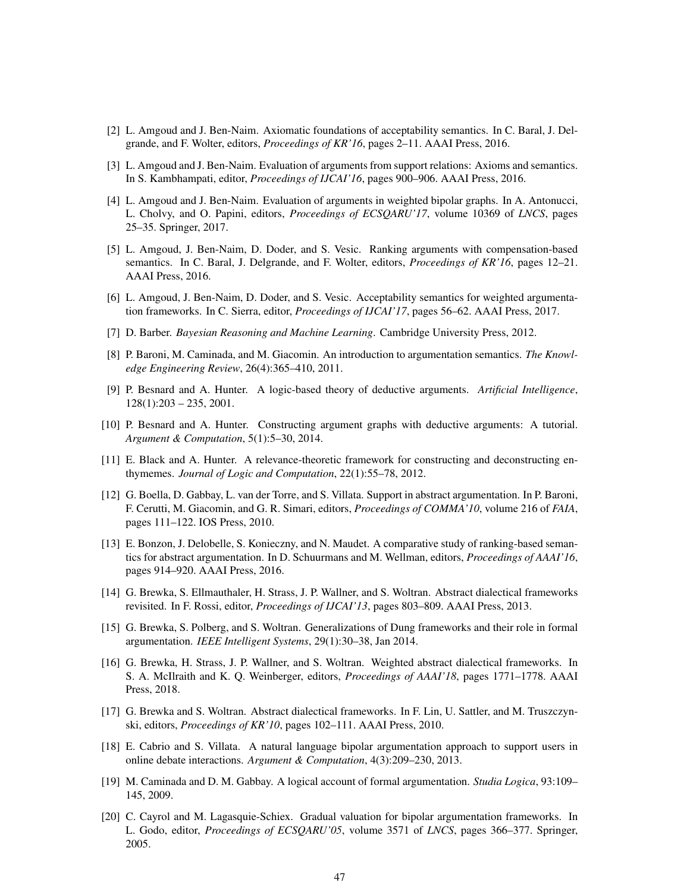- <span id="page-46-8"></span>[2] L. Amgoud and J. Ben-Naim. Axiomatic foundations of acceptability semantics. In C. Baral, J. Delgrande, and F. Wolter, editors, *Proceedings of KR'16*, pages 2–11. AAAI Press, 2016.
- <span id="page-46-7"></span>[3] L. Amgoud and J. Ben-Naim. Evaluation of arguments from support relations: Axioms and semantics. In S. Kambhampati, editor, *Proceedings of IJCAI'16*, pages 900–906. AAAI Press, 2016.
- <span id="page-46-9"></span>[4] L. Amgoud and J. Ben-Naim. Evaluation of arguments in weighted bipolar graphs. In A. Antonucci, L. Cholvy, and O. Papini, editors, *Proceedings of ECSQARU'17*, volume 10369 of *LNCS*, pages 25–35. Springer, 2017.
- <span id="page-46-6"></span>[5] L. Amgoud, J. Ben-Naim, D. Doder, and S. Vesic. Ranking arguments with compensation-based semantics. In C. Baral, J. Delgrande, and F. Wolter, editors, *Proceedings of KR'16*, pages 12–21. AAAI Press, 2016.
- <span id="page-46-10"></span>[6] L. Amgoud, J. Ben-Naim, D. Doder, and S. Vesic. Acceptability semantics for weighted argumentation frameworks. In C. Sierra, editor, *Proceedings of IJCAI'17*, pages 56–62. AAAI Press, 2017.
- <span id="page-46-18"></span>[7] D. Barber. *Bayesian Reasoning and Machine Learning*. Cambridge University Press, 2012.
- <span id="page-46-16"></span>[8] P. Baroni, M. Caminada, and M. Giacomin. An introduction to argumentation semantics. *The Knowledge Engineering Review*, 26(4):365–410, 2011.
- <span id="page-46-17"></span>[9] P. Besnard and A. Hunter. A logic-based theory of deductive arguments. *Artificial Intelligence*,  $128(1):203 - 235, 2001.$
- <span id="page-46-0"></span>[10] P. Besnard and A. Hunter. Constructing argument graphs with deductive arguments: A tutorial. *Argument & Computation*, 5(1):5–30, 2014.
- <span id="page-46-4"></span>[11] E. Black and A. Hunter. A relevance-theoretic framework for constructing and deconstructing enthymemes. *Journal of Logic and Computation*, 22(1):55–78, 2012.
- <span id="page-46-14"></span>[12] G. Boella, D. Gabbay, L. van der Torre, and S. Villata. Support in abstract argumentation. In P. Baroni, F. Cerutti, M. Giacomin, and G. R. Simari, editors, *Proceedings of COMMA'10*, volume 216 of *FAIA*, pages 111–122. IOS Press, 2010.
- <span id="page-46-1"></span>[13] E. Bonzon, J. Delobelle, S. Konieczny, and N. Maudet. A comparative study of ranking-based semantics for abstract argumentation. In D. Schuurmans and M. Wellman, editors, *Proceedings of AAAI'16*, pages 914–920. AAAI Press, 2016.
- <span id="page-46-12"></span>[14] G. Brewka, S. Ellmauthaler, H. Strass, J. P. Wallner, and S. Woltran. Abstract dialectical frameworks revisited. In F. Rossi, editor, *Proceedings of IJCAI'13*, pages 803–809. AAAI Press, 2013.
- <span id="page-46-2"></span>[15] G. Brewka, S. Polberg, and S. Woltran. Generalizations of Dung frameworks and their role in formal argumentation. *IEEE Intelligent Systems*, 29(1):30–38, Jan 2014.
- <span id="page-46-13"></span>[16] G. Brewka, H. Strass, J. P. Wallner, and S. Woltran. Weighted abstract dialectical frameworks. In S. A. McIlraith and K. Q. Weinberger, editors, *Proceedings of AAAI'18*, pages 1771–1778. AAAI Press, 2018.
- <span id="page-46-11"></span>[17] G. Brewka and S. Woltran. Abstract dialectical frameworks. In F. Lin, U. Sattler, and M. Truszczynski, editors, *Proceedings of KR'10*, pages 102–111. AAAI Press, 2010.
- <span id="page-46-3"></span>[18] E. Cabrio and S. Villata. A natural language bipolar argumentation approach to support users in online debate interactions. *Argument & Computation*, 4(3):209–230, 2013.
- <span id="page-46-15"></span>[19] M. Caminada and D. M. Gabbay. A logical account of formal argumentation. *Studia Logica*, 93:109– 145, 2009.
- <span id="page-46-5"></span>[20] C. Cayrol and M. Lagasquie-Schiex. Gradual valuation for bipolar argumentation frameworks. In L. Godo, editor, *Proceedings of ECSQARU'05*, volume 3571 of *LNCS*, pages 366–377. Springer, 2005.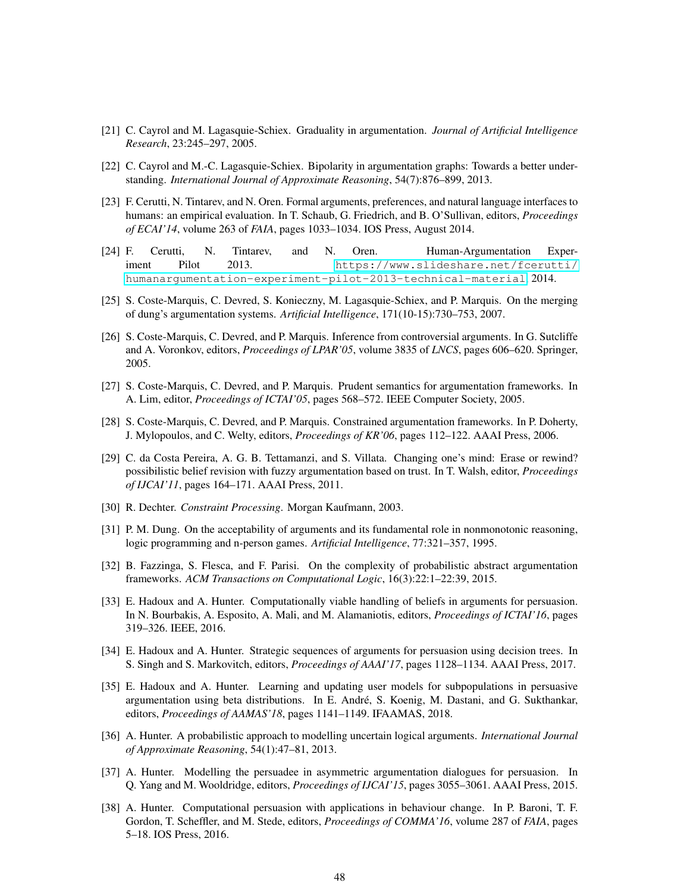- <span id="page-47-3"></span>[21] C. Cayrol and M. Lagasquie-Schiex. Graduality in argumentation. *Journal of Artificial Intelligence Research*, 23:245–297, 2005.
- <span id="page-47-0"></span>[22] C. Cayrol and M.-C. Lagasquie-Schiex. Bipolarity in argumentation graphs: Towards a better understanding. *International Journal of Approximate Reasoning*, 54(7):876–899, 2013.
- <span id="page-47-1"></span>[23] F. Cerutti, N. Tintarev, and N. Oren. Formal arguments, preferences, and natural language interfaces to humans: an empirical evaluation. In T. Schaub, G. Friedrich, and B. O'Sullivan, editors, *Proceedings of ECAI'14*, volume 263 of *FAIA*, pages 1033–1034. IOS Press, August 2014.
- <span id="page-47-2"></span>[24] F. Cerutti, N. Tintarev, and N. Oren. Human-Argumentation Experiment Pilot 2013. [https://www.slideshare.net/fcerutti/](https://www.slideshare.net/fcerutti/humanargumentation-experiment-pilot-2013-technical-material) [humanargumentation-experiment-pilot-2013-technical-material](https://www.slideshare.net/fcerutti/humanargumentation-experiment-pilot-2013-technical-material), 2014.
- <span id="page-47-14"></span>[25] S. Coste-Marquis, C. Devred, S. Konieczny, M. Lagasquie-Schiex, and P. Marquis. On the merging of dung's argumentation systems. *Artificial Intelligence*, 171(10-15):730–753, 2007.
- <span id="page-47-13"></span>[26] S. Coste-Marquis, C. Devred, and P. Marquis. Inference from controversial arguments. In G. Sutcliffe and A. Voronkov, editors, *Proceedings of LPAR'05*, volume 3835 of *LNCS*, pages 606–620. Springer, 2005.
- <span id="page-47-12"></span>[27] S. Coste-Marquis, C. Devred, and P. Marquis. Prudent semantics for argumentation frameworks. In A. Lim, editor, *Proceedings of ICTAI'05*, pages 568–572. IEEE Computer Society, 2005.
- <span id="page-47-11"></span>[28] S. Coste-Marquis, C. Devred, and P. Marquis. Constrained argumentation frameworks. In P. Doherty, J. Mylopoulos, and C. Welty, editors, *Proceedings of KR'06*, pages 112–122. AAAI Press, 2006.
- <span id="page-47-5"></span>[29] C. da Costa Pereira, A. G. B. Tettamanzi, and S. Villata. Changing one's mind: Erase or rewind? possibilistic belief revision with fuzzy argumentation based on trust. In T. Walsh, editor, *Proceedings of IJCAI'11*, pages 164–171. AAAI Press, 2011.
- <span id="page-47-10"></span>[30] R. Dechter. *Constraint Processing*. Morgan Kaufmann, 2003.
- <span id="page-47-9"></span>[31] P. M. Dung. On the acceptability of arguments and its fundamental role in nonmonotonic reasoning, logic programming and n-person games. *Artificial Intelligence*, 77:321–357, 1995.
- <span id="page-47-17"></span>[32] B. Fazzinga, S. Flesca, and F. Parisi. On the complexity of probabilistic abstract argumentation frameworks. *ACM Transactions on Computational Logic*, 16(3):22:1–22:39, 2015.
- <span id="page-47-7"></span>[33] E. Hadoux and A. Hunter. Computationally viable handling of beliefs in arguments for persuasion. In N. Bourbakis, A. Esposito, A. Mali, and M. Alamaniotis, editors, *Proceedings of ICTAI'16*, pages 319–326. IEEE, 2016.
- <span id="page-47-8"></span>[34] E. Hadoux and A. Hunter. Strategic sequences of arguments for persuasion using decision trees. In S. Singh and S. Markovitch, editors, *Proceedings of AAAI'17*, pages 1128–1134. AAAI Press, 2017.
- <span id="page-47-16"></span>[35] E. Hadoux and A. Hunter. Learning and updating user models for subpopulations in persuasive argumentation using beta distributions. In E. Andre, S. Koenig, M. Dastani, and G. Sukthankar, ´ editors, *Proceedings of AAMAS'18*, pages 1141–1149. IFAAMAS, 2018.
- <span id="page-47-4"></span>[36] A. Hunter. A probabilistic approach to modelling uncertain logical arguments. *International Journal of Approximate Reasoning*, 54(1):47–81, 2013.
- <span id="page-47-6"></span>[37] A. Hunter. Modelling the persuadee in asymmetric argumentation dialogues for persuasion. In Q. Yang and M. Wooldridge, editors, *Proceedings of IJCAI'15*, pages 3055–3061. AAAI Press, 2015.
- <span id="page-47-15"></span>[38] A. Hunter. Computational persuasion with applications in behaviour change. In P. Baroni, T. F. Gordon, T. Scheffler, and M. Stede, editors, *Proceedings of COMMA'16*, volume 287 of *FAIA*, pages 5–18. IOS Press, 2016.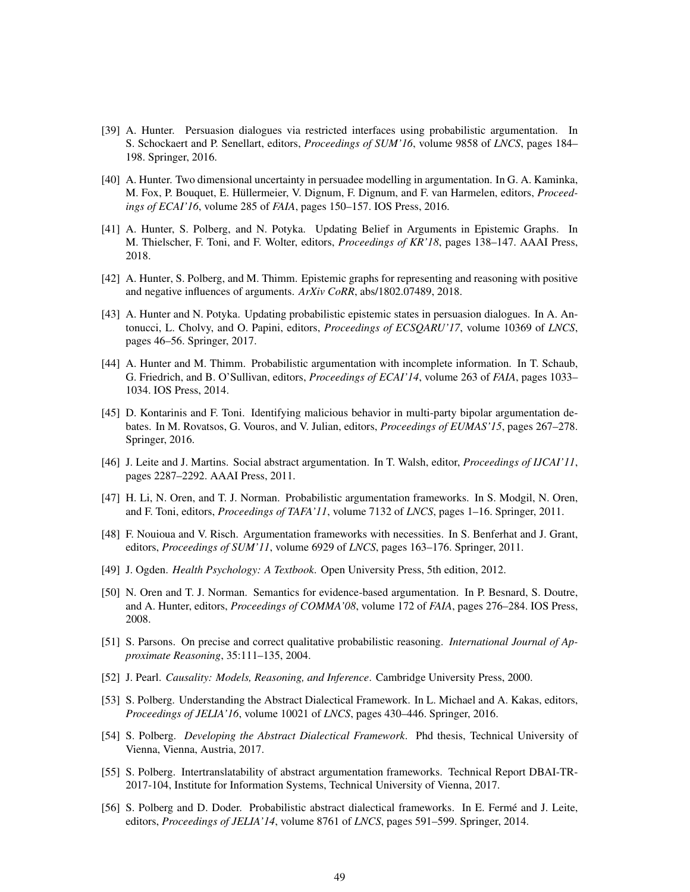- <span id="page-48-5"></span>[39] A. Hunter. Persuasion dialogues via restricted interfaces using probabilistic argumentation. In S. Schockaert and P. Senellart, editors, *Proceedings of SUM'16*, volume 9858 of *LNCS*, pages 184– 198. Springer, 2016.
- <span id="page-48-6"></span>[40] A. Hunter. Two dimensional uncertainty in persuadee modelling in argumentation. In G. A. Kaminka, M. Fox, P. Bouquet, E. Hüllermeier, V. Dignum, F. Dignum, and F. van Harmelen, editors, *Proceedings of ECAI'16*, volume 285 of *FAIA*, pages 150–157. IOS Press, 2016.
- <span id="page-48-11"></span>[41] A. Hunter, S. Polberg, and N. Potyka. Updating Belief in Arguments in Epistemic Graphs. In M. Thielscher, F. Toni, and F. Wolter, editors, *Proceedings of KR'18*, pages 138–147. AAAI Press, 2018.
- <span id="page-48-9"></span>[42] A. Hunter, S. Polberg, and M. Thimm. Epistemic graphs for representing and reasoning with positive and negative influences of arguments. *ArXiv CoRR*, abs/1802.07489, 2018.
- <span id="page-48-12"></span>[43] A. Hunter and N. Potyka. Updating probabilistic epistemic states in persuasion dialogues. In A. Antonucci, L. Cholvy, and O. Papini, editors, *Proceedings of ECSQARU'17*, volume 10369 of *LNCS*, pages 46–56. Springer, 2017.
- <span id="page-48-4"></span>[44] A. Hunter and M. Thimm. Probabilistic argumentation with incomplete information. In T. Schaub, G. Friedrich, and B. O'Sullivan, editors, *Proceedings of ECAI'14*, volume 263 of *FAIA*, pages 1033– 1034. IOS Press, 2014.
- <span id="page-48-1"></span>[45] D. Kontarinis and F. Toni. Identifying malicious behavior in multi-party bipolar argumentation debates. In M. Rovatsos, G. Vouros, and V. Julian, editors, *Proceedings of EUMAS'15*, pages 267–278. Springer, 2016.
- <span id="page-48-3"></span>[46] J. Leite and J. Martins. Social abstract argumentation. In T. Walsh, editor, *Proceedings of IJCAI'11*, pages 2287–2292. AAAI Press, 2011.
- <span id="page-48-17"></span>[47] H. Li, N. Oren, and T. J. Norman. Probabilistic argumentation frameworks. In S. Modgil, N. Oren, and F. Toni, editors, *Proceedings of TAFA'11*, volume 7132 of *LNCS*, pages 1–16. Springer, 2011.
- <span id="page-48-8"></span>[48] F. Nouioua and V. Risch. Argumentation frameworks with necessities. In S. Benferhat and J. Grant, editors, *Proceedings of SUM'11*, volume 6929 of *LNCS*, pages 163–176. Springer, 2011.
- <span id="page-48-2"></span>[49] J. Ogden. *Health Psychology: A Textbook*. Open University Press, 5th edition, 2012.
- <span id="page-48-7"></span>[50] N. Oren and T. J. Norman. Semantics for evidence-based argumentation. In P. Besnard, S. Doutre, and A. Hunter, editors, *Proceedings of COMMA'08*, volume 172 of *FAIA*, pages 276–284. IOS Press, 2008.
- <span id="page-48-16"></span>[51] S. Parsons. On precise and correct qualitative probabilistic reasoning. *International Journal of Approximate Reasoning*, 35:111–135, 2004.
- <span id="page-48-15"></span>[52] J. Pearl. *Causality: Models, Reasoning, and Inference*. Cambridge University Press, 2000.
- <span id="page-48-0"></span>[53] S. Polberg. Understanding the Abstract Dialectical Framework. In L. Michael and A. Kakas, editors, *Proceedings of JELIA'16*, volume 10021 of *LNCS*, pages 430–446. Springer, 2016.
- <span id="page-48-13"></span>[54] S. Polberg. *Developing the Abstract Dialectical Framework*. Phd thesis, Technical University of Vienna, Vienna, Austria, 2017.
- <span id="page-48-10"></span>[55] S. Polberg. Intertranslatability of abstract argumentation frameworks. Technical Report DBAI-TR-2017-104, Institute for Information Systems, Technical University of Vienna, 2017.
- <span id="page-48-14"></span>[56] S. Polberg and D. Doder. Probabilistic abstract dialectical frameworks. In E. Fermé and J. Leite, editors, *Proceedings of JELIA'14*, volume 8761 of *LNCS*, pages 591–599. Springer, 2014.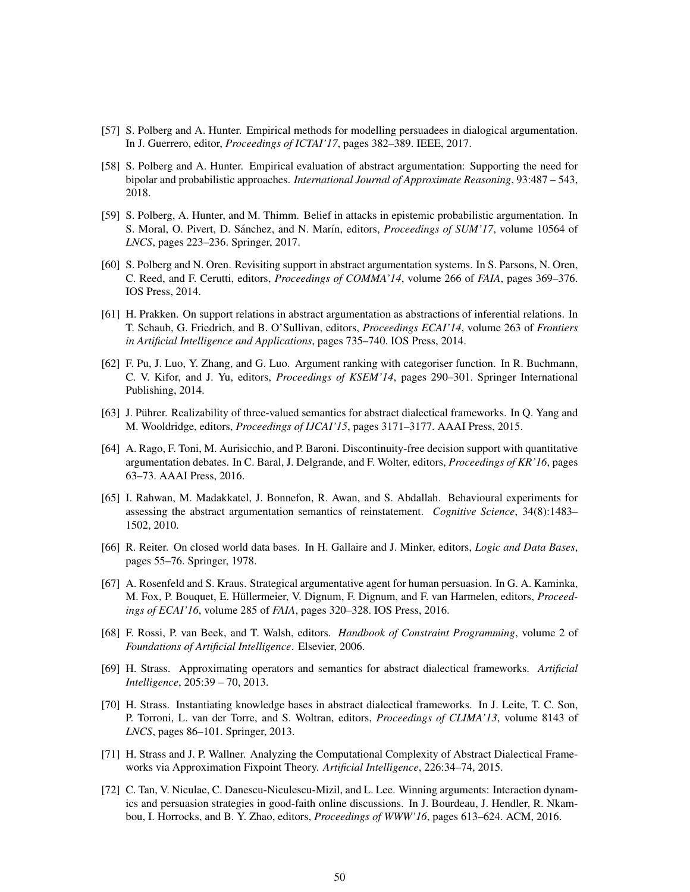- <span id="page-49-6"></span>[57] S. Polberg and A. Hunter. Empirical methods for modelling persuadees in dialogical argumentation. In J. Guerrero, editor, *Proceedings of ICTAI'17*, pages 382–389. IEEE, 2017.
- <span id="page-49-1"></span>[58] S. Polberg and A. Hunter. Empirical evaluation of abstract argumentation: Supporting the need for bipolar and probabilistic approaches. *International Journal of Approximate Reasoning*, 93:487 – 543, 2018.
- <span id="page-49-15"></span>[59] S. Polberg, A. Hunter, and M. Thimm. Belief in attacks in epistemic probabilistic argumentation. In S. Moral, O. Pivert, D. Sánchez, and N. Marín, editors, *Proceedings of SUM'17*, volume 10564 of *LNCS*, pages 223–236. Springer, 2017.
- <span id="page-49-5"></span>[60] S. Polberg and N. Oren. Revisiting support in abstract argumentation systems. In S. Parsons, N. Oren, C. Reed, and F. Cerutti, editors, *Proceedings of COMMA'14*, volume 266 of *FAIA*, pages 369–376. IOS Press, 2014.
- <span id="page-49-2"></span>[61] H. Prakken. On support relations in abstract argumentation as abstractions of inferential relations. In T. Schaub, G. Friedrich, and B. O'Sullivan, editors, *Proceedings ECAI'14*, volume 263 of *Frontiers in Artificial Intelligence and Applications*, pages 735–740. IOS Press, 2014.
- <span id="page-49-7"></span>[62] F. Pu, J. Luo, Y. Zhang, and G. Luo. Argument ranking with categoriser function. In R. Buchmann, C. V. Kifor, and J. Yu, editors, *Proceedings of KSEM'14*, pages 290–301. Springer International Publishing, 2014.
- <span id="page-49-14"></span>[63] J. Pührer. Realizability of three-valued semantics for abstract dialectical frameworks. In Q. Yang and M. Wooldridge, editors, *Proceedings of IJCAI'15*, pages 3171–3177. AAAI Press, 2015.
- <span id="page-49-4"></span>[64] A. Rago, F. Toni, M. Aurisicchio, and P. Baroni. Discontinuity-free decision support with quantitative argumentation debates. In C. Baral, J. Delgrande, and F. Wolter, editors, *Proceedings of KR'16*, pages 63–73. AAAI Press, 2016.
- <span id="page-49-0"></span>[65] I. Rahwan, M. Madakkatel, J. Bonnefon, R. Awan, and S. Abdallah. Behavioural experiments for assessing the abstract argumentation semantics of reinstatement. *Cognitive Science*, 34(8):1483– 1502, 2010.
- <span id="page-49-8"></span>[66] R. Reiter. On closed world data bases. In H. Gallaire and J. Minker, editors, *Logic and Data Bases*, pages 55–76. Springer, 1978.
- <span id="page-49-3"></span>[67] A. Rosenfeld and S. Kraus. Strategical argumentative agent for human persuasion. In G. A. Kaminka, M. Fox, P. Bouquet, E. Hüllermeier, V. Dignum, F. Dignum, and F. van Harmelen, editors, *Proceedings of ECAI'16*, volume 285 of *FAIA*, pages 320–328. IOS Press, 2016.
- <span id="page-49-9"></span>[68] F. Rossi, P. van Beek, and T. Walsh, editors. *Handbook of Constraint Programming*, volume 2 of *Foundations of Artificial Intelligence*. Elsevier, 2006.
- <span id="page-49-11"></span>[69] H. Strass. Approximating operators and semantics for abstract dialectical frameworks. *Artificial Intelligence*, 205:39 – 70, 2013.
- <span id="page-49-12"></span>[70] H. Strass. Instantiating knowledge bases in abstract dialectical frameworks. In J. Leite, T. C. Son, P. Torroni, L. van der Torre, and S. Woltran, editors, *Proceedings of CLIMA'13*, volume 8143 of *LNCS*, pages 86–101. Springer, 2013.
- <span id="page-49-13"></span>[71] H. Strass and J. P. Wallner. Analyzing the Computational Complexity of Abstract Dialectical Frameworks via Approximation Fixpoint Theory. *Artificial Intelligence*, 226:34–74, 2015.
- <span id="page-49-10"></span>[72] C. Tan, V. Niculae, C. Danescu-Niculescu-Mizil, and L. Lee. Winning arguments: Interaction dynamics and persuasion strategies in good-faith online discussions. In J. Bourdeau, J. Hendler, R. Nkambou, I. Horrocks, and B. Y. Zhao, editors, *Proceedings of WWW'16*, pages 613–624. ACM, 2016.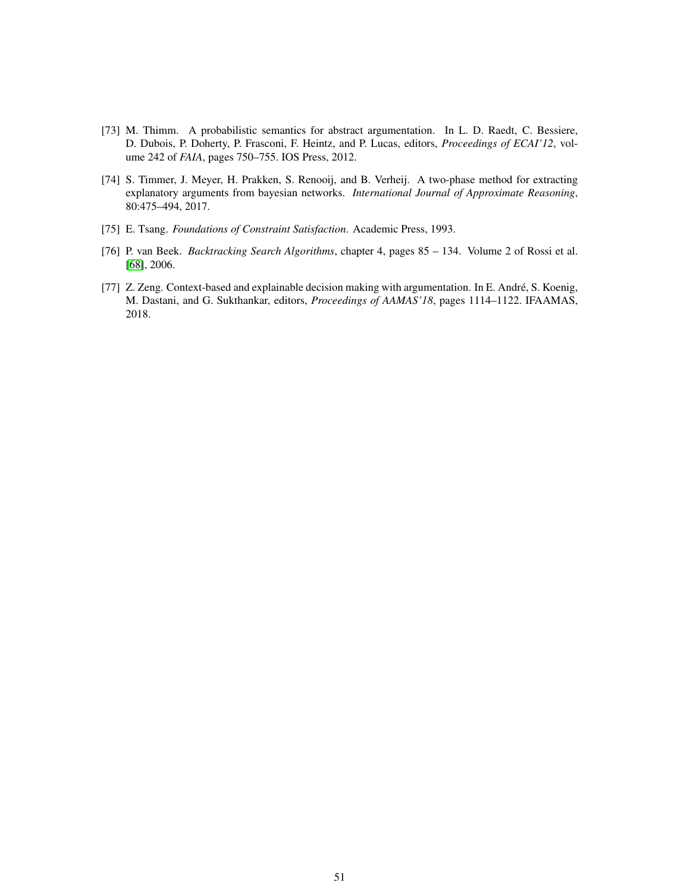- <span id="page-50-1"></span>[73] M. Thimm. A probabilistic semantics for abstract argumentation. In L. D. Raedt, C. Bessiere, D. Dubois, P. Doherty, P. Frasconi, F. Heintz, and P. Lucas, editors, *Proceedings of ECAI'12*, volume 242 of *FAIA*, pages 750–755. IOS Press, 2012.
- <span id="page-50-4"></span>[74] S. Timmer, J. Meyer, H. Prakken, S. Renooij, and B. Verheij. A two-phase method for extracting explanatory arguments from bayesian networks. *International Journal of Approximate Reasoning*, 80:475–494, 2017.
- <span id="page-50-2"></span>[75] E. Tsang. *Foundations of Constraint Satisfaction*. Academic Press, 1993.
- <span id="page-50-3"></span>[76] P. van Beek. *Backtracking Search Algorithms*, chapter 4, pages 85 – 134. Volume 2 of Rossi et al. [\[68\]](#page-49-9), 2006.
- <span id="page-50-0"></span>[77] Z. Zeng. Context-based and explainable decision making with argumentation. In E. Andre, S. Koenig, ´ M. Dastani, and G. Sukthankar, editors, *Proceedings of AAMAS'18*, pages 1114–1122. IFAAMAS, 2018.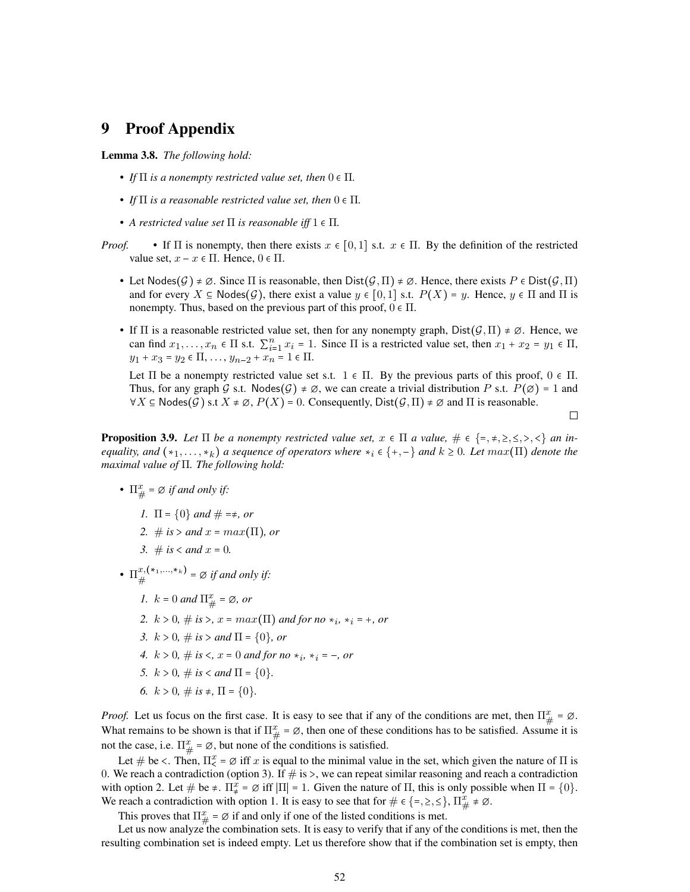# <span id="page-51-0"></span>9 Proof Appendix

#### Lemma 3.8. *The following hold:*

- *If*  $\Pi$  *is a nonempty restricted value set, then*  $0 \in \Pi$ *.*
- *If*  $\Pi$  *is a reasonable restricted value set, then*  $0 \in \Pi$ *.*
- *A restricted value set*  $\Pi$  *is reasonable iff*  $1 \in \Pi$ *.*
- *Proof.* If  $\Pi$  is nonempty, then there exists  $x \in [0,1]$  s.t.  $x \in \Pi$ . By the definition of the restricted value set,  $x - x \in \Pi$ . Hence,  $0 \in \Pi$ .
	- Let Nodes $(G) \neq \emptyset$ . Since  $\Pi$  is reasonable, then  $Dist(G,\Pi) \neq \emptyset$ . Hence, there exists  $P \in Dist(G,\Pi)$ and for every  $X \subseteq \text{Nodes}(\mathcal{G})$ , there exist a value  $y \in [0, 1]$  s.t.  $P(X) = y$ . Hence,  $y \in \Pi$  and  $\Pi$  is nonempty. Thus, based on the previous part of this proof,  $0 \in \Pi$ .
	- If  $\Pi$  is a reasonable restricted value set, then for any nonempty graph,  $Dist(G,\Pi) \neq \emptyset$ . Hence, we can find  $x_1, \ldots, x_n \in \Pi$  s.t.  $\sum_{i=1}^n x_i = 1$ . Since  $\Pi$  is a restricted value set, then  $x_1 + x_2 = y_1 \in \Pi$ ,  $y_1 + x_3 = y_2 \in \Pi, \ldots, y_{n-2} + x_n = 1 \in \Pi.$

Let  $\Pi$  be a nonempty restricted value set s.t.  $1 \in \Pi$ . By the previous parts of this proof,  $0 \in \Pi$ . Thus, for any graph G s.t. Nodes $(G) \neq \emptyset$ , we can create a trivial distribution P s.t.  $P(\emptyset) = 1$  and  $\forall X \subseteq \mathsf{Nodes}(G) \text{ s.t } X \neq \emptyset, P(X) = 0.$  Consequently,  $\mathsf{Dist}(\mathcal{G},\Pi) \neq \emptyset$  and  $\Pi$  is reasonable.

 $\Box$ 

**Proposition 3.9.** Let  $\Pi$  be a nonempty restricted value set,  $x \in \Pi$  a value,  $\# \in \{-, +, \geq, \leq, \lt, \}$  an in*equality, and*  $(*_1, \ldots, *_k)$  *a sequence of operators where*  $*_i \in \{+, -\}$  *and*  $k \ge 0$ *. Let*  $max(\Pi)$  *denote the maximal value of* Π*. The following hold:*

- $\Pi^x_{\#} = \emptyset$  *if and only if:* 
	- *1.*  $\Pi = \{0\}$  *and*  $\# = \neq$ , *or*
	- *2.* # *is* > *and*  $x = max(\Pi)$ , *or*
	- *3.* # *is* < *and*  $x = 0$ *.*
- $\Pi^{x,(*_1,...,*_k)}_{\#}$  $x,$ (\*1,...,\* $\kappa$ ) =  $\varnothing$  *if and only if:* 
	- *1.*  $k = 0$  *and*  $\Pi^x_{\#} = \emptyset$ *, or*
	- *2.*  $k > 0, \# is >, x = max(\Pi)$  and for no  $*_i$ ,  $*_i = +$ , or
	- *3.*  $k > 0$ ,  $\#$  *is*  $>$  *and*  $\Pi = \{0\}$ , *or*
	- *4.*  $k > 0$ ,  $\#$  *is*  $\lt$ ,  $x = 0$  *and for no*  $*_i$ ,  $*_i = -$ , *or*
	- *5.*  $k > 0$ ,  $\# is <$  *and*  $\Pi = \{0\}$ .
	- *6.*  $k > 0$ ,  $\# is \neq \Pi = \{0\}.$

*Proof.* Let us focus on the first case. It is easy to see that if any of the conditions are met, then  $\Pi_{\#}^x = \emptyset$ . What remains to be shown is that if  $\Pi_{\#}^x = \emptyset$ , then one of these conditions has to be satisfied. Assume it is not the case, i.e.  $\Pi_{\#}^x = \emptyset$ , but none of the conditions is satisfied.

Let  $\#$  be <. Then,  $\Pi^x_{\leq x} = \emptyset$  iff x is equal to the minimal value in the set, which given the nature of  $\Pi$  is 0. We reach a contradiction (option 3). If  $\#$  is >, we can repeat similar reasoning and reach a contradiction with option 2. Let  $\#$  be  $\neq$ .  $\Pi_{\#}^x = \emptyset$  iff  $|\Pi| = 1$ . Given the nature of  $\Pi$ , this is only possible when  $\Pi = \{0\}$ . We reach a contradiction with option 1. It is easy to see that for  $\# \in \{ =, \geq, \leq \}, \Pi_{\#}^x \neq \emptyset$ .

This proves that  $\Pi_{\#}^x = \emptyset$  if and only if one of the listed conditions is met.

Let us now analyze the combination sets. It is easy to verify that if any of the conditions is met, then the resulting combination set is indeed empty. Let us therefore show that if the combination set is empty, then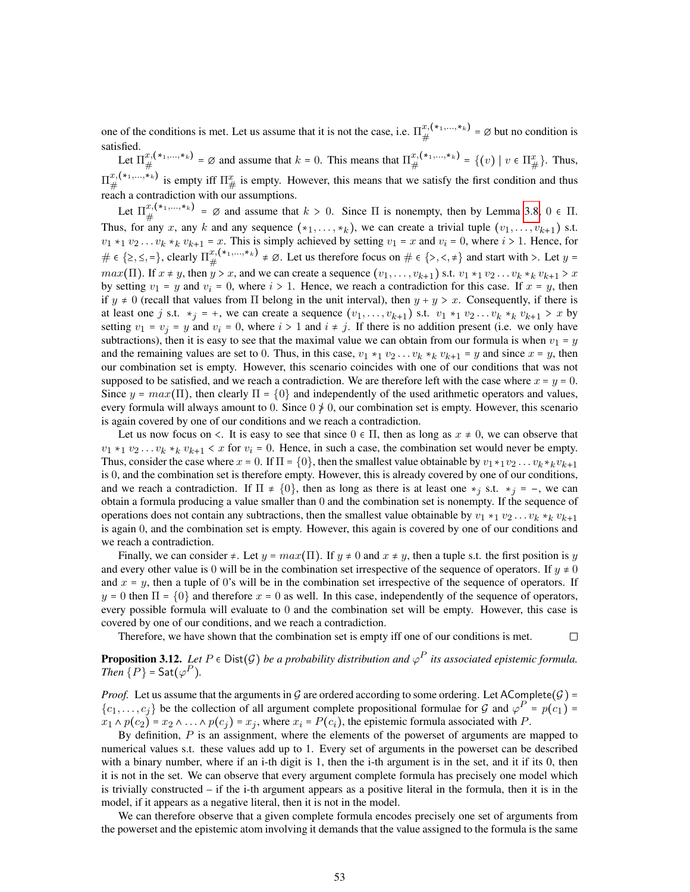one of the conditions is met. Let us assume that it is not the case, i.e.  $\Pi_{\mu}^{x,(*,...,*,})$  $x, ( *_{1},..., *_{k} ) = \emptyset$  but no condition is satisfied.

Let  $\Pi^{x,(*_1,...,*_k)}_{\#}$  $f(x,(*_1,...,*_k)) = \emptyset$  and assume that  $k = 0$ . This means that  $\prod_{\#}^{x,(*_1,...,*_k)}$  $x,(*_1,...,*_k) = \{ (v) \mid v \in \Pi_{\#}^x \}.$  Thus,  $\Pi^{x,(\,*,\,...,\,*,\,k)}_{\#}$  $x,(*_1,...,*_k)$  is empty iff  $\Pi_{\#}^x$  is empty. However, this means that we satisfy the first condition and thus  $\#$ reach a contradiction with our assumptions.

Let  $\Pi^{x,(*_1,...,*_k)}_{\mu}$  $f_{\#}^{(k_1,\ldots,k_k)} = \emptyset$  and assume that  $k > 0$ . Since  $\Pi$  is nonempty, then by Lemma [3.8,](#page-12-2)  $0 \in \Pi$ . Thus, for any x, any k and any sequence  $(*_1, \ldots, *_k)$ , we can create a trivial tuple  $(v_1, \ldots, v_{k+1})$  s.t.  $v_1 *_{1} v_2 \dots v_k *_{k} v_{k+1} = x$ . This is simply achieved by setting  $v_1 = x$  and  $v_i = 0$ , where  $i > 1$ . Hence, for  $\# \in \{\geq, \leq, =\},$  clearly  $\Pi_{\#}^{x,(*_1,...,*_k)}$  $x, (*_1, ..., *_k) \neq \emptyset$ . Let us therefore focus on  $\# \in \{>, <, \neq\}$  and start with  $>$ . Let  $y =$  $max(\Pi)$ . If  $x \neq y$ , then  $y > x$ , and we can create a sequence  $(v_1, \ldots, v_{k+1})$  s.t.  $v_1 \star_1 v_2 \ldots v_k \star_k v_{k+1} > x$ by setting  $v_1 = y$  and  $v_i = 0$ , where  $i > 1$ . Hence, we reach a contradiction for this case. If  $x = y$ , then if  $y \neq 0$  (recall that values from  $\Pi$  belong in the unit interval), then  $y + y > x$ . Consequently, if there is at least one j s.t.  $*_j = +$ , we can create a sequence  $(v_1, \ldots, v_{k+1})$  s.t.  $v_1 *_1 v_2 \ldots v_k *_k v_{k+1} > x$  by setting  $v_1 = v_j = y$  and  $v_i = 0$ , where  $i > 1$  and  $i \neq j$ . If there is no addition present (i.e. we only have subtractions), then it is easy to see that the maximal value we can obtain from our formula is when  $v_1 = y$ and the remaining values are set to 0. Thus, in this case,  $v_1 *_1 v_2 ... v_k *_k v_{k+1} = y$  and since  $x = y$ , then our combination set is empty. However, this scenario coincides with one of our conditions that was not supposed to be satisfied, and we reach a contradiction. We are therefore left with the case where  $x = y = 0$ . Since  $y = max(\Pi)$ , then clearly  $\Pi = \{0\}$  and independently of the used arithmetic operators and values, every formula will always amount to 0. Since  $0 \nless 0$ , our combination set is empty. However, this scenario is again covered by one of our conditions and we reach a contradiction.

Let us now focus on  $\lt$ . It is easy to see that since  $0 \in \Pi$ , then as long as  $x \neq 0$ , we can observe that  $v_1 *_{1} v_2 ... v_k *_{k} v_{k+1} < x$  for  $v_i = 0$ . Hence, in such a case, the combination set would never be empty. Thus, consider the case where  $x = 0$ . If  $\Pi = \{0\}$ , then the smallest value obtainable by  $v_1 *_1 v_2 \ldots v_k *_k v_{k+1}$ is 0, and the combination set is therefore empty. However, this is already covered by one of our conditions, and we reach a contradiction. If  $\Pi \neq \{0\}$ , then as long as there is at least one  $*_i$  s.t.  $*_i = -$ , we can obtain a formula producing a value smaller than 0 and the combination set is nonempty. If the sequence of operations does not contain any subtractions, then the smallest value obtainable by  $v_1 *_{1} v_2 ... v_k *_{k} v_{k+1}$ is again 0, and the combination set is empty. However, this again is covered by one of our conditions and we reach a contradiction.

Finally, we can consider  $\neq$ . Let  $y = max(\Pi)$ . If  $y \neq 0$  and  $x \neq y$ , then a tuple s.t. the first position is y and every other value is 0 will be in the combination set irrespective of the sequence of operators. If  $y \neq 0$ and  $x = y$ , then a tuple of 0's will be in the combination set irrespective of the sequence of operators. If  $y = 0$  then  $\Pi = \{0\}$  and therefore  $x = 0$  as well. In this case, independently of the sequence of operators, every possible formula will evaluate to 0 and the combination set will be empty. However, this case is covered by one of our conditions, and we reach a contradiction.

Therefore, we have shown that the combination set is empty iff one of our conditions is met.

 $\Box$ 

**Proposition 3.12.** Let  $P \in \text{Dist}(\mathcal{G})$  be a probability distribution and  $\varphi^P$  its associated epistemic formula. *Then*  $\{P\}$  = Sat $(\varphi^P)$ *.* 

*Proof.* Let us assume that the arguments in  $G$  are ordered according to some ordering. Let AComplete( $G$ ) =  $\{c_1,\ldots,c_j\}$  be the collection of all argument complete propositional formulae for  $\mathcal G$  and  $\varphi^P = p(c_1)$  $x_1 \wedge p(c_2) = x_2 \wedge \ldots \wedge p(c_j) = x_j$ , where  $x_i = P(c_i)$ , the epistemic formula associated with P.

By definition,  $P$  is an assignment, where the elements of the powerset of arguments are mapped to numerical values s.t. these values add up to 1. Every set of arguments in the powerset can be described with a binary number, where if an i-th digit is 1, then the i-th argument is in the set, and it if its 0, then it is not in the set. We can observe that every argument complete formula has precisely one model which is trivially constructed – if the i-th argument appears as a positive literal in the formula, then it is in the model, if it appears as a negative literal, then it is not in the model.

We can therefore observe that a given complete formula encodes precisely one set of arguments from the powerset and the epistemic atom involving it demands that the value assigned to the formula is the same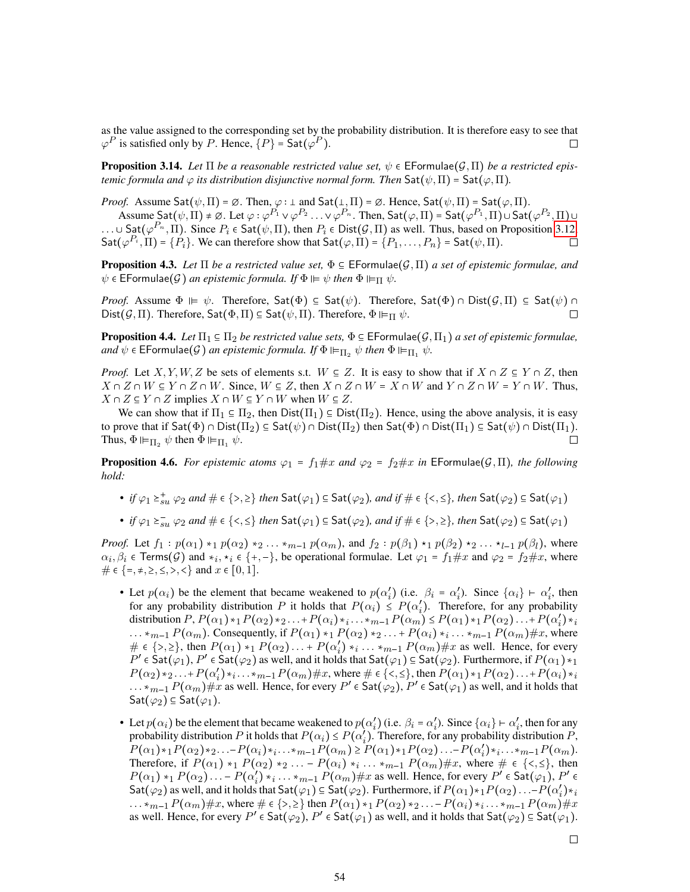as the value assigned to the corresponding set by the probability distribution. It is therefore easy to see that  $\varphi^P$  is satisfied only by P. Hence,  $\{P\}$  = Sat $(\varphi^P)$ .  $\Box$ 

**Proposition 3.14.** Let  $\Pi$  be a reasonable restricted value set,  $\psi \in \mathsf{EFormulae}(\mathcal{G}, \Pi)$  be a restricted epis*temic formula and*  $\varphi$  *its distribution disjunctive normal form. Then*  $\mathsf{Sat}(\psi,\Pi)$  =  $\mathsf{Sat}(\varphi,\Pi)$ .

*Proof.* Assume  $\mathsf{Sat}(\psi,\Pi) = \emptyset$ . Then,  $\varphi : \bot$  and  $\mathsf{Sat}(\bot,\Pi) = \emptyset$ . Hence,  $\mathsf{Sat}(\psi,\Pi) = \mathsf{Sat}(\varphi,\Pi)$ .

Assume  $\mathsf{Sat}(\psi,\Pi) \neq \varnothing$ . Let  $\varphi: \varphi^{P_1}\vee \varphi^{P_2}\ldots \vee \varphi^{P_n}.$  Then,  $\mathsf{Sat}(\varphi,\Pi)$  =  $\mathsf{Sat}(\varphi^{P_1},\Pi)$   $\cup$   $\mathsf{Sat}(\varphi^{P_2},\Pi)$   $\cup$ ...  $\cup$  Sat $(\varphi^{P_n}, \Pi)$ . Since  $P_i \in \text{Sat}(\psi, \Pi)$ , then  $P_i \in \text{Dist}(\mathcal{G}, \Pi)$  as well. Thus, based on Proposition [3.12,](#page-13-2)  $\mathsf{Sat}(\varphi^{P_i},\Pi)=\{P_i\}.$  We can therefore show that  $\mathsf{Sat}(\varphi,\Pi)=\{P_1,\ldots,P_n\}$  =  $\mathsf{Sat}(\psi,\Pi)$ .  $\Box$ 

**Proposition 4.3.** Let  $\Pi$  be a restricted value set,  $\Phi \in \mathsf{EFormulae}(G,\Pi)$  a set of epistemic formulae, and  $\psi \in \mathsf{EFormulae}(\mathcal{G})$  *an epistemic formula. If*  $\Phi \vDash \psi$  *then*  $\Phi \vDash_{\Pi} \psi$ *.* 

*Proof.* Assume  $\Phi \vDash \psi$ . Therefore,  $\mathsf{Sat}(\Phi) \subseteq \mathsf{Sat}(\psi)$ . Therefore,  $\mathsf{Sat}(\Phi) \cap \mathsf{Dist}(\mathcal{G},\Pi) \subseteq \mathsf{Sat}(\psi) \cap \Pi$ Dist $(G,\Pi)$ . Therefore, Sat $(\Phi,\Pi) \subseteq$  Sat $(\psi,\Pi)$ . Therefore,  $\Phi \vDash_{\Pi} \psi$ .  $\Box$ 

**Proposition 4.4.** *Let*  $\Pi_1 \subseteq \Pi_2$  *be restricted value sets*,  $\Phi \subseteq \mathsf{EFormula}(\mathcal{G},\Pi_1)$  *a set of epistemic formulae*, *and*  $\psi$   $\in$  **EFormulae(G)** an epistemic formula. If  $\Phi$   $\models_{\Pi_2} \psi$  then  $\Phi$   $\models_{\Pi_1} \psi$ .

*Proof.* Let X, Y, W, Z be sets of elements s.t.  $W \subseteq Z$ . It is easy to show that if  $X \cap Z \subseteq Y \cap Z$ , then  $X \cap Z \cap W \subseteq Y \cap Z \cap W$ . Since,  $W \subseteq Z$ , then  $X \cap Z \cap W = X \cap W$  and  $Y \cap Z \cap W = Y \cap W$ . Thus,  $X \cap Z \subseteq Y \cap Z$  implies  $X \cap W \subseteq Y \cap W$  when  $W \subseteq Z$ .

We can show that if  $\Pi_1 \subseteq \Pi_2$ , then  $Dist(\Pi_1) \subseteq Dist(\Pi_2)$ . Hence, using the above analysis, it is easy to prove that if  $\mathsf{Sat}(\Phi) \cap \mathsf{Dist}(\Pi_2) \subseteq \mathsf{Sat}(\psi) \cap \mathsf{Dist}(\Pi_2)$  then  $\mathsf{Sat}(\Phi) \cap \mathsf{Dist}(\Pi_1) \subseteq \mathsf{Sat}(\psi) \cap \mathsf{Dist}(\Pi_1)$ . Thus,  $\Phi \vDash_{\Pi_2} \psi$  then  $\Phi \vDash_{\Pi_1} \psi$ . П

**Proposition 4.6.** *For epistemic atoms*  $\varphi_1 = f_1 \# x$  *and*  $\varphi_2 = f_2 \# x$  *in* EFormulae( $\mathcal{G}, \Pi$ )*, the following hold:*

• *if*  $\varphi_1 \geq^*_{su} \varphi_2$  and  $\# \in \{>, \geq\}$  then  $\mathsf{Sat}(\varphi_1) \subseteq \mathsf{Sat}(\varphi_2)$ , and if  $\# \in \{<, \leq\}$ , then  $\mathsf{Sat}(\varphi_2) \subseteq \mathsf{Sat}(\varphi_1)$ 

• *if*  $\varphi_1 \geq_{su} \varphi_2$  and  $\# \in \{<, \leq\}$  then  $\mathsf{Sat}(\varphi_1) \subseteq \mathsf{Sat}(\varphi_2)$ , and if  $\# \in \{>, \geq\}$ , then  $\mathsf{Sat}(\varphi_2) \subseteq \mathsf{Sat}(\varphi_1)$ 

*Proof.* Let  $f_1: p(\alpha_1) *_{1} p(\alpha_2) *_{2} \ldots *_{m-1} p(\alpha_m)$ , and  $f_2: p(\beta_1) *_{1} p(\beta_2) *_{2} \ldots *_{l-1} p(\beta_l)$ , where  $\alpha_i, \beta_i \in \text{Terms}(\mathcal{G})$  and  $*_i, *_i \in \{+, -\}$ , be operational formulae. Let  $\varphi_1 = f_1 \# x$  and  $\varphi_2 = f_2 \# x$ , where #  $\in \{ =, \neq, \geq, \leq, >, < \}$  and  $x \in [0, 1]$ .

- Let  $p(\alpha_i)$  be the element that became weakened to  $p(\alpha_i')$ (*i*, e.  $\beta_i = \alpha'_i$ '<sub>i</sub>). Since  $\{\alpha_i\} \vdash \alpha'_i$  $i<sub>i</sub>$ , then for any probability distribution P it holds that  $P(\alpha_i) \leq P(\alpha_i')$  $i<sub>i</sub>$ ). Therefore, for any probability distribution  $P, P(\alpha_1) *_{1} P(\alpha_2) *_{2} \ldots + P(\alpha_i) *_{i} \ldots *_{m-1} P(\alpha_m) \leq P(\alpha_1) *_{1} P(\alpha_2) \ldots + P(\alpha_i)$  $i^{\prime}$ <sub>i</sub>) \*  $i$  $\ldots *_{m-1} P(\alpha_m)$ . Consequently, if  $P(\alpha_1) *_{1} P(\alpha_2) *_{2} \ldots * P(\alpha_i) *_{i} \ldots *_{m-1} P(\alpha_m) \# x$ , where  $\# \in \{>, \geq\},\$  then  $P(\alpha_1) *_{1} P(\alpha_2) \ldots + P(\alpha_i')$  $i<sub>i</sub>'$ ) \* $i \ldots$  \* $m-1$   $P(\alpha_m)$  # $x$  as well. Hence, for every  $P' \in \text{Sat}(\varphi_1), P' \in \text{Sat}(\varphi_2)$  as well, and it holds that  $\text{Sat}(\varphi_1) \subseteq \text{Sat}(\varphi_2)$ . Furthermore, if  $P(\alpha_1) *_{1}$  $P(\alpha_2) *_{2} \ldots + P(\alpha'_i)$  $\{i'_i\}_{i=1}^N \cdots$   $\{m-1}P(\alpha_m) \# x$ , where  $\# \in \{\lt, \leq\}$ , then  $P(\alpha_1) *_{1} P(\alpha_2) \ldots + P(\alpha_i) *_{i}$  $\dots *_{m-1} P(\alpha_m) \# x$  as well. Hence, for every  $P' \in \text{Sat}(\varphi_2), P' \in \text{Sat}(\varphi_1)$  as well, and it holds that Sat $(\varphi_2) \subseteq$  Sat $(\varphi_1)$ .
- Let  $p(\alpha_i)$  be the element that became weakened to  $p(\alpha_i')$  $i$ ) (i.e.  $\beta_i = \alpha'_i$ '<sub>i</sub>). Since  $\{\alpha_i\} \vdash \alpha'_i$  $i<sub>i</sub>$ , then for any probability distribution P it holds that  $P(\alpha_i) \leq P(\alpha_i')$  $\binom{n}{i}$ . Therefore, for any probability distribution  $P$ ,  $P(\alpha_1) *_{1} P(\alpha_2) *_{2} \ldots - P(\alpha_i) *_{i} \ldots *_{m-1} P(\alpha_m) \geq P(\alpha_1) *_{1} P(\alpha_2) \ldots - P(\alpha'_i)$  $i<sub>i</sub>$ ,  $\cdots$   $\cdots$ <sub>m-1</sub> $P(\alpha_m)$ . Therefore, if  $P(\alpha_1) *_{1} P(\alpha_2) *_{2} ... - P(\alpha_i) *_{i} ... *_{m-1} P(\alpha_m) \# x$ , where  $\# \in \{<, \leq\}$ , then  $P(\alpha_1) *_{1} P(\alpha_2) \ldots - P(\alpha_i)$  $\int_{i}^{2} x_{i}^{2} \ldots x_{m-1} P(\alpha_{m}) \# x$  as well. Hence, for every  $P^{\prime} \in \text{Sat}(\varphi_{1}), P^{\prime} \in \mathbb{R}$  $\textsf{Sat}(\varphi_2)$  as well, and it holds that  $\textsf{Sat}(\varphi_1) \subseteq \textsf{Sat}(\varphi_2)$ . Furthermore, if  $P(\alpha_1) *_{1}P(\alpha_2) \dots - P(\alpha_{n-1})$  $'_{i})*_{i}$ ... \* $_{m-1}P(\alpha_m)\#x$ , where  $\#\in\{>,\geq\}$  then  $P(\alpha_1)$  \*1  $P(\alpha_2)$  \*2... -  $P(\alpha_i)$  \* $_i$ ... \* $_{m-1}P(\alpha_m)\#x$ as well. Hence, for every  $P'$   $\in$  Sat $(\varphi_2)$ ,  $P' \in$  Sat $(\varphi_1)$  as well, and it holds that Sat $(\varphi_2) \subseteq$  Sat $(\varphi_1)$ .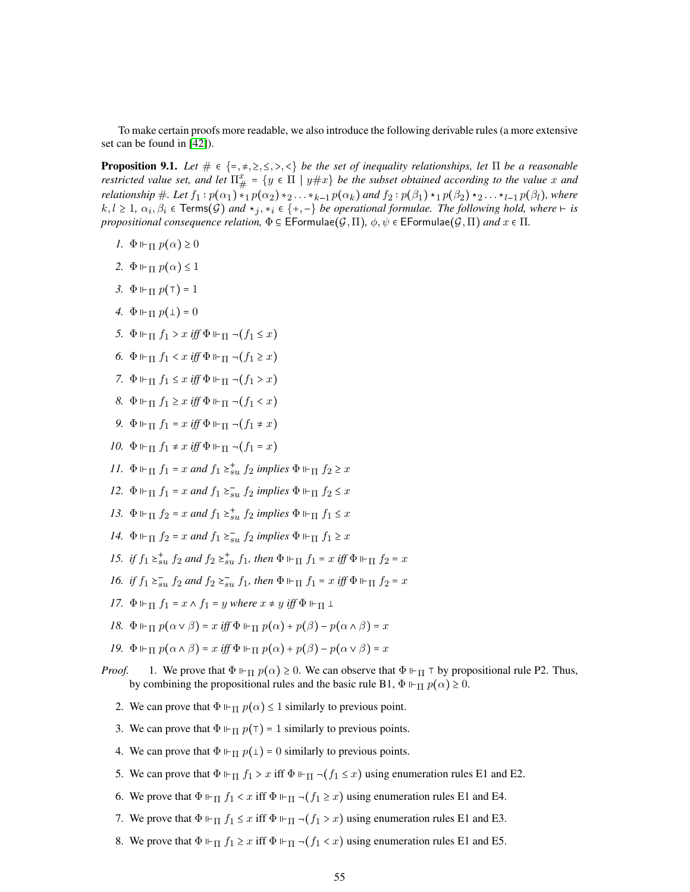To make certain proofs more readable, we also introduce the following derivable rules (a more extensive set can be found in [\[42\]](#page-48-9)).

**Proposition 9.1.** *Let*  $\# \in \{=\, \neq, \geq, \leq, \geq, \leq\}$  *be the set of inequality relationships, let*  $\Pi$  *be a reasonable restricted value set, and let*  $\Pi^x_{\#} = \{y \in \Pi \mid y \# x\}$  *be the subset obtained according to the value* x and *relationship*  $\#$ *. Let*  $f_1: p(\alpha_1) *_1 p(\alpha_2) *_2 ... *_{k-1} p(\alpha_k)$  and  $f_2: p(\beta_1) *_1 p(\beta_2) *_2 ... *_{l-1} p(\beta_l)$ , where  $k, l \ge 1$ ,  $\alpha_i, \beta_i \in \text{Terms}(G)$  and  $\star_j, \star_i \in \{+, -\}$  be operational formulae. The following hold, where  $\vdash$  is *propositional consequence relation,*  $\Phi \subseteq \mathsf{EFormulae}(\mathcal{G}, \Pi)$ ,  $\phi, \psi \in \mathsf{EFormulae}(\mathcal{G}, \Pi)$  *and*  $x \in \Pi$ .

- *1.*  $\Phi \Vdash_{\Pi} p(\alpha) \geq 0$
- 2.  $\Phi \Vdash_{\Pi} p(\alpha) \leq 1$
- <span id="page-54-4"></span>*3.*  $\Phi \Vdash_{\Pi} p(\top) = 1$
- <span id="page-54-3"></span>*4.*  $\Phi \Vdash_{\Pi} p(\bot) = 0$
- <span id="page-54-8"></span>*5.*  $\Phi \Vdash_{\Pi} f_1 > x$  *iff*  $\Phi \Vdash_{\Pi} \neg (f_1 \leq x)$
- *6.*  $\Phi \Vdash_{\Pi} f_1 < x$  *iff*  $\Phi \Vdash_{\Pi} \neg (f_1 \geq x)$
- *7.*  $\Phi \vDash_{\Pi} f_1 \leq x$  *iff*  $\Phi \vDash_{\Pi} \neg (f_1 > x)$
- *8.*  $\Phi \Vdash_{\Pi} f_1 \geq x$  *iff*  $\Phi \Vdash_{\Pi} \neg (f_1 < x)$
- *9.*  $\Phi \vDash_{\Pi} f_1 = x$  *iff*  $\Phi \vDash_{\Pi} \neg (f_1 \neq x)$
- <span id="page-54-0"></span>*10.*  $\Phi \Vdash_{\Pi} f_1 \neq x$  *iff*  $\Phi \Vdash_{\Pi} \neg (f_1 = x)$
- *11.*  $\Phi \Vdash_{\Pi} f_1 = x$  *and*  $f_1 \succeq_{su}^* f_2$  *implies*  $\Phi \Vdash_{\Pi} f_2 \geq x$
- *12.*  $\Phi \Vdash_{\Pi} f_1 = x$  *and*  $f_1 \succeq_{su}^{\infty} f_2$  *implies*  $\Phi \Vdash_{\Pi} f_2 \leq x$
- <span id="page-54-7"></span>*13.*  $\Phi \Vdash_{\Pi} f_2 = x$  *and*  $f_1 \succeq_{su}^* f_2$  *implies*  $\Phi \Vdash_{\Pi} f_1 \leq x$
- *14.*  $\Phi \Vdash_{\Pi} f_2 = x$  *and*  $f_1 \succeq_{su}^{\infty} f_2$  *implies*  $\Phi \Vdash_{\Pi} f_1 \geq x$
- <span id="page-54-5"></span>*15. if*  $f_1 \geq_{su}^+ f_2$  *and*  $f_2 \geq_{su}^+ f_1$ *, then*  $\Phi \Vdash_{\Pi} f_1 = x$  *iff*  $\Phi \Vdash_{\Pi} f_2 = x$
- <span id="page-54-6"></span>*16. if*  $f_1 \geq_{\text{3u}}^{\text{-}} f_2$  *and*  $f_2 \geq_{\text{3u}}^{\text{-}} f_1$ *, then*  $\Phi \Vdash_{\Pi} f_1 = x$  *iff*  $\Phi \Vdash_{\Pi} f_2 = x$
- <span id="page-54-1"></span>*17.*  $\Phi \Vdash_{\Pi} f_1 = x \wedge f_1 = y$  *where*  $x \neq y$  *iff*  $\Phi \Vdash_{\Pi} 1$
- <span id="page-54-2"></span>*18.*  $\Phi \Vdash_{\Pi} p(\alpha \vee \beta) = x$  *iff*  $\Phi \Vdash_{\Pi} p(\alpha) + p(\beta) - p(\alpha \wedge \beta) = x$
- *19.*  $\Phi \Vdash_{\Pi} p(\alpha \wedge \beta) = x$  *iff*  $\Phi \Vdash_{\Pi} p(\alpha) + p(\beta) p(\alpha \vee \beta) = x$
- *Proof.* 1. We prove that  $\Phi \vdash_{\Pi} p(\alpha) \geq 0$ . We can observe that  $\Phi \vdash_{\Pi} \top$  by propositional rule P2. Thus, by combining the propositional rules and the basic rule B1,  $\Phi \vDash_{\Pi} p(\alpha) \geq 0$ .
	- 2. We can prove that  $\Phi \vdash_{\Pi} p(\alpha) \leq 1$  similarly to previous point.
	- 3. We can prove that  $\Phi \Vdash_{\Pi} p(\top) = 1$  similarly to previous points.
	- 4. We can prove that  $\Phi \Vdash_{\Pi} p(\bot) = 0$  similarly to previous points.
	- 5. We can prove that  $\Phi \Vdash_{\Pi} f_1 > x$  iff  $\Phi \Vdash_{\Pi} \neg (f_1 \leq x)$  using enumeration rules E1 and E2.
	- 6. We prove that  $\Phi \vdash_{\Pi} f_1 < x$  iff  $\Phi \vdash_{\Pi} \neg (f_1 \geq x)$  using enumeration rules E1 and E4.
	- 7. We prove that  $\Phi \Vdash_{\Pi} f_1 \leq x$  iff  $\Phi \Vdash_{\Pi} \neg (f_1 > x)$  using enumeration rules E1 and E3.
	- 8. We prove that  $\Phi \vDash_{\Pi} f_1 \geq x$  iff  $\Phi \vDash_{\Pi} \neg(f_1 < x)$  using enumeration rules E1 and E5.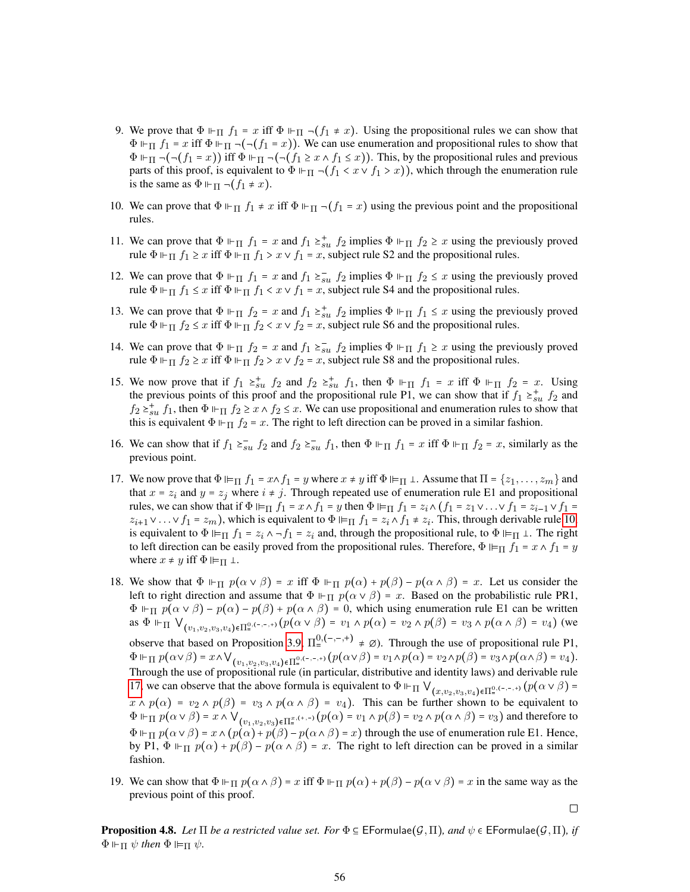- 9. We prove that  $\Phi \Vdash_{\Pi} f_1 = x$  iff  $\Phi \Vdash_{\Pi} \neg (f_1 \neq x)$ . Using the propositional rules we can show that  $\Phi \vDash_{\Pi} f_1 = x$  iff  $\Phi \vDash_{\Pi} \neg(\neg(f_1 = x))$ . We can use enumeration and propositional rules to show that  $\Phi \vdash_{\Pi} \neg(\neg(f_1 = x))$  iff  $\Phi \vdash_{\Pi} \neg(\neg(f_1 \geq x \land f_1 \leq x))$ . This, by the propositional rules and previous parts of this proof, is equivalent to  $\Phi \Vdash_{\Pi} \neg (f_1 < x \lor f_1 > x)$ , which through the enumeration rule is the same as  $\Phi \Vdash_{\Pi} \neg (f_1 \neq x)$ .
- 10. We can prove that  $\Phi \vdash_{\Pi} f_1 \neq x$  iff  $\Phi \vdash_{\Pi} \neg (f_1 = x)$  using the previous point and the propositional rules.
- 11. We can prove that  $\Phi \Vdash_{\Pi} f_1 = x$  and  $f_1 \succeq_{su}^* f_2$  implies  $\Phi \Vdash_{\Pi} f_2 \geq x$  using the previously proved rule  $\Phi \Vdash_{\Pi} f_1 \geq x$  iff  $\Phi \Vdash_{\Pi} f_1 > x \vee f_1 = x$ , subject rule S2 and the propositional rules.
- 12. We can prove that  $\Phi \Vdash_{\Pi} f_1 = x$  and  $f_1 \succeq_{su}^{\neg} f_2$  implies  $\Phi \Vdash_{\Pi} f_2 \leq x$  using the previously proved rule  $\Phi \Vdash_{\Pi} f_1 \leq x$  iff  $\Phi \Vdash_{\Pi} f_1 < x \vee f_1 = x$ , subject rule S4 and the propositional rules.
- 13. We can prove that  $\Phi \Vdash_{\Pi} f_2 = x$  and  $f_1 \succeq_{su}^* f_2$  implies  $\Phi \Vdash_{\Pi} f_1 \leq x$  using the previously proved rule  $\Phi \Vdash_{\Pi} f_2 \leq x$  iff  $\Phi \Vdash_{\Pi} f_2 < x \vee f_2 = x$ , subject rule S6 and the propositional rules.
- 14. We can prove that  $\Phi \Vdash_{\Pi} f_2 = x$  and  $f_1 \geq_{su} f_2$  implies  $\Phi \Vdash_{\Pi} f_1 \geq x$  using the previously proved rule  $\Phi \Vdash_{\Pi} f_2 \geq x$  iff  $\Phi \Vdash_{\Pi} f_2 > x \vee f_2 = x$ , subject rule S8 and the propositional rules.
- 15. We now prove that if  $f_1 \ge_{su}^+ f_2$  and  $f_2 \ge_{su}^+ f_1$ , then  $\Phi \Vdash_{\Pi} f_1 = x$  iff  $\Phi \Vdash_{\Pi} f_2 = x$ . Using the previous points of this proof and the propositional rule P1, we can show that if  $f_1 \geq f_2$  and  $f_2 \geq^+_{\text{3}u} f_1$ , then  $\Phi \Vdash_{\Pi} f_2 \geq x \wedge f_2 \leq x$ . We can use propositional and enumeration rules to show that this is equivalent  $\Phi \Vdash_{\Pi} f_2 = x$ . The right to left direction can be proved in a similar fashion.
- 16. We can show that if  $f_1 \ge_{su}^{\infty} f_2$  and  $f_2 \ge_{su}^{\infty} f_1$ , then  $\Phi \Vdash_{\Pi} f_1 = x$  iff  $\Phi \Vdash_{\Pi} f_2 = x$ , similarly as the previous point.
- 17. We now prove that  $\Phi \vDash_{\Pi} f_1 = x \wedge f_1 = y$  where  $x \neq y$  iff  $\Phi \vDash_{\Pi} \bot$ . Assume that  $\Pi = \{z_1, \ldots, z_m\}$  and that  $x = z_i$  and  $y = z_j$  where  $i \neq j$ . Through repeated use of enumeration rule E1 and propositional rules, we can show that if  $\Phi \vDash_{\Pi} f_1 = x \wedge f_1 = y$  then  $\Phi \vDash_{\Pi} f_1 = z_i \wedge (f_1 = z_1 \vee \ldots \vee f_1 = z_{i-1} \vee f_1 = z_i \wedge f_1$  $z_{i+1} \vee \ldots \vee f_1 = z_m$ , which is equivalent to  $\Phi \vDash_{\Pi} f_1 = z_i \wedge f_1 \neq z_i$ . This, through derivable rule [10,](#page-54-0) is equivalent to  $\Phi \vDash_{\Pi} f_1 = z_i \wedge \neg f_1 = z_i$  and, through the propositional rule, to  $\Phi \vDash_{\Pi} \bot$ . The right to left direction can be easily proved from the propositional rules. Therefore,  $\Phi \vDash_{\Pi} f_1 = x \wedge f_1 = y$ where  $x \neq y$  iff  $\Phi \vDash_{\Pi} \bot$ .
- 18. We show that  $\Phi \Vdash_{\Pi} p(\alpha \vee \beta) = x$  iff  $\Phi \Vdash_{\Pi} p(\alpha) + p(\beta) p(\alpha \wedge \beta) = x$ . Let us consider the left to right direction and assume that  $\Phi \Vdash_{\Pi} p(\alpha \lor \beta) = x$ . Based on the probabilistic rule PR1,  $\Phi \Vdash_{\Pi} p(\alpha \vee \beta) - p(\alpha) - p(\beta) + p(\alpha \wedge \beta) = 0$ , which using enumeration rule E1 can be written as  $\Phi$   $\Vdash_{\Pi}$   $\bigvee_{(v_1, v_2, v_3, v_4)\in\Pi_{\pi}^{0, (-,-,+)}} (p(\alpha \vee \beta) = v_1 \wedge p(\alpha) = v_2 \wedge p(\beta) = v_3 \wedge p(\alpha \wedge \beta) = v_4)$  (we observe that based on Proposition [3.9,](#page-12-1)  $\Pi_{=}^{0, (-,-, +)} \neq \emptyset$ . Through the use of propositional rule P1,  $\Phi \Vdash_{\Pi} p(\alpha \vee \beta) = x \wedge \bigvee_{(v_1,v_2,v_3,v_4) \in \Pi^{0,(-,-,+)}_{{\bf s}}} (p(\alpha \vee \beta) = v_1 \wedge p(\alpha) = v_2 \wedge p(\beta) = v_3 \wedge p(\alpha \wedge \beta) = v_4).$ Through the use of propositional rule (in particular, distributive and identity laws) and derivable rule [17,](#page-54-1) we can observe that the above formula is equivalent to  $\Phi \Vdash_{\Pi} \bigvee_{(x,v_2,v_3,v_4)\in\Pi^{0,(-,-,+)}} (p(\alpha \vee \beta) =$  $x \wedge p(\alpha) = v_2 \wedge p(\beta) = v_3 \wedge p(\alpha \wedge \beta) = v_4$ . This can be further shown to be equivalent to  $\Phi \Vdash_{\Pi} p(\alpha \vee \beta) = x \wedge \bigvee_{(v_1, v_2, v_3) \in \Pi^{\underline{x}, (+, -)}} (p(\alpha) = v_1 \wedge p(\beta) = v_2 \wedge p(\alpha \wedge \beta) = v_3)$  and therefore to  $\Phi \Vdash_{\Pi} p(\alpha \vee \beta) = x \wedge (p(\alpha) + p(\beta) - p(\alpha \wedge \beta) = x)$  through the use of enumeration rule E1. Hence, by P1,  $\Phi \Vdash_{\Pi} p(\alpha) + p(\beta) - p(\alpha \wedge \beta) = x$ . The right to left direction can be proved in a similar fashion.
- 19. We can show that  $\Phi \Vdash_{\Pi} p(\alpha \wedge \beta) = x$  iff  $\Phi \Vdash_{\Pi} p(\alpha) + p(\beta) p(\alpha \vee \beta) = x$  in the same way as the previous point of this proof.

 $\Box$ 

**Proposition 4.8.** *Let*  $\Pi$  *be a restricted value set. For*  $\Phi \in \mathsf{EFormulae}(\mathcal{G},\Pi)$ *, and*  $\psi \in \mathsf{EFormulae}(\mathcal{G},\Pi)$ *, if*  $\Phi \Vdash_{\Pi} \psi$  then  $\Phi \Vdash_{\Pi} \psi$ .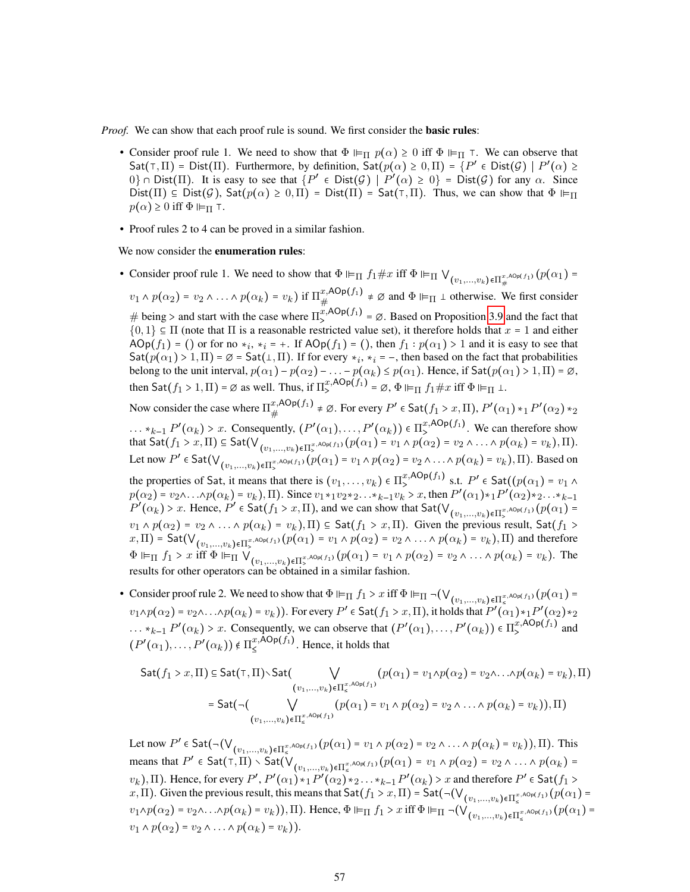*Proof.* We can show that each proof rule is sound. We first consider the **basic rules**:

- Consider proof rule 1. We need to show that  $\Phi \models_{\Pi} p(\alpha) \geq 0$  iff  $\Phi \models_{\Pi} \tau$ . We can observe that  $\text{Sat}(\tau,\Pi)$  = Dist $(\Pi)$ . Furthermore, by definition,  $\text{Sat}(p(\alpha) \geq 0,\Pi) = \{P' \in \text{Dist}(\mathcal{G}) \mid P'(\alpha) \geq 0\}$  $0$   $\cap$  Dist( $\Pi$ ). It is easy to see that  $\{P' \in \text{Dist}(\mathcal{G}) \mid P'(\alpha) \ge 0\} = \text{Dist}(\mathcal{G})$  for any  $\alpha$ . Since Dist( $\Pi$ )  $\subseteq$  Dist( $\mathcal{G}$ ), Sat( $p(\alpha) \geq 0, \Pi$ ) = Dist( $\Pi$ ) = Sat( $\tau$ ,  $\Pi$ ). Thus, we can show that  $\Phi \vDash_{\Pi}$  $p(\alpha) \geq 0$  iff  $\Phi \vDash_{\Pi} \top$ .
- Proof rules 2 to 4 can be proved in a similar fashion.

We now consider the **enumeration rules**:

- Consider proof rule 1. We need to show that  $\Phi \vDash_{\Pi} f_1 \# x$  iff  $\Phi \vDash_{\Pi} \bigvee_{(v_1,...,v_k)\in \Pi^{x,\text{ADp}(f_1)}_+} (p(\alpha_1) =$  $v_1 \wedge p(\alpha_2) = v_2 \wedge \ldots \wedge p(\alpha_k) = v_k$ ) if  $\Pi_{\#}^{x, \text{AOp}(f_1)}$  $x, \text{AOP}(f_1) \neq \emptyset$  and  $\Phi \vDash_{\Pi} \bot$  otherwise. We first consider # being > and start with the case where  $\Pi_2^{x,AOp(f_1)} = \emptyset$ . Based on Proposition [3.9](#page-12-1) and the fact that  $\{0, 1\} \subseteq \Pi$  (note that  $\Pi$  is a reasonable restricted value set), it therefore holds that  $x = 1$  and either AOp( $f_1$ ) = () or for no  $*_i$ ,  $*_i$  = +. If AOp( $f_1$ ) = (), then  $f_1 : p(\alpha_1) > 1$  and it is easy to see that  $\text{Sat}(p(\alpha_1) > 1, \Pi) = \emptyset = \text{Sat}(\bot, \Pi)$ . If for every  $*_i$ ,  $*_i = -$ , then based on the fact that probabilities belong to the unit interval,  $p(\alpha_1) - p(\alpha_2) - \ldots - p(\alpha_k) \le p(\alpha_1)$ . Hence, if Sat $(p(\alpha_1) > 1, \Pi) = \emptyset$ , then Sat $(f_1 > 1, \Pi) = \emptyset$  as well. Thus, if  $\Pi_{\geq}^{x, \mathsf{AOp}(f_1)} = \emptyset$ ,  $\Phi \vDash_{\Pi} f_1 \# x$  iff  $\Phi \vDash_{\Pi} \bot$ . Now consider the case where  $\Pi_{\mu}^{x,\text{AOp}(f_1)}$  $\begin{split} &\mathit{x}\text{,ADp}(f_1)\ \neq\varnothing. \text{ For every }P'\in\mathsf{Sat}(f_1\succ x,\Pi)\text{, }P'(\alpha_1)\ast_1P'(\alpha_2)\ast_2 \end{split}$  $\ldots *_{k-1} P'(\alpha_k) > x$ . Consequently,  $(P'(\alpha_1), \ldots, P'(\alpha_k)) \in \Pi_{\succ}^{x, \text{AOp}(f_1)}$ . We can therefore show that  $\mathsf{Sat}(f_1 > x, \Pi) \subseteq \mathsf{Sat}(\mathsf{V}_{(v_1,...,v_k)\in \Pi_{\succ}^{x,\mathsf{AOp}(f_1)}}(p(\alpha_1) = v_1 \wedge p(\alpha_2) = v_2 \wedge \ldots \wedge p(\alpha_k) = v_k), \Pi).$ Let now  $P' \in \textsf{Sat}(\vee_{(v_1,...,v_k)\in \Pi_s^{x,\textsf{AD}(f_1)}}(p(\alpha_1) = v_1 \wedge p(\alpha_2) = v_2 \wedge ... \wedge p(\alpha_k) = v_k), \Pi)$ . Based on the properties of Sat, it means that there is  $(v_1, \ldots, v_k) \in \Pi^{x, \text{AOp}(f_1)}_{\geq}$  s.t.  $P' \in \text{Sat}((p(\alpha_1) = v_1 \land p)$  $p(\alpha_2) = v_2 \wedge ... \wedge p(\alpha_k) = v_k$ , Π. Since  $v_1 *_{1} v_2 *_{2} ... *_{k-1} v_k > x$ , then  $P'(\alpha_1) *_{1} P'(\alpha_2) *_{2} ... *_{k-1}$  $P'(\alpha_k) > x$ . Hence,  $P' \in \text{Sat}(f_1 > x, \Pi)$ , and we can show that  $\text{Sat}(\vee_{(v_1,...,v_k) \in \Pi_s^x, \text{Aop}(f_1)}(p(\alpha_1)) =$  $v_1 \wedge p(\alpha_2) = v_2 \wedge \ldots \wedge p(\alpha_k) = v_k$ ,  $\Pi$ )  $\subseteq$  Sat $(f_1 > x, \Pi)$ . Given the previous result, Sat $(f_1 > x, \Pi)$  $(x,\Pi)$  = Sat $(\bigvee_{(v_1,...,v_k)\in \Pi_{\succ}^{x,\text{AOp}(f_1)}} (p(\alpha_1) = v_1 \land p(\alpha_2) = v_2 \land ... \land p(\alpha_k) = v_k),\Pi)$  and therefore
- $\Phi \vDash_{\Pi} f_1 > x$  iff  $\Phi \vDash_{\Pi} \bigvee_{(v_1,...,v_k)\in\Pi_s^{x,\text{AOp}(f_1)}} (p(\alpha_1) = v_1 \wedge p(\alpha_2) = v_2 \wedge ... \wedge p(\alpha_k) = v_k)$ . The results for other operators can be obtained in a similar fashion.
- Consider proof rule 2. We need to show that  $\Phi \Vdash_{\Pi} f_1 > x$  iff  $\Phi \Vdash_{\Pi} \neg (\bigvee_{(v_1,...,v_k)\in \Pi_{\leq}^{x,A\text{Op}(f_1)}} (p(\alpha_1) =$  $v_1 \wedge p(\alpha_2) = v_2 \wedge \ldots \wedge p(\alpha_k) = v_k)$ ). For every  $P' \in \text{Sat}(f_1 > x, \Pi)$ , it holds that  $P'(\alpha_1) *_1 P'(\alpha_2) *_2$  $\ldots *_{k-1} P'(\alpha_k) > x$ . Consequently, we can observe that  $(P'(\alpha_1), \ldots, P'(\alpha_k)) \in \Pi_{\geq}^{x, \text{AOp}(f_1)}$  and  $(P'(\alpha_1), \ldots, P'(\alpha_k)) \notin \Pi_{\leq}^{x, \mathsf{AOp}(f_1)}$ . Hence, it holds that

$$
\mathsf{Sat}(f_1 > x, \Pi) \subseteq \mathsf{Sat}(\top, \Pi) \setminus \mathsf{Sat}(\bigvee_{(v_1, \ldots, v_k) \in \Pi_{\leq}^{x, \mathsf{AOp}(f_1)}} (p(\alpha_1) = v_1 \land p(\alpha_2) = v_2 \land \ldots \land p(\alpha_k) = v_k), \Pi)
$$
\n
$$
= \mathsf{Sat}(\neg(\bigvee_{(v_1, \ldots, v_k) \in \Pi_{\leq}^{x, \mathsf{AOp}(f_1)}} (p(\alpha_1) = v_1 \land p(\alpha_2) = v_2 \land \ldots \land p(\alpha_k) = v_k)), \Pi)
$$

Let now  $P' \in \textsf{Sat}(\neg(\vee_{(v_1,...,v_k)\in \Pi_{\leq}^{x,\textsf{ADp}(f_1)}}(p(\alpha_1) = v_1 \land p(\alpha_2) = v_2 \land ... \land p(\alpha_k) = v_k)), \Pi)$ . This means that  $P' \in \mathsf{Sat}(\mathsf{T},\Pi) \setminus \mathsf{Sat}(\mathsf{V}_{(v_1,...,v_k)\in\Pi_{\mathsf{S}}^{\mathsf{T}},\mathsf{A}\mathsf{Op}(f_1)}(p(\alpha_1) = v_1 \wedge p(\alpha_2) = v_2 \wedge ... \wedge p(\alpha_k) =$  $(v_k)$ ,  $\Pi$ ). Hence, for every  $P'$ ,  $P'(\alpha_1) *_{1} P'(\alpha_2) *_{2} \ldots *_{k-1} P'(\alpha_k) > x$  and therefore  $P' \in \mathsf{Sat}(f_1 >$ x, Π). Given the previous result, this means that  $\mathsf{Sat}(f_1 > x, \Pi) = \mathsf{Sat}(\neg(\vee_{(v_1,...,v_k)\in \Pi_{\le}^{x,\mathsf{AOp}(f_1)}}(p(\alpha_1) = x, \Pi))$  $v_1 \wedge p(\alpha_2) = v_2 \wedge \ldots \wedge p(\alpha_k) = v_k)$ ,  $\Pi$ ). Hence,  $\Phi \vDash_{\Pi} f_1 > x$  iff  $\Phi \vDash_{\Pi} \neg(\vee_{(v_1,...,v_k)\in \Pi_{\leq}^{x,\text{AOp}(f_1)}} (p(\alpha_1) =$  $v_1 \wedge p(\alpha_2) = v_2 \wedge \ldots \wedge p(\alpha_k) = v_k$ ).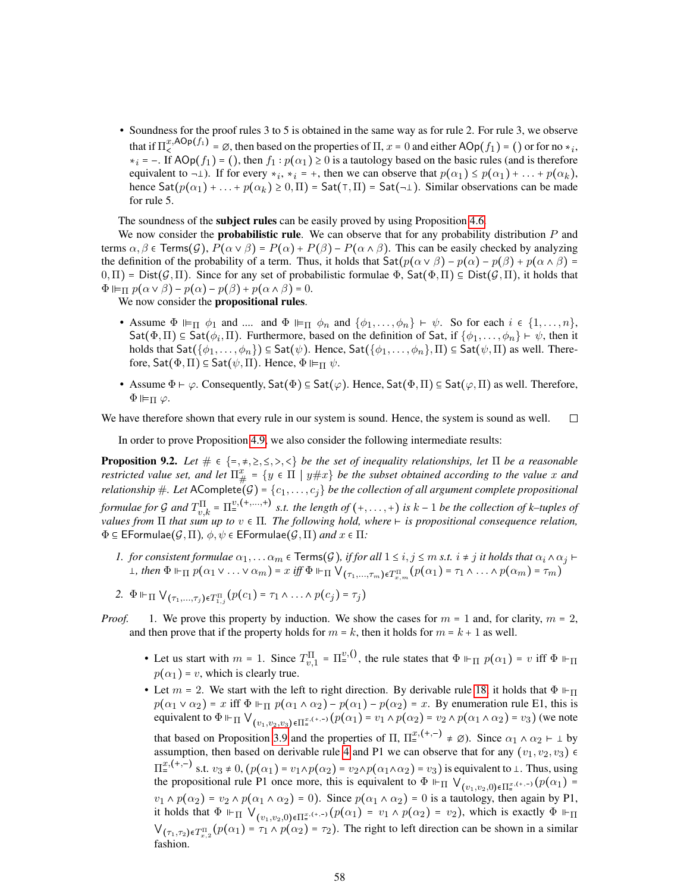• Soundness for the proof rules 3 to 5 is obtained in the same way as for rule 2. For rule 3, we observe that if  $\Pi_1^{x,AOp(f_1)} = \emptyset$ , then based on the properties of  $\Pi$ ,  $x = 0$  and either  $AOp(f_1) = ()$  or for no  $*_i$ ,  $*_i$  = -. If AOp( $f_1$ ) = (), then  $f_1 : p(\alpha_1) \ge 0$  is a tautology based on the basic rules (and is therefore equivalent to  $\neg$  ). If for every  $*_i$ ,  $*_i = +$ , then we can observe that  $p(\alpha_1) \leq p(\alpha_1) + \dots + p(\alpha_k)$ , hence  $\text{Sat}(p(\alpha_1) + ... + p(\alpha_k) \ge 0, \Pi) = \text{Sat}(\top, \Pi) = \text{Sat}(-1)$ . Similar observations can be made for rule 5.

The soundness of the subject rules can be easily proved by using Proposition [4.6.](#page-15-1)

We now consider the **probabilistic rule**. We can observe that for any probability distribution  $P$  and terms  $\alpha, \beta \in \text{Terms}(\mathcal{G}), P(\alpha \vee \beta) = P(\alpha) + P(\beta) - P(\alpha \wedge \beta)$ . This can be easily checked by analyzing the definition of the probability of a term. Thus, it holds that  $\text{Sat}(p(\alpha \vee \beta) - p(\alpha) - p(\beta) + p(\alpha \wedge \beta) =$  $(0,\Pi)$  = Dist $(\mathcal{G},\Pi)$ . Since for any set of probabilistic formulae  $\Phi$ , Sat $(\Phi,\Pi)$   $\subseteq$  Dist $(\mathcal{G},\Pi)$ , it holds that  $\Phi \Vdash_{\Pi} p(\alpha \vee \beta) - p(\alpha) - p(\beta) + p(\alpha \wedge \beta) = 0.$ 

We now consider the propositional rules.

- Assume  $\Phi \vDash_{\Pi} \phi_1$  and .... and  $\Phi \vDash_{\Pi} \phi_n$  and  $\{\phi_1, \ldots, \phi_n\} \vdash \psi$ . So for each  $i \in \{1, \ldots, n\}$ , Sat $(\Phi, \Pi) \subseteq$  Sat $(\phi_i, \Pi)$ . Furthermore, based on the definition of Sat, if  $\{\phi_1, \dots, \phi_n\} \vdash \psi$ , then it holds that  $\text{Sat}(\{\phi_1,\ldots,\phi_n\}) \subseteq \text{Sat}(\psi)$ . Hence,  $\text{Sat}(\{\phi_1,\ldots,\phi_n\},\Pi) \subseteq \text{Sat}(\psi,\Pi)$  as well. Therefore,  $\mathsf{Sat}(\Phi,\Pi) \subseteq \mathsf{Sat}(\psi,\Pi)$ . Hence,  $\Phi \vDash_{\Pi} \psi$ .
- Assume  $\Phi \vdash \varphi$ . Consequently, Sat $(\Phi) \subseteq$  Sat $(\varphi)$ . Hence, Sat $(\Phi, \Pi) \subseteq$  Sat $(\varphi, \Pi)$  as well. Therefore,  $\Phi \vDash$ π  $\varphi$ .

We have therefore shown that every rule in our system is sound. Hence, the system is sound as well. □

In order to prove Proposition [4.9,](#page-17-2) we also consider the following intermediate results:

<span id="page-57-0"></span>**Proposition 9.2.** *Let*  $\# \in \{=\, \neq, \geq, \leq, \geq, \leq\}$  *be the set of inequality relationships, let*  $\Pi$  *be a reasonable restricted value set, and let*  $\Pi^x_{\#}$  =  $\{y \in \Pi \mid y \# x\}$  *be the subset obtained according to the value* x and *relationship* #*. Let* AComplete<sup>"</sup>( $\mathcal{G}$ ) = { $c_1, \ldots, c_j$ } *be the collection of all argument complete propositional formulae for* G and  $T^{\Pi}_{v,k} = \Pi^{v,(+,...,+)}$  *s.t. the length of*  $(+,...,+)$  *is*  $k-1$  *be the collection of* k–tuples of *values from*  $\Pi$  *that sum up to*  $v \in \Pi$ *. The following hold, where*  $\vdash$  *is propositional consequence relation,*  $\Phi \subseteq \mathsf{EFormulae}(\mathcal{G},\Pi), \phi, \psi \in \mathsf{EFormulae}(\mathcal{G},\Pi)$  and  $x \in \Pi$ .

*1. for consistent formulae*  $\alpha_1, \ldots, \alpha_m \in \text{Terms}(G)$ , *if for all*  $1 \le i, j \le m$  *s.t.*  $i \ne j$  *it holds that*  $\alpha_i \wedge \alpha_j \vdash$  $\bot$ , then  $\Phi \Vdash_{\Pi} p(\alpha_1 \vee \ldots \vee \alpha_m) = x$  iff  $\Phi \Vdash_{\Pi} \bigvee_{(\tau_1,\ldots,\tau_m) \in T_{x,m}^{\Pi}} (p(\alpha_1) = \tau_1 \wedge \ldots \wedge p(\alpha_m) = \tau_m)$ 

2. 
$$
\Phi \Vdash_{\Pi} \bigvee_{(\tau_1,\ldots,\tau_j)\in T_{1,j}^{\Pi}} (p(c_1) = \tau_1 \wedge \ldots \wedge p(c_j) = \tau_j)
$$

- *Proof.* 1. We prove this property by induction. We show the cases for  $m = 1$  and, for clarity,  $m = 2$ , and then prove that if the property holds for  $m = k$ , then it holds for  $m = k + 1$  as well.
	- Let us start with  $m = 1$ . Since  $T_{v,1}^{\Pi} = \Pi_z^{v,(1)}$ , the rule states that  $\Phi \Vdash_{\Pi} p(\alpha_1) = v$  iff  $\Phi \Vdash_{\Pi}$  $p(\alpha_1) = v$ , which is clearly true.
	- Let  $m = 2$ . We start with the left to right direction. By derivable rule [18,](#page-54-2) it holds that  $\Phi \Vdash_{\Pi}$  $p(\alpha_1 \vee \alpha_2) = x$  iff  $\Phi \Vdash_{\Pi} p(\alpha_1 \wedge \alpha_2) - p(\alpha_1) - p(\alpha_2) = x$ . By enumeration rule E1, this is equivalent to  $\Phi \Vdash_{\Pi} \bigvee_{(v_1, v_2, v_3)\in \Pi_{+}^{x, (+, -)}} (p(\alpha_1) = v_1 \wedge p(\alpha_2) = v_2 \wedge p(\alpha_1 \wedge \alpha_2) = v_3)$  (we note that based on Proposition [3.9](#page-12-1) and the properties of  $\Pi$ ,  $\Pi_{\pm}^{x,(+,-)} \neq \emptyset$ ). Since  $\alpha_1 \wedge \alpha_2 \vdash \bot$  by assumption, then based on derivable rule [4](#page-54-3) and P1 we can observe that for any  $(v_1, v_2, v_3) \in$  $\Pi_{z}^{x,(+,-)}$  s.t.  $v_3 \neq 0$ ,  $(p(\alpha_1) = v_1 \wedge p(\alpha_2) = v_2 \wedge p(\alpha_1 \wedge \alpha_2) = v_3)$  is equivalent to  $\bot$ . Thus, using the propositional rule P1 once more, this is equivalent to  $\Phi \Vdash_{\Pi} \bigvee_{(v_1,v_2,0)\in\Pi^{x,(+, -)}_*} (p(\alpha_1))$  $v_1 \wedge p(\alpha_2) = v_2 \wedge p(\alpha_1 \wedge \alpha_2) = 0$ ). Since  $p(\alpha_1 \wedge \alpha_2) = 0$  is a tautology, then again by P1, it holds that  $\Phi \Vdash_{\Pi} \bigvee_{(v_1,v_2,0)\in\Pi_{\pi}^{x,(+, -)}} (p(\alpha_1) - v_1 \wedge p(\alpha_2) - v_2)$ , which is exactly  $\Phi \Vdash_{\Pi}$  $V_{(\tau_1,\tau_2)\in T_{x,2}^{\Pi}}(p(\alpha_1) = \tau_1 \wedge p(\alpha_2) = \tau_2)$ . The right to left direction can be shown in a similar fashion.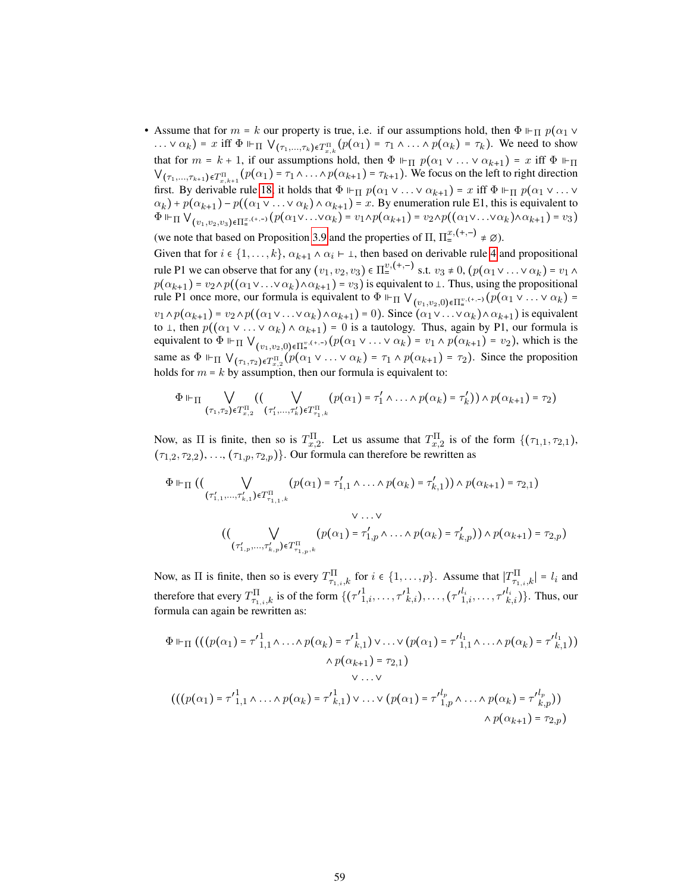• Assume that for  $m = k$  our property is true, i.e. if our assumptions hold, then  $\Phi \Vdash_{\Pi} p(\alpha_1 \vee \alpha_2)$ ...  $\nabla \alpha_k$ ) = x iff  $\Phi \Vdash_{\Pi} \bigvee_{(\tau_1,...,\tau_k)\in T_{x,k}^{\Pi}} (p(\alpha_1) = \tau_1 \wedge ... \wedge p(\alpha_k) = \tau_k)$ . We need to show that for  $m = k + 1$ , if our assumptions hold, then  $\Phi \Vdash_{\Pi} p(\alpha_1 \vee \ldots \vee \alpha_{k+1}) = x$  iff  $\Phi \Vdash_{\Pi}$  $V_{(\tau_1,...,\tau_{k+1})\in T_{x,k+1}^{\Pi}}(p(\alpha_1) = \tau_1 \wedge ... \wedge p(\alpha_{k+1}) = \tau_{k+1})$ . We focus on the left to right direction first. By derivable rule [18,](#page-54-2) it holds that  $\Phi \Vdash_{\Pi} p(\alpha_1 \vee \ldots \vee \alpha_{k+1}) = x$  iff  $\Phi \Vdash_{\Pi} p(\alpha_1 \vee \ldots \vee \alpha_k)$  $\alpha_k$ ) +  $p(\alpha_{k+1})$  –  $p((\alpha_1 \vee \ldots \vee \alpha_k) \wedge \alpha_{k+1})$  = x. By enumeration rule E1, this is equivalent to  $\Phi \Vdash_{\Pi} \bigvee_{(v_1,v_2,v_3)\in\Pi^{x,(+,-)}_+} (p(\alpha_1\vee\ldots\vee\alpha_k)=v_1\wedge p(\alpha_{k+1})=v_2\wedge p((\alpha_1\vee\ldots\vee\alpha_k)\wedge\alpha_{k+1})=v_3)$ (we note that based on Proposition [3.9](#page-12-1) and the properties of  $\Pi$ ,  $\Pi_{\pm}^{x,(+,-)} \neq \emptyset$ ).

Given that for  $i \in \{1, ..., k\}$ ,  $\alpha_{k+1} \wedge \alpha_i \vdash \bot$ , then based on derivable rule [4](#page-54-3) and propositional rule P1 we can observe that for any  $(v_1, v_2, v_3) \in \Pi_{\pm}^{v, (+,-)}$  s.t.  $v_3 \neq 0$ ,  $(p(\alpha_1 \vee \ldots \vee \alpha_k) = v_1 \wedge$  $p(\alpha_{k+1}) = v_2 \wedge p((\alpha_1 \vee \ldots \vee \alpha_k) \wedge \alpha_{k+1}) = v_3$  is equivalent to  $\perp$ . Thus, using the propositional rule P1 once more, our formula is equivalent to  $\Phi \Vdash_{\Pi} \bigvee_{(v_1,v_2,0)\in\Pi^{v,(+,-)}_*(p(\alpha_1 \vee \ldots \vee \alpha_k))}$  $v_1 \wedge p(\alpha_{k+1}) = v_2 \wedge p((\alpha_1 \vee \ldots \vee \alpha_k) \wedge \alpha_{k+1}) = 0$ . Since  $(\alpha_1 \vee \ldots \vee \alpha_k) \wedge \alpha_{k+1}$  is equivalent to  $\perp$ , then  $p((\alpha_1 \vee \ldots \vee \alpha_k) \wedge \alpha_{k+1}) = 0$  is a tautology. Thus, again by P1, our formula is equivalent to  $\Phi \Vdash_{\Pi} \bigvee_{(v_1,v_2,0)\in\Pi_{=}^{v,(+,+)}} (p(\alpha_1 \vee \ldots \vee \alpha_k) = v_1 \wedge p(\alpha_{k+1}) = v_2)$ , which is the same as  $\Phi \Vdash_{\Pi} \bigvee_{(\tau_1,\tau_2)\in T_{x,2}^{\Pi}} (p(\alpha_1 \vee \ldots \vee \alpha_k) = \tau_1 \wedge p(\alpha_{k+1}) = \tau_2)$ . Since the proposition holds for  $m = k$  by assumption, then our formula is equivalent to:

$$
\Phi \Vdash_{\Pi} \bigvee_{(\tau_1,\tau_2)\in T^{\Pi}_{x,2}} ((\bigvee_{(\tau'_1,\ldots,\tau'_k)\in T^{\Pi}_{\tau_1,k}} (p(\alpha_1)=\tau'_1 \wedge \ldots \wedge p(\alpha_k)=\tau'_k)) \wedge p(\alpha_{k+1})=\tau_2)
$$

Now, as  $\Pi$  is finite, then so is  $T_{x,2}^{\Pi}$ . Let us assume that  $T_{x,2}^{\Pi}$  is of the form  $\{(\tau_{1,1}, \tau_{2,1}),$  $(\tau_{1,2}, \tau_{2,2}), \ldots, (\tau_{1,p}, \tau_{2,p})\}$ . Our formula can therefore be rewritten as

$$
\Phi \Vdash_{\Pi} ((\bigvee_{(\tau'_{1,1},...,\tau'_{k,1}) \in T^{\Pi}_{\tau_{1,1},k}} (p(\alpha_1) = \tau'_{1,1} \land ... \land p(\alpha_k) = \tau'_{k,1})) \land p(\alpha_{k+1}) = \tau_{2,1})
$$
\n
$$
\lor ... \lor
$$
\n
$$
((\bigvee_{(\tau'_{1,p},...,\tau'_{k,p}) \in T^{\Pi}_{\tau_{1,p},k}} (p(\alpha_1) = \tau'_{1,p} \land ... \land p(\alpha_k) = \tau'_{k,p})) \land p(\alpha_{k+1}) = \tau_{2,p})
$$

Now, as  $\Pi$  is finite, then so is every  $T_{\tau_{1,i},k}^{\Pi}$  for  $i \in \{1,\ldots,p\}$ . Assume that  $|T_{\tau_{1,i},k}^{\Pi}| = l_i$  and therefore that every  $T^{\Pi}_{\tau_{1,i},k}$  is of the form  $\{( {\tau'}_{1,i}^1, \ldots, {\tau'}_{k,i}^1), \ldots, ({\tau'}_{1,i}^{l_i}, \ldots, {\tau'}_{k,i}^{l_i})\}$ . Thus, our formula can again be rewritten as:

$$
\Phi \Vdash_{\Pi} ((p(\alpha_1) = \tau'_{1,1} \land \dots \land p(\alpha_k) = \tau'_{k,1}) \lor \dots \lor (p(\alpha_1) = \tau'_{1,1} \land \dots \land p(\alpha_k) = \tau'_{k,1}))
$$
  
\n
$$
\land p(\alpha_{k+1}) = \tau_{2,1})
$$
  
\n
$$
\lor \dots \lor
$$
  
\n
$$
(((p(\alpha_1) = \tau'_{1,1} \land \dots \land p(\alpha_k) = \tau'_{k,1}) \lor \dots \lor (p(\alpha_1) = \tau'_{1,p}^l \land \dots \land p(\alpha_k) = \tau'_{k,p}^l))
$$
  
\n
$$
\land p(\alpha_{k+1}) = \tau_{2,p})
$$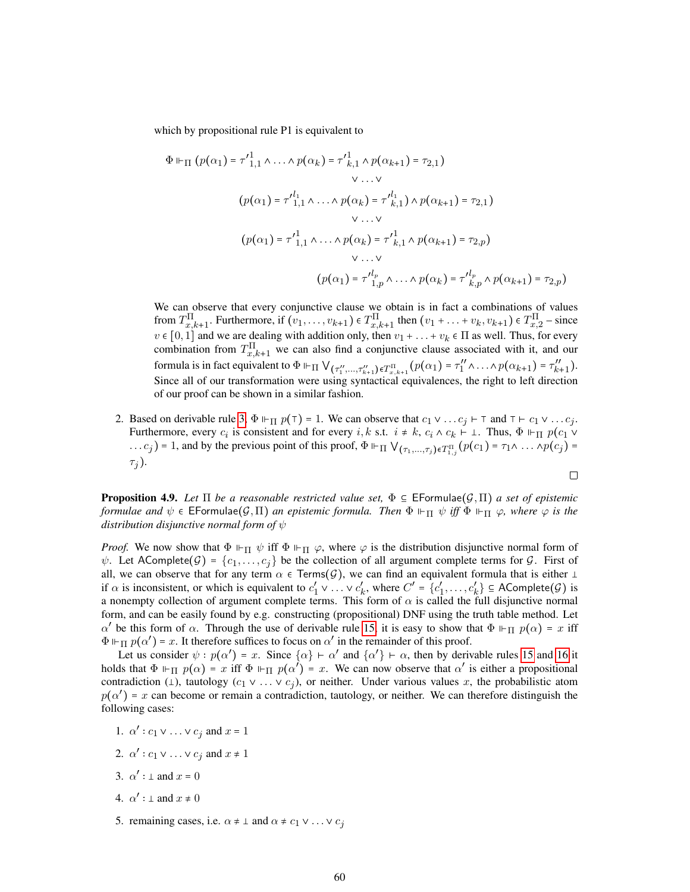which by propositional rule P1 is equivalent to

$$
\Phi \Vdash_{\Pi} (p(\alpha_1) = \tau'_{1,1}^1 \wedge \ldots \wedge p(\alpha_k) = \tau'_{k,1}^1 \wedge p(\alpha_{k+1}) = \tau_{2,1})
$$
  
\n
$$
\vee \ldots \vee
$$
  
\n
$$
(p(\alpha_1) = \tau'_{1,1}^1 \wedge \ldots \wedge p(\alpha_k) = \tau'^{l_1}_{k,1}) \wedge p(\alpha_{k+1}) = \tau_{2,1})
$$
  
\n
$$
\vee \ldots \vee
$$
  
\n
$$
(p(\alpha_1) = \tau'_{1,1}^1 \wedge \ldots \wedge p(\alpha_k) = \tau'_{k,1}^1 \wedge p(\alpha_{k+1}) = \tau_{2,p})
$$
  
\n
$$
\vee \ldots \vee
$$
  
\n
$$
(p(\alpha_1) = \tau'^{l_p}_{1,p} \wedge \ldots \wedge p(\alpha_k) = \tau'^{l_p}_{k,p} \wedge p(\alpha_{k+1}) = \tau_{2,p})
$$

We can observe that every conjunctive clause we obtain is in fact a combinations of values from  $T_{x,k+1}^{\Pi}$ . Furthermore, if  $(v_1,\ldots,v_{k+1}) \in T_{x,k+1}^{\Pi}$  then  $(v_1 + \ldots + v_k, v_{k+1}) \in T_{x,2}^{\Pi}$  – since  $v \in [0, 1]$  and we are dealing with addition only, then  $v_1 + \ldots + v_k \in \Pi$  as well. Thus, for every combination from  $T_{x,k+1}^{\Pi}$  we can also find a conjunctive clause associated with it, and our formula is in fact equivalent to  $\Phi \Vdash_{\Pi} \bigvee_{(\tau''_1,\ldots,\tau''_{k+1}) \in T^{\Pi}_{x,k+1}} (p(\alpha_1) = \tau''_1)$  $t_1'' \wedge \ldots \wedge p(\alpha_{k+1}) = \tau_{k+1}''$ . Since all of our transformation were using syntactical equivalences, the right to left direction of our proof can be shown in a similar fashion.

2. Based on derivable rule [3,](#page-54-4)  $\Phi \vdash_{\Pi} p(\tau) = 1$ . We can observe that  $c_1 \vee \dots c_j \vdash \tau$  and  $\tau \vdash c_1 \vee \dots c_j$ . Furthermore, every  $c_i$  is consistent and for every  $i, k$  s.t.  $i \neq k$ ,  $c_i \wedge c_k \vdash \bot$ . Thus,  $\Phi \Vdash_{\Pi} p(c_1 \vee$ ...  $c_j$ ) = 1, and by the previous point of this proof,  $\Phi \Vdash_{\Pi} \bigvee_{(\tau_1,...,\tau_j)\in T_{1,j}^{\Pi}} (p(c_1) = \tau_1 \wedge ... \wedge p(c_j) =$  $\tau_i$ ).  $\Box$ 

**Proposition 4.9.** Let  $\Pi$  be a reasonable restricted value set,  $\Phi \subseteq \mathsf{EFormulae}(\mathcal{G},\Pi)$  a set of epistemic *formulae and*  $\psi \in \mathsf{EFormulae}(\mathcal{G}, \Pi)$  *an epistemic formula. Then*  $\Phi \Vdash_{\Pi} \psi$  *iff*  $\Phi \Vdash_{\Pi} \varphi$ *, where*  $\varphi$  *is the distribution disjunctive normal form of* ψ

*Proof.* We now show that  $\Phi \vdash_{\Pi} \psi$  iff  $\Phi \vdash_{\Pi} \varphi$ , where  $\varphi$  is the distribution disjunctive normal form of  $\psi$ . Let AComplete $(\mathcal{G}) = \{c_1, \ldots, c_j\}$  be the collection of all argument complete terms for  $\mathcal{G}$ . First of all, we can observe that for any term  $\alpha \in \text{Terms}(\mathcal{G})$ , we can find an equivalent formula that is either  $\bot$ if  $\alpha$  is inconsistent, or which is equivalent to  $c'_1$  $\frac{1}{1} \vee \ldots \vee c'_{k}$  $k'$ , where  $C' = \{c'_1\}$  $\{c'_1,\ldots,c'_k\} \subseteq \mathsf{AComplete}(\mathcal{G})$  is a nonempty collection of argument complete terms. This form of  $\alpha$  is called the full disjunctive normal form, and can be easily found by e.g. constructing (propositional) DNF using the truth table method. Let  $\alpha'$  be this form of  $\alpha$ . Through the use of derivable rule [15,](#page-54-5) it is easy to show that  $\Phi \Vdash_{\Pi} p(\alpha) = x$  iff  $\Phi \Vdash_{\Pi} p(\alpha') = x$ . It therefore suffices to focus on  $\alpha'$  in the remainder of this proof.

Let us consider  $\psi : p(\alpha') = x$ . Since  $\{\alpha\} \vdash \alpha'$  and  $\{\alpha'\} \vdash \alpha$ , then by derivable rules [15](#page-54-5) and [16](#page-54-6) it holds that  $\Phi \Vdash_{\Pi} p(\alpha) = x$  iff  $\Phi \Vdash_{\Pi} p(\alpha') = x$ . We can now observe that  $\alpha'$  is either a propositional contradiction (1), tautology  $(c_1 \vee \ldots \vee c_j)$ , or neither. Under various values x, the probabilistic atom  $p(\alpha') = x$  can become or remain a contradiction, tautology, or neither. We can therefore distinguish the following cases:

- 1.  $\alpha'$  :  $c_1 \vee \ldots \vee c_j$  and  $x = 1$
- 2.  $\alpha'$  :  $c_1 \vee \ldots \vee c_j$  and  $x \neq 1$
- 3.  $\alpha' : \bot$  and  $x = 0$
- 4.  $\alpha' : \bot$  and  $x \neq 0$
- 5. remaining cases, i.e.  $\alpha \neq \bot$  and  $\alpha \neq c_1 \vee \ldots \vee c_j$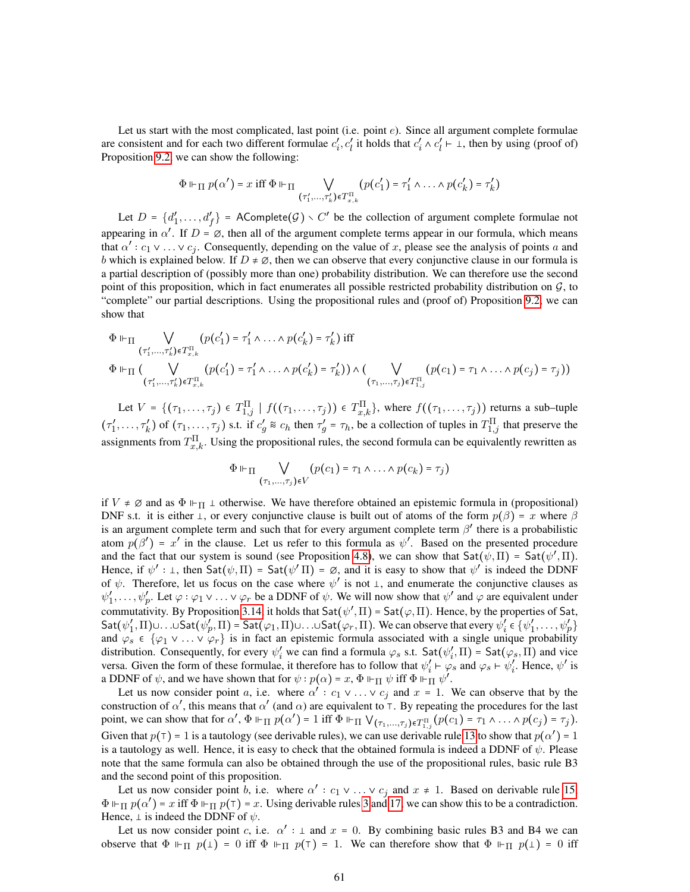Let us start with the most complicated, last point (i.e. point  $e$ ). Since all argument complete formulae are consistent and for each two different formulae  $c_i'$  $\sum_{i}^{\prime} c'_{i}$  it holds that  $c'_{i}$  $c'_i \wedge c'_l$  $\ell$   $\vdash$   $\bot$ , then by using (proof of) Proposition [9.2,](#page-57-0) we can show the following:

$$
\Phi \Vdash_{\Pi} p(\alpha') = x \text{ iff } \Phi \Vdash_{\Pi} \bigvee_{(\tau'_1,\ldots,\tau'_k) \in T_{x,k}^{\Pi}} (p(c'_1) = \tau'_1 \wedge \ldots \wedge p(c'_k) = \tau'_k)
$$

Let  $D = \{d'_1\}$  $\{a'_1, \ldots, a'_f\}$  = AComplete $(G) \setminus C'$  be the collection of argument complete formulae not appearing in  $\alpha'$ . If  $D = \emptyset$ , then all of the argument complete terms appear in our formula, which means that  $\alpha' : c_1 \vee \ldots \vee c_j$ . Consequently, depending on the value of x, please see the analysis of points a and b which is explained below. If  $D \neq \emptyset$ , then we can observe that every conjunctive clause in our formula is a partial description of (possibly more than one) probability distribution. We can therefore use the second point of this proposition, which in fact enumerates all possible restricted probability distribution on  $\mathcal{G}$ , to "complete" our partial descriptions. Using the propositional rules and (proof of) Proposition [9.2,](#page-57-0) we can show that

$$
\Phi \Vdash_{\Pi} \bigvee_{(\tau'_1,\ldots,\tau'_k)\in T_{x,k}^{\Pi}} (p(c'_1) = \tau'_1 \wedge \ldots \wedge p(c'_k) = \tau'_k) \text{ iff}
$$
\n
$$
\Phi \Vdash_{\Pi} (\bigvee_{(\tau'_1,\ldots,\tau'_k)\in T_{x,k}^{\Pi}} (p(c'_1) = \tau'_1 \wedge \ldots \wedge p(c'_k) = \tau'_k)) \wedge (\bigvee_{(\tau_1,\ldots,\tau_j)\in T_{1,j}^{\Pi}} (p(c_1) = \tau_1 \wedge \ldots \wedge p(c_j) = \tau_j))
$$
\n
$$
\text{(where } \tau'_1,\ldots,\tau'_k \in T_{k,k}^{\Pi} \text{ and } p(c'_1) = \tau'_1 \wedge \ldots \wedge p(c'_k) = \tau'_k \text{ and } p(c'_1) = \tau'_1 \wedge \ldots \wedge p(c'_j) = \tau'_j \text{ and } p(c'_j) = \tau'_j \text{ and } p(c'_j) = \tau'_j \text{ and } p(c'_j) = \tau'_j \text{ and } p(c'_j) = \tau'_j \text{ and } p(c'_j) = \tau'_j \text{ and } p(c'_j) = \tau'_j \text{ and } p(c'_j) = \tau'_j \text{ and } p(c'_j) = \tau'_j \text{ and } p(c'_j) = \tau'_j \text{ and } p(c'_j) = \tau'_j \text{ and } p(c'_j) = \tau'_j \text{ and } p(c'_j) = \tau'_j \text{ and } p(c'_j) = \tau'_j \text{ and } p(c'_j) = \tau'_j \text{ and } p(c'_j) = \tau'_j \text{ and } p(c'_j) = \tau'_j \text{ and } p(c'_j) = \tau'_j \text{ and } p(c'_j) = \tau'_j \text{ and } p(c'_j) = \tau'_j \text{ and } p(c'_j) = \tau'_j \text{ and } p(c'_j) = \tau'_j \text{ and } p(c'_j) = \tau'_j \text{ and } p(c'_j) = \tau'_j \text{ and } p(c'_j) = \tau'_j \text{ and } p(c'_j) = \tau'_j \text{ and } p(c'_j) = \tau'_j \text{ and } p(c'_j) = \tau'_j \text{ and } p(c'_j) = \tau'_j \text{ and } p(c'_j) = \tau'_j \text{ and } p(c'_j) = \tau'_j \
$$

Let  $V = \{(\tau_1, \ldots, \tau_j) \in T_{1,j}^{\Pi} \mid f((\tau_1, \ldots, \tau_j)) \in T_{x,k}^{\Pi}\}\)$ , where  $f((\tau_1, \ldots, \tau_j))$  returns a sub-tuple  $(\tau_1)$  $T_1', \ldots, T_k'$  of  $(\tau_1, \ldots, \tau_j)$  s.t. if  $c'_g \otimes c_h$  then  $\tau'_g = \tau_h$ , be a collection of tuples in  $T_{1,j}^{\Pi}$  that preserve the assignments from  $T_{x,k}^{\Pi}$ . Using the propositional rules, the second formula can be equivalently rewritten as

$$
\Phi \Vdash_{\Pi} \bigvee_{(\tau_1,\ldots,\tau_j)\in V} (p(c_1) = \tau_1 \wedge \ldots \wedge p(c_k) = \tau_j)
$$

if  $V \neq \emptyset$  and as  $\Phi \vdash_{\Pi} \bot$  otherwise. We have therefore obtained an epistemic formula in (propositional) DNF s.t. it is either  $\perp$ , or every conjunctive clause is built out of atoms of the form  $p(\beta) = x$  where  $\beta$ is an argument complete term and such that for every argument complete term  $\beta'$  there is a probabilistic atom  $p(\beta') = x'$  in the clause. Let us refer to this formula as  $\psi'$ . Based on the presented procedure and the fact that our system is sound (see Proposition [4.8\)](#page-17-3), we can show that  $Sat(\psi,\Pi) = Sat(\psi',\Pi)$ . Hence, if  $\psi' : \bot$ , then  $\text{Sat}(\psi, \Pi) = \text{Sat}(\psi' \Pi) = \emptyset$ , and it is easy to show that  $\psi'$  is indeed the DDNF of  $\psi$ . Therefore, let us focus on the case where  $\psi'$  is not  $\bot$ , and enumerate the conjunctive clauses as  $\psi_1'$  $\psi'_1, \ldots, \psi'_p$ . Let  $\varphi : \varphi_1 \vee \ldots \vee \varphi_r$  be a DDNF of  $\psi$ . We will now show that  $\psi'$  and  $\varphi$  are equivalent under commutativity. By Proposition [3.14,](#page-13-3) it holds that  $\text{Sat}(\psi', \Pi) = \text{Sat}(\varphi, \Pi)$ . Hence, by the properties of Sat,  $\mathsf{Sat}(\psi_1')$  $f_1, \Pi$ ) $\cup \ldots \cup$ Sat $(\psi_p', \Pi)$  = Sat $(\varphi_1, \Pi)$  $\cup \ldots \cup$ Sat $(\varphi_r, \Pi)$ . We can observe that every  $\psi'_i$  $\mathbf{y}'_i \in {\psi'_1}$  $\langle 1,\ldots,\psi_p'\rangle$ and  $\varphi_s \in {\varphi_1 \vee \ldots \vee \varphi_r}$  is in fact an epistemic formula associated with a single unique probability distribution. Consequently, for every  $\psi'_i$  we can find a formula  $\varphi_s$  s.t. Sat $(\psi'_i)$  $\mathcal{L}'_i$ ,  $\Pi$ ) = Sat $(\varphi_s, \Pi)$  and vice versa. Given the form of these formulae, it therefore has to follow that  $\psi_i'$  $\psi_i' \vdash \varphi_s$  and  $\varphi_s \vdash \psi_i'$  $\int_{i}^{b}$ . Hence,  $\psi'$  is a DDNF of  $\psi$ , and we have shown that for  $\psi : p(\alpha) = x$ ,  $\Phi \vdash_{\Pi} \psi$  iff  $\Phi \vdash_{\Pi} \psi'$ .

Let us now consider point a, i.e. where  $\alpha' : c_1 \vee \ldots \vee c_j$  and  $x = 1$ . We can observe that by the construction of  $\alpha'$ , this means that  $\alpha'$  (and  $\alpha$ ) are equivalent to  $\tau$ . By repeating the procedures for the last point, we can show that for  $\alpha'$ ,  $\Phi \Vdash_{\Pi} p(\alpha') = 1$  iff  $\Phi \Vdash_{\Pi} \bigvee_{(\tau_1,...,\tau_j) \in T_{1,j}^{\Pi}} (p(c_1) = \tau_1 \wedge ... \wedge p(c_j) = \tau_j)$ . Given that  $p(\tau) = 1$  is a tautology (see derivable rules), we can use derivable rule [13](#page-54-7) to show that  $p(\alpha') = 1$ is a tautology as well. Hence, it is easy to check that the obtained formula is indeed a DDNF of  $\psi$ . Please note that the same formula can also be obtained through the use of the propositional rules, basic rule B3 and the second point of this proposition.

Let us now consider point b, i.e. where  $\alpha' : c_1 \vee \ldots \vee c_j$  and  $x \neq 1$ . Based on derivable rule [15,](#page-54-5)  $\Phi \Vdash_{\Pi} p(\alpha') = x$  iff  $\Phi \Vdash_{\Pi} p(\tau) = x$ . Using derivable rules [3](#page-54-4) and [17,](#page-54-1) we can show this to be a contradiction. Hence,  $\perp$  is indeed the DDNF of  $\psi$ .

Let us now consider point c, i.e.  $\alpha'$  :  $\perp$  and  $x = 0$ . By combining basic rules B3 and B4 we can observe that  $\Phi \vdash_{\Pi} p(\bot) = 0$  iff  $\Phi \vdash_{\Pi} p(\top) = 1$ . We can therefore show that  $\Phi \vdash_{\Pi} p(\bot) = 0$  iff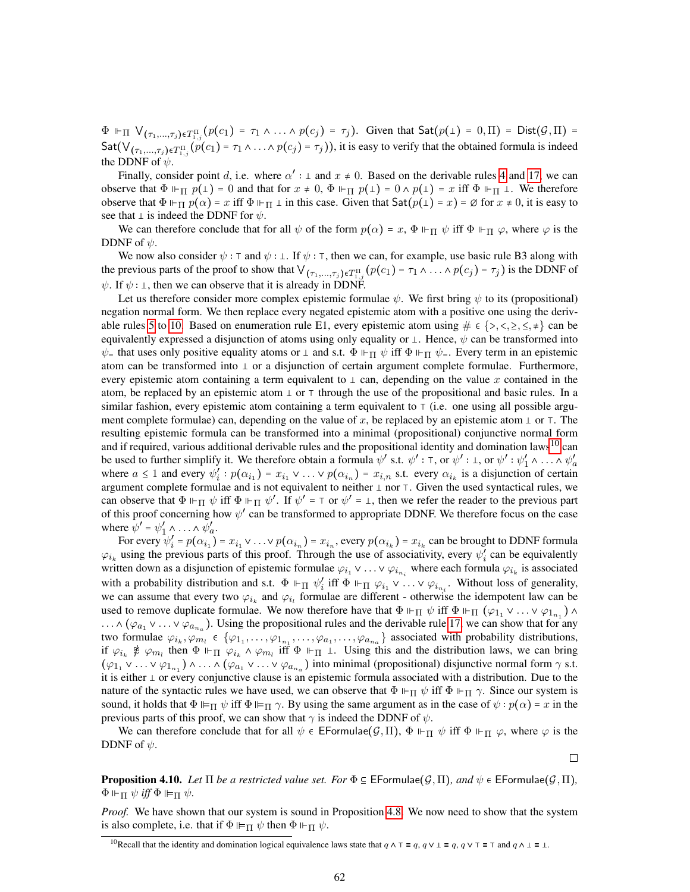$\Phi \Vdash_{\Pi} \forall_{(\tau_1,...,\tau_j)\in T_{1,j}^{\Pi}} (p(c_1) = \tau_1 \wedge ... \wedge p(c_j) = \tau_j)$ . Given that  $\mathsf{Sat}(p(\bot) = 0,\Pi) = \mathsf{Dist}(\mathcal{G},\Pi) = \emptyset$ Sat $(\forall_{(\tau_1,...,\tau_j)\in T_{1,j}^{\Pi}} (\tilde{p}(c_1) = \tau_1 \land ... \land p(c_j) = \tau_j))$ , it is easy to verify that the obtained formula is indeed the DDNF of  $\psi$ .

Finally, consider point d, i.e. where  $\alpha'$  :  $\perp$  and  $x \neq 0$ . Based on the derivable rules [4](#page-54-3) and [17,](#page-54-1) we can observe that  $\Phi \vdash_{\Pi} p(\bot) = 0$  and that for  $x \neq 0$ ,  $\Phi \vdash_{\Pi} p(\bot) = 0 \land p(\bot) = x$  iff  $\Phi \vdash_{\Pi} \bot$ . We therefore observe that  $\Phi \Vdash_{\Pi} p(\alpha) = x$  iff  $\Phi \Vdash_{\Pi} \bot$  in this case. Given that  $Sat(p(\bot) = x) = \emptyset$  for  $x \neq 0$ , it is easy to see that  $\perp$  is indeed the DDNF for  $\psi$ .

We can therefore conclude that for all  $\psi$  of the form  $p(\alpha) = x$ ,  $\Phi \Vdash_{\Pi} \psi$  iff  $\Phi \Vdash_{\Pi} \varphi$ , where  $\varphi$  is the DDNF of  $\psi$ .

We now also consider  $\psi : \tau$  and  $\psi : \bot$ . If  $\psi : \tau$ , then we can, for example, use basic rule B3 along with the previous parts of the proof to show that  $\vee_{(\tau_1,\ldots,\tau_j)\in T_{1,j}^{\Pi}} (p(c_1) = \tau_1 \wedge \ldots \wedge p(c_j) = \tau_j)$  is the DDNF of  $\psi$ . If  $\psi : \bot$ , then we can observe that it is already in DDNF.

Let us therefore consider more complex epistemic formulae  $\psi$ . We first bring  $\psi$  to its (propositional) negation normal form. We then replace every negated epistemic atom with a positive one using the deriv-able rules [5](#page-54-8) to [10.](#page-54-0) Based on enumeration rule E1, every epistemic atom using  $\# \in \{>, <, \geq, \leq, \neq\}$  can be equivalently expressed a disjunction of atoms using only equality or  $\perp$ . Hence,  $\psi$  can be transformed into  $\psi$  that uses only positive equality atoms or  $\perp$  and s.t.  $\Phi \Vdash_{\Pi} \psi$  iff  $\Phi \Vdash_{\Pi} \psi$ . Every term in an epistemic atom can be transformed into  $\perp$  or a disjunction of certain argument complete formulae. Furthermore, every epistemic atom containing a term equivalent to  $\perp$  can, depending on the value x contained in the atom, be replaced by an epistemic atom  $\perp$  or  $\top$  through the use of the propositional and basic rules. In a similar fashion, every epistemic atom containing a term equivalent to  $\tau$  (i.e. one using all possible argument complete formulae) can, depending on the value of x, be replaced by an epistemic atom  $\perp$  or  $\perp$ . The resulting epistemic formula can be transformed into a minimal (propositional) conjunctive normal form and if required, various additional derivable rules and the propositional identity and domination laws<sup>[10](#page-61-0)</sup> can be used to further simplify it. We therefore obtain a formula  $\psi'$  s.t.  $\psi' : \tau$ , or  $\psi' : \bot$ , or  $\psi' : \psi'_1$  $y'_1 \wedge \ldots \wedge \psi'_a$ where  $a \leq 1$  and every  $\psi'_i$  $i'_{i}: p(\alpha_{i_1}) = x_{i_1} \vee \ldots \vee p(\alpha_{i_n}) = x_{i,n}$  s.t. every  $\alpha_{i_k}$  is a disjunction of certain argument complete formulae and is not equivalent to neither  $\perp$  nor  $\top$ . Given the used syntactical rules, we can observe that  $\Phi \Vdash_{\Pi} \psi$  iff  $\Phi \Vdash_{\Pi} \psi'$ . If  $\psi' = \top$  or  $\psi' = \bot$ , then we refer the reader to the previous part of this proof concerning how  $\psi'$  can be transformed to appropriate DDNF. We therefore focus on the case where  $\psi' = \psi'_1$  $y'_1 \wedge \ldots \wedge \psi'_a$ .

For every  $\psi_i'$  $x'_i = p(\alpha_{i_1}) = x_{i_1} \vee \ldots \vee p(\alpha_{i_n}) = x_{i_n}$ , every  $p(\alpha_{i_k}) = x_{i_k}$  can be brought to DDNF formula  $\varphi_{i_k}$  using the previous parts of this proof. Through the use of associativity, every  $\psi_i'$  $i<sub>i</sub>$  can be equivalently written down as a disjunction of epistemic formulae  $\varphi_{i_1} \vee \ldots \vee \varphi_{i_{n_i}}$  where each formula  $\varphi_{i_k}$  is associated with a probability distribution and s.t.  $\Phi \Vdash_{\Pi} \psi'_i$  $i'$  iff  $\Phi \Vdash_{\Pi} \varphi_{i_1} \vee \ldots \vee \varphi_{i_{n_i}}$ . Without loss of generality, we can assume that every two  $\varphi_{i_k}$  and  $\varphi_{i_l}$  formulae are different - otherwise the idempotent law can be used to remove duplicate formulae. We now therefore have that  $\Phi \Vdash_{\Pi} \psi$  iff  $\Phi \Vdash_{\Pi} (\varphi_{1_1} \vee \ldots \vee \varphi_{1_{n_1}}) \wedge$  $\ldots \wedge (\varphi_{a_1} \vee \ldots \vee \varphi_{a_{n_a}})$ . Using the propositional rules and the derivable rule [17,](#page-54-1) we can show that for any two formulae  $\varphi_{i_k}, \varphi_{m_i} \in \{\varphi_{1_1}, \ldots, \varphi_{1_{n_1}}, \ldots, \varphi_{a_1}, \ldots, \varphi_{a_{n_a}}\}$  associated with probability distributions, if  $\varphi_{i_k} \ncong \varphi_{m_l}$  then  $\Phi \Vdash_{\Pi} \varphi_{i_k} \wedge \varphi_{m_l}$  iff  $\Phi \Vdash_{\Pi} \bot$ . Using this and the distribution laws, we can bring  $(\varphi_{1_1} \vee \ldots \vee \varphi_{1_{n_1}}) \wedge \ldots \wedge (\varphi_{a_1} \vee \ldots \vee \varphi_{a_{n_a}})$  into minimal (propositional) disjunctive normal form  $\gamma$  s.t. it is either  $\perp$  or every conjunctive clause is an epistemic formula associated with a distribution. Due to the nature of the syntactic rules we have used, we can observe that  $\Phi \Vdash_{\Pi} \psi$  iff  $\Phi \Vdash_{\Pi} \gamma$ . Since our system is sound, it holds that  $\Phi \vDash_{\Pi} \psi$  iff  $\Phi \vDash_{\Pi} \gamma$ . By using the same argument as in the case of  $\psi : p(\alpha) = x$  in the previous parts of this proof, we can show that  $\gamma$  is indeed the DDNF of  $\psi$ .

We can therefore conclude that for all  $\psi \in \mathsf{EFormulae}(\mathcal{G}, \Pi)$ ,  $\Phi \Vdash_{\Pi} \psi$  iff  $\Phi \Vdash_{\Pi} \varphi$ , where  $\varphi$  is the DDNF of  $\psi$ .

 $\Box$ 

**Proposition 4.10.** *Let*  $\Pi$  *be a restricted value set. For*  $\Phi \in \mathsf{EFormulae}(\mathcal{G},\Pi)$ *, and*  $\psi \in \mathsf{EFormulae}(\mathcal{G},\Pi)$ *,*  $\Phi \Vdash_{\Pi} \psi$  *iff*  $\Phi \Vdash_{\Pi} \psi$ .

*Proof.* We have shown that our system is sound in Proposition [4.8.](#page-17-3) We now need to show that the system is also complete, i.e. that if  $\Phi \vDash_{\Pi} \psi$  then  $\Phi \vDash_{\Pi} \psi$ .

<span id="page-61-0"></span><sup>&</sup>lt;sup>10</sup>Recall that the identity and domination logical equivalence laws state that  $q \wedge \top \equiv q$ ,  $q \vee \bot \equiv q$ ,  $q \vee \top \equiv \top$  and  $q \wedge \bot \equiv \bot$ .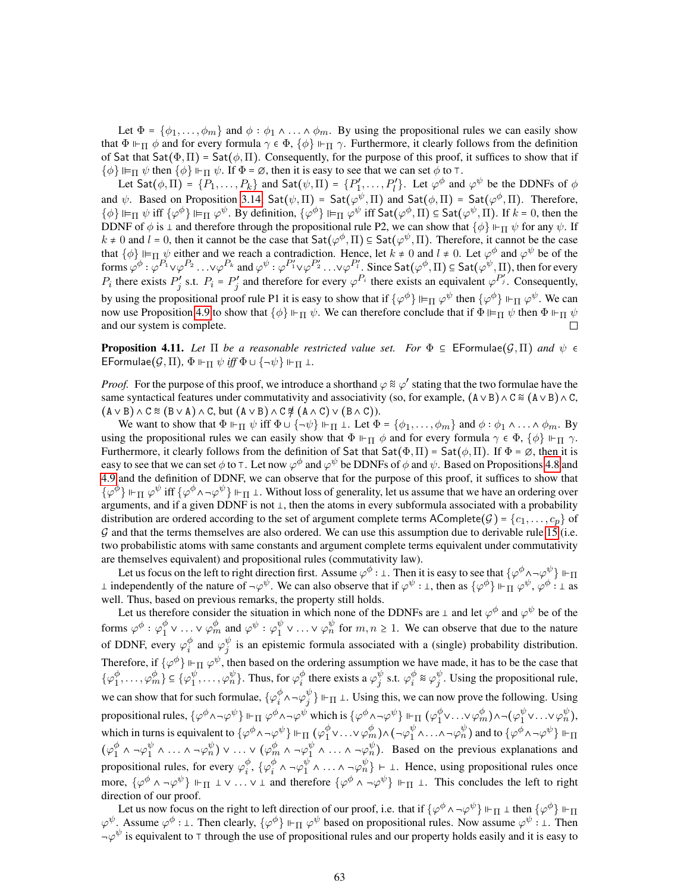Let  $\Phi = \{\phi_1, \ldots, \phi_m\}$  and  $\phi : \phi_1 \wedge \ldots \wedge \phi_m$ . By using the propositional rules we can easily show that  $\Phi \Vdash_{\Pi} \phi$  and for every formula  $\gamma \in \Phi$ ,  $\{\phi\} \Vdash_{\Pi} \gamma$ . Furthermore, it clearly follows from the definition of Sat that Sat $(\Phi, \Pi)$  = Sat $(\phi, \Pi)$ . Consequently, for the purpose of this proof, it suffices to show that if  $\{\phi\} \Vdash_{\Pi} \psi$  then  $\{\phi\} \Vdash_{\Pi} \psi$ . If  $\Phi = \emptyset$ , then it is easy to see that we can set  $\phi$  to  $\top$ .

Let Sat $(\phi, \Pi) = \{P_1, \ldots, P_k\}$  and Sat $(\psi, \Pi) = \{P'_1\}$  $P'_1, \ldots, P'_l$ . Let  $\varphi^{\phi}$  and  $\varphi^{\psi}$  be the DDNFs of  $\phi$ and  $\psi$ . Based on Proposition [3.14,](#page-13-3) Sat $(\psi, \Pi)$  = Sat $(\varphi^{\psi}, \Pi)$  and Sat $(\phi, \Pi)$  = Sat $(\varphi^{\phi}, \Pi)$ . Therefore,  $\{\phi\} \Vdash_{\Pi} \psi$  iff  $\{\varphi^{\phi}\} \Vdash_{\Pi} \varphi^{\psi}$ . By definition,  $\{\varphi^{\phi}\} \Vdash_{\Pi} \varphi^{\psi}$  iff  $\mathsf{Sat}(\varphi^{\phi},\Pi) \subseteq \mathsf{Sat}(\varphi^{\psi},\Pi)$ . If  $k = 0$ , then the DDNF of  $\phi$  is  $\perp$  and therefore through the propositional rule P2, we can show that  $\{\phi\} \Vdash_{\Pi} \psi$  for any  $\psi$ . If  $k \neq 0$  and  $l = 0$ , then it cannot be the case that  $\text{Sat}(\varphi^{\phi}, \Pi) \subseteq \text{Sat}(\varphi^{\psi}, \Pi)$ . Therefore, it cannot be the case that  $\{\phi\} \Vdash_{\Pi} \psi$  either and we reach a contradiction. Hence, let  $k \neq 0$  and  $l \neq 0$ . Let  $\varphi^{\phi}$  and  $\varphi^{\psi}$  be of the forms  $\varphi^{\phi}: \varphi^{P_1} \vee \varphi^{P_2} \ldots \vee \varphi^{P_k}$  and  $\varphi^{\psi}: \varphi^{P_1'} \vee \varphi^{P_2'} \ldots \vee \varphi^{P_l'}$ . Since  $\textsf{Sat}(\varphi^{\phi}, \Pi) \subseteq \textsf{Sat}(\varphi^{\psi}, \Pi)$ , then for every  $\mathcal{P}'_j$  and therefore for every  $\varphi^{P_i}$  there exists an equivalent  $\varphi^{P'_j}$ . Consequently,  $P_i$  there exists  $P_i'$  $j'$  s.t.  $P_i = P'_j$ by using the propositional proof rule P1 it is easy to show that if  $\{\varphi^{\phi}\}\Vdash_{\Pi}\varphi^{\psi}$  then  $\{\varphi^{\phi}\}\Vdash_{\Pi}\varphi^{\psi}$ . We can now use Proposition [4.9](#page-17-2) to show that  $\{\phi\} \Vdash_{\Pi} \psi$ . We can therefore conclude that if  $\Phi \Vdash_{\Pi} \psi$  then  $\Phi \Vdash_{\Pi} \psi$ and our system is complete. П

**Proposition 4.11.** Let  $\Pi$  be a reasonable restricted value set. For  $\Phi \subseteq \mathsf{EFormulae}(\mathcal{G},\Pi)$  and  $\psi \in \mathcal{G}$ EFormulae $(G,\Pi)$ ,  $\Phi \Vdash_{\Pi} \psi$  *iff*  $\Phi \cup {\neg \psi} \Vdash_{\Pi} \bot$ .

*Proof.* For the purpose of this proof, we introduce a shorthand  $\varphi \approx \varphi'$  stating that the two formulae have the same syntactical features under commutativity and associativity (so, for example,  $(A \vee B) \wedge C \approx (A \vee B) \wedge C$ ,  $(A \vee B) \wedge C \cong (B \vee A) \wedge C$ , but  $(A \vee B) \wedge C \not\approx (A \wedge C) \vee (B \wedge C)$ .

We want to show that  $\Phi \Vdash_{\Pi} \psi$  iff  $\Phi \cup {\neg \psi} \Vdash_{\Pi} \bot$ . Let  $\Phi = {\phi_1, \ldots, \phi_m}$  and  $\phi : \phi_1 \wedge \ldots \wedge \phi_m$ . By using the propositional rules we can easily show that  $\Phi \vdash_{\Pi} \phi$  and for every formula  $\gamma \in \Phi$ ,  $\{\phi\} \vdash_{\Pi} \gamma$ . Furthermore, it clearly follows from the definition of Sat that  $Sat(\Phi,\Pi) = Sat(\phi,\Pi)$ . If  $\Phi = \emptyset$ , then it is easy to see that we can set  $\phi$  to T. Let now  $\varphi^\phi$  and  $\varphi^\psi$  be DDNFs of  $\phi$  and  $\psi$ . Based on Propositions [4.8](#page-17-3) and [4.9](#page-17-2) and the definition of DDNF, we can observe that for the purpose of this proof, it suffices to show that  $\{\varphi^{\phi}\}\Vdash_{\Pi}\varphi^{\psi}$  iff  $\{\varphi^{\phi}\wedge\neg\varphi^{\psi}\}\Vdash_{\Pi}\bot$ . Without loss of generality, let us assume that we have an ordering over arguments, and if a given DDNF is not  $\perp$ , then the atoms in every subformula associated with a probability distribution are ordered according to the set of argument complete terms AComplete $(\mathcal{G}) = \{c_1, \ldots, c_p\}$  of G and that the terms themselves are also ordered. We can use this assumption due to derivable rule [15](#page-54-5) (i.e. two probabilistic atoms with same constants and argument complete terms equivalent under commutativity are themselves equivalent) and propositional rules (commutativity law).

Let us focus on the left to right direction first. Assume  $\varphi^{\phi}$  : 1. Then it is easy to see that  $\{\varphi^{\phi} \wedge \neg \varphi^{\psi}\}\Vdash_{\Pi}$  $\perp$  independently of the nature of  $\neg \varphi^{\psi}$ . We can also observe that if  $\varphi^{\psi} : \perp$ , then as  $\{\varphi^{\phi}\}\Vdash_{\Pi}\varphi^{\psi}, \varphi^{\phi} : \perp$  as well. Thus, based on previous remarks, the property still holds.

Let us therefore consider the situation in which none of the DDNFs are  $\perp$  and let  $\varphi^{\phi}$  and  $\varphi^{\psi}$  be of the forms  $\varphi^\phi$  :  $\varphi_1^\phi$  $\frac{\phi}{1} \vee \ldots \vee \varphi_m^{\phi}$  and  $\varphi^{\psi} : \varphi_1^{\psi}$  $y_1^{\psi} \vee \ldots \vee \varphi_n^{\psi}$  for  $m, n \ge 1$ . We can observe that due to the nature of DDNF, every  $\varphi_i^{\phi}$  $\frac{\phi}{i}$  and  $\varphi_j^{\psi}$  $\psi$  is an epistemic formula associated with a (single) probability distribution. Therefore, if  $\{\varphi^{\phi}\}\Vdash_{\Pi}\varphi^{\psi}$ , then based on the ordering assumption we have made, it has to be the case that  $\{\varphi_1^{\phi}$  $\varphi_1^{\phi}, \ldots, \varphi_m^{\phi}\} \subseteq {\{\varphi_1^{\psi}}$  $_{1}^{\psi },\ldots ,\varphi _{n}^{\psi }\}$ . Thus, for  $\varphi _{i}^{\phi }$  $\frac{\phi}{i}$  there exists a  $\varphi_j^{\psi}$  $_j^{\psi}$  s.t.  $\varphi_i^{\phi}$  $_{i}^{\phi}$  &  $\varphi_{j}^{\psi}$  $_{j}^{\varphi}$ . Using the propositional rule, we can show that for such formulae,  $\{\varphi_i^{\phi}\}$  $_{i}^{\phi}$  ^ – $\varphi_{j}^{\psi}$  $_j^{\psi}$   $\rangle \Vdash_{\Pi} \bot$ . Using this, we can now prove the following. Using propositional rules,  $\{\varphi^{\phi}\wedge\neg\varphi^{\psi}\} \Vdash_{\Pi} \varphi^{\phi}\wedge\neg\varphi^{\psi}$  which is  $\{\varphi^{\phi}\wedge\neg\varphi^{\psi}\} \Vdash_{\Pi} (\varphi_{1}^{\phi}$  $_{1}^{\phi}$ v...v $\varphi_{m}^{\phi})$ a¬ $(\varphi_{1}^{\psi}$  $_{1}^{\psi}$ v...v $\varphi_{n}^{\psi}$ ), which in turns is equivalent to  $\{\varphi^{\phi} \wedge \neg \varphi^{\psi}\} \Vdash_{\Pi} (\varphi_{1}^{\phi})$  $\frac{\phi}{1} \vee \ldots \vee \varphi_m^{\phi}$ ) ^ (¬ $\varphi_1^{\psi}$  $\frac{\psi}{1} \wedge \ldots \wedge \neg \varphi^{\psi}_{n}$  ) and to  $\{\varphi^{\phi} \wedge \neg \varphi^{\psi}\}\Vdash_{\Pi}$  $(\varphi_1^{\phi}$  $_{1}^{\phi}$  ^  $\neg \varphi _{1}^{\psi}$  $\frac{\psi}{1} \wedge \ldots \wedge \neg \varphi^{\psi}_{n} \big) \vee \ldots \vee (\varphi^{\phi}_{m} \wedge \neg \varphi^{\psi}_{1})$  $y_1^{\psi} \wedge \ldots \wedge \neg \varphi_n^{\psi}$ . Based on the previous explanations and propositional rules, for every  $\varphi_i^{\phi}$  $_{i}^{\phi },$   $\{ \varphi _{i}^{\phi }$  $_{i}^{\phi}$  ^ - $\varphi_{1}^{\psi}$  $\begin{bmatrix} \psi \\ 1 \end{bmatrix}$   $\wedge \ldots \wedge \neg \varphi_n^{\psi}$   $\vdash \bot$ . Hence, using propositional rules once more,  $\{\varphi^{\phi} \wedge \neg \varphi^{\psi}\}\Vdash_{\Pi} \bot \vee \ldots \vee \bot$  and therefore  $\{\varphi^{\phi} \wedge \neg \varphi^{\psi}\}\Vdash_{\Pi} \bot$ . This concludes the left to right direction of our proof.

Let us now focus on the right to left direction of our proof, i.e. that if  $\{\varphi^{\phi} \wedge \neg \varphi^{\psi}\}\Vdash_{\Pi} \bot$  then  $\{\varphi^{\phi}\}\Vdash_{\Pi}$  $\varphi^{\psi}$ . Assume  $\varphi^{\phi}$ : 1. Then clearly,  $\{\varphi^{\phi}\}\Vdash_{\Pi}\varphi^{\psi}$  based on propositional rules. Now assume  $\varphi^{\psi}$ : 1. Then  $\neg \varphi^{\psi}$  is equivalent to  $\top$  through the use of propositional rules and our property holds easily and it is easy to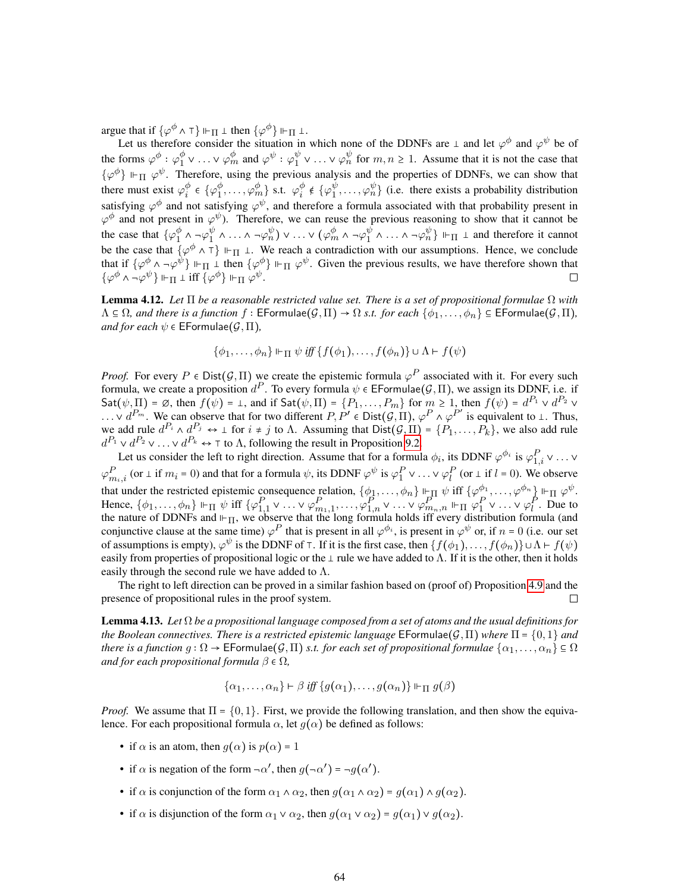argue that if  $\{\varphi^{\phi} \wedge \tau\} \Vdash_{\Pi} \bot$  then  $\{\varphi^{\phi}\} \Vdash_{\Pi} \bot$ .

Let us therefore consider the situation in which none of the DDNFs are  $\perp$  and let  $\varphi^{\phi}$  and  $\varphi^{\psi}$  be of the forms  $\varphi^{\phi}$  :  $\varphi_1^{\phi}$  $\frac{\phi}{1} \vee \ldots \vee \varphi_m^{\phi}$  and  $\varphi^{\psi} : \varphi_1^{\psi}$  $y_1^{\psi} \vee \ldots \vee \varphi_n^{\psi}$  for  $m, n \ge 1$ . Assume that it is not the case that  $\{\varphi^{\phi}\}\Vdash_{\Pi}\varphi^{\psi}$ . Therefore, using the previous analysis and the properties of DDNFs, we can show that there must exist  $\varphi_i^{\phi}$  $i^{\phi} \in {\{\varphi_1^{\phi}}\}$  $\frac{\phi}{1}, \ldots, \varphi^{\phi}_m \}$  s.t.  $\varphi^{\phi}_i$  $_{i}^{\phi}$   $\epsilon$  { $\varphi_{1}^{\psi}$  $\psi_1^{\psi}, \ldots, \varphi_n^{\psi}$  (i.e. there exists a probability distribution satisfying  $\varphi^{\phi}$  and not satisfying  $\varphi^{\psi}$ , and therefore a formula associated with that probability present in  $\varphi^{\phi}$  and not present in  $\varphi^{\psi}$ ). Therefore, we can reuse the previous reasoning to show that it cannot be the case that  $\{\varphi_1^{\phi}$  $_{1}^{\phi}$  ^  $\neg \varphi _{1}^{\psi}$  $\frac{\psi}{1} \wedge \ldots \wedge \neg \varphi^{\psi}_{n} \rangle \vee \ldots \vee (\varphi^{\phi}_{m} \wedge \neg \varphi^{\psi}_{1})$  $\frac{\psi}{1} \wedge \ldots \wedge \neg \varphi_n^{\psi}$   $\Vdash_{\Pi} \bot$  and therefore it cannot be the case that  $\{\varphi^{\phi} \wedge \tau\} \Vdash_{\Pi} \bot$ . We reach a contradiction with our assumptions. Hence, we conclude that if  $\{\varphi^{\phi} \wedge \neg \varphi^{\psi}\}\Vdash_{\Pi} \bot$  then  $\{\varphi^{\phi}\}\Vdash_{\Pi} \varphi^{\psi}$ . Given the previous results, we have therefore shown that  $\{\varphi^{\phi} \wedge \neg \varphi^{\psi}\}\Vdash_{\Pi} \bot \text{ iff } \overline{\{\varphi^{\phi}\}}\Vdash_{\Pi} \varphi^{\psi}.$  $\Box$ 

Lemma 4.12. *Let* Π *be a reasonable restricted value set. There is a set of propositional formulae* Ω *with*  $\Lambda \subseteq \Omega$ *, and there is a function*  $f : \mathsf{EFormulae}(\mathcal{G},\Pi) \to \Omega$  *s.t. for each*  $\{\phi_1,\ldots,\phi_n\} \subseteq \mathsf{EFormulae}(\mathcal{G},\Pi)$ *, and for each*  $\psi \in \mathsf{EFormulae}(\mathcal{G}, \Pi)$ ,

$$
\{\phi_1,\ldots,\phi_n\}\Vdash_{\Pi}\psi\iff\{f(\phi_1),\ldots,f(\phi_n)\}\cup\Lambda\vdash f(\psi)
$$

*Proof.* For every  $P \in \text{Dist}(\mathcal{G}, \Pi)$  we create the epistemic formula  $\varphi^P$  associated with it. For every such formula, we create a proposition  $d^P$ . To every formula  $\psi \in \mathsf{EFormula}(\mathcal{G},\Pi)$ , we assign its DDNF, i.e. if  $\mathsf{Sat}(\psi,\Pi) = \varnothing$ , then  $f(\psi) = \bot$ , and if  $\mathsf{Sat}(\psi,\Pi) = \{P_1,\ldots,P_m\}$  for  $m \geq 1$ , then  $f(\psi) = d^{P_1} \vee d^{P_2} \vee d^{P_3}$  $\ldots \vee d^{P_m}$ . We can observe that for two different  $P, P' \in \text{Dist}(\mathcal{G}, \Pi), \varphi^P \wedge \varphi^{P'}$  is equivalent to  $\bot$ . Thus, we add rule  $d^{P_i} \wedge d^{P_j} \leftrightarrow \perp$  for  $i \neq j$  to  $\Lambda$ . Assuming that  $Dist(\mathcal{G}, \Pi) = \{P_1, \ldots, P_k\}$ , we also add rule  $d^{P_1} \vee d^{P_2} \vee \ldots \vee d^{P_k} \leftrightarrow \top$  to  $\Lambda$ , following the result in Proposition [9.2.](#page-57-0)

Let us consider the left to right direction. Assume that for a formula  $\phi_i$ , its DDNF  $\varphi^{\phi_i}$  is  $\varphi_{1,i}^P \vee \dots \vee$  $\varphi_{m_i,i}^P$  (or  $\perp$  if  $m_i$  = 0) and that for a formula  $\psi$ , its DDNF  $\varphi^{\psi}$  is  $\varphi_1^P \vee \ldots \vee \varphi_l^P$  (or  $\perp$  if  $l$  = 0). We observe that under the restricted epistemic consequence relation,  $\{\phi_1, \ldots, \phi_n\} \Vdash_{\Pi} \psi$  iff  $\{\varphi_1^{\phi_1}, \ldots, \varphi^{\phi_n}\}\Vdash_{\Pi} \varphi^{\psi}$ . Hence,  $\{\phi_1,\ldots,\phi_n\} \Vdash_{\Pi} \psi$  iff  $\{\varphi_{1,1}^P \vee \ldots \vee \varphi_{m_1,1}^P, \ldots, \varphi_{1,n}^P \vee \ldots \vee \varphi_{m_n,n}^P \Vdash_{\Pi} \varphi_1^P \vee \ldots \vee \varphi_l^P$ . Due to the nature of DDNFs and  $\vdash_{\Pi}$ , we observe that the long formula holds iff every distribution formula (and conjunctive clause at the same time)  $\varphi^P$  that is present in all  $\varphi^{\phi_i}$ , is present in  $\varphi^{\psi}$  or, if  $n = 0$  (i.e. our set of assumptions is empty),  $\varphi^{\psi}$  is the DDNF of T. If it is the first case, then  $\{f(\phi_1), \dots, f(\phi_n)\} \cup \Lambda \vdash f(\psi)$ easily from properties of propositional logic or the  $\perp$  rule we have added to  $\Lambda$ . If it is the other, then it holds easily through the second rule we have added to  $\Lambda$ .

The right to left direction can be proved in a similar fashion based on (proof of) Proposition [4.9](#page-17-2) and the presence of propositional rules in the proof system.  $\Box$ 

Lemma 4.13. *Let* Ω *be a propositional language composed from a set of atoms and the usual definitions for the Boolean connectives. There is a restricted epistemic language* EFormulae $(\mathcal{G}, \Pi)$  *where*  $\Pi = \{0, 1\}$  *and there is a function*  $g: \Omega \to \mathsf{EFormulae}(\mathcal{G},\Pi)$  *s.t. for each set of propositional formulae*  $\{\alpha_1,\ldots,\alpha_n\} \subseteq \Omega$ *and for each propositional formula*  $\beta \in \Omega$ ,

$$
\{\alpha_1,\ldots,\alpha_n\}\vdash\beta\mathit{iff}\{g(\alpha_1),\ldots,g(\alpha_n)\}\Vdash_{\Pi}g(\beta)
$$

*Proof.* We assume that  $\Pi = \{0, 1\}$ . First, we provide the following translation, and then show the equivalence. For each propositional formula  $\alpha$ , let  $g(\alpha)$  be defined as follows:

- if  $\alpha$  is an atom, then  $q(\alpha)$  is  $p(\alpha) = 1$
- if  $\alpha$  is negation of the form  $\neg \alpha'$ , then  $g(\neg \alpha') = \neg g(\alpha')$ .
- if  $\alpha$  is conjunction of the form  $\alpha_1 \wedge \alpha_2$ , then  $g(\alpha_1 \wedge \alpha_2) = g(\alpha_1) \wedge g(\alpha_2)$ .
- if  $\alpha$  is disjunction of the form  $\alpha_1 \vee \alpha_2$ , then  $g(\alpha_1 \vee \alpha_2) = g(\alpha_1) \vee g(\alpha_2)$ .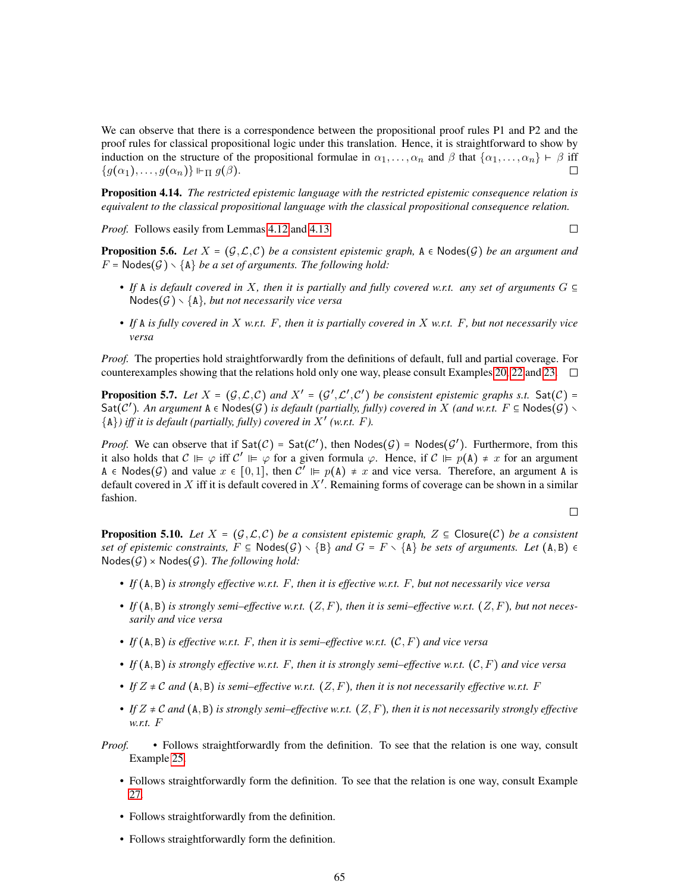We can observe that there is a correspondence between the propositional proof rules P1 and P2 and the proof rules for classical propositional logic under this translation. Hence, it is straightforward to show by induction on the structure of the propositional formulae in  $\alpha_1, \ldots, \alpha_n$  and  $\beta$  that  $\{\alpha_1, \ldots, \alpha_n\} \vdash \beta$  iff  ${g(\alpha_1), \ldots, g(\alpha_n)} \vdash_{\Pi} g(\beta).$  $\Box$ 

Proposition 4.14. *The restricted epistemic language with the restricted epistemic consequence relation is equivalent to the classical propositional language with the classical propositional consequence relation.*

*Proof.* Follows easily from Lemmas [4.12](#page-17-0) and [4.13.](#page-17-1)

$$
\Box
$$

**Proposition 5.6.** *Let*  $X = (G, \mathcal{L}, \mathcal{C})$  *be a consistent epistemic graph,*  $A \in \text{Nodes}(\mathcal{G})$  *be an argument and*  $F = \text{Nodes}(\mathcal{G}) \setminus \{A\}$  be a set of arguments. The following hold:

- If A is default covered in X, then it is partially and fully covered w.r.t. any set of arguments  $G \subseteq$  $Nodes(\mathcal{G}) \setminus \{A\}$ , but not necessarily vice versa
- *• If* A *is fully covered in* X *w.r.t.* F*, then it is partially covered in* X *w.r.t.* F*, but not necessarily vice versa*

*Proof.* The properties hold straightforwardly from the definitions of default, full and partial coverage. For counterexamples showing that the relations hold only one way, please consult Examples [20,](#page-21-3) [22](#page-23-1) and [23.](#page-23-2)  $\Box$ 

**Proposition 5.7.** Let  $X = (G, \mathcal{L}, C)$  and  $X' = (G', \mathcal{L}', C')$  be consistent epistemic graphs s.t.  $Sat(C) =$  $\textsf{Sat}(\mathcal{C}')$ . An argument  $A \in \textsf{Nodes}(\mathcal{G})$  is default (partially, fully) covered in X *(and w.r.t.*  $F \subseteq \textsf{Nodes}(\mathcal{G}) \setminus$  $\{A\}$ ) iff it is default (partially, fully) covered in  $\overline{X}'$  (w.r.t. *F*).

*Proof.* We can observe that if  $Sat(\mathcal{C}) = Sat(\mathcal{C}')$ , then  $Nodes(\mathcal{G}) = Nodes(\mathcal{G}')$ . Furthermore, from this it also holds that  $C \vDash \varphi$  iff  $C' \vDash \varphi$  for a given formula  $\varphi$ . Hence, if  $C \vDash p(A) \neq x$  for an argument A  $\epsilon$  Nodes(G) and value  $x \in [0,1]$ , then  $C' \vDash p(A) \neq x$  and vice versa. Therefore, an argument A is default covered in X iff it is default covered in  $X'$ . Remaining forms of coverage can be shown in a similar fashion.

 $\Box$ 

**Proposition 5.10.** Let  $X = (G, \mathcal{L}, \mathcal{C})$  be a consistent epistemic graph,  $Z \subseteq \mathsf{Closure}(\mathcal{C})$  be a consistent *set of epistemic constraints,*  $F \subseteq \text{Nodes}(\mathcal{G}) \setminus \{B\}$  *and*  $G = F \setminus \{A\}$  *be sets of arguments. Let*  $(A, B) \in$  $Nodes(\mathcal{G}) \times Nodes(\mathcal{G})$ . The following hold:

- *• If* A, B *is strongly effective w.r.t.* F*, then it is effective w.r.t.* F*, but not necessarily vice versa*
- If  $(A, B)$  is strongly semi-effective w.r.t.  $(Z, F)$ , then it is semi-effective w.r.t.  $(Z, F)$ , but not neces*sarily and vice versa*
- If  $(A, B)$  is effective w.r.t. F, then it is semi–effective w.r.t.  $(C, F)$  and vice versa
- If  $(A, B)$  *is strongly effective w.r.t.*  $F$ *, then it is strongly semi–effective w.r.t.*  $(C, F)$  *and vice versa*
- If  $Z \neq C$  and  $(A, B)$  is semi–effective w.r.t.  $(Z, F)$ , then it is not necessarily effective w.r.t. F
- If  $Z \neq C$  and  $(A, B)$  *is strongly semi–effective w.r.t.*  $(Z, F)$ *, then it is not necessarily strongly effective w.r.t.* F
- *Proof.* Follows straightforwardly from the definition. To see that the relation is one way, consult Example [25.](#page-24-0)
	- Follows straightforwardly form the definition. To see that the relation is one way, consult Example [27.](#page-25-2)
	- Follows straightforwardly from the definition.
	- Follows straightforwardly form the definition.